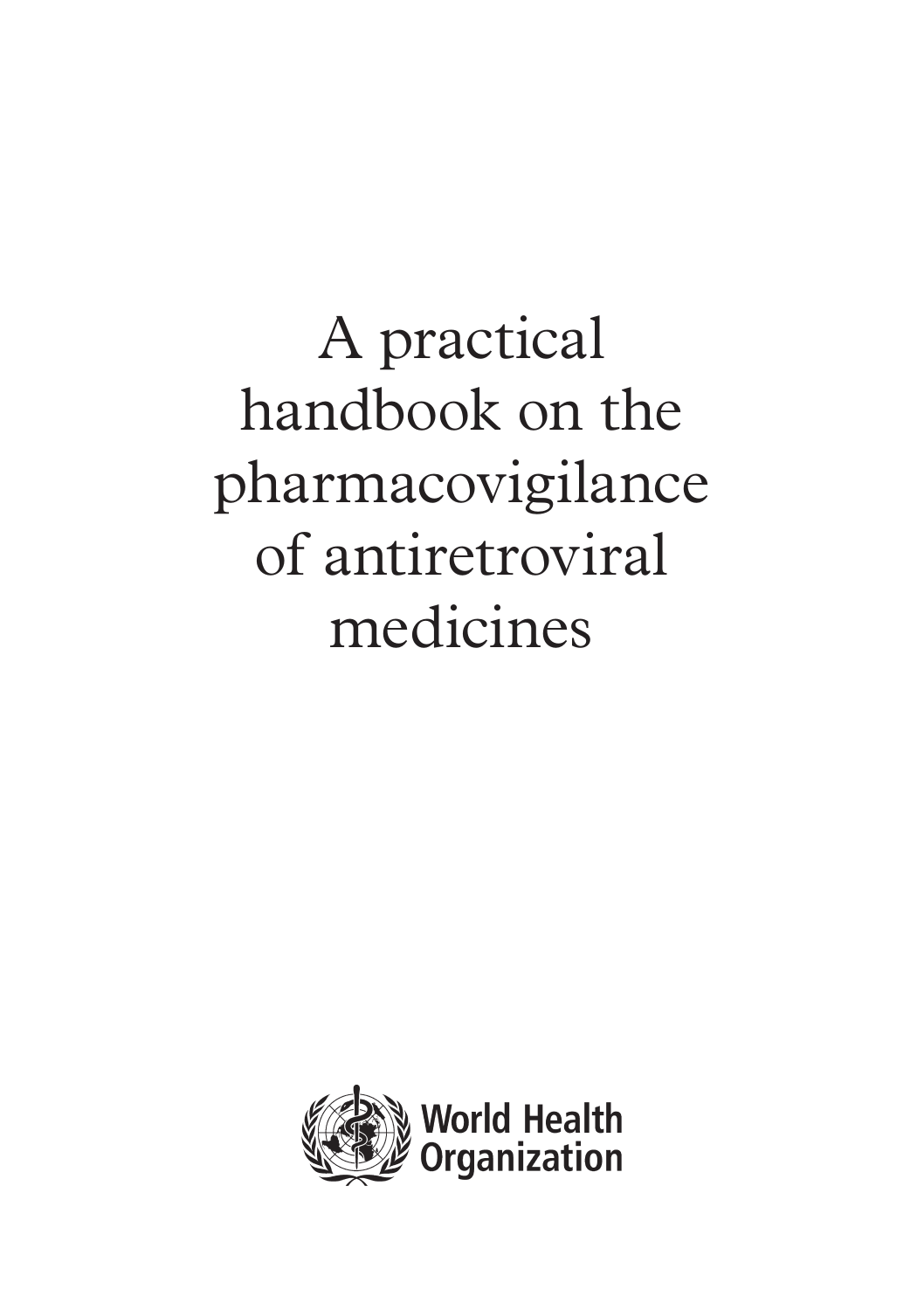A practical handbook on the pharmacovigilance of antiretroviral medicines

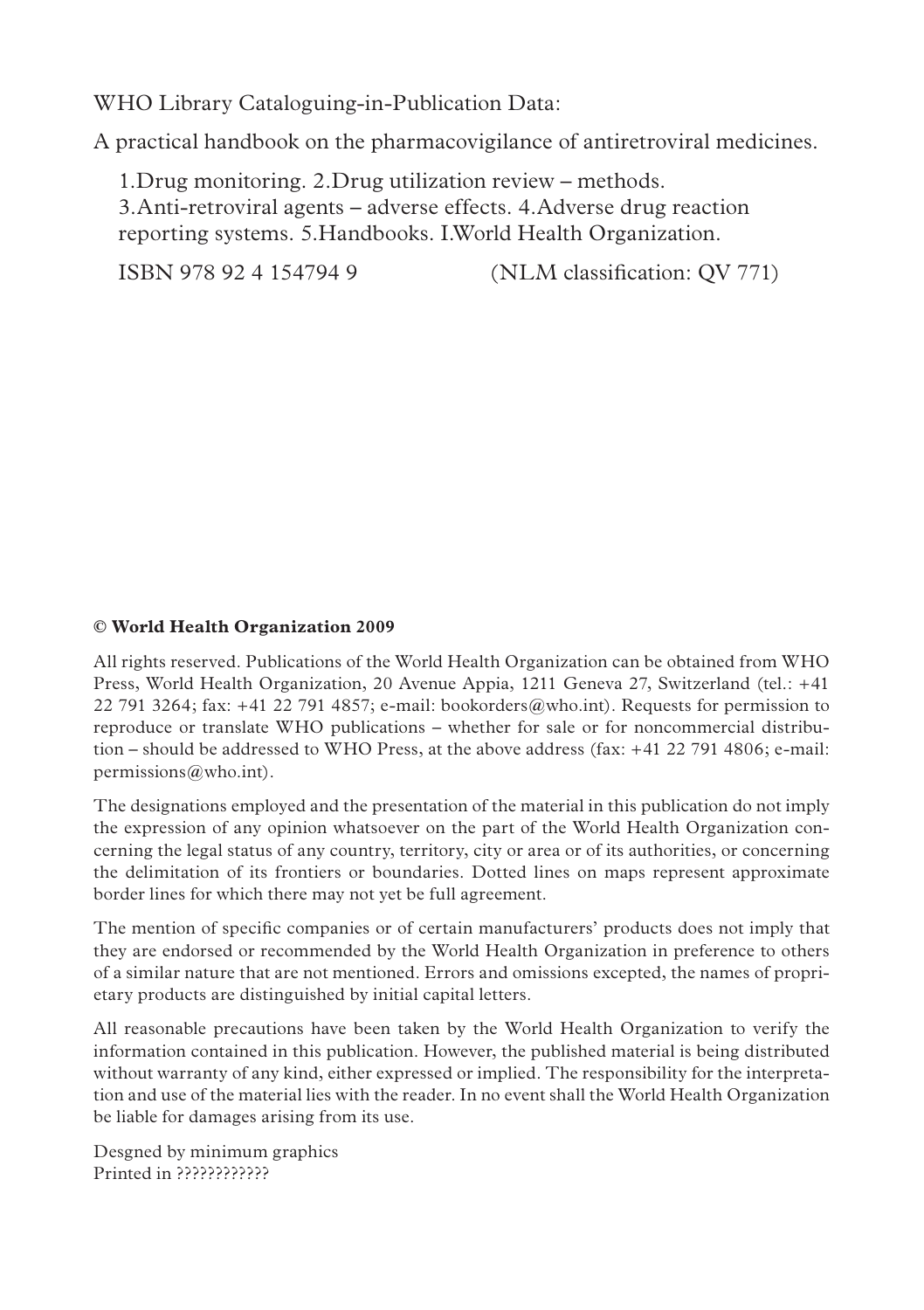WHO Library Cataloguing-in-Publication Data:

A practical handbook on the pharmacovigilance of antiretroviral medicines.

1.Drug monitoring. 2.Drug utilization review – methods. 3.Anti-retroviral agents – adverse effects. 4.Adverse drug reaction reporting systems. 5.Handbooks. I.World Health Organization.

ISBN 978 92 4 154794 9 (NLM classification: QV 771)

#### **© World Health Organization 2009**

All rights reserved. Publications of the World Health Organization can be obtained from WHO Press, World Health Organization, 20 Avenue Appia, 1211 Geneva 27, Switzerland (tel.: +41 22 791 3264; fax:  $+41$  22 791 4857; e-mail: bookorders@who.int). Requests for permission to reproduce or translate WHO publications – whether for sale or for noncommercial distribution – should be addressed to WHO Press, at the above address (fax: +41 22 791 4806; e-mail: permissions@who.int).

The designations employed and the presentation of the material in this publication do not imply the expression of any opinion whatsoever on the part of the World Health Organization concerning the legal status of any country, territory, city or area or of its authorities, or concerning the delimitation of its frontiers or boundaries. Dotted lines on maps represent approximate border lines for which there may not yet be full agreement.

The mention of specific companies or of certain manufacturers' products does not imply that they are endorsed or recommended by the World Health Organization in preference to others of a similar nature that are not mentioned. Errors and omissions excepted, the names of proprietary products are distinguished by initial capital letters.

All reasonable precautions have been taken by the World Health Organization to verify the information contained in this publication. However, the published material is being distributed without warranty of any kind, either expressed or implied. The responsibility for the interpretation and use of the material lies with the reader. In no event shall the World Health Organization be liable for damages arising from its use.

Desgned by minimum graphics Printed in ????????????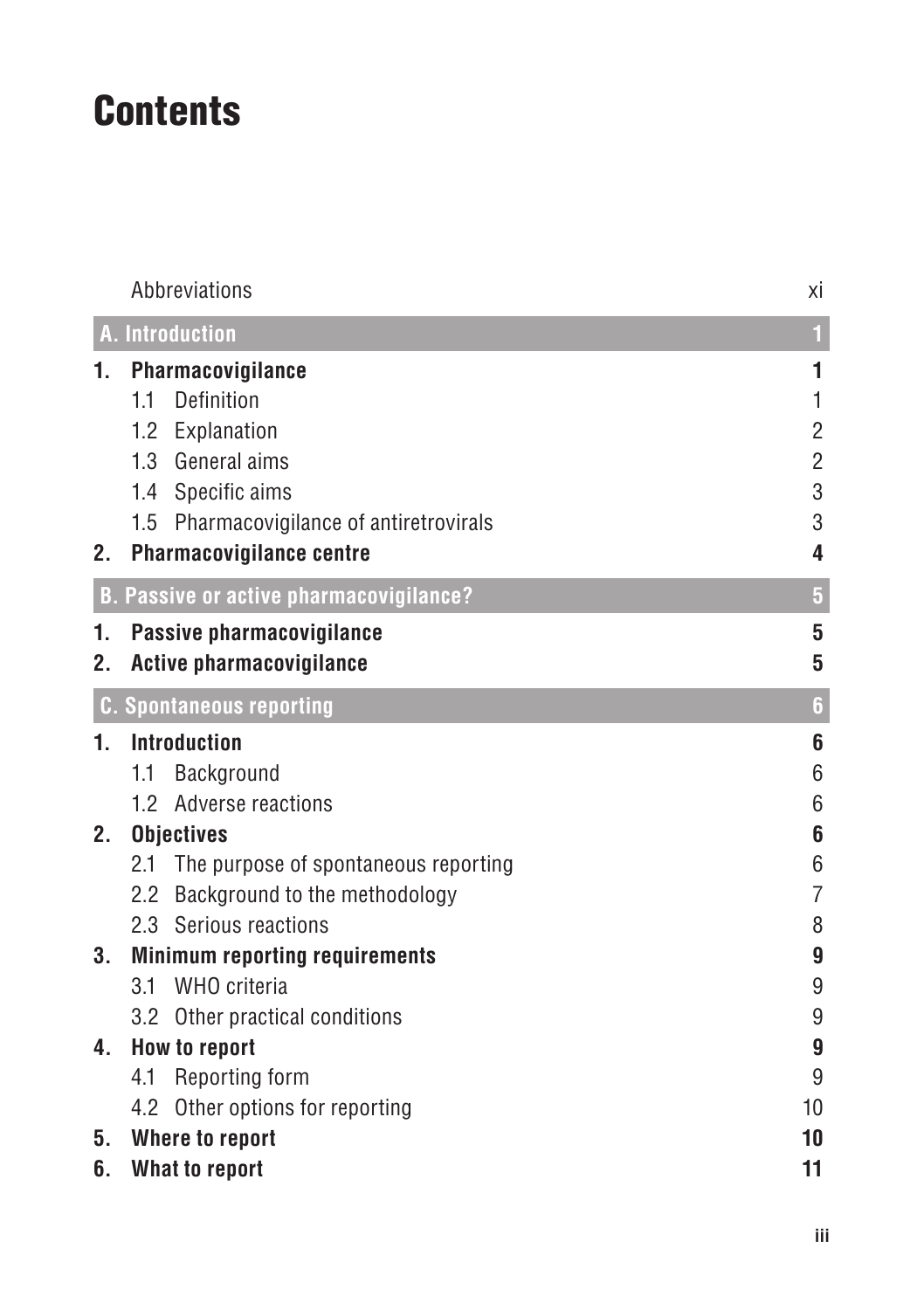# **Contents**

|    | Abbreviations                                  | хi                      |  |  |
|----|------------------------------------------------|-------------------------|--|--|
|    | <b>A.</b> Introduction                         | $\overline{1}$          |  |  |
| 1. | Pharmacovigilance                              | 1                       |  |  |
|    | 1.1<br>Definition                              | 1                       |  |  |
|    | 1.2<br>Explanation                             | $\overline{c}$          |  |  |
|    | 1.3 General aims                               | $\overline{2}$          |  |  |
|    | 1.4 Specific aims                              | 3                       |  |  |
|    | 1.5<br>Pharmacovigilance of antiretrovirals    | 3                       |  |  |
| 2. | Pharmacovigilance centre                       | 4                       |  |  |
|    | <b>B. Passive or active pharmacovigilance?</b> | $\overline{\mathbf{5}}$ |  |  |
| 1. | Passive pharmacovigilance                      | 5                       |  |  |
| 2. | <b>Active pharmacovigilance</b>                | 5                       |  |  |
|    | <b>C. Spontaneous reporting</b>                | $\boldsymbol{6}$        |  |  |
| 1. | <b>Introduction</b>                            | 6                       |  |  |
|    | Background<br>1.1                              | 6                       |  |  |
|    | Adverse reactions<br>1.2 <sub>2</sub>          | 6                       |  |  |
| 2. | <b>Objectives</b>                              | 6                       |  |  |
|    | The purpose of spontaneous reporting<br>2.1    | 6                       |  |  |
|    | Background to the methodology<br>$2.2\,$       | $\overline{7}$          |  |  |
|    | 2.3 Serious reactions                          | 8                       |  |  |
| 3. | <b>Minimum reporting requirements</b>          | 9                       |  |  |
|    | WHO criteria<br>3.1                            | 9                       |  |  |
|    | 3.2 Other practical conditions                 | 9                       |  |  |
| 4. | How to report                                  | 9                       |  |  |
|    | Reporting form<br>4.1                          | 9                       |  |  |
|    | 4.2 Other options for reporting                | 10                      |  |  |
| 5. | Where to report                                | 10                      |  |  |
| 6. | What to report<br>11                           |                         |  |  |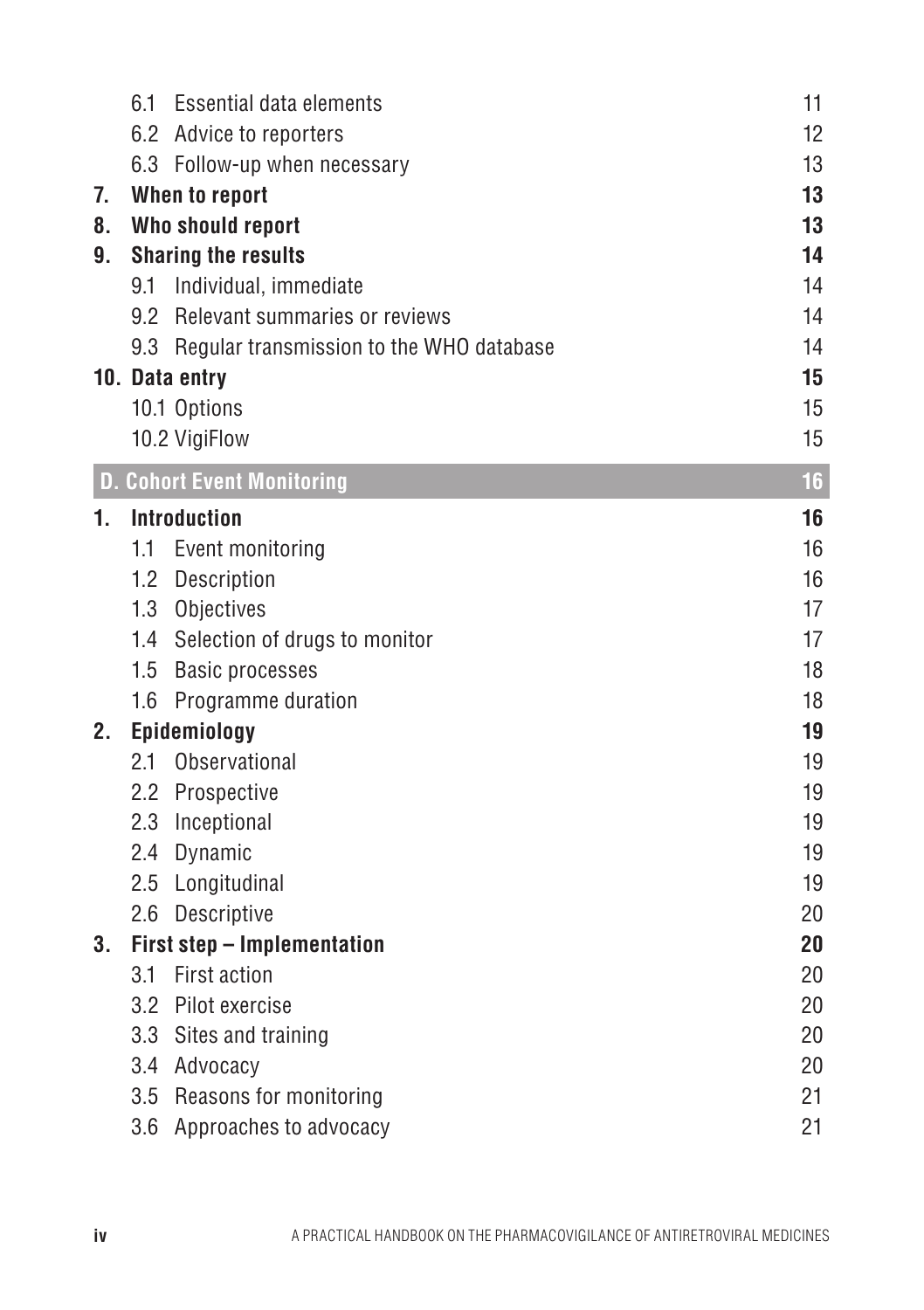|    | 6.1 | Essential data elements                  | 11 |
|----|-----|------------------------------------------|----|
|    |     | 6.2 Advice to reporters                  | 12 |
|    |     | 6.3 Follow-up when necessary             | 13 |
| 7. |     | When to report                           | 13 |
| 8. |     | Who should report                        | 13 |
| 9. |     | <b>Sharing the results</b>               | 14 |
|    | 9.1 | Individual, immediate                    | 14 |
|    | 9.2 | Relevant summaries or reviews            | 14 |
|    | 9.3 | Regular transmission to the WHO database | 14 |
|    |     | 10. Data entry                           | 15 |
|    |     | 10.1 Options                             | 15 |
|    |     | 10.2 VigiFlow                            | 15 |
|    |     | <b>D. Cohort Event Monitoring</b>        | 16 |
| 1. |     | <b>Introduction</b>                      | 16 |
|    | 1.1 | Event monitoring                         | 16 |
|    |     | 1.2 Description                          | 16 |
|    |     | 1.3 Objectives                           | 17 |
|    |     | 1.4 Selection of drugs to monitor        | 17 |
|    | 1.5 | <b>Basic processes</b>                   | 18 |
|    | 1.6 | Programme duration                       | 18 |
| 2. |     | Epidemiology                             | 19 |
|    | 2.1 | Observational                            | 19 |
|    |     | 2.2 Prospective                          | 19 |
|    | 2.3 | Inceptional                              | 19 |
|    | 2.4 | Dynamic                                  | 19 |
|    | 2.5 | Longitudinal                             | 19 |
|    | 2.6 | Descriptive                              | 20 |
| 3. |     | First step - Implementation              | 20 |
|    | 3.1 | First action                             | 20 |
|    |     | 3.2 Pilot exercise                       | 20 |
|    |     | 3.3 Sites and training                   | 20 |
|    |     | 3.4 Advocacy                             | 20 |
|    |     | 3.5 Reasons for monitoring               | 21 |
|    |     | 3.6 Approaches to advocacy               | 21 |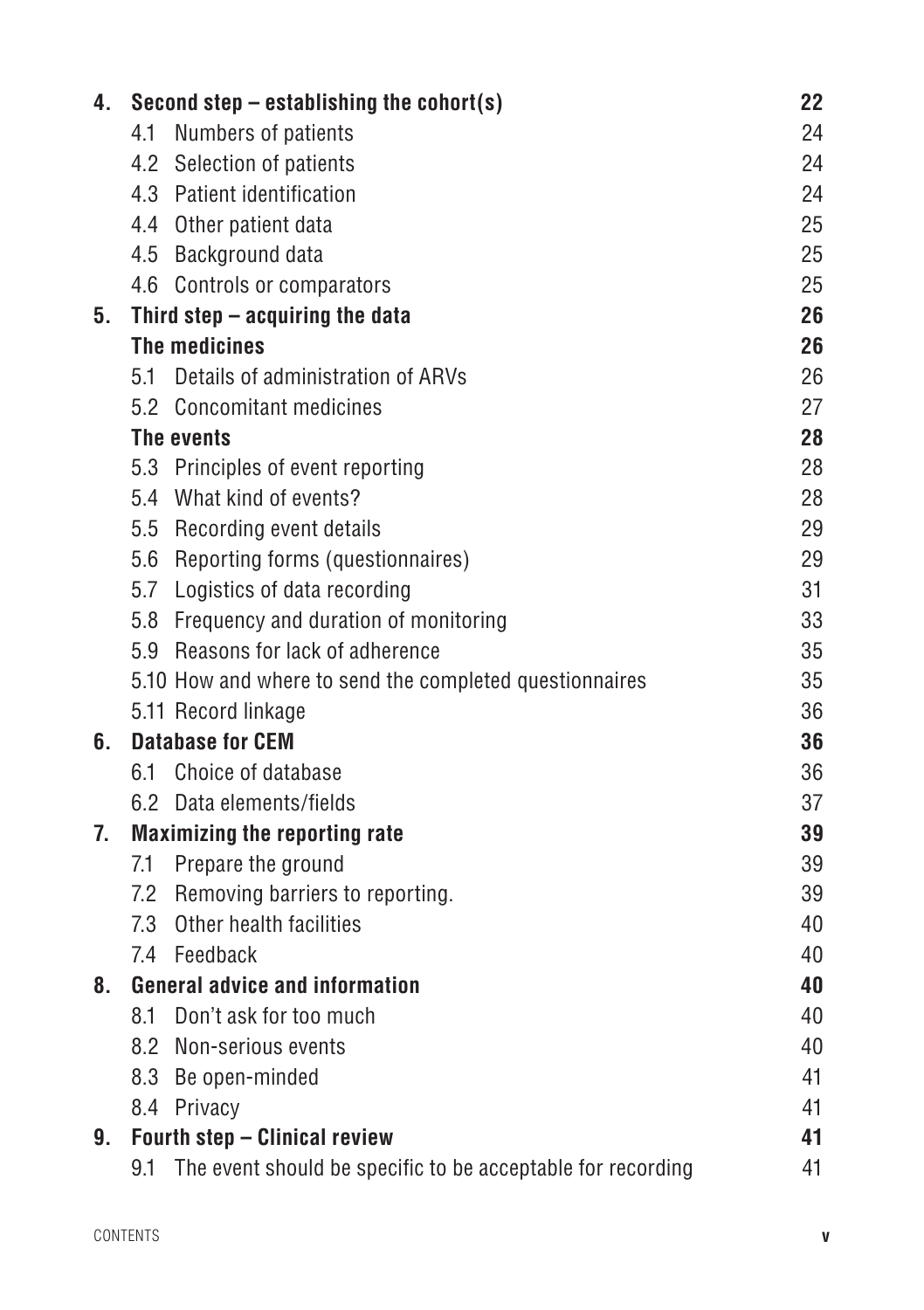| 4. |     | Second step - establishing the cohort(s)                    | 22 |
|----|-----|-------------------------------------------------------------|----|
|    | 4.1 | Numbers of patients                                         | 24 |
|    | 4.2 | Selection of patients                                       | 24 |
|    |     | 4.3 Patient identification                                  | 24 |
|    |     | 4.4 Other patient data                                      | 25 |
|    |     | 4.5 Background data                                         | 25 |
|    |     | 4.6 Controls or comparators                                 | 25 |
| 5. |     | Third step $-$ acquiring the data                           | 26 |
|    |     | The medicines                                               | 26 |
|    |     | 5.1 Details of administration of ARVs                       | 26 |
|    |     | 5.2 Concomitant medicines                                   | 27 |
|    |     | The events                                                  | 28 |
|    |     | 5.3 Principles of event reporting                           | 28 |
|    |     | 5.4 What kind of events?                                    | 28 |
|    |     | 5.5 Recording event details                                 | 29 |
|    |     | 5.6 Reporting forms (questionnaires)                        | 29 |
|    |     | 5.7 Logistics of data recording                             | 31 |
|    |     | 5.8 Frequency and duration of monitoring                    | 33 |
|    |     | 5.9 Reasons for lack of adherence                           | 35 |
|    |     | 5.10 How and where to send the completed questionnaires     | 35 |
|    |     | 5.11 Record linkage                                         | 36 |
| 6. |     | <b>Database for CEM</b>                                     | 36 |
|    |     | 6.1 Choice of database                                      | 36 |
|    |     | 6.2 Data elements/fields                                    | 37 |
| 7. |     | <b>Maximizing the reporting rate</b>                        | 39 |
|    | 7.1 | Prepare the ground                                          | 39 |
|    |     | 7.2 Removing barriers to reporting.                         | 39 |
|    |     | 7.3 Other health facilities                                 | 40 |
|    |     | 7.4 Feedback                                                | 40 |
| 8. |     | <b>General advice and information</b>                       | 40 |
|    | 8.1 | Don't ask for too much                                      | 40 |
|    |     | 8.2 Non-serious events                                      | 40 |
|    |     | 8.3 Be open-minded                                          | 41 |
|    |     | 8.4 Privacy                                                 | 41 |
| 9. |     | Fourth step - Clinical review                               | 41 |
|    | 9.1 | The event should be specific to be acceptable for recording | 41 |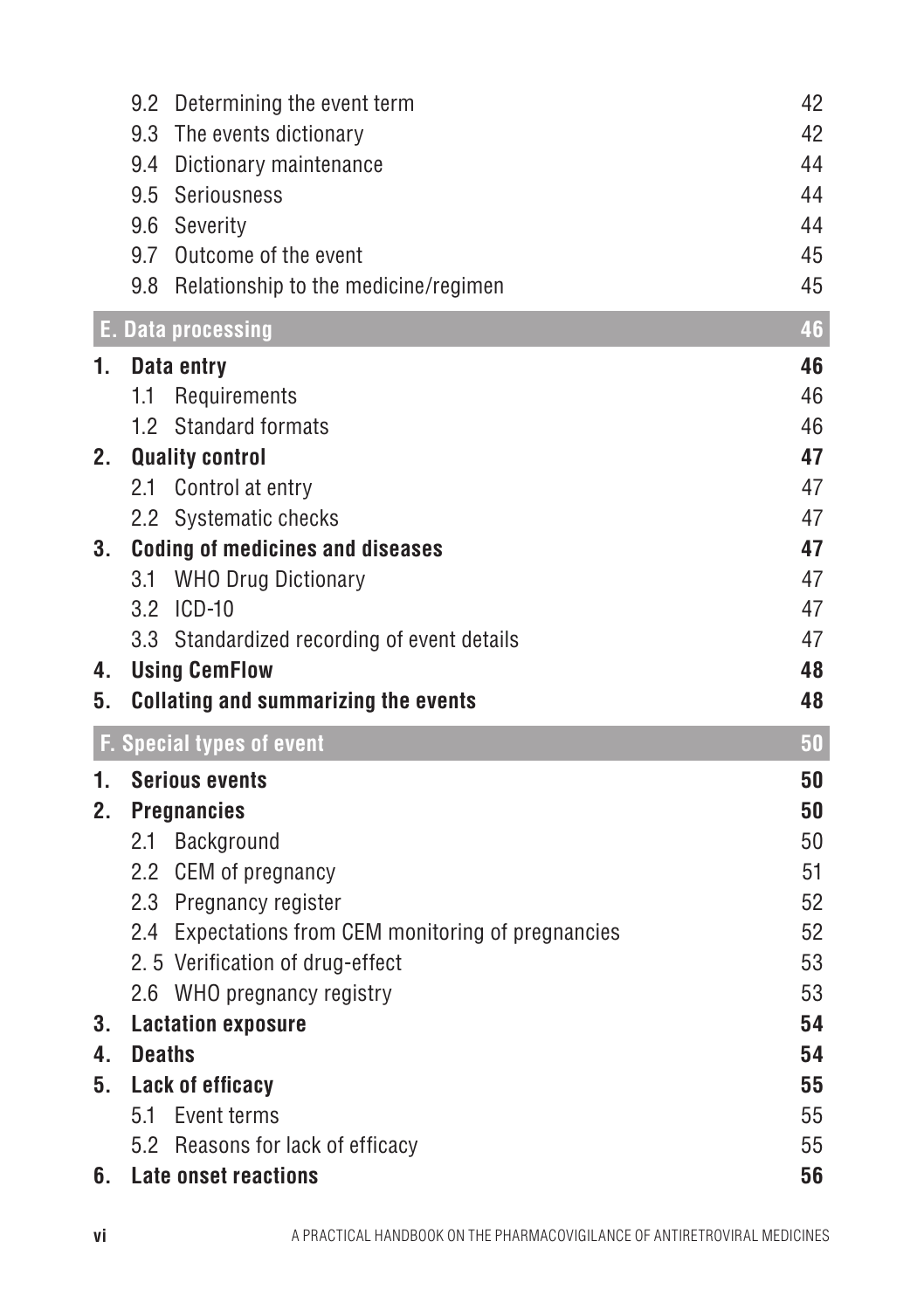|    | 9.2 Determining the event term                                  | 42       |
|----|-----------------------------------------------------------------|----------|
|    | 9.3<br>The events dictionary                                    | 42       |
|    | 9.4<br>Dictionary maintenance                                   | 44       |
|    | 9.5<br>Seriousness                                              | 44       |
|    | 9.6<br>Severity                                                 | 44       |
|    | Outcome of the event<br>9.7                                     | 45       |
|    | 9.8 Relationship to the medicine/regimen                        | 45       |
|    | <b>E. Data processing</b>                                       | 46       |
| 1. | Data entry                                                      | 46       |
|    | 1.1 Requirements                                                | 46       |
|    | 1.2 Standard formats                                            | 46       |
| 2. | <b>Quality control</b>                                          | 47       |
|    | 2.1 Control at entry                                            | 47       |
|    | 2.2 Systematic checks                                           | 47       |
| 3. | <b>Coding of medicines and diseases</b>                         | 47       |
|    | 3.1 WHO Drug Dictionary                                         | 47       |
|    | 3.2 ICD-10                                                      | 47       |
|    | 3.3 Standardized recording of event details                     | 47       |
|    |                                                                 |          |
| 4. | <b>Using CemFlow</b>                                            | 48       |
| 5. | <b>Collating and summarizing the events</b>                     | 48       |
|    | <b>F. Special types of event</b>                                | 50       |
| 1. | <b>Serious events</b>                                           | 50       |
| 2. | <b>Pregnancies</b>                                              | 50       |
|    | 2.1 Background                                                  | 50       |
|    | 2.2 CEM of pregnancy                                            | 51       |
|    | 2.3 Pregnancy register                                          | 52       |
|    | 2.4 Expectations from CEM monitoring of pregnancies             | 52       |
|    | 2.5 Verification of drug-effect                                 | 53       |
|    | 2.6 WHO pregnancy registry                                      | 53       |
| 3. | <b>Lactation exposure</b>                                       | 54       |
| 4. | <b>Deaths</b>                                                   | 54       |
| 5. | Lack of efficacy                                                | 55       |
|    | 5.1 Event terms                                                 | 55       |
| 6. | 5.2 Reasons for lack of efficacy<br><b>Late onset reactions</b> | 55<br>56 |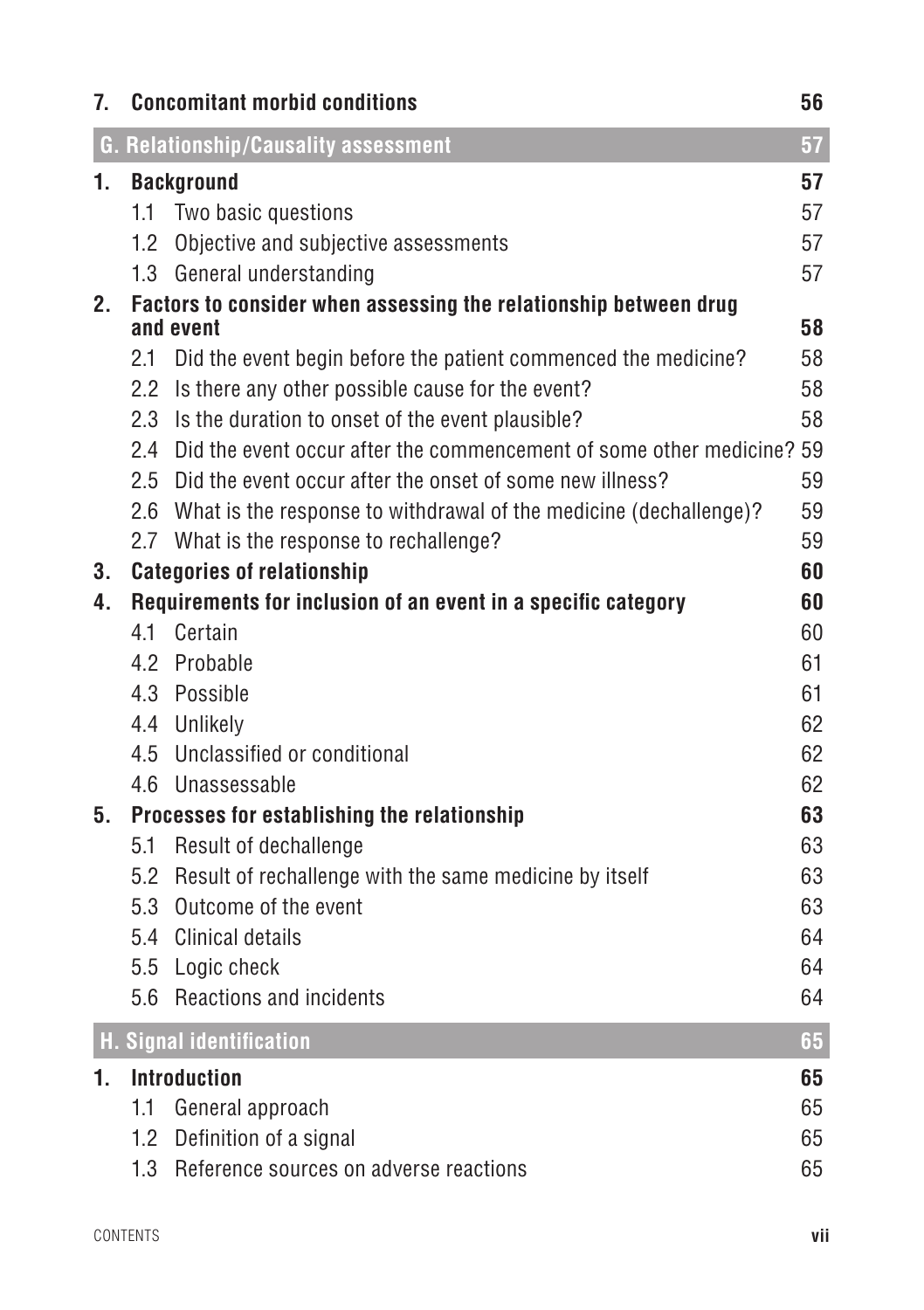| 7.      | <b>Concomitant morbid conditions</b><br>56 |                                                                               |    |  |  |  |
|---------|--------------------------------------------|-------------------------------------------------------------------------------|----|--|--|--|
|         |                                            | G. Relationship/Causality assessment                                          | 57 |  |  |  |
| 1.      |                                            | <b>Background</b>                                                             | 57 |  |  |  |
|         | $1.1 -$                                    | Two basic questions                                                           | 57 |  |  |  |
|         |                                            | 1.2 Objective and subjective assessments                                      | 57 |  |  |  |
|         |                                            | 1.3 General understanding                                                     | 57 |  |  |  |
| $2_{-}$ |                                            | Factors to consider when assessing the relationship between drug<br>and event | 58 |  |  |  |
|         | 2.1                                        | Did the event begin before the patient commenced the medicine?                | 58 |  |  |  |
|         |                                            | 2.2 Is there any other possible cause for the event?                          | 58 |  |  |  |
|         |                                            | 2.3 Is the duration to onset of the event plausible?                          | 58 |  |  |  |
|         |                                            | 2.4 Did the event occur after the commencement of some other medicine? 59     |    |  |  |  |
|         |                                            | 2.5 Did the event occur after the onset of some new illness?                  | 59 |  |  |  |
|         |                                            | 2.6 What is the response to withdrawal of the medicine (dechallenge)?         | 59 |  |  |  |
|         |                                            | 2.7 What is the response to rechallenge?                                      | 59 |  |  |  |
| 3.      |                                            | <b>Categories of relationship</b>                                             | 60 |  |  |  |
| 4.      |                                            | Requirements for inclusion of an event in a specific category                 | 60 |  |  |  |
|         | 4.1                                        | Certain                                                                       | 60 |  |  |  |
|         | 4.2                                        | Probable                                                                      | 61 |  |  |  |
|         |                                            | 4.3 Possible                                                                  | 61 |  |  |  |
|         |                                            | 4.4 Unlikely                                                                  | 62 |  |  |  |
|         |                                            | 4.5 Unclassified or conditional                                               | 62 |  |  |  |
|         |                                            | 4.6 Unassessable                                                              | 62 |  |  |  |
| 5.      |                                            | Processes for establishing the relationship                                   | 63 |  |  |  |
|         |                                            | 5.1 Result of dechallenge                                                     | 63 |  |  |  |
|         |                                            | 5.2 Result of rechallenge with the same medicine by itself                    | 63 |  |  |  |
|         |                                            | 5.3 Outcome of the event                                                      | 63 |  |  |  |
|         |                                            | 5.4 Clinical details                                                          | 64 |  |  |  |
|         |                                            | 5.5 Logic check                                                               | 64 |  |  |  |
|         |                                            | 5.6 Reactions and incidents                                                   | 64 |  |  |  |
|         |                                            | H. Signal identification                                                      | 65 |  |  |  |
| 1.      |                                            | <b>Introduction</b>                                                           | 65 |  |  |  |
|         | 1.1                                        | General approach                                                              | 65 |  |  |  |
|         |                                            | 1.2 Definition of a signal                                                    | 65 |  |  |  |
|         | 1.3                                        | Reference sources on adverse reactions                                        | 65 |  |  |  |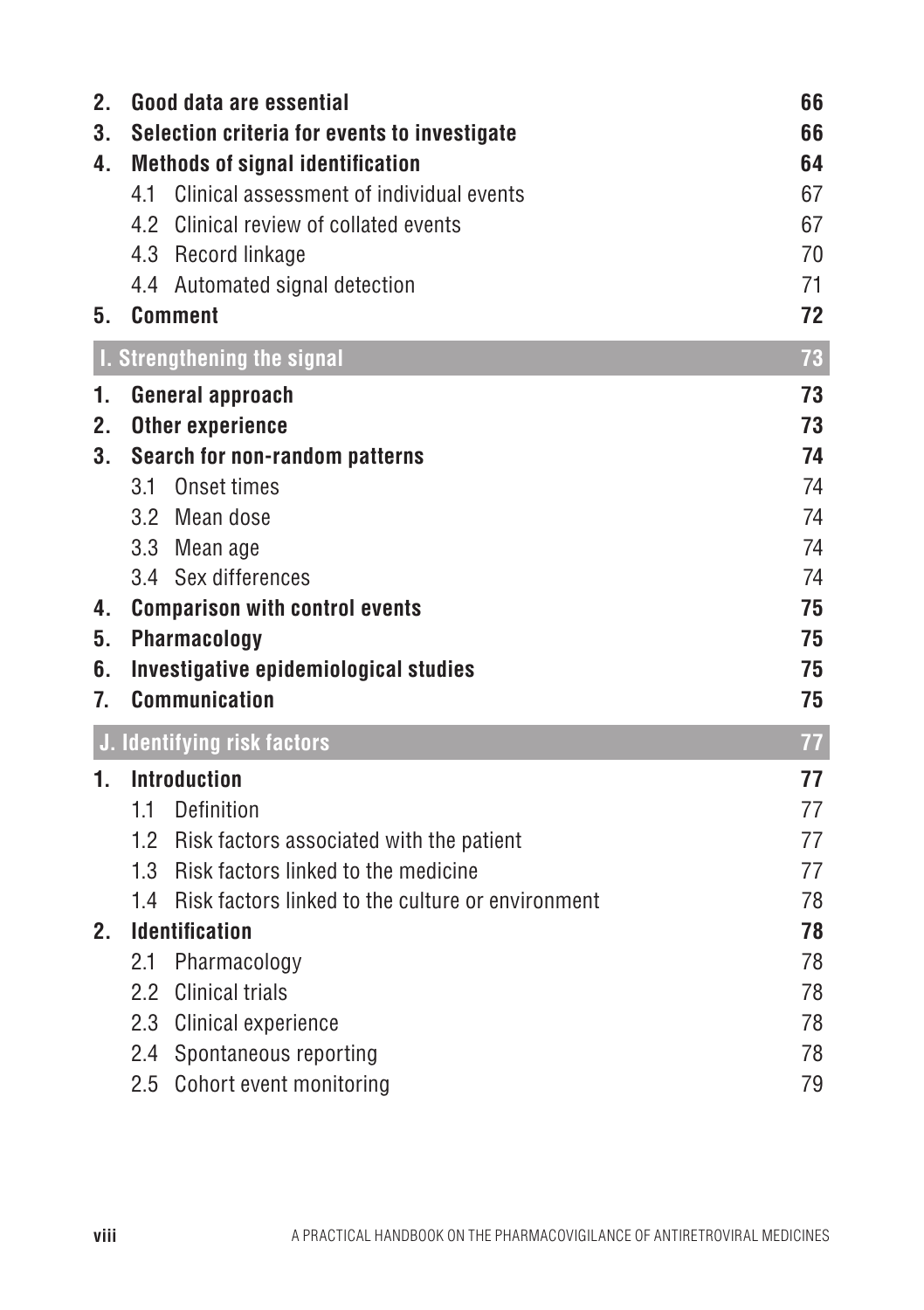| 73<br>73<br>73<br>74                         |
|----------------------------------------------|
|                                              |
| 74<br>74<br>74<br>74<br>75<br>75<br>75<br>75 |
| 77                                           |
| 77<br>77<br>77<br>77<br>78                   |
| 78<br>78<br>78<br>78<br>78<br>79             |
|                                              |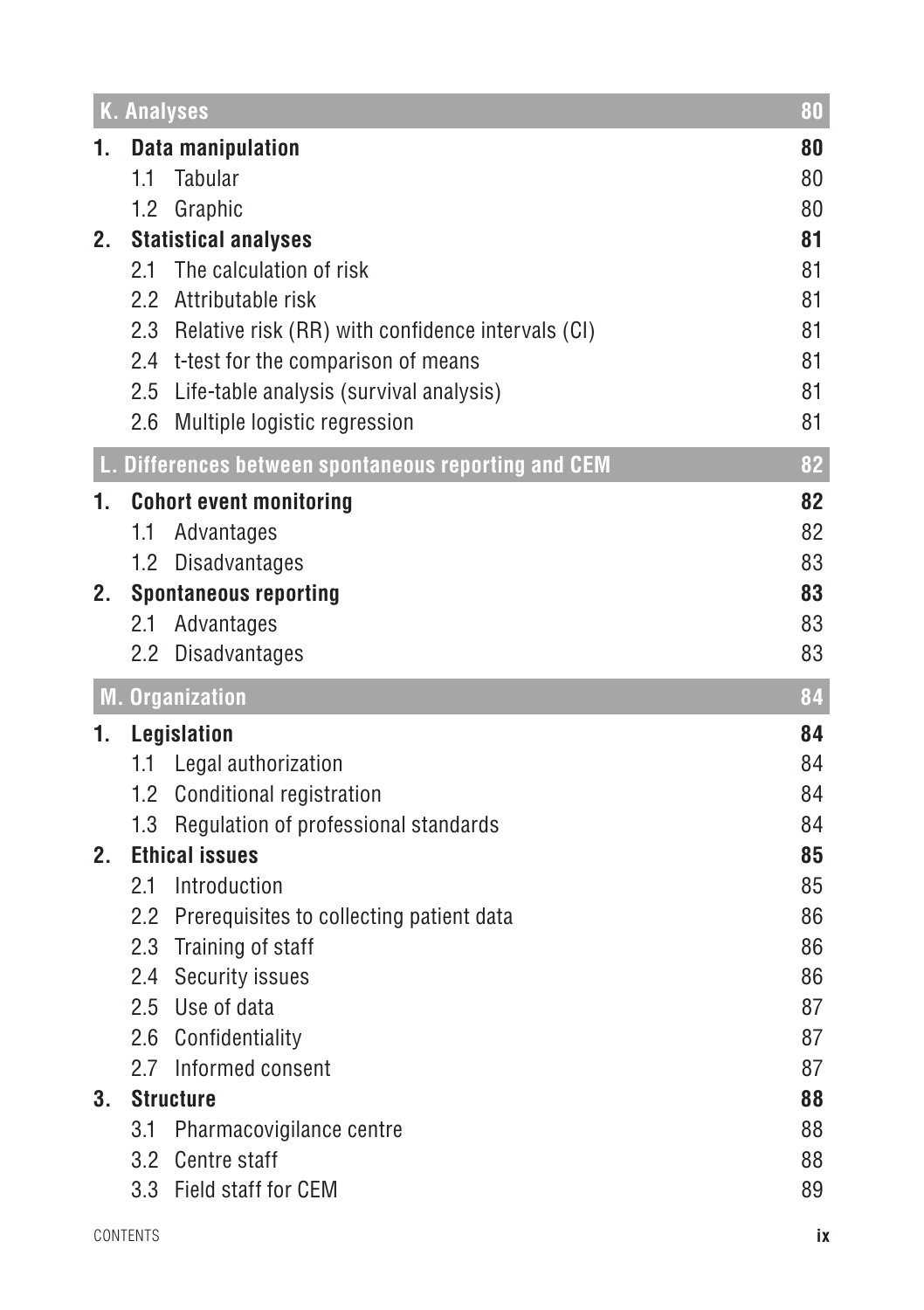|         | <b>K. Analyses</b>                                                                    | 80       |
|---------|---------------------------------------------------------------------------------------|----------|
| 1.      | <b>Data manipulation</b>                                                              | 80       |
|         | 1.1<br>Tabular                                                                        | 80       |
|         | 1.2 Graphic                                                                           | 80       |
| 2.      | <b>Statistical analyses</b>                                                           | 81       |
|         | The calculation of risk<br>2.1                                                        | 81       |
|         | 2.2 Attributable risk                                                                 | 81       |
|         | 2.3 Relative risk (RR) with confidence intervals (CI)                                 | 81       |
|         | 2.4 t-test for the comparison of means<br>2.5 Life-table analysis (survival analysis) | 81<br>81 |
|         | 2.6 Multiple logistic regression                                                      | 81       |
|         |                                                                                       |          |
|         | L. Differences between spontaneous reporting and CEM                                  | 82       |
| 1.      | <b>Cohort event monitoring</b>                                                        | 82       |
|         | 1.1<br>Advantages                                                                     | 82       |
|         | Disadvantages<br>$1.2^{\circ}$                                                        | 83       |
| 2.      | <b>Spontaneous reporting</b><br>2.1<br>Advantages                                     | 83<br>83 |
|         | 2.2 Disadvantages                                                                     | 83       |
|         |                                                                                       |          |
|         |                                                                                       |          |
|         | <b>M. Organization</b>                                                                | 84       |
| 1.      | Legislation                                                                           | 84       |
|         | 1.1 Legal authorization                                                               | 84       |
|         | 1.2 Conditional registration                                                          | 84       |
|         | 1.3 Regulation of professional standards                                              | 84       |
| $2_{-}$ | <b>Ethical issues</b>                                                                 | 85       |
|         | 2.1<br>Introduction                                                                   | 85       |
|         | 2.2 Prerequisites to collecting patient data                                          | 86       |
|         | 2.3 Training of staff                                                                 | 86<br>86 |
|         | 2.4 Security issues<br>2.5 Use of data                                                | 87       |
|         | 2.6 Confidentiality                                                                   | 87       |
|         | 2.7 Informed consent                                                                  | 87       |
| 3.      | <b>Structure</b>                                                                      | 88       |
|         | 3.1<br>Pharmacovigilance centre                                                       | 88       |
|         | 3.2 Centre staff                                                                      | 88       |
|         | 3.3 Field staff for CEM                                                               | 89       |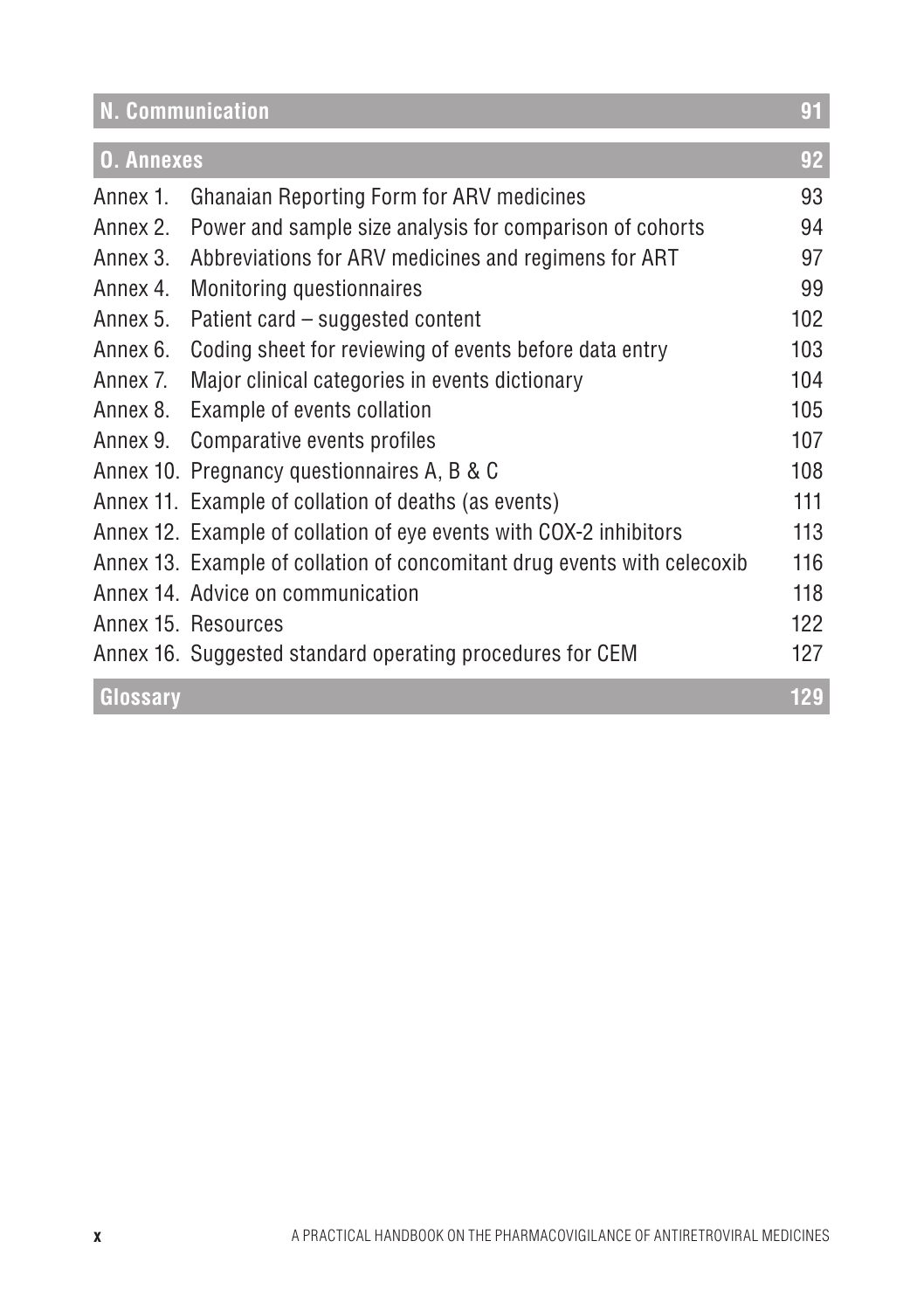| N. Communication  |                                                                          | 91  |
|-------------------|--------------------------------------------------------------------------|-----|
| <b>O. Annexes</b> |                                                                          | 92  |
| Annex 1.          | <b>Ghanaian Reporting Form for ARV medicines</b>                         | 93  |
| Annex 2.          | Power and sample size analysis for comparison of cohorts                 | 94  |
| Annex 3.          | Abbreviations for ARV medicines and regimens for ART                     | 97  |
| Annex 4.          | Monitoring questionnaires                                                | 99  |
| Annex 5.          | Patient card – suggested content                                         | 102 |
| Annex 6.          | Coding sheet for reviewing of events before data entry                   | 103 |
| Annex 7.          | Major clinical categories in events dictionary                           | 104 |
| Annex 8.          | Example of events collation                                              | 105 |
| Annex 9.          | Comparative events profiles                                              | 107 |
|                   | Annex 10. Pregnancy questionnaires A, B & C                              | 108 |
|                   | Annex 11. Example of collation of deaths (as events)                     | 111 |
|                   | Annex 12. Example of collation of eye events with COX-2 inhibitors       | 113 |
|                   | Annex 13. Example of collation of concomitant drug events with celecoxib | 116 |
|                   | Annex 14. Advice on communication                                        | 118 |
|                   | Annex 15. Resources                                                      | 122 |
|                   | Annex 16. Suggested standard operating procedures for CEM                | 127 |
| Glossary          |                                                                          | 129 |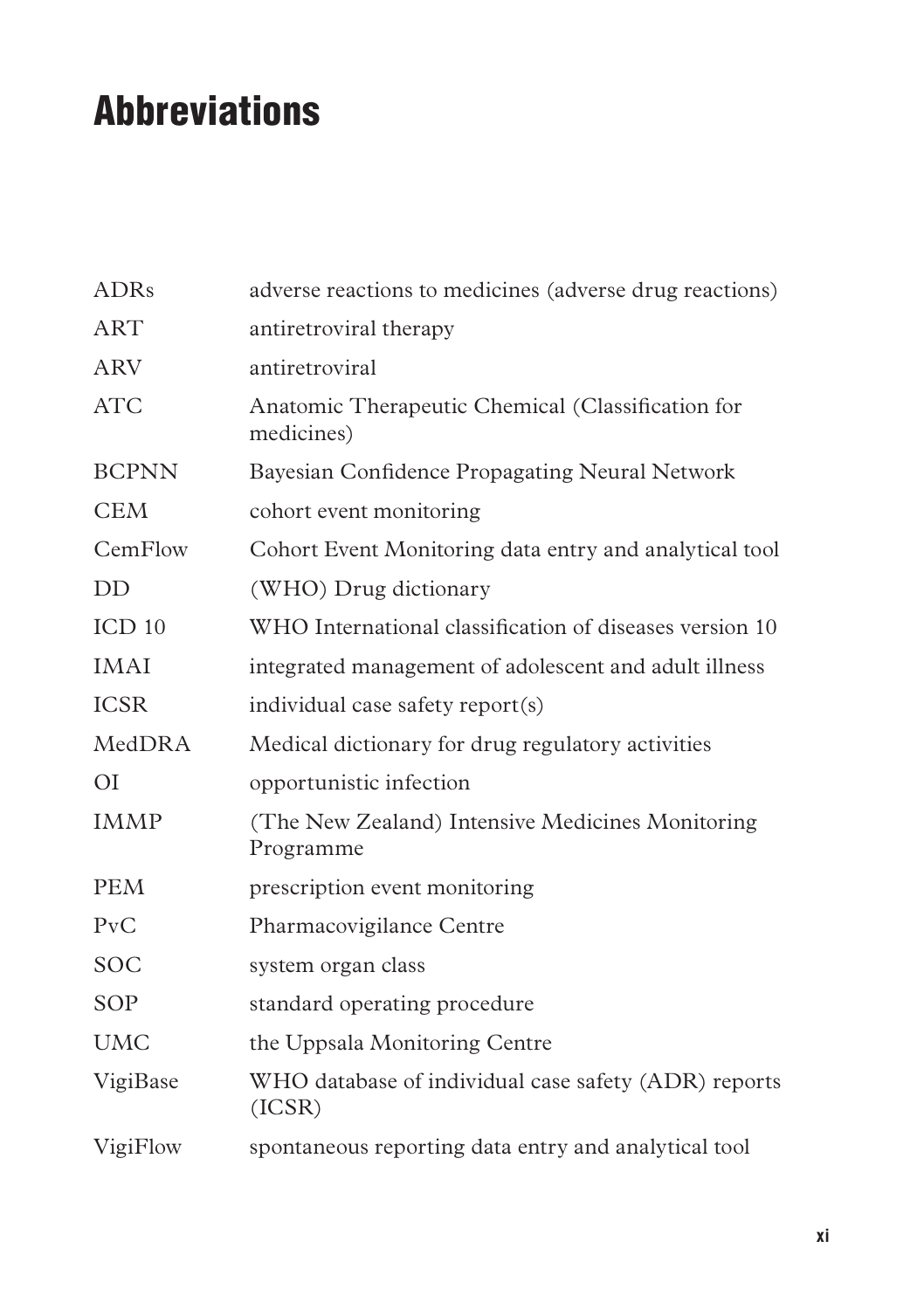# Abbreviations

| <b>ADRs</b>       | adverse reactions to medicines (adverse drug reactions)         |
|-------------------|-----------------------------------------------------------------|
| <b>ART</b>        | antiretroviral therapy                                          |
| <b>ARV</b>        | antiretroviral                                                  |
| <b>ATC</b>        | Anatomic Therapeutic Chemical (Classification for<br>medicines) |
| <b>BCPNN</b>      | Bayesian Confidence Propagating Neural Network                  |
| <b>CEM</b>        | cohort event monitoring                                         |
| CemFlow           | Cohort Event Monitoring data entry and analytical tool          |
| DD                | (WHO) Drug dictionary                                           |
| ICD <sub>10</sub> | WHO International classification of diseases version 10         |
| <b>IMAI</b>       | integrated management of adolescent and adult illness           |
| <b>ICSR</b>       | individual case safety report(s)                                |
| MedDRA            | Medical dictionary for drug regulatory activities               |
| O <sub>I</sub>    | opportunistic infection                                         |
| <b>IMMP</b>       | (The New Zealand) Intensive Medicines Monitoring<br>Programme   |
| <b>PEM</b>        | prescription event monitoring                                   |
| PvC               | Pharmacovigilance Centre                                        |
| <b>SOC</b>        | system organ class                                              |
| SOP               | standard operating procedure                                    |
| <b>UMC</b>        | the Uppsala Monitoring Centre                                   |
| VigiBase          | WHO database of individual case safety (ADR) reports<br>(ICSR)  |
| VigiFlow          | spontaneous reporting data entry and analytical tool            |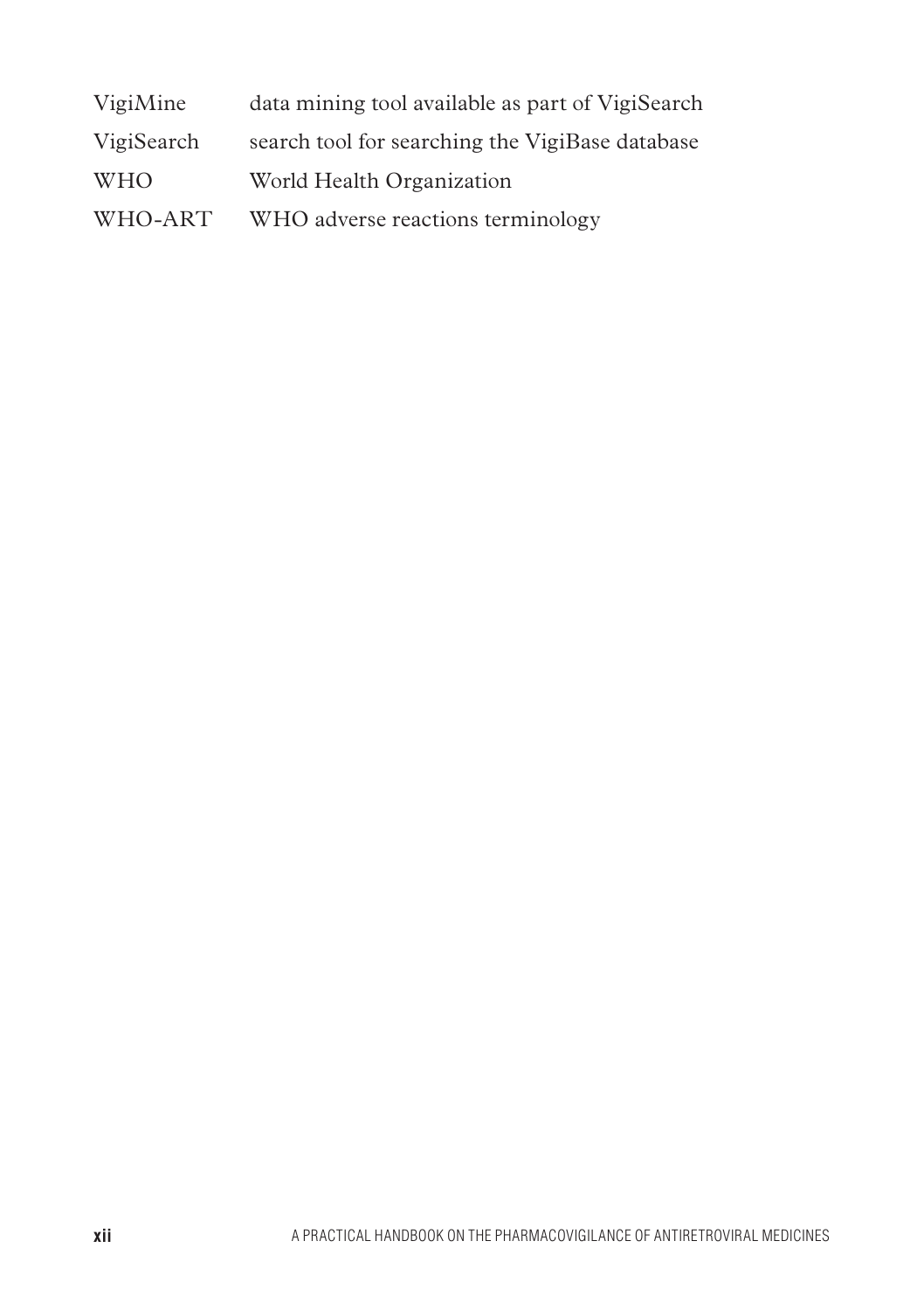| VigiMine   | data mining tool available as part of VigiSearch |
|------------|--------------------------------------------------|
| VigiSearch | search tool for searching the VigiBase database  |
| <b>WHO</b> | World Health Organization                        |
| WHO-ART    | WHO adverse reactions terminology                |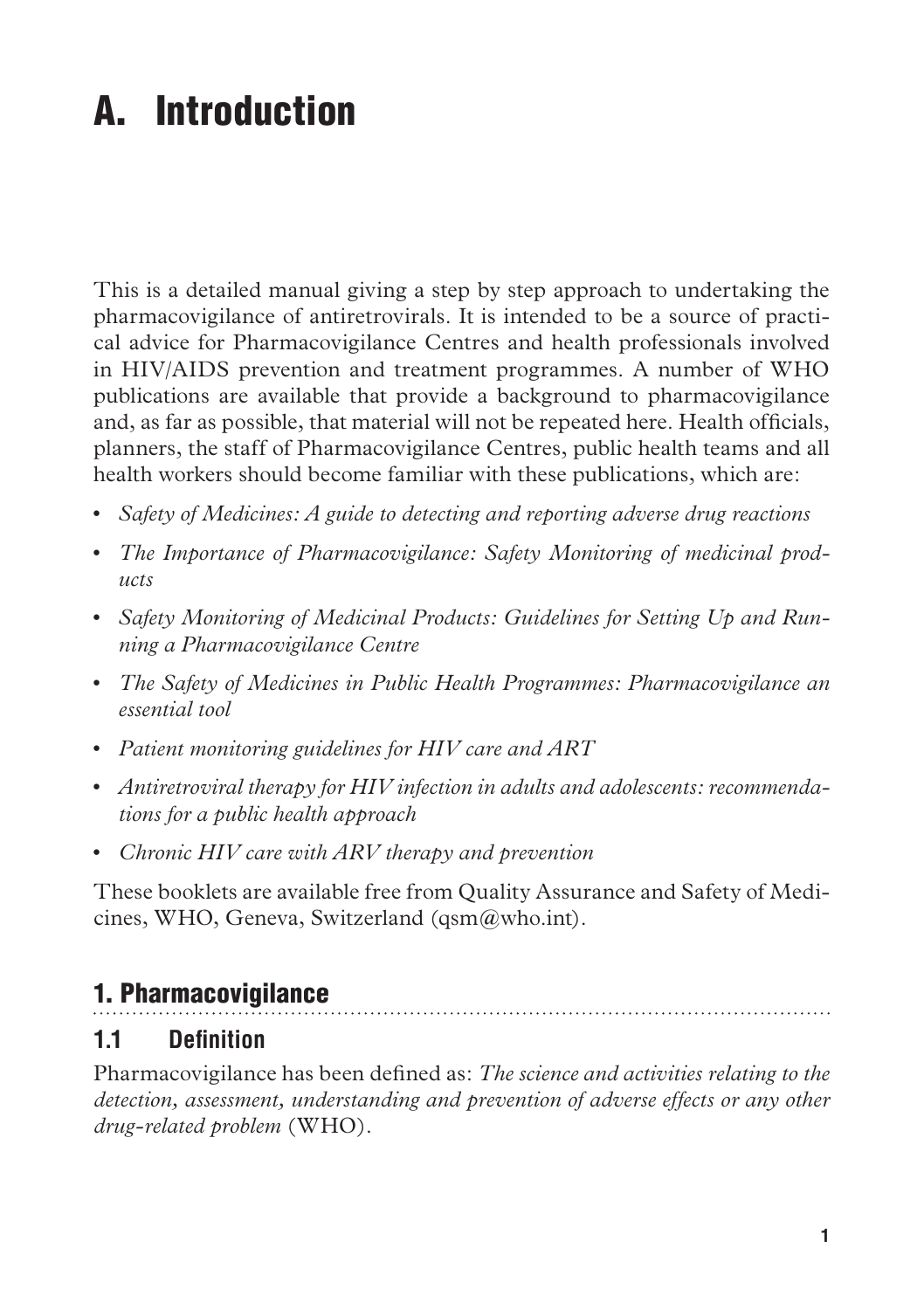# A. Introduction

This is a detailed manual giving a step by step approach to undertaking the pharmacovigilance of antiretrovirals. It is intended to be a source of practical advice for Pharmacovigilance Centres and health professionals involved in HIV/AIDS prevention and treatment programmes. A number of WHO publications are available that provide a background to pharmacovigilance and, as far as possible, that material will not be repeated here. Health officials, planners, the staff of Pharmacovigilance Centres, public health teams and all health workers should become familiar with these publications, which are:

- • *Safety of Medicines: A guide to detecting and reporting adverse drug reactions*
- • *The Importance of Pharmacovigilance: Safety Monitoring of medicinal products*
- Safety Monitoring of Medicinal Products: Guidelines for Setting Up and Run*ning a Pharmacovigilance Centre*
- • *The Safety of Medicines in Public Health Programmes: Pharmacovigilance an essential tool*
- • *Patient monitoring guidelines for HIV care and ART*
- • *Antiretroviral therapy for HIV infection in adults and adolescents: recommendations for a public health approach*
- • *Chronic HIV care with ARV therapy and prevention*

These booklets are available free from Quality Assurance and Safety of Medicines, WHO, Geneva, Switzerland (qsm@who.int).

## 1. Pharmacovigilance

#### **1.1 Definition**

Pharmacovigilance has been defined as: *The science and activities relating to the detection, assessment, understanding and prevention of adverse effects or any other drug-related problem* (WHO).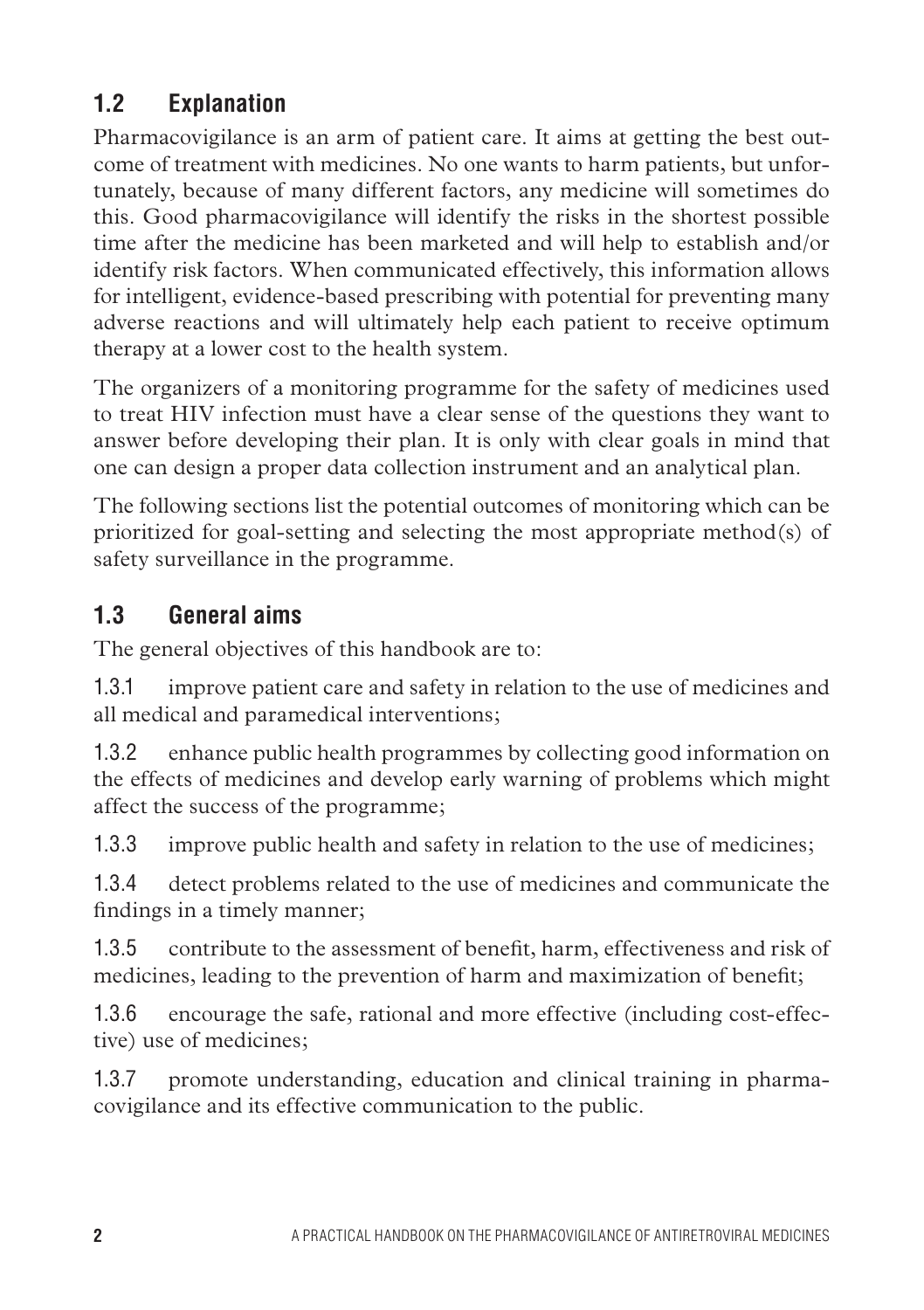# **1.2 Explanation**

Pharmacovigilance is an arm of patient care. It aims at getting the best outcome of treatment with medicines. No one wants to harm patients, but unfortunately, because of many different factors, any medicine will sometimes do this. Good pharmacovigilance will identify the risks in the shortest possible time after the medicine has been marketed and will help to establish and/or identify risk factors. When communicated effectively, this information allows for intelligent, evidence-based prescribing with potential for preventing many adverse reactions and will ultimately help each patient to receive optimum therapy at a lower cost to the health system.

The organizers of a monitoring programme for the safety of medicines used to treat HIV infection must have a clear sense of the questions they want to answer before developing their plan. It is only with clear goals in mind that one can design a proper data collection instrument and an analytical plan.

The following sections list the potential outcomes of monitoring which can be prioritized for goal-setting and selecting the most appropriate method(s) of safety surveillance in the programme.

## **1.3 General aims**

The general objectives of this handbook are to:

1.3.1 improve patient care and safety in relation to the use of medicines and all medical and paramedical interventions;

1.3.2 enhance public health programmes by collecting good information on the effects of medicines and develop early warning of problems which might affect the success of the programme;

1.3.3 improve public health and safety in relation to the use of medicines;

1.3.4 detect problems related to the use of medicines and communicate the findings in a timely manner;

1.3.5 contribute to the assessment of benefit, harm, effectiveness and risk of medicines, leading to the prevention of harm and maximization of benefit;

1.3.6 encourage the safe, rational and more effective (including cost-effective) use of medicines;

1.3.7 promote understanding, education and clinical training in pharmacovigilance and its effective communication to the public.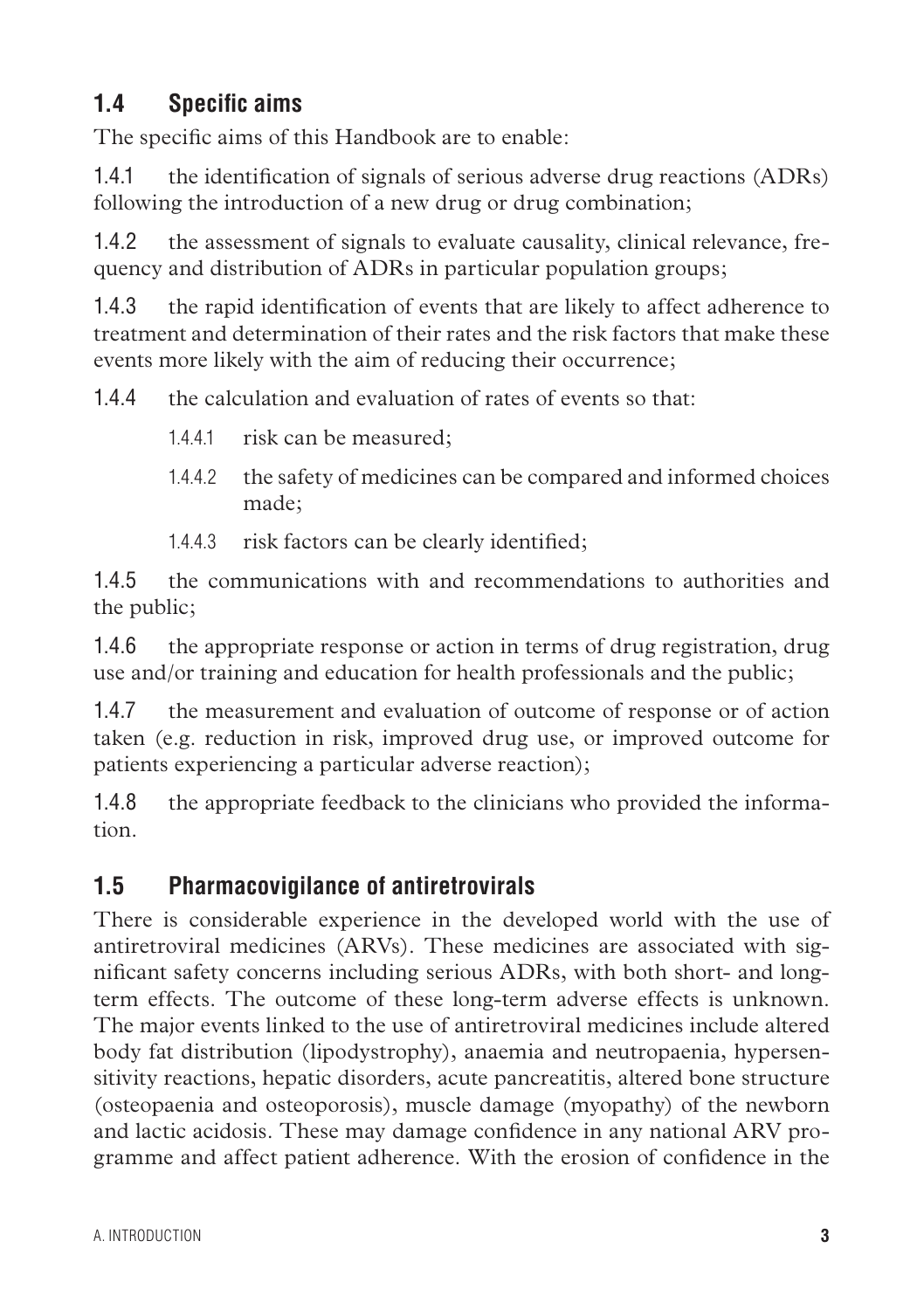## **1.4 Specific aims**

The specific aims of this Handbook are to enable:

1.4.1 the identification of signals of serious adverse drug reactions (ADRs) following the introduction of a new drug or drug combination;

1.4.2 the assessment of signals to evaluate causality, clinical relevance, frequency and distribution of ADRs in particular population groups;

1.4.3 the rapid identification of events that are likely to affect adherence to treatment and determination of their rates and the risk factors that make these events more likely with the aim of reducing their occurrence;

1.4.4 the calculation and evaluation of rates of events so that:

- 1.4.4.1 risk can be measured;
- 1.4.4.2 the safety of medicines can be compared and informed choices made;
- 1.4.4.3 risk factors can be clearly identified;

1.4.5 the communications with and recommendations to authorities and the public;

1.4.6 the appropriate response or action in terms of drug registration, drug use and/or training and education for health professionals and the public;

1.4.7 the measurement and evaluation of outcome of response or of action taken (e.g. reduction in risk, improved drug use, or improved outcome for patients experiencing a particular adverse reaction);

1.4.8 the appropriate feedback to the clinicians who provided the information.

#### **1.5 Pharmacovigilance of antiretrovirals**

There is considerable experience in the developed world with the use of antiretroviral medicines (ARVs). These medicines are associated with significant safety concerns including serious ADRs, with both short- and longterm effects. The outcome of these long-term adverse effects is unknown. The major events linked to the use of antiretroviral medicines include altered body fat distribution (lipodystrophy), anaemia and neutropaenia, hypersensitivity reactions, hepatic disorders, acute pancreatitis, altered bone structure (osteopaenia and osteoporosis), muscle damage (myopathy) of the newborn and lactic acidosis. These may damage confidence in any national ARV programme and affect patient adherence. With the erosion of confidence in the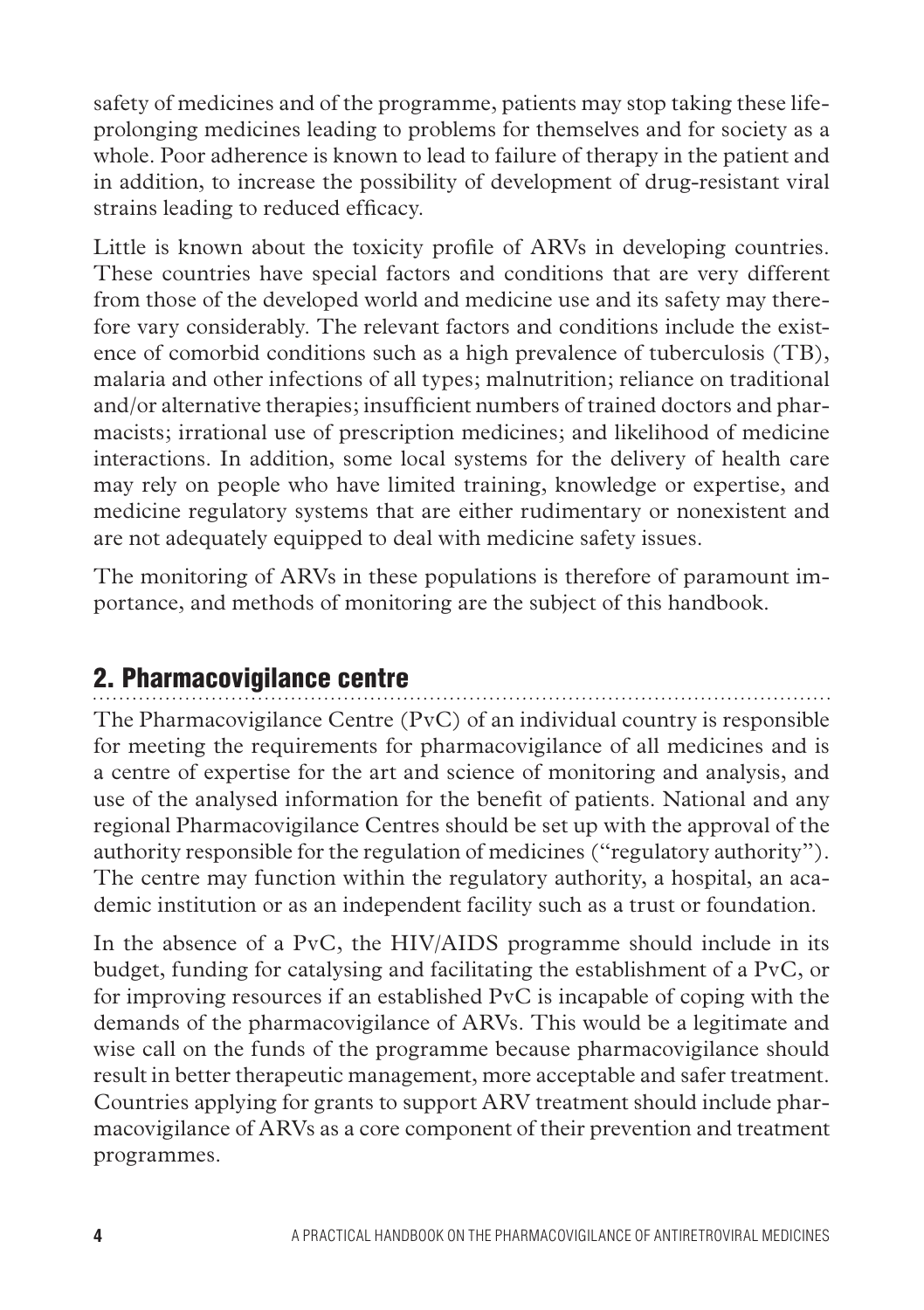safety of medicines and of the programme, patients may stop taking these lifeprolonging medicines leading to problems for themselves and for society as a whole. Poor adherence is known to lead to failure of therapy in the patient and in addition, to increase the possibility of development of drug-resistant viral strains leading to reduced efficacy.

Little is known about the toxicity profile of ARVs in developing countries. These countries have special factors and conditions that are very different from those of the developed world and medicine use and its safety may therefore vary considerably. The relevant factors and conditions include the existence of comorbid conditions such as a high prevalence of tuberculosis (TB), malaria and other infections of all types; malnutrition; reliance on traditional and/or alternative therapies; insufficient numbers of trained doctors and pharmacists; irrational use of prescription medicines; and likelihood of medicine interactions. In addition, some local systems for the delivery of health care may rely on people who have limited training, knowledge or expertise, and medicine regulatory systems that are either rudimentary or nonexistent and are not adequately equipped to deal with medicine safety issues.

The monitoring of ARVs in these populations is therefore of paramount importance, and methods of monitoring are the subject of this handbook.

# 2. Pharmacovigilance centre

The Pharmacovigilance Centre (PvC) of an individual country is responsible for meeting the requirements for pharmacovigilance of all medicines and is a centre of expertise for the art and science of monitoring and analysis, and use of the analysed information for the benefit of patients. National and any regional Pharmacovigilance Centres should be set up with the approval of the authority responsible for the regulation of medicines ("regulatory authority"). The centre may function within the regulatory authority, a hospital, an academic institution or as an independent facility such as a trust or foundation.

In the absence of a PvC, the HIV/AIDS programme should include in its budget, funding for catalysing and facilitating the establishment of a PvC, or for improving resources if an established PvC is incapable of coping with the demands of the pharmacovigilance of ARVs. This would be a legitimate and wise call on the funds of the programme because pharmacovigilance should result in better therapeutic management, more acceptable and safer treatment. Countries applying for grants to support ARV treatment should include pharmacovigilance of ARVs as a core component of their prevention and treatment programmes.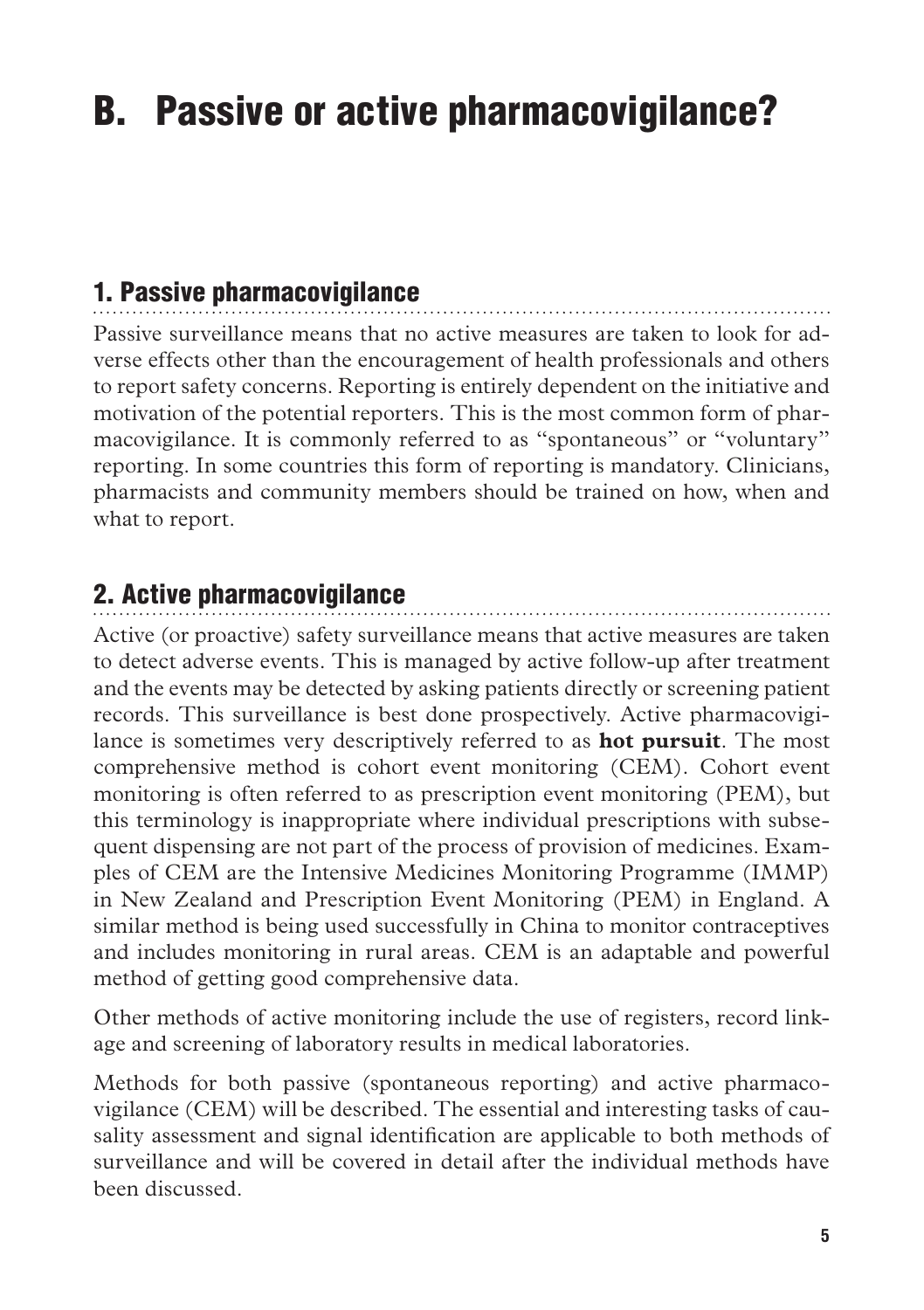# B. Passive or active pharmacovigilance?

# 1. Passive pharmacovigilance

Passive surveillance means that no active measures are taken to look for adverse effects other than the encouragement of health professionals and others to report safety concerns. Reporting is entirely dependent on the initiative and motivation of the potential reporters. This is the most common form of pharmacovigilance. It is commonly referred to as "spontaneous" or "voluntary" reporting. In some countries this form of reporting is mandatory. Clinicians, pharmacists and community members should be trained on how, when and what to report.

## 2. Active pharmacovigilance

Active (or proactive) safety surveillance means that active measures are taken to detect adverse events. This is managed by active follow-up after treatment and the events may be detected by asking patients directly or screening patient records. This surveillance is best done prospectively. Active pharmacovigilance is sometimes very descriptively referred to as **hot pursuit**. The most comprehensive method is cohort event monitoring (CEM). Cohort event monitoring is often referred to as prescription event monitoring (PEM), but this terminology is inappropriate where individual prescriptions with subsequent dispensing are not part of the process of provision of medicines. Examples of CEM are the Intensive Medicines Monitoring Programme (IMMP) in New Zealand and Prescription Event Monitoring (PEM) in England. A similar method is being used successfully in China to monitor contraceptives and includes monitoring in rural areas. CEM is an adaptable and powerful method of getting good comprehensive data.

Other methods of active monitoring include the use of registers, record linkage and screening of laboratory results in medical laboratories.

Methods for both passive (spontaneous reporting) and active pharmacovigilance (CEM) will be described. The essential and interesting tasks of causality assessment and signal identification are applicable to both methods of surveillance and will be covered in detail after the individual methods have been discussed.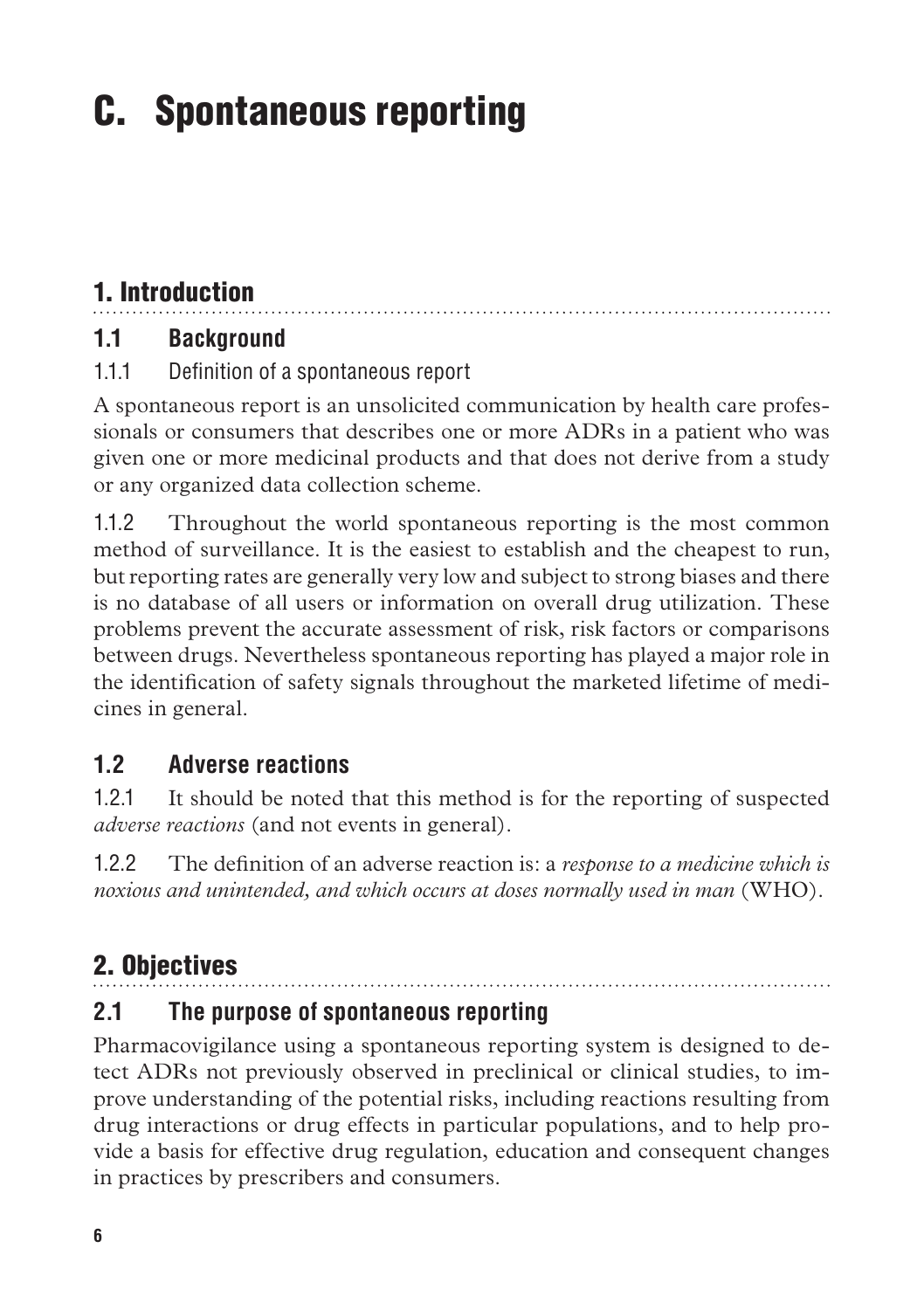# C. Spontaneous reporting

# 1. Introduction

## **1.1 Background**

#### 1.1.1 Definition of a spontaneous report

A spontaneous report is an unsolicited communication by health care professionals or consumers that describes one or more ADRs in a patient who was given one or more medicinal products and that does not derive from a study or any organized data collection scheme.

1.1.2 Throughout the world spontaneous reporting is the most common method of surveillance. It is the easiest to establish and the cheapest to run, but reporting rates are generally very low and subject to strong biases and there is no database of all users or information on overall drug utilization. These problems prevent the accurate assessment of risk, risk factors or comparisons between drugs. Nevertheless spontaneous reporting has played a major role in the identification of safety signals throughout the marketed lifetime of medicines in general.

## **1.2 Adverse reactions**

1.2.1 It should be noted that this method is for the reporting of suspected *adverse reactions* (and not events in general).

1.2.2 The definition of an adverse reaction is: a *response to a medicine which is noxious and unintended, and which occurs at doses normally used in man* (WHO).

# 2. Objectives

## **2.1 The purpose of spontaneous reporting**

Pharmacovigilance using a spontaneous reporting system is designed to detect ADRs not previously observed in preclinical or clinical studies, to improve understanding of the potential risks, including reactions resulting from drug interactions or drug effects in particular populations, and to help provide a basis for effective drug regulation, education and consequent changes in practices by prescribers and consumers.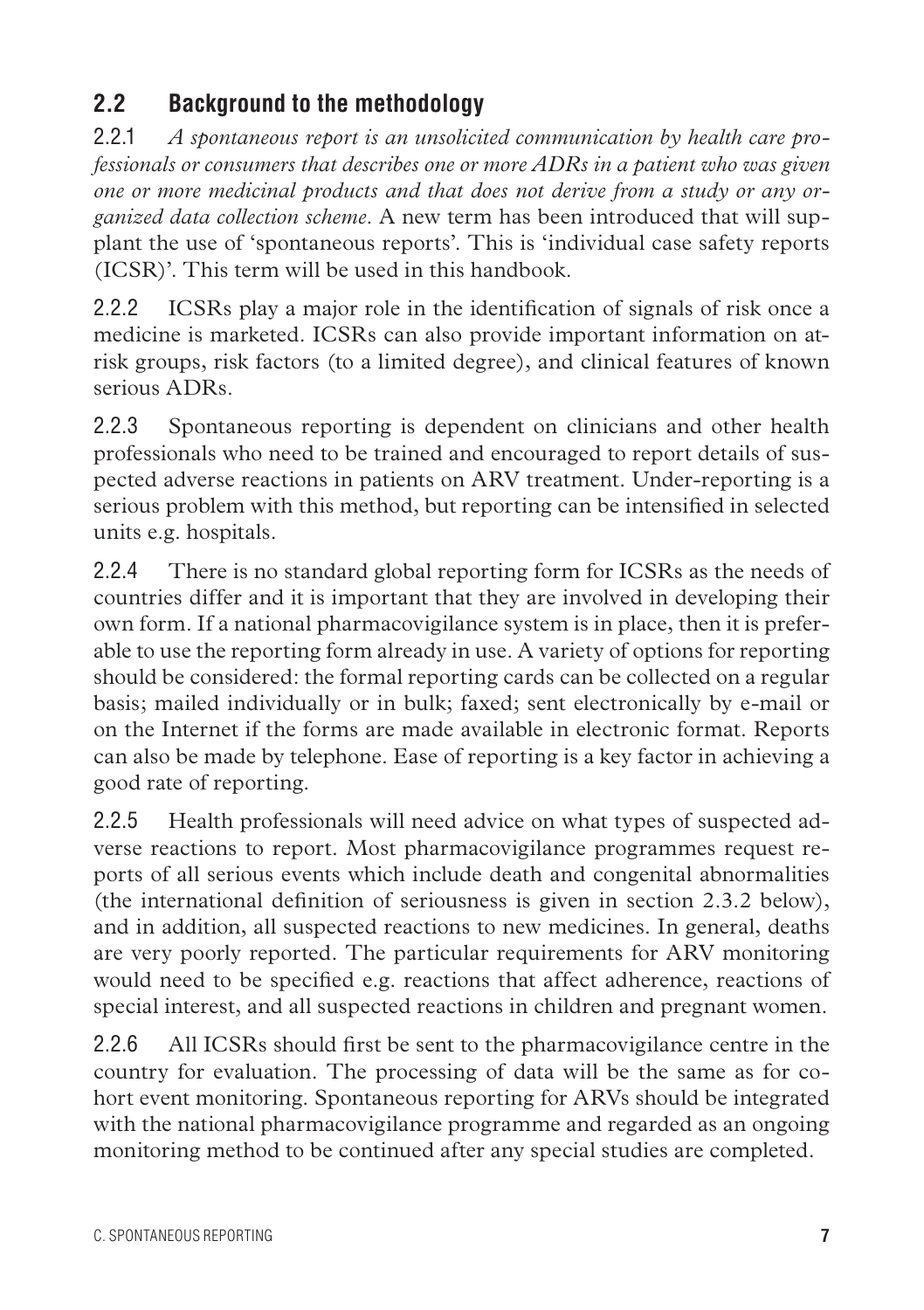## **2.2 Background to the methodology**

2.2.1 *A spontaneous report is an unsolicited communication by health care professionals or consumers that describes one or more ADRs in a patient who was given one or more medicinal products and that does not derive from a study or any organized data collection scheme*. A new term has been introduced that will supplant the use of 'spontaneous reports'. This is 'individual case safety reports (ICSR)'. This term will be used in this handbook.

2.2.2 ICSRs play a major role in the identification of signals of risk once a medicine is marketed. ICSRs can also provide important information on atrisk groups, risk factors (to a limited degree), and clinical features of known serious ADRs.

2.2.3 Spontaneous reporting is dependent on clinicians and other health professionals who need to be trained and encouraged to report details of suspected adverse reactions in patients on ARV treatment. Under-reporting is a serious problem with this method, but reporting can be intensified in selected units e.g. hospitals.

2.2.4 There is no standard global reporting form for ICSRs as the needs of countries differ and it is important that they are involved in developing their own form. If a national pharmacovigilance system is in place, then it is preferable to use the reporting form already in use. A variety of options for reporting should be considered: the formal reporting cards can be collected on a regular basis; mailed individually or in bulk; faxed; sent electronically by e-mail or on the Internet if the forms are made available in electronic format. Reports can also be made by telephone. Ease of reporting is a key factor in achieving a good rate of reporting.

2.2.5 Health professionals will need advice on what types of suspected adverse reactions to report. Most pharmacovigilance programmes request reports of all serious events which include death and congenital abnormalities (the international definition of seriousness is given in section 2.3.2 below), and in addition, all suspected reactions to new medicines. In general, deaths are very poorly reported. The particular requirements for ARV monitoring would need to be specified e.g. reactions that affect adherence, reactions of special interest, and all suspected reactions in children and pregnant women.

2.2.6 All ICSRs should first be sent to the pharmacovigilance centre in the country for evaluation. The processing of data will be the same as for cohort event monitoring. Spontaneous reporting for ARVs should be integrated with the national pharmacovigilance programme and regarded as an ongoing monitoring method to be continued after any special studies are completed.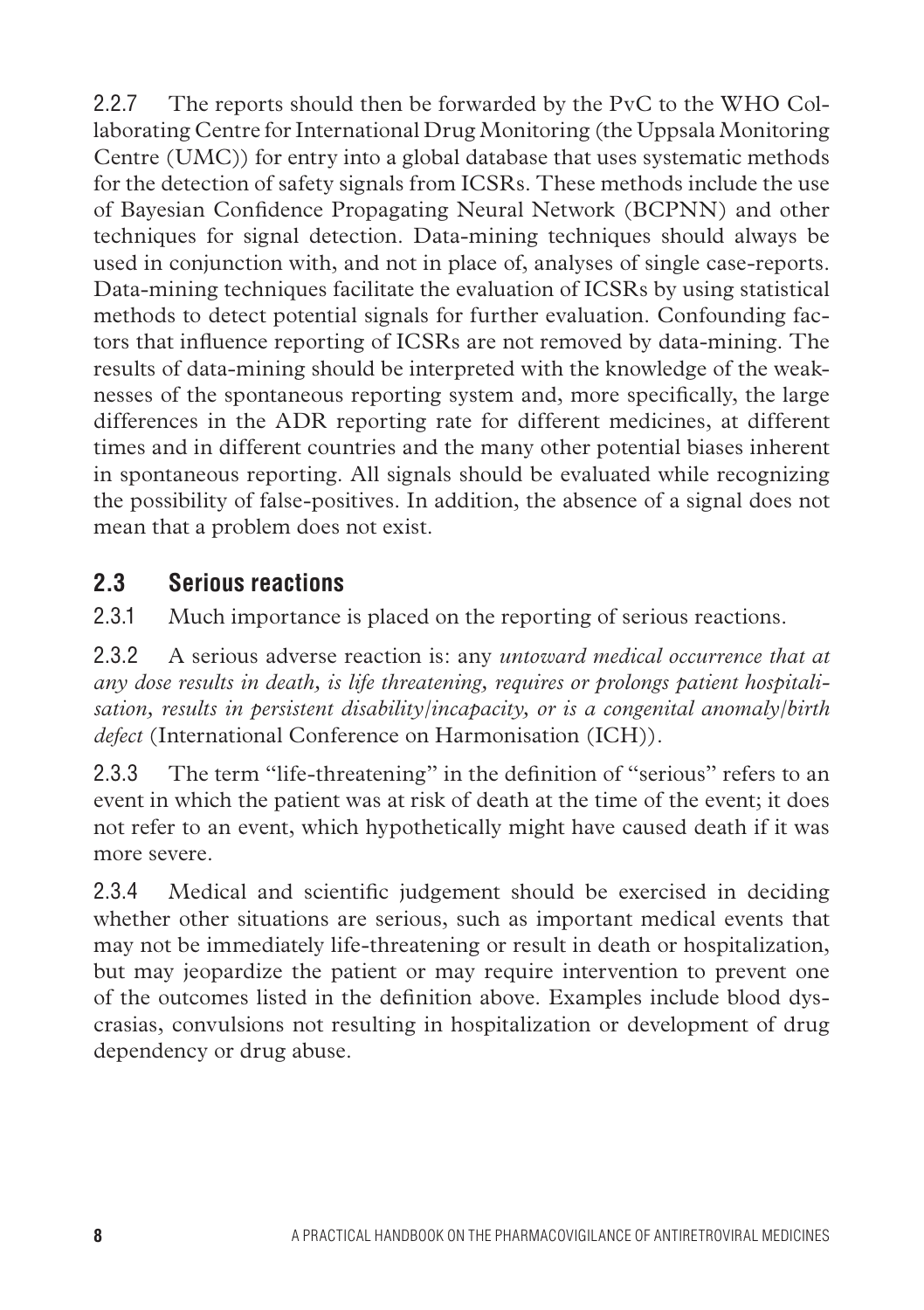2.2.7 The reports should then be forwarded by the PvC to the WHO Collaborating Centre for International Drug Monitoring (the Uppsala Monitoring Centre (UMC)) for entry into a global database that uses systematic methods for the detection of safety signals from ICSRs. These methods include the use of Bayesian Confidence Propagating Neural Network (BCPNN) and other techniques for signal detection. Data-mining techniques should always be used in conjunction with, and not in place of, analyses of single case-reports. Data-mining techniques facilitate the evaluation of ICSRs by using statistical methods to detect potential signals for further evaluation. Confounding factors that influence reporting of ICSRs are not removed by data-mining. The results of data-mining should be interpreted with the knowledge of the weaknesses of the spontaneous reporting system and, more specifically, the large differences in the ADR reporting rate for different medicines, at different times and in different countries and the many other potential biases inherent in spontaneous reporting. All signals should be evaluated while recognizing the possibility of false-positives. In addition, the absence of a signal does not mean that a problem does not exist.

#### **2.3 Serious reactions**

2.3.1 Much importance is placed on the reporting of serious reactions.

2.3.2 A serious adverse reaction is: any *untoward medical occurrence that at any dose results in death, is life threatening, requires or prolongs patient hospitalisation, results in persistent disability/incapacity, or is a congenital anomaly/birth defect* (International Conference on Harmonisation (ICH)).

2.3.3 The term "life-threatening" in the definition of "serious" refers to an event in which the patient was at risk of death at the time of the event; it does not refer to an event, which hypothetically might have caused death if it was more severe.

2.3.4 Medical and scientific judgement should be exercised in deciding whether other situations are serious, such as important medical events that may not be immediately life-threatening or result in death or hospitalization, but may jeopardize the patient or may require intervention to prevent one of the outcomes listed in the definition above. Examples include blood dyscrasias, convulsions not resulting in hospitalization or development of drug dependency or drug abuse.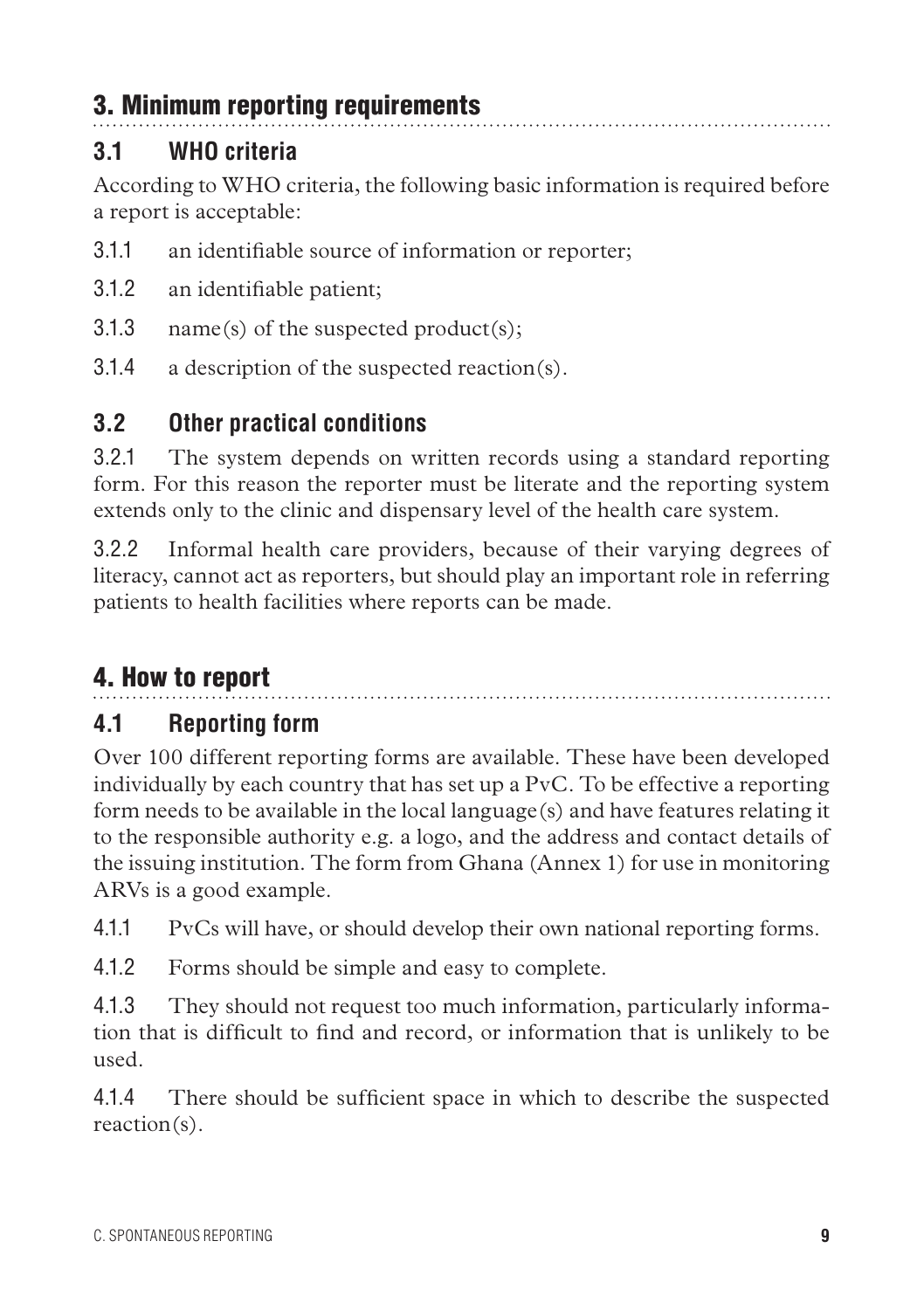# 3. Minimum reporting requirements

## **3.1 WHO criteria**

According to WHO criteria, the following basic information is required before a report is acceptable:

- 3.1.1 an identifiable source of information or reporter;
- 3.1.2 an identifiable patient;
- 3.1.3 name(s) of the suspected product(s);
- 3.1.4 a description of the suspected reaction(s).

# **3.2 Other practical conditions**

3.2.1 The system depends on written records using a standard reporting form. For this reason the reporter must be literate and the reporting system extends only to the clinic and dispensary level of the health care system.

3.2.2 Informal health care providers, because of their varying degrees of literacy, cannot act as reporters, but should play an important role in referring patients to health facilities where reports can be made.

# 4. How to report

# **4.1 Reporting form**

Over 100 different reporting forms are available. These have been developed individually by each country that has set up a PvC. To be effective a reporting form needs to be available in the local language(s) and have features relating it to the responsible authority e.g. a logo, and the address and contact details of the issuing institution. The form from Ghana (Annex 1) for use in monitoring ARVs is a good example.

4.1.1 PvCs will have, or should develop their own national reporting forms.

4.1.2 Forms should be simple and easy to complete.

4.1.3 They should not request too much information, particularly information that is difficult to find and record, or information that is unlikely to be used.

4.1.4 There should be sufficient space in which to describe the suspected reaction(s).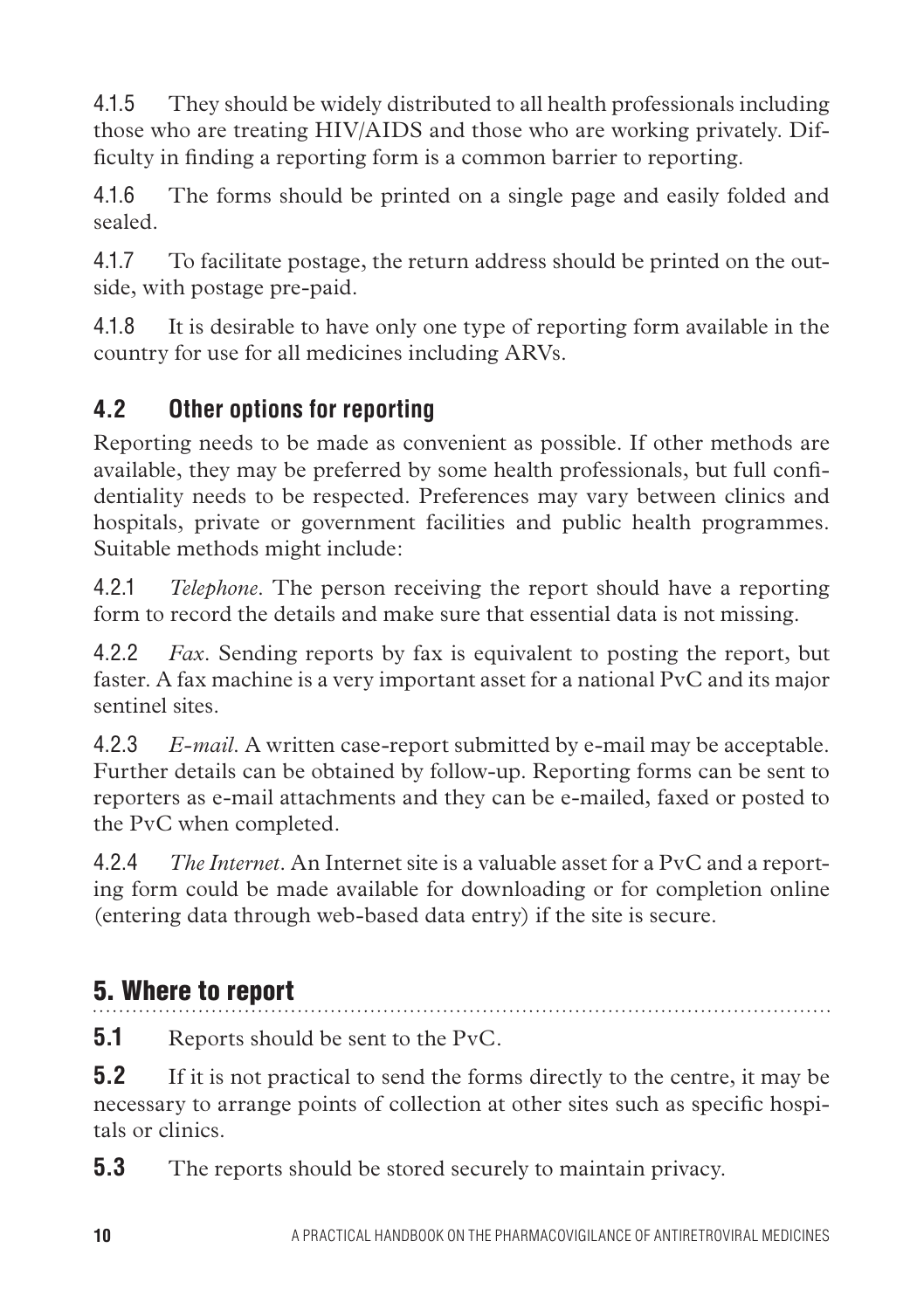4.1.5 They should be widely distributed to all health professionals including those who are treating HIV/AIDS and those who are working privately. Difficulty in finding a reporting form is a common barrier to reporting.

4.1.6 The forms should be printed on a single page and easily folded and sealed.

4.1.7 To facilitate postage, the return address should be printed on the outside, with postage pre-paid.

4.1.8 It is desirable to have only one type of reporting form available in the country for use for all medicines including ARVs.

# **4.2 Other options for reporting**

Reporting needs to be made as convenient as possible. If other methods are available, they may be preferred by some health professionals, but full confidentiality needs to be respected. Preferences may vary between clinics and hospitals, private or government facilities and public health programmes. Suitable methods might include:

4.2.1 *Telephone*. The person receiving the report should have a reporting form to record the details and make sure that essential data is not missing.

4.2.2 *Fax*. Sending reports by fax is equivalent to posting the report, but faster. A fax machine is a very important asset for a national PvC and its major sentinel sites.

4.2.3 *E-mail*. A written case-report submitted by e-mail may be acceptable. Further details can be obtained by follow-up. Reporting forms can be sent to reporters as e-mail attachments and they can be e-mailed, faxed or posted to the PvC when completed.

4.2.4 *The Internet*. An Internet site is a valuable asset for a PvC and a reporting form could be made available for downloading or for completion online (entering data through web-based data entry) if the site is secure.

# 5. Where to report

**5.1** Reports should be sent to the PvC.

**5.2** If it is not practical to send the forms directly to the centre, it may be necessary to arrange points of collection at other sites such as specific hospitals or clinics.

**5.3** The reports should be stored securely to maintain privacy.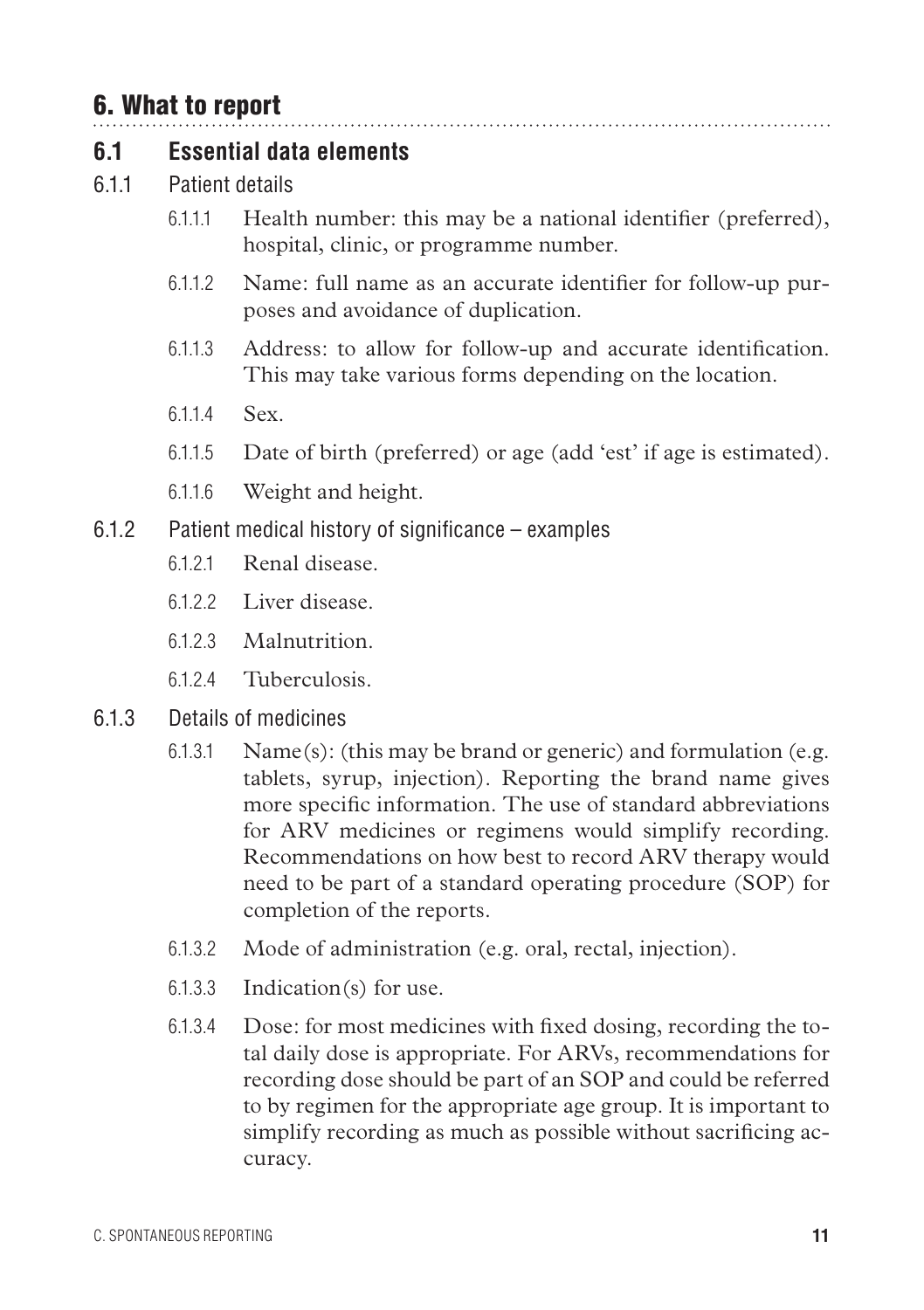## 6. What to report

#### **6.1 Essential data elements**

- 6.1.1 Patient details
	- 6.1.1.1 Health number: this may be a national identifier (preferred), hospital, clinic, or programme number.

- 6.1.1.2 Name: full name as an accurate identifier for follow-up purposes and avoidance of duplication.
- 6.1.1.3 Address: to allow for follow-up and accurate identification. This may take various forms depending on the location.
- 6.114 Sex.
- 6.1.1.5 Date of birth (preferred) or age (add 'est' if age is estimated).
- 6.1.1.6 Weight and height.
- 6.1.2 Patient medical history of significance examples
	- 6.1.2.1 Renal disease.
	- 6.122 Liver disease
	- 6.1.2.3 Malnutrition.
	- 6.1.2.4 Tuberculosis.
- 6.1.3 Details of medicines
	- 6.1.3.1 Name(s): (this may be brand or generic) and formulation (e.g. tablets, syrup, injection). Reporting the brand name gives more specific information. The use of standard abbreviations for ARV medicines or regimens would simplify recording. Recommendations on how best to record ARV therapy would need to be part of a standard operating procedure (SOP) for completion of the reports.
	- 6.1.3.2 Mode of administration (e.g. oral, rectal, injection).
	- 6.1.3.3 Indication(s) for use.
	- 6.1.3.4 Dose: for most medicines with fixed dosing, recording the total daily dose is appropriate. For ARVs, recommendations for recording dose should be part of an SOP and could be referred to by regimen for the appropriate age group. It is important to simplify recording as much as possible without sacrificing accuracy.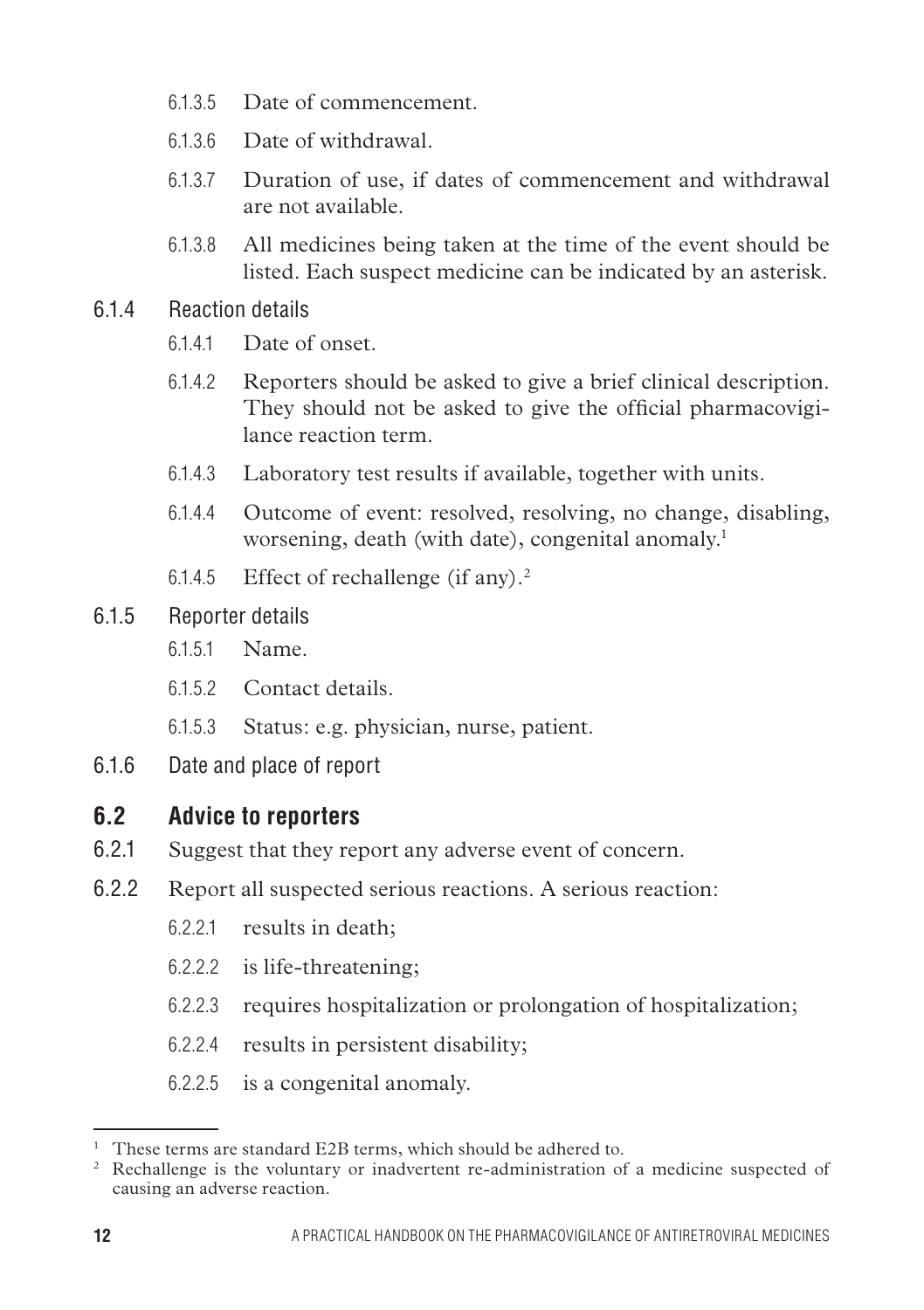- 6.1.3.5 Date of commencement.
- 6.1.3.6 Date of withdrawal.
- 6.1.3.7 Duration of use, if dates of commencement and withdrawal are not available.
- 6.1.3.8 All medicines being taken at the time of the event should be listed. Each suspect medicine can be indicated by an asterisk.
- 6.1.4 Reaction details
	- 6.1.4.1 Date of onset.
	- 6.1.4.2 Reporters should be asked to give a brief clinical description. They should not be asked to give the official pharmacovigilance reaction term.
	- 6.1.4.3 Laboratory test results if available, together with units.
	- 6.1.4.4 Outcome of event: resolved, resolving, no change, disabling, worsening, death (with date), congenital anomaly.<sup>1</sup>
	- 6.1.4.5 Effect of rechallenge (if any).2
- 6.1.5 Reporter details
	- 6.1.5.1 Name.
	- 6.1.5.2 Contact details.
	- 6.1.5.3 Status: e.g. physician, nurse, patient.
- 6.1.6 Date and place of report

#### **6.2 Advice to reporters**

- 6.2.1 Suggest that they report any adverse event of concern.
- 6.2.2 Report all suspected serious reactions. A serious reaction:
	- 6.2.2.1 results in death;
	- 6.2.2.2 is life-threatening;
	- 6.2.2.3 requires hospitalization or prolongation of hospitalization;
	- 6.2.2.4 results in persistent disability;
	- 6.2.2.5 is a congenital anomaly.

<sup>&</sup>lt;sup>1</sup> These terms are standard E2B terms, which should be adhered to.

<sup>&</sup>lt;sup>2</sup> Rechallenge is the voluntary or inadvertent re-administration of a medicine suspected of causing an adverse reaction.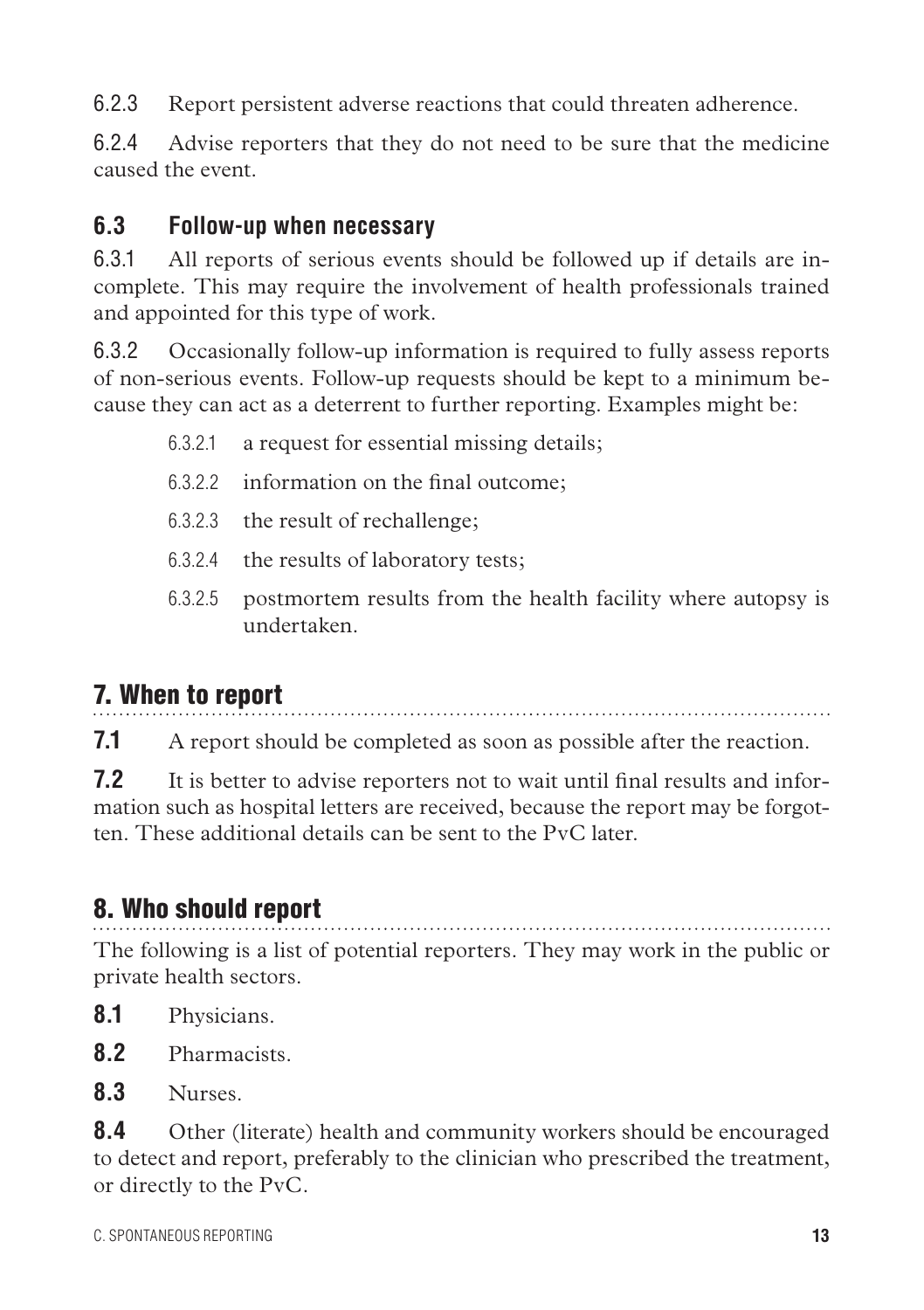6.2.3 Report persistent adverse reactions that could threaten adherence.

6.2.4 Advise reporters that they do not need to be sure that the medicine caused the event.

#### **6.3 Follow-up when necessary**

6.3.1 All reports of serious events should be followed up if details are incomplete. This may require the involvement of health professionals trained and appointed for this type of work.

6.3.2 Occasionally follow-up information is required to fully assess reports of non-serious events. Follow-up requests should be kept to a minimum because they can act as a deterrent to further reporting. Examples might be:

- 6.3.2.1 a request for essential missing details;
- 6.3.2.2 information on the final outcome;
- 6.3.2.3 the result of rechallenge;
- 6.3.2.4 the results of laboratory tests;
- 6.3.2.5 postmortem results from the health facility where autopsy is undertaken.

## 7. When to report

**7.1** A report should be completed as soon as possible after the reaction.

**7.2** It is better to advise reporters not to wait until final results and information such as hospital letters are received, because the report may be forgotten. These additional details can be sent to the PvC later.

## 8. Who should report

The following is a list of potential reporters. They may work in the public or private health sectors.

- **8.1** Physicians.
- **8.2** Pharmacists.
- **8.3** Nurses.

**8.4** Other (literate) health and community workers should be encouraged to detect and report, preferably to the clinician who prescribed the treatment, or directly to the PvC.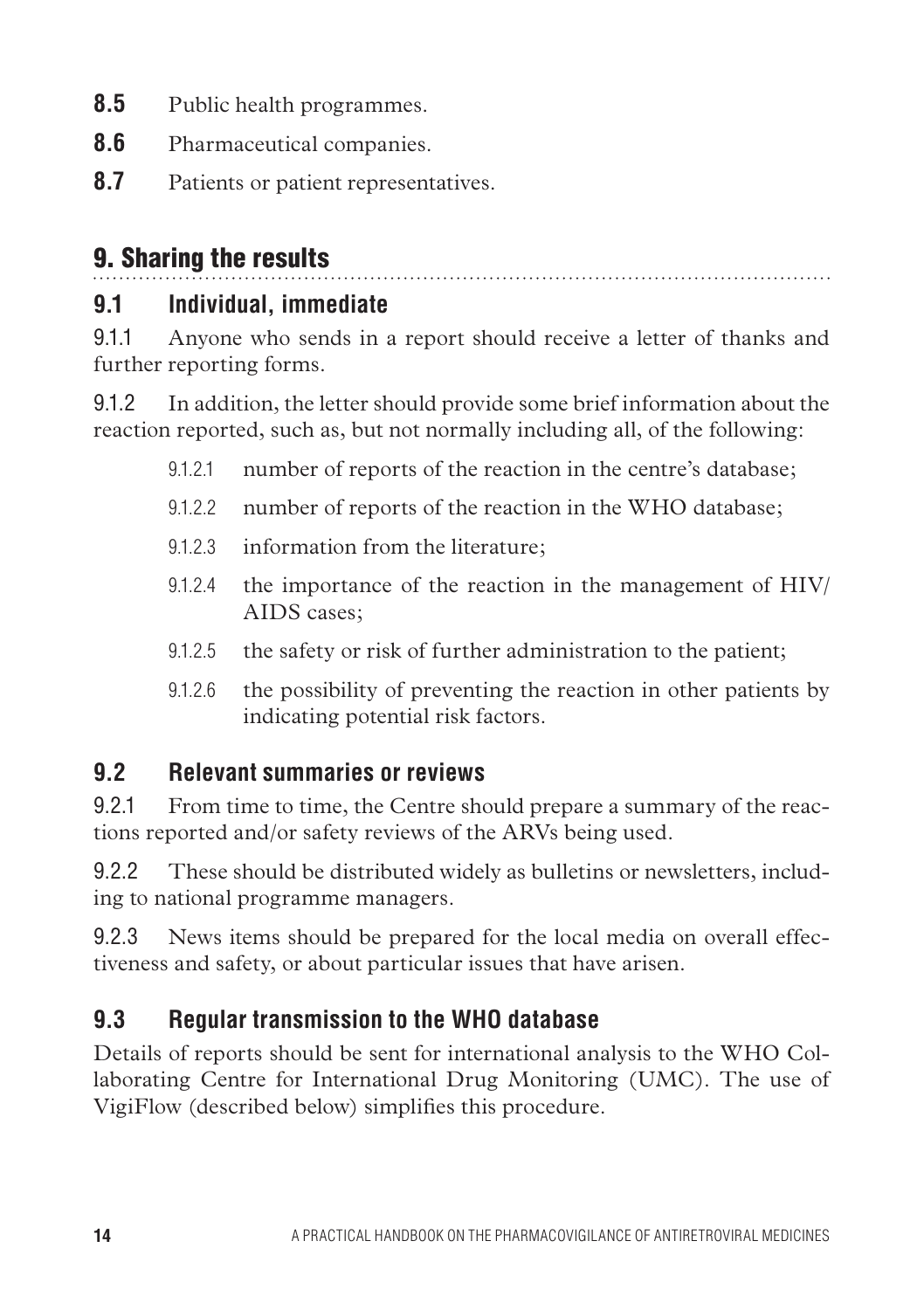- **8.5** Public health programmes.
- **8.6** Pharmaceutical companies.
- **8.7** Patients or patient representatives.

# 9. Sharing the results

## **9.1 Individual, immediate**

9.1.1 Anyone who sends in a report should receive a letter of thanks and further reporting forms.

9.1.2 In addition, the letter should provide some brief information about the reaction reported, such as, but not normally including all, of the following:

- 9.1.2.1 number of reports of the reaction in the centre's database;
- 9.1.2.2 number of reports of the reaction in the WHO database;
- 9.1.2.3 information from the literature;
- 9.1.2.4 the importance of the reaction in the management of HIV/ AIDS cases;
- 9.1.2.5 the safety or risk of further administration to the patient;
- 9.1.2.6 the possibility of preventing the reaction in other patients by indicating potential risk factors.

#### **9.2 Relevant summaries or reviews**

9.2.1 From time to time, the Centre should prepare a summary of the reactions reported and/or safety reviews of the ARVs being used.

9.2.2 These should be distributed widely as bulletins or newsletters, including to national programme managers.

9.2.3 News items should be prepared for the local media on overall effectiveness and safety, or about particular issues that have arisen.

## **9.3 Regular transmission to the WHO database**

Details of reports should be sent for international analysis to the WHO Collaborating Centre for International Drug Monitoring (UMC). The use of VigiFlow (described below) simplifies this procedure.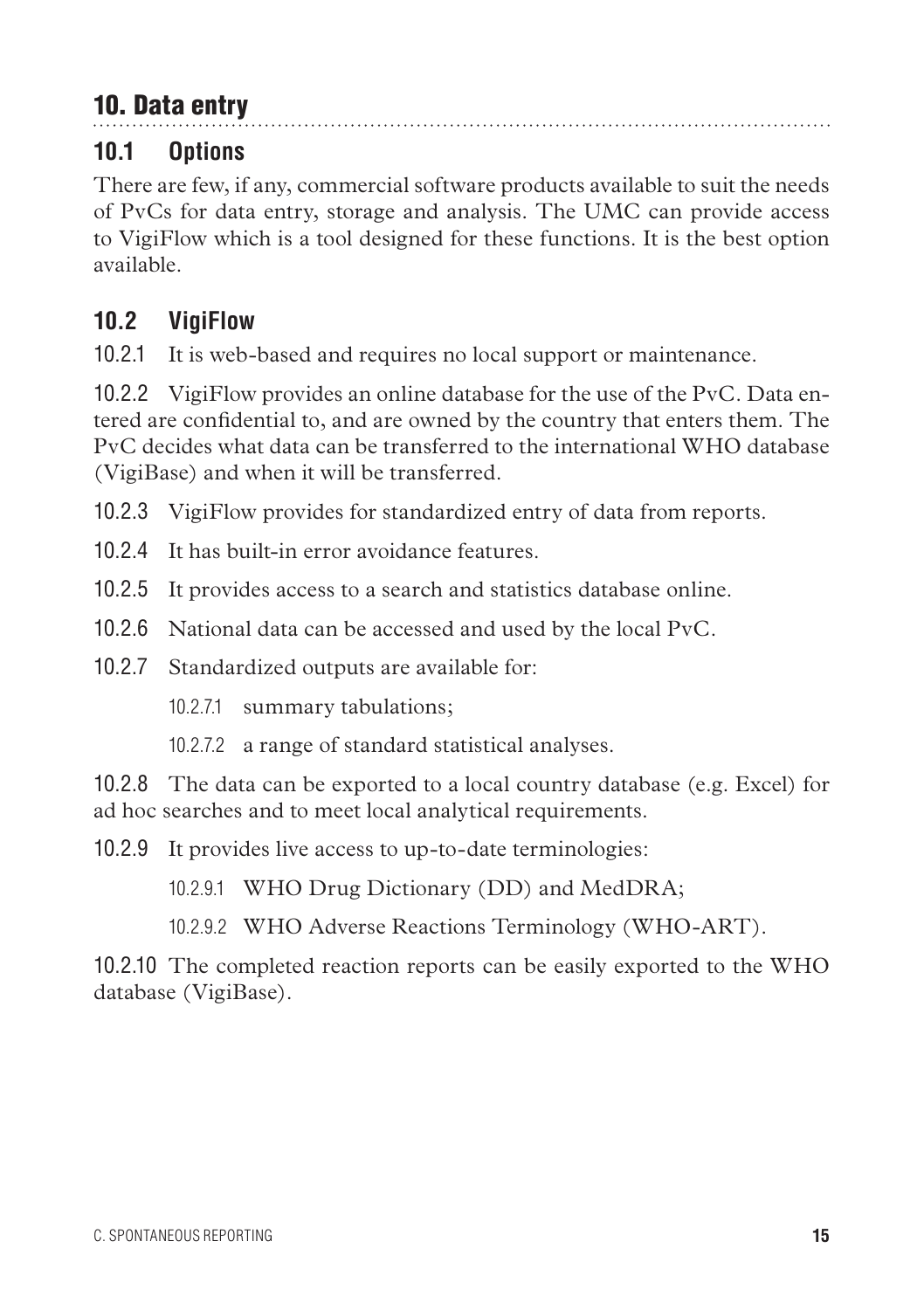# 10. Data entry

## **10.1 Options**

There are few, if any, commercial software products available to suit the needs of PvCs for data entry, storage and analysis. The UMC can provide access to VigiFlow which is a tool designed for these functions. It is the best option available.

. . . . . . . . . . . . . . . . . . .

#### **10.2 VigiFlow**

10.2.1 It is web-based and requires no local support or maintenance.

10.2.2 VigiFlow provides an online database for the use of the PvC. Data entered are confidential to, and are owned by the country that enters them. The PvC decides what data can be transferred to the international WHO database (VigiBase) and when it will be transferred.

10.2.3 VigiFlow provides for standardized entry of data from reports.

10.2.4 It has built-in error avoidance features.

10.2.5 It provides access to a search and statistics database online.

10.2.6 National data can be accessed and used by the local PvC.

10.2.7 Standardized outputs are available for:

10.2.7.1 summary tabulations;

10.2.7.2 a range of standard statistical analyses.

10.2.8 The data can be exported to a local country database (e.g. Excel) for ad hoc searches and to meet local analytical requirements.

10.2.9 It provides live access to up-to-date terminologies:

10.2.9.1 WHO Drug Dictionary (DD) and MedDRA;

10.2.9.2 WHO Adverse Reactions Terminology (WHO-ART).

10.2.10 The completed reaction reports can be easily exported to the WHO database (VigiBase).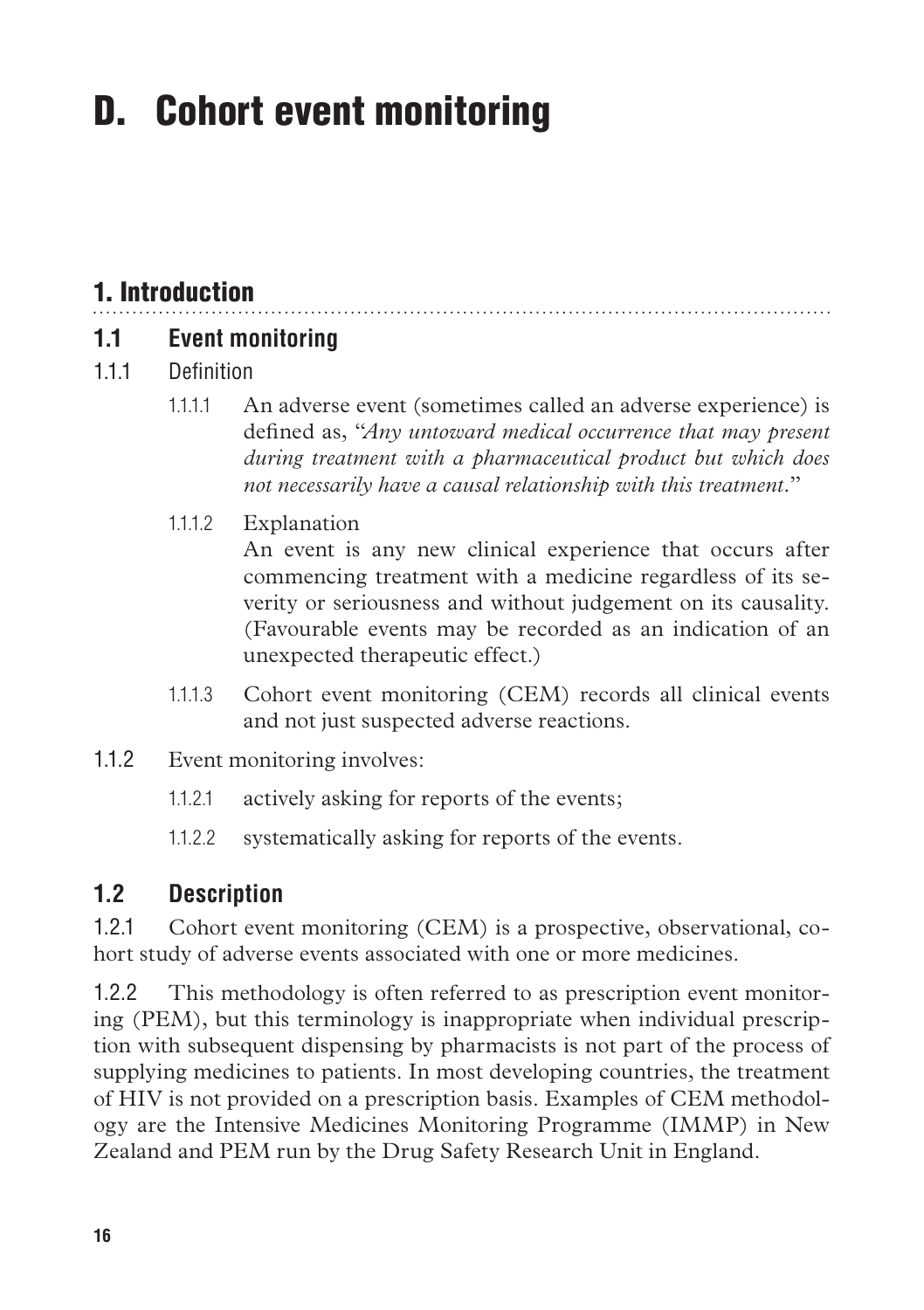# D. Cohort event monitoring

# 1. Introduction

#### **1.1 Event monitoring**

- 1.1.1 Definition
	- 1.1.1.1 An adverse event (sometimes called an adverse experience) is defined as, "*Any untoward medical occurrence that may present during treatment with a pharmaceutical product but which does not necessarily have a causal relationship with this treatment.*"
	- 1.1.1.2 Explanation

An event is any new clinical experience that occurs after commencing treatment with a medicine regardless of its severity or seriousness and without judgement on its causality. (Favourable events may be recorded as an indication of an unexpected therapeutic effect.)

- 1.1.1.3 Cohort event monitoring (CEM) records all clinical events and not just suspected adverse reactions.
- 1.1.2 Event monitoring involves:
	- 1.1.2.1 actively asking for reports of the events;
	- 1.1.2.2 systematically asking for reports of the events.

#### **1.2 Description**

1.2.1 Cohort event monitoring (CEM) is a prospective, observational, cohort study of adverse events associated with one or more medicines.

1.2.2 This methodology is often referred to as prescription event monitoring (PEM), but this terminology is inappropriate when individual prescription with subsequent dispensing by pharmacists is not part of the process of supplying medicines to patients. In most developing countries, the treatment of HIV is not provided on a prescription basis. Examples of CEM methodology are the Intensive Medicines Monitoring Programme (IMMP) in New Zealand and PEM run by the Drug Safety Research Unit in England.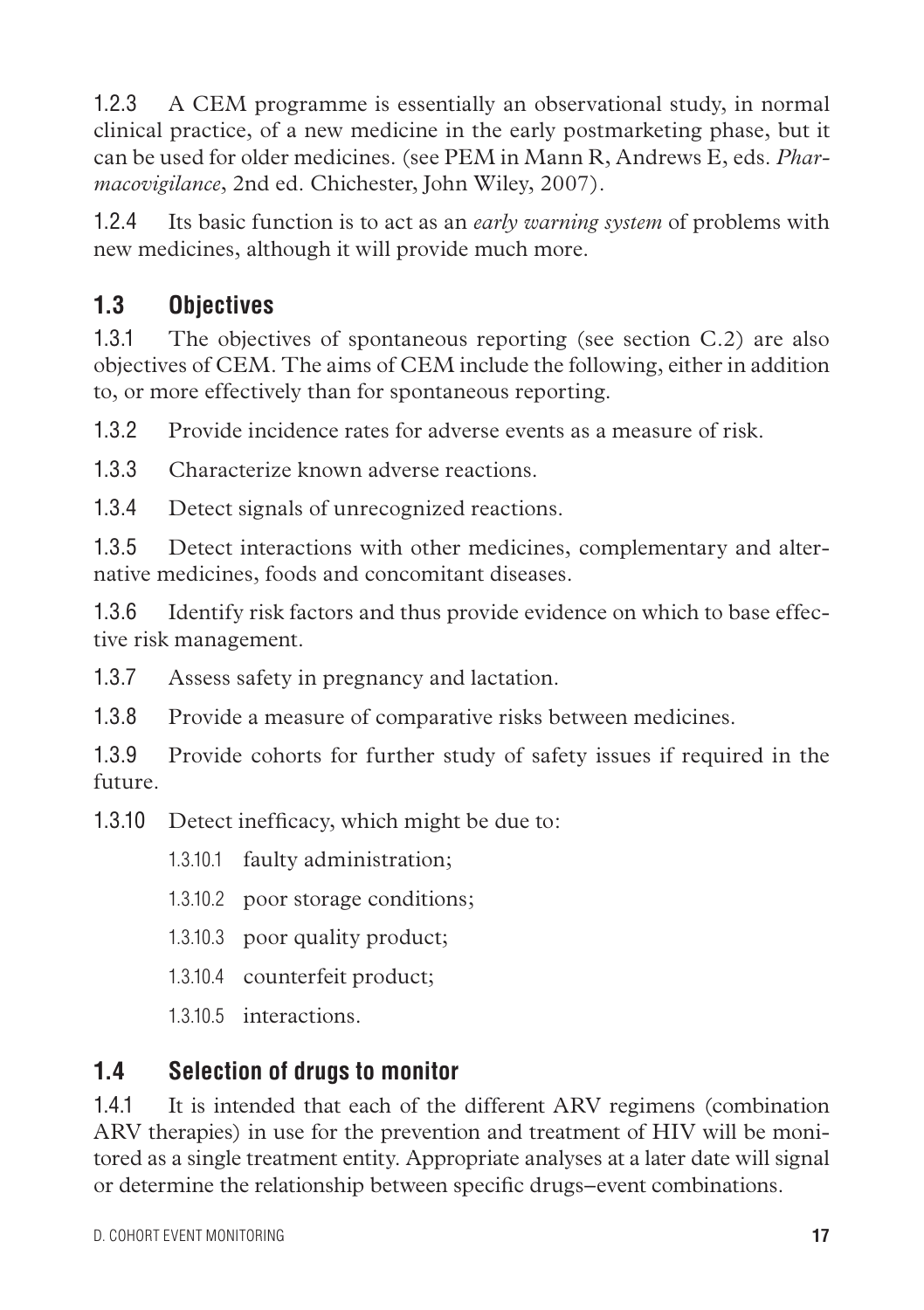1.2.3 A CEM programme is essentially an observational study, in normal clinical practice, of a new medicine in the early postmarketing phase, but it can be used for older medicines. (see PEM in Mann R, Andrews E, eds. *Pharmacovigilance*, 2nd ed. Chichester, John Wiley, 2007).

1.2.4 Its basic function is to act as an *early warning system* of problems with new medicines, although it will provide much more.

## **1.3 Objectives**

1.3.1 The objectives of spontaneous reporting (see section C.2) are also objectives of CEM. The aims of CEM include the following, either in addition to, or more effectively than for spontaneous reporting.

1.3.2 Provide incidence rates for adverse events as a measure of risk.

1.3.3 Characterize known adverse reactions.

1.3.4 Detect signals of unrecognized reactions.

1.3.5 Detect interactions with other medicines, complementary and alternative medicines, foods and concomitant diseases.

1.3.6 Identify risk factors and thus provide evidence on which to base effective risk management.

1.3.7 Assess safety in pregnancy and lactation.

1.3.8 Provide a measure of comparative risks between medicines.

1.3.9 Provide cohorts for further study of safety issues if required in the future.

1.3.10 Detect inefficacy, which might be due to:

1.3.10.1 faulty administration;

1.3.10.2 poor storage conditions;

1.3.10.3 poor quality product;

1.3.10.4 counterfeit product;

1.3.10.5 interactions.

## **1.4 Selection of drugs to monitor**

1.4.1 It is intended that each of the different ARV regimens (combination ARV therapies) in use for the prevention and treatment of HIV will be monitored as a single treatment entity. Appropriate analyses at a later date will signal or determine the relationship between specific drugs–event combinations.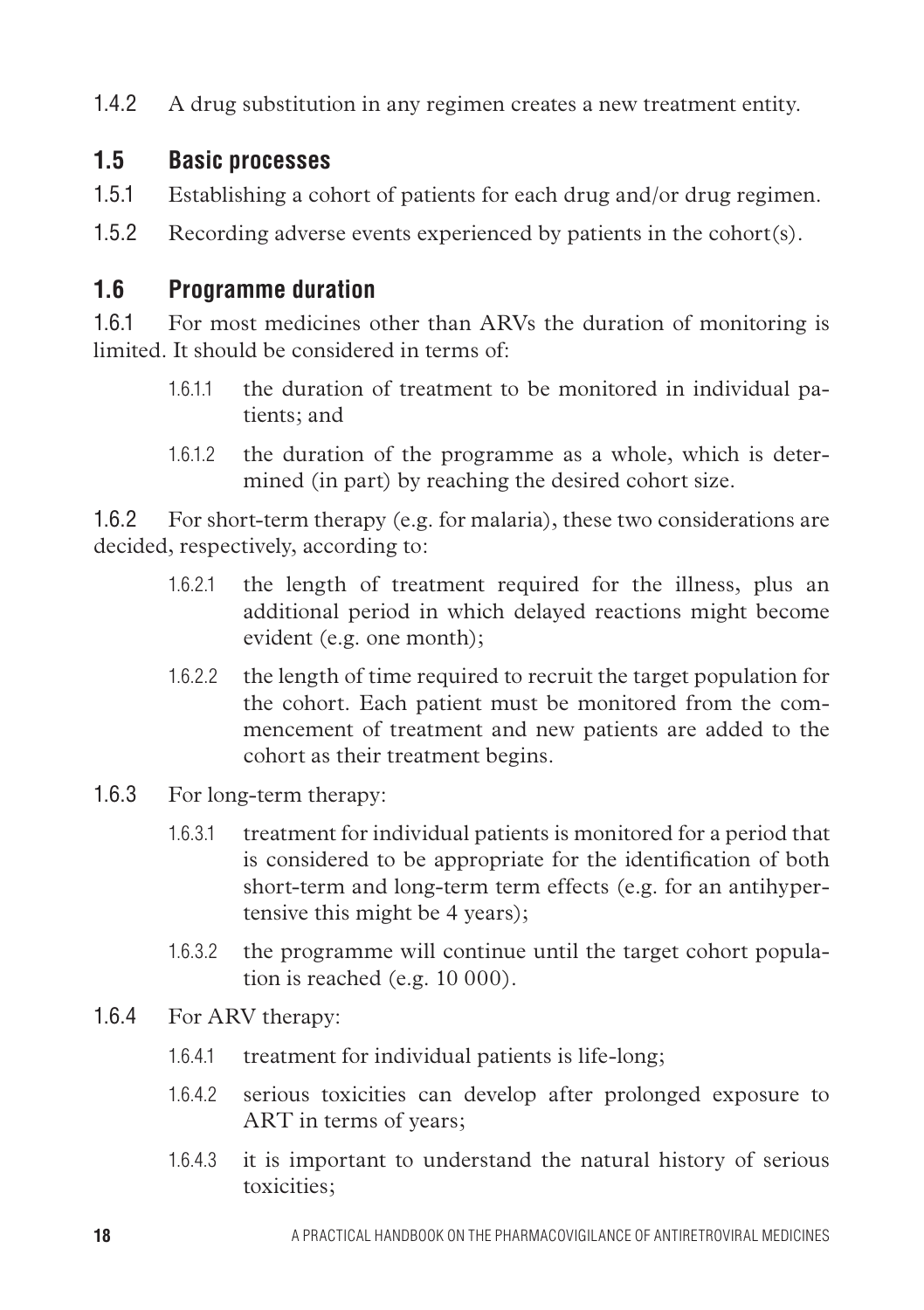1.4.2 A drug substitution in any regimen creates a new treatment entity.

#### **1.5 Basic processes**

- 1.5.1 Establishing a cohort of patients for each drug and/or drug regimen.
- 1.5.2 Recording adverse events experienced by patients in the cohort(s).

#### **1.6 Programme duration**

1.6.1 For most medicines other than ARVs the duration of monitoring is limited. It should be considered in terms of:

- 1.6.1.1 the duration of treatment to be monitored in individual patients; and
- 1.6.1.2 the duration of the programme as a whole, which is determined (in part) by reaching the desired cohort size.

1.6.2 For short-term therapy (e.g. for malaria), these two considerations are decided, respectively, according to:

- 1.6.2.1 the length of treatment required for the illness, plus an additional period in which delayed reactions might become evident (e.g. one month);
- 1.6.2.2 the length of time required to recruit the target population for the cohort. Each patient must be monitored from the commencement of treatment and new patients are added to the cohort as their treatment begins.
- 1.6.3 For long-term therapy:
	- 1.6.3.1 treatment for individual patients is monitored for a period that is considered to be appropriate for the identification of both short-term and long-term term effects (e.g. for an antihypertensive this might be 4 years);
	- 1.6.3.2 the programme will continue until the target cohort population is reached (e.g. 10 000).
- 1.6.4 For ARV therapy:
	- 1.6.4.1 treatment for individual patients is life-long;
	- 1.6.4.2 serious toxicities can develop after prolonged exposure to ART in terms of years;
	- 1.6.4.3 it is important to understand the natural history of serious toxicities;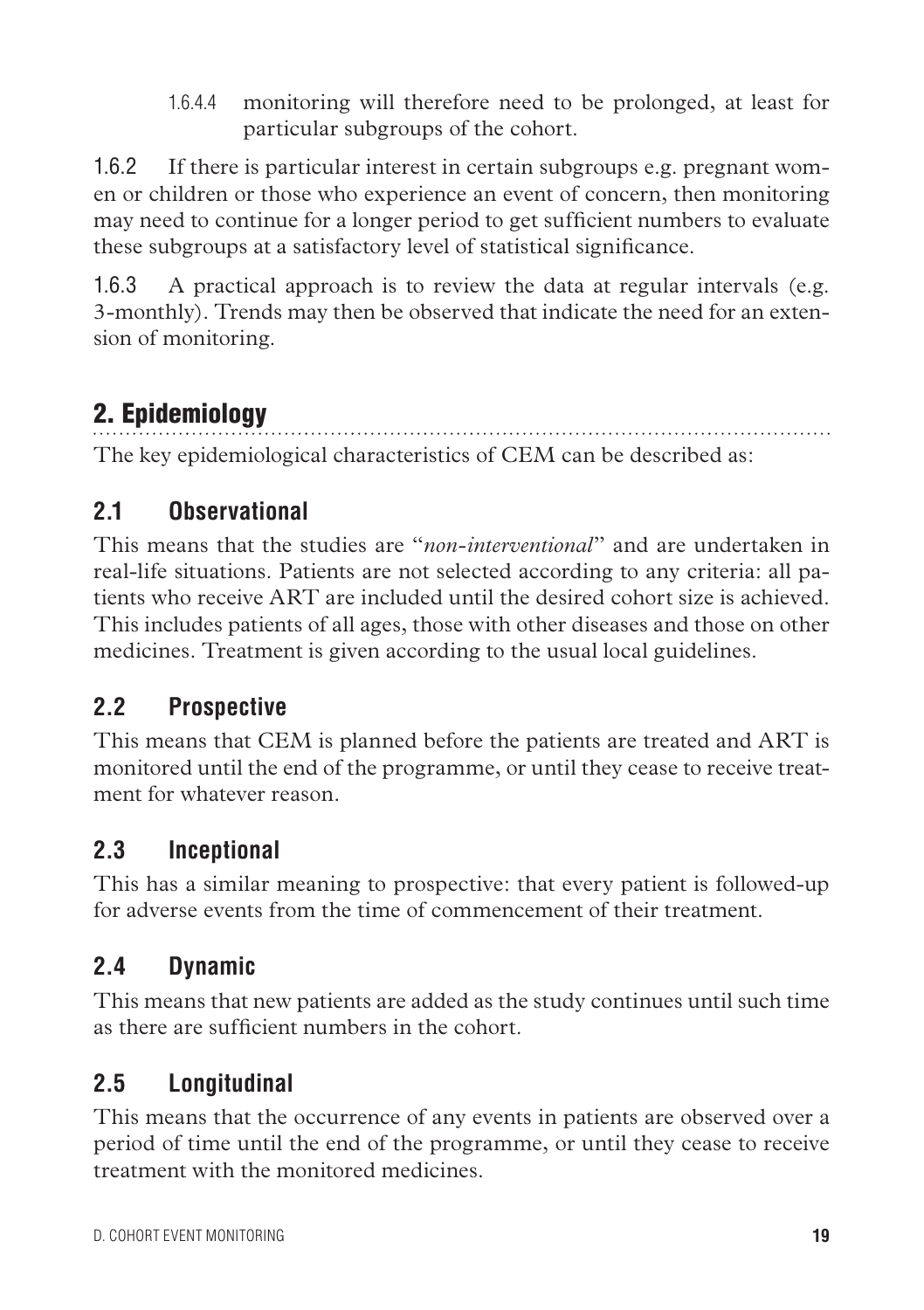1.6.4.4 monitoring will therefore need to be prolonged, at least for particular subgroups of the cohort.

1.6.2 If there is particular interest in certain subgroups e.g. pregnant women or children or those who experience an event of concern, then monitoring may need to continue for a longer period to get sufficient numbers to evaluate these subgroups at a satisfactory level of statistical significance.

1.6.3 A practical approach is to review the data at regular intervals (e.g. 3-monthly). Trends may then be observed that indicate the need for an extension of monitoring.

# 2. Epidemiology

The key epidemiological characteristics of CEM can be described as:

# **2.1 Observational**

This means that the studies are "*non-interventional*" and are undertaken in real-life situations. Patients are not selected according to any criteria: all patients who receive ART are included until the desired cohort size is achieved. This includes patients of all ages, those with other diseases and those on other medicines. Treatment is given according to the usual local guidelines.

# **2.2 Prospective**

This means that CEM is planned before the patients are treated and ART is monitored until the end of the programme, or until they cease to receive treatment for whatever reason.

# **2.3 Inceptional**

This has a similar meaning to prospective: that every patient is followed-up for adverse events from the time of commencement of their treatment.

# **2.4 Dynamic**

This means that new patients are added as the study continues until such time as there are sufficient numbers in the cohort.

# **2.5 Longitudinal**

This means that the occurrence of any events in patients are observed over a period of time until the end of the programme, or until they cease to receive treatment with the monitored medicines.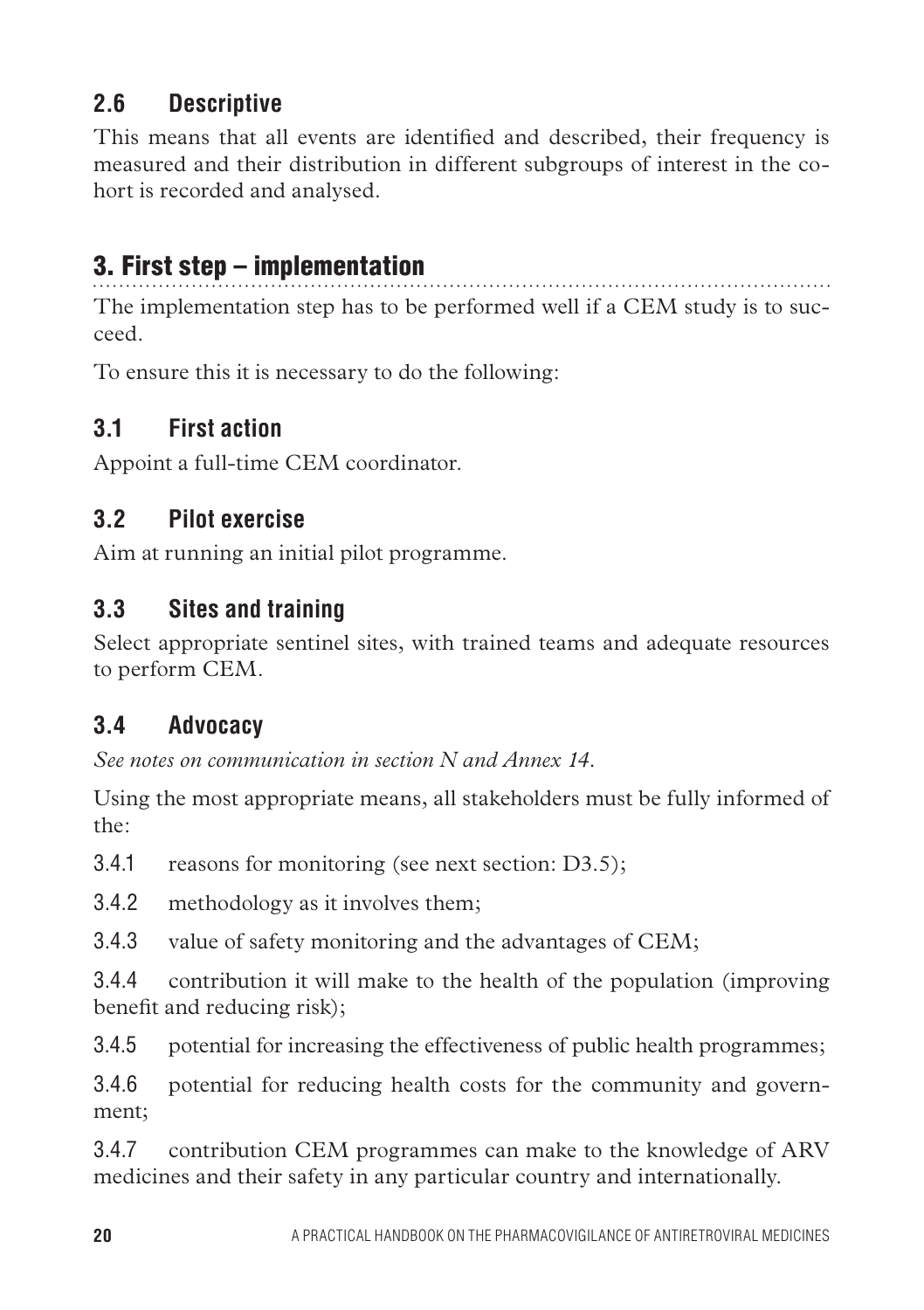# **2.6 Descriptive**

This means that all events are identified and described, their frequency is measured and their distribution in different subgroups of interest in the cohort is recorded and analysed.

# 3. First step – implementation

The implementation step has to be performed well if a CEM study is to succeed.

To ensure this it is necessary to do the following:

## **3.1 First action**

Appoint a full-time CEM coordinator.

## **3.2 Pilot exercise**

Aim at running an initial pilot programme.

## **3.3 Sites and training**

Select appropriate sentinel sites, with trained teams and adequate resources to perform CEM.

# **3.4 Advocacy**

*See notes on communication in section N and Annex 14.*

Using the most appropriate means, all stakeholders must be fully informed of the:

3.4.1 reasons for monitoring (see next section: D3.5);

3.4.2 methodology as it involves them;

3.4.3 value of safety monitoring and the advantages of CEM;

3.4.4 contribution it will make to the health of the population (improving benefit and reducing risk);

3.4.5 potential for increasing the effectiveness of public health programmes;

3.4.6 potential for reducing health costs for the community and government;

3.4.7 contribution CEM programmes can make to the knowledge of ARV medicines and their safety in any particular country and internationally.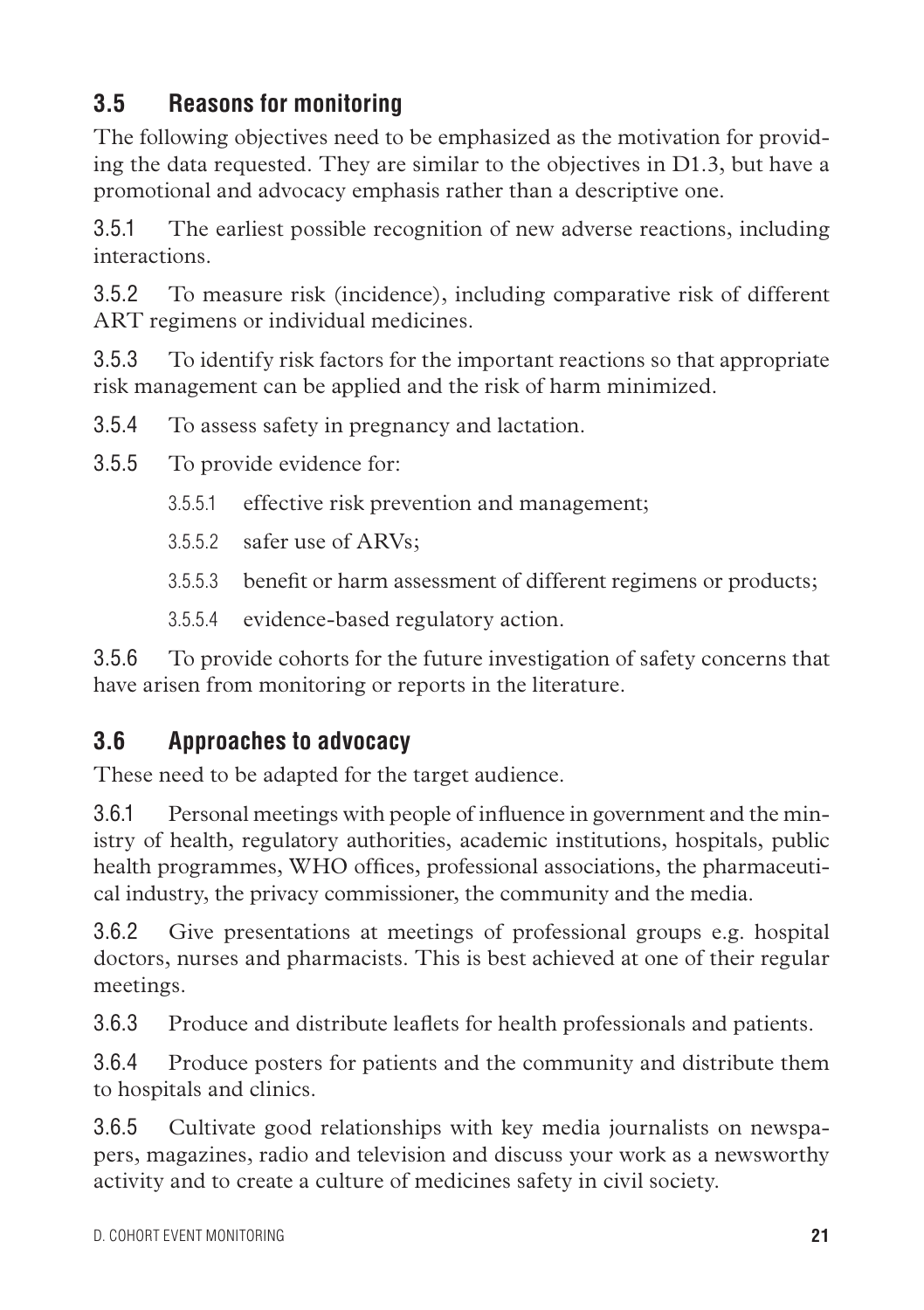# **3.5 Reasons for monitoring**

The following objectives need to be emphasized as the motivation for providing the data requested. They are similar to the objectives in D1.3, but have a promotional and advocacy emphasis rather than a descriptive one.

3.5.1 The earliest possible recognition of new adverse reactions, including interactions.

3.5.2 To measure risk (incidence), including comparative risk of different ART regimens or individual medicines.

3.5.3 To identify risk factors for the important reactions so that appropriate risk management can be applied and the risk of harm minimized.

3.5.4 To assess safety in pregnancy and lactation.

3.5.5 To provide evidence for:

- 3.5.5.1 effective risk prevention and management;
- 3.5.5.2 safer use of ARVs;
- 3.5.5.3 benefit or harm assessment of different regimens or products;
- 3.5.5.4 evidence-based regulatory action.

3.5.6 To provide cohorts for the future investigation of safety concerns that have arisen from monitoring or reports in the literature.

#### **3.6 Approaches to advocacy**

These need to be adapted for the target audience.

3.6.1 Personal meetings with people of influence in government and the ministry of health, regulatory authorities, academic institutions, hospitals, public health programmes, WHO offices, professional associations, the pharmaceutical industry, the privacy commissioner, the community and the media.

3.6.2 Give presentations at meetings of professional groups e.g. hospital doctors, nurses and pharmacists. This is best achieved at one of their regular meetings.

3.6.3 Produce and distribute leaflets for health professionals and patients.

3.6.4 Produce posters for patients and the community and distribute them to hospitals and clinics.

3.6.5 Cultivate good relationships with key media journalists on newspapers, magazines, radio and television and discuss your work as a newsworthy activity and to create a culture of medicines safety in civil society.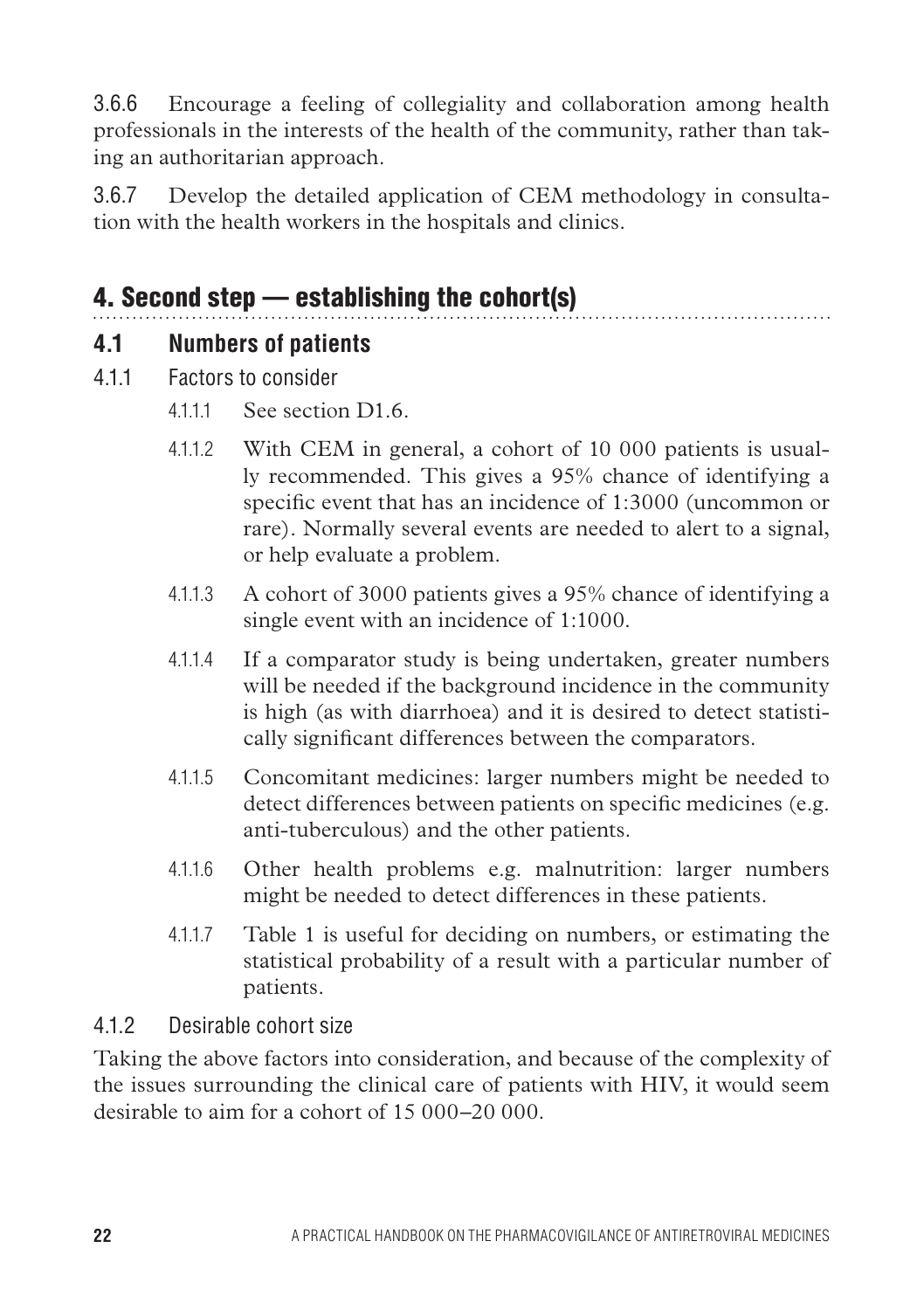3.6.6 Encourage a feeling of collegiality and collaboration among health professionals in the interests of the health of the community, rather than taking an authoritarian approach.

3.6.7 Develop the detailed application of CEM methodology in consultation with the health workers in the hospitals and clinics.

# 4. Second step — establishing the cohort(s)

#### **4.1 Numbers of patients**

- 4.1.1 Factors to consider
	- 4111 See section D1.6.
	- 4.1.1.2 With CEM in general, a cohort of 10 000 patients is usually recommended. This gives a 95% chance of identifying a specific event that has an incidence of 1:3000 (uncommon or rare). Normally several events are needed to alert to a signal, or help evaluate a problem.
	- 4.1.1.3 A cohort of 3000 patients gives a 95% chance of identifying a single event with an incidence of 1:1000.
	- 4.1.1.4 If a comparator study is being undertaken, greater numbers will be needed if the background incidence in the community is high (as with diarrhoea) and it is desired to detect statistically significant differences between the comparators.
	- 4.1.1.5 Concomitant medicines: larger numbers might be needed to detect differences between patients on specific medicines (e.g. anti-tuberculous) and the other patients.
	- 4.1.1.6 Other health problems e.g. malnutrition: larger numbers might be needed to detect differences in these patients.
	- 4.1.1.7 Table 1 is useful for deciding on numbers, or estimating the statistical probability of a result with a particular number of patients.

#### 4.1.2 Desirable cohort size

Taking the above factors into consideration, and because of the complexity of the issues surrounding the clinical care of patients with HIV, it would seem desirable to aim for a cohort of 15 000–20 000.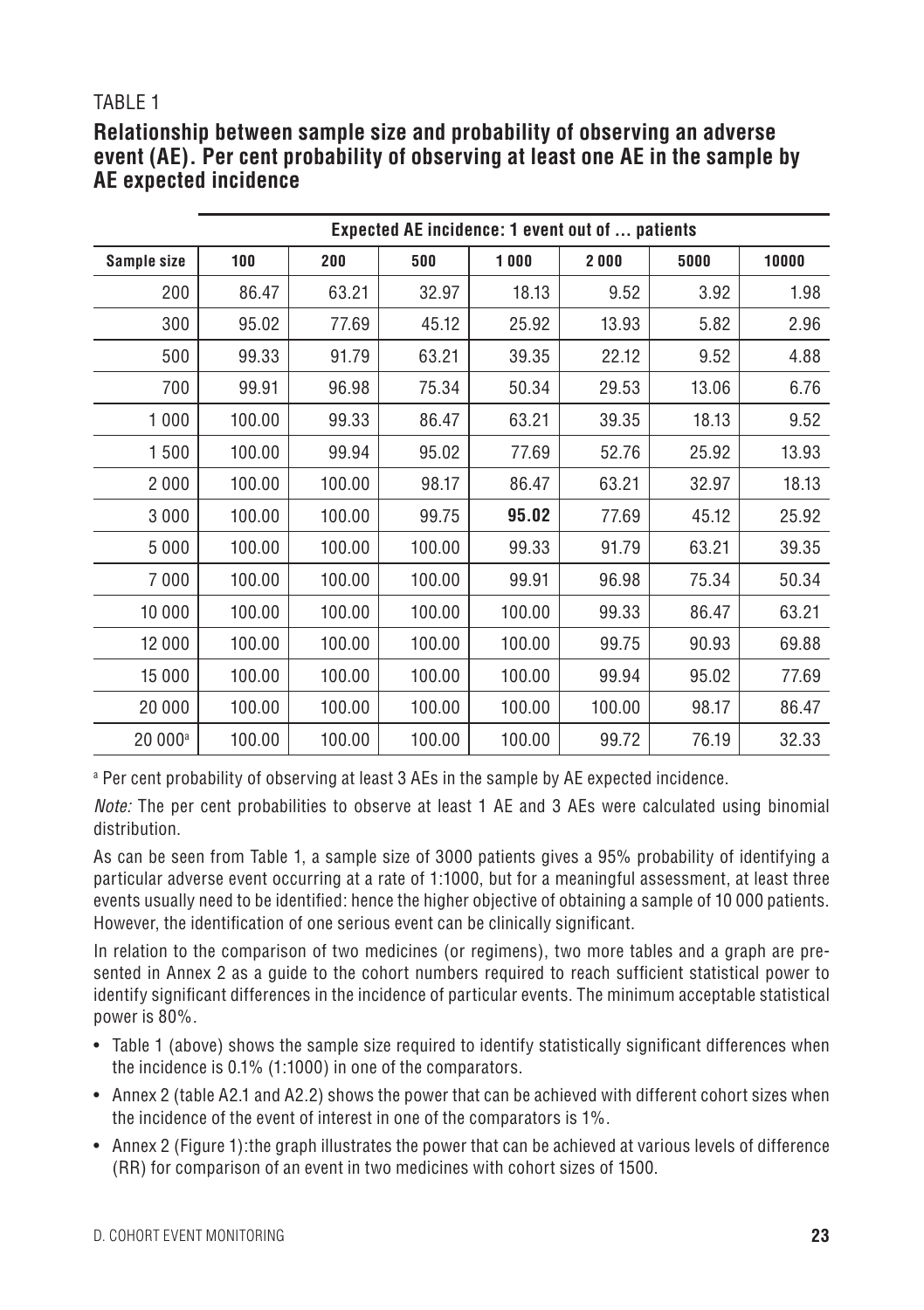#### TABI F 1

#### **Relationship between sample size and probability of observing an adverse event (AE). Per cent probability of observing at least one AE in the sample by AE expected incidence**

|                     | Expected AE incidence: 1 event out of  patients |        |        |        |        |       |       |
|---------------------|-------------------------------------------------|--------|--------|--------|--------|-------|-------|
| Sample size         | 100                                             | 200    | 500    | 1000   | 2000   | 5000  | 10000 |
| 200                 | 86.47                                           | 63.21  | 32.97  | 18.13  | 9.52   | 3.92  | 1.98  |
| 300                 | 95.02                                           | 77.69  | 45.12  | 25.92  | 13.93  | 5.82  | 2.96  |
| 500                 | 99.33                                           | 91.79  | 63.21  | 39.35  | 22.12  | 9.52  | 4.88  |
| 700                 | 99.91                                           | 96.98  | 75.34  | 50.34  | 29.53  | 13.06 | 6.76  |
| 1 0 0 0             | 100.00                                          | 99.33  | 86.47  | 63.21  | 39.35  | 18.13 | 9.52  |
| 1500                | 100.00                                          | 99.94  | 95.02  | 77.69  | 52.76  | 25.92 | 13.93 |
| 2000                | 100.00                                          | 100.00 | 98.17  | 86.47  | 63.21  | 32.97 | 18.13 |
| 3 0 0 0             | 100.00                                          | 100.00 | 99.75  | 95.02  | 77.69  | 45.12 | 25.92 |
| 5 0 0 0             | 100.00                                          | 100.00 | 100.00 | 99.33  | 91.79  | 63.21 | 39.35 |
| 7000                | 100.00                                          | 100.00 | 100.00 | 99.91  | 96.98  | 75.34 | 50.34 |
| 10 000              | 100.00                                          | 100.00 | 100.00 | 100.00 | 99.33  | 86.47 | 63.21 |
| 12 000              | 100.00                                          | 100.00 | 100.00 | 100.00 | 99.75  | 90.93 | 69.88 |
| 15 000              | 100.00                                          | 100.00 | 100.00 | 100.00 | 99.94  | 95.02 | 77.69 |
| 20 000              | 100.00                                          | 100.00 | 100.00 | 100.00 | 100.00 | 98.17 | 86.47 |
| 20 000 <sup>a</sup> | 100.00                                          | 100.00 | 100.00 | 100.00 | 99.72  | 76.19 | 32.33 |

a Per cent probability of observing at least 3 AEs in the sample by AE expected incidence.

*Note:* The per cent probabilities to observe at least 1 AE and 3 AEs were calculated using binomial distribution.

As can be seen from Table 1, a sample size of 3000 patients gives a 95% probability of identifying a particular adverse event occurring at a rate of 1:1000, but for a meaningful assessment, at least three events usually need to be identified: hence the higher objective of obtaining a sample of 10 000 patients. However, the identification of one serious event can be clinically significant.

In relation to the comparison of two medicines (or regimens), two more tables and a graph are presented in Annex 2 as a guide to the cohort numbers required to reach sufficient statistical power to identify significant differences in the incidence of particular events. The minimum acceptable statistical power is 80%.

- Table 1 (above) shows the sample size required to identify statistically significant differences when the incidence is 0.1% (1:1000) in one of the comparators.
- • Annex 2 (table A2.1 and A2.2) shows the power that can be achieved with different cohort sizes when the incidence of the event of interest in one of the comparators is 1%.
- • Annex 2 (Figure 1):the graph illustrates the power that can be achieved at various levels of difference (RR) for comparison of an event in two medicines with cohort sizes of 1500.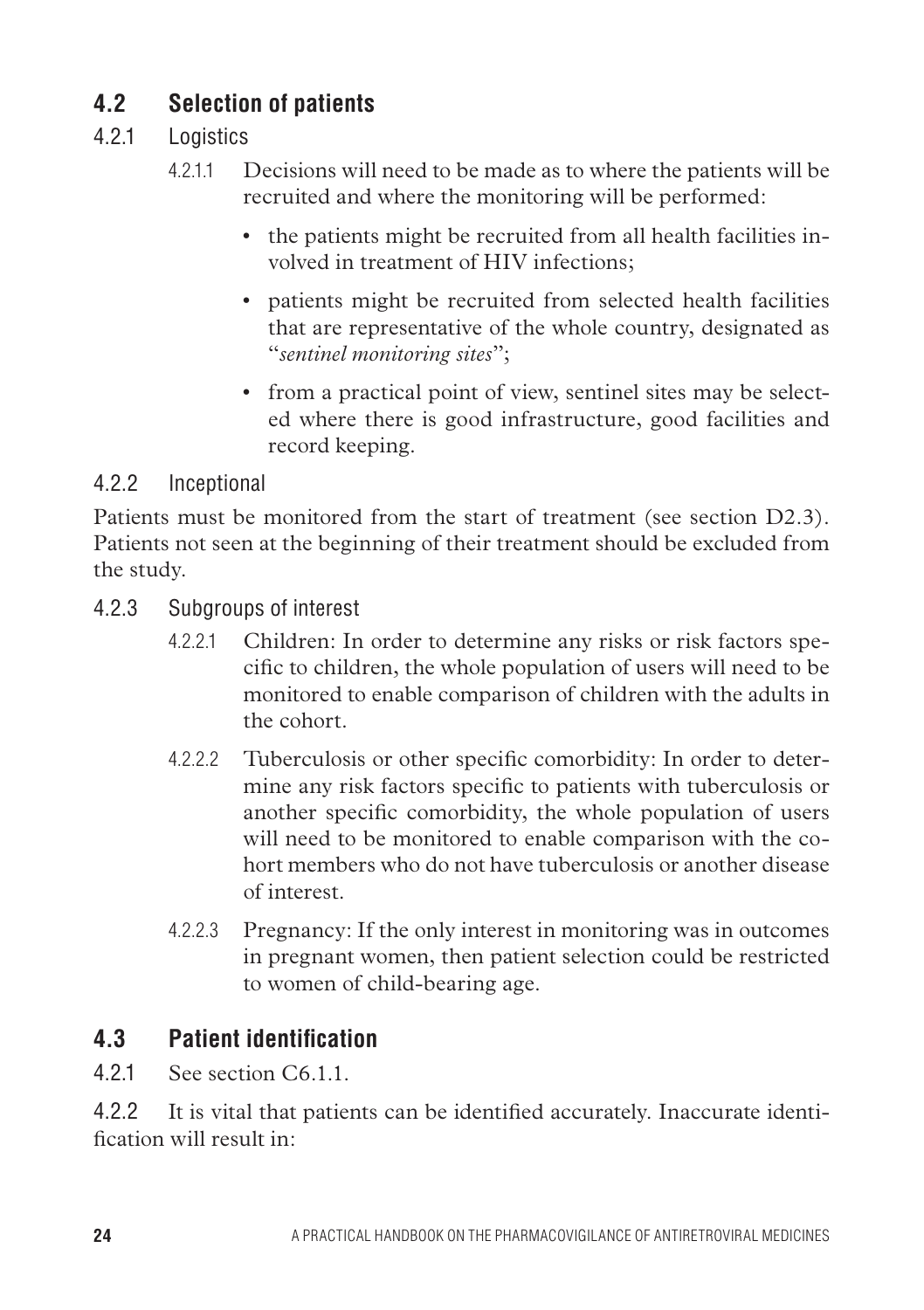## **4.2 Selection of patients**

#### 4.2.1 Logistics

- 4.2.1.1 Decisions will need to be made as to where the patients will be recruited and where the monitoring will be performed:
	- the patients might be recruited from all health facilities involved in treatment of HIV infections;
	- patients might be recruited from selected health facilities that are representative of the whole country, designated as "*sentinel monitoring sites*";
	- from a practical point of view, sentinel sites may be selected where there is good infrastructure, good facilities and record keeping.

#### 4.2.2 Inceptional

Patients must be monitored from the start of treatment (see section D2.3). Patients not seen at the beginning of their treatment should be excluded from the study.

- 4.2.3 Subgroups of interest
	- 4.2.2.1 Children: In order to determine any risks or risk factors specific to children, the whole population of users will need to be monitored to enable comparison of children with the adults in the cohort.
	- 4.2.2.2 Tuberculosis or other specific comorbidity: In order to determine any risk factors specific to patients with tuberculosis or another specific comorbidity, the whole population of users will need to be monitored to enable comparison with the cohort members who do not have tuberculosis or another disease of interest.
	- 4.2.2.3 Pregnancy: If the only interest in monitoring was in outcomes in pregnant women, then patient selection could be restricted to women of child-bearing age.

#### **4.3 Patient identification**

4.2.1 See section C6.1.1.

4.2.2 It is vital that patients can be identified accurately. Inaccurate identification will result in: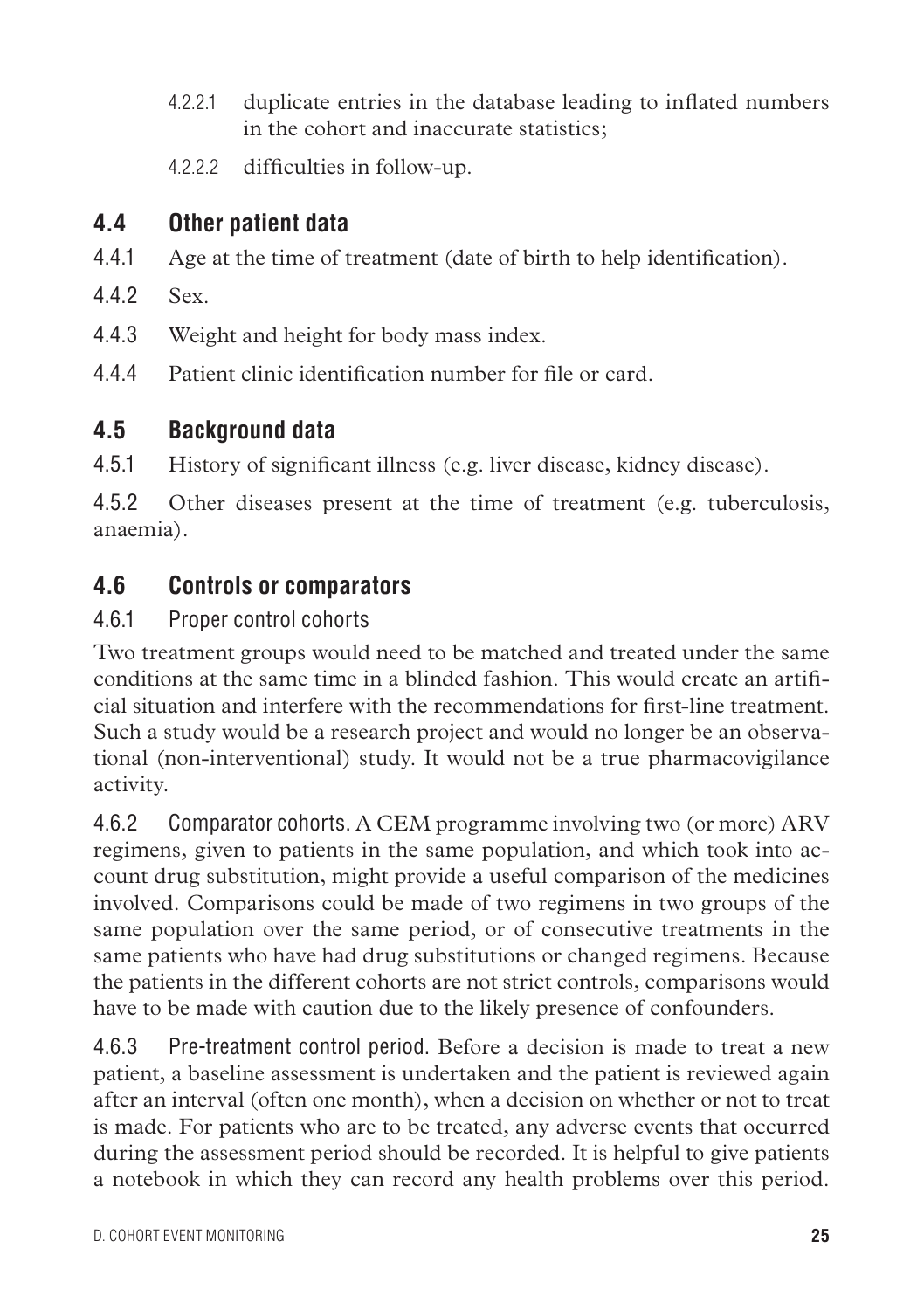- 4.2.2.1 duplicate entries in the database leading to inflated numbers in the cohort and inaccurate statistics;
- 4.2.2.2 difficulties in follow-up.

# **4.4 Other patient data**

- 4.4.1 Age at the time of treatment (date of birth to help identification).
- 442 Sex.
- 4.4.3 Weight and height for body mass index.
- 4.4.4 Patient clinic identification number for file or card.

### **4.5 Background data**

4.5.1 History of significant illness (e.g. liver disease, kidney disease).

4.5.2 Other diseases present at the time of treatment (e.g. tuberculosis, anaemia).

### **4.6 Controls or comparators**

#### 4.6.1 Proper control cohorts

Two treatment groups would need to be matched and treated under the same conditions at the same time in a blinded fashion. This would create an artificial situation and interfere with the recommendations for first-line treatment. Such a study would be a research project and would no longer be an observational (non-interventional) study. It would not be a true pharmacovigilance activity.

4.6.2 Comparator cohorts. A CEM programme involving two (or more) ARV regimens, given to patients in the same population, and which took into account drug substitution, might provide a useful comparison of the medicines involved. Comparisons could be made of two regimens in two groups of the same population over the same period, or of consecutive treatments in the same patients who have had drug substitutions or changed regimens. Because the patients in the different cohorts are not strict controls, comparisons would have to be made with caution due to the likely presence of confounders.

4.6.3 Pre-treatment control period. Before a decision is made to treat a new patient, a baseline assessment is undertaken and the patient is reviewed again after an interval (often one month), when a decision on whether or not to treat is made. For patients who are to be treated, any adverse events that occurred during the assessment period should be recorded. It is helpful to give patients a notebook in which they can record any health problems over this period.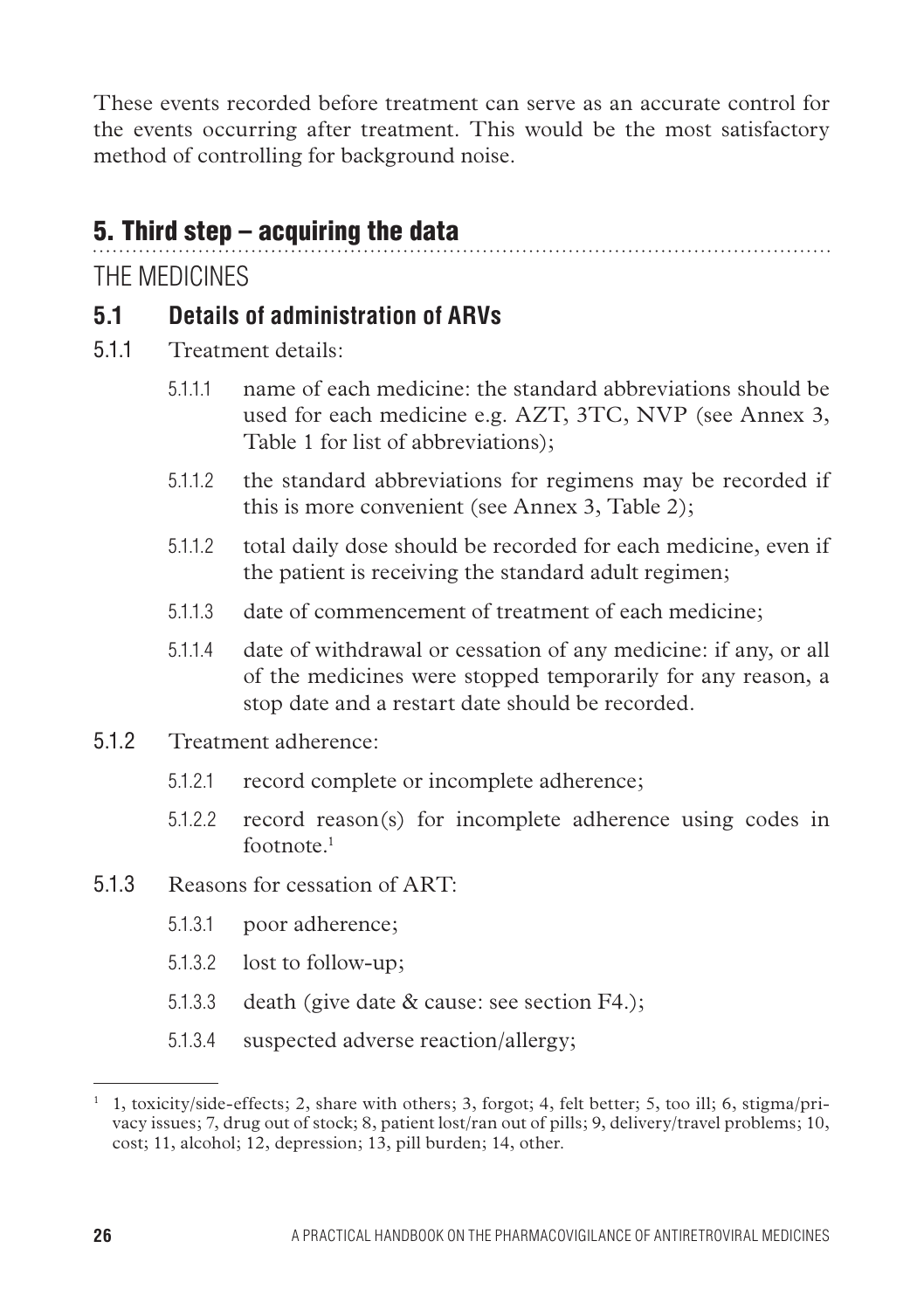These events recorded before treatment can serve as an accurate control for the events occurring after treatment. This would be the most satisfactory method of controlling for background noise.

# 5. Third step – acquiring the data

The medicines

### **5.1 Details of administration of ARVs**

- 5.1.1 Treatment details:
	- 5.1.1.1 name of each medicine: the standard abbreviations should be used for each medicine e.g. AZT, 3TC, NVP (see Annex 3, Table 1 for list of abbreviations);

- 5.1.1.2 the standard abbreviations for regimens may be recorded if this is more convenient (see Annex 3, Table 2);
- 5.1.1.2 total daily dose should be recorded for each medicine, even if the patient is receiving the standard adult regimen;
- 5.1.1.3 date of commencement of treatment of each medicine;
- 5.1.1.4 date of withdrawal or cessation of any medicine: if any, or all of the medicines were stopped temporarily for any reason, a stop date and a restart date should be recorded.
- 5.1.2 Treatment adherence:
	- 5.1.2.1 record complete or incomplete adherence;
	- 5.1.2.2 record reason(s) for incomplete adherence using codes in footnote<sup>1</sup>
- 5.1.3 Reasons for cessation of ART:
	- 5.1.3.1 poor adherence;
	- 5.1.3.2 lost to follow-up;
	- 5.1.3.3 death (give date & cause: see section F4.);
	- 5.1.3.4 suspected adverse reaction/allergy;

<sup>&</sup>lt;sup>1</sup> 1, toxicity/side-effects; 2, share with others; 3, forgot; 4, felt better; 5, too ill; 6, stigma/privacy issues; 7, drug out of stock; 8, patient lost/ran out of pills; 9, delivery/travel problems; 10, cost; 11, alcohol; 12, depression; 13, pill burden; 14, other.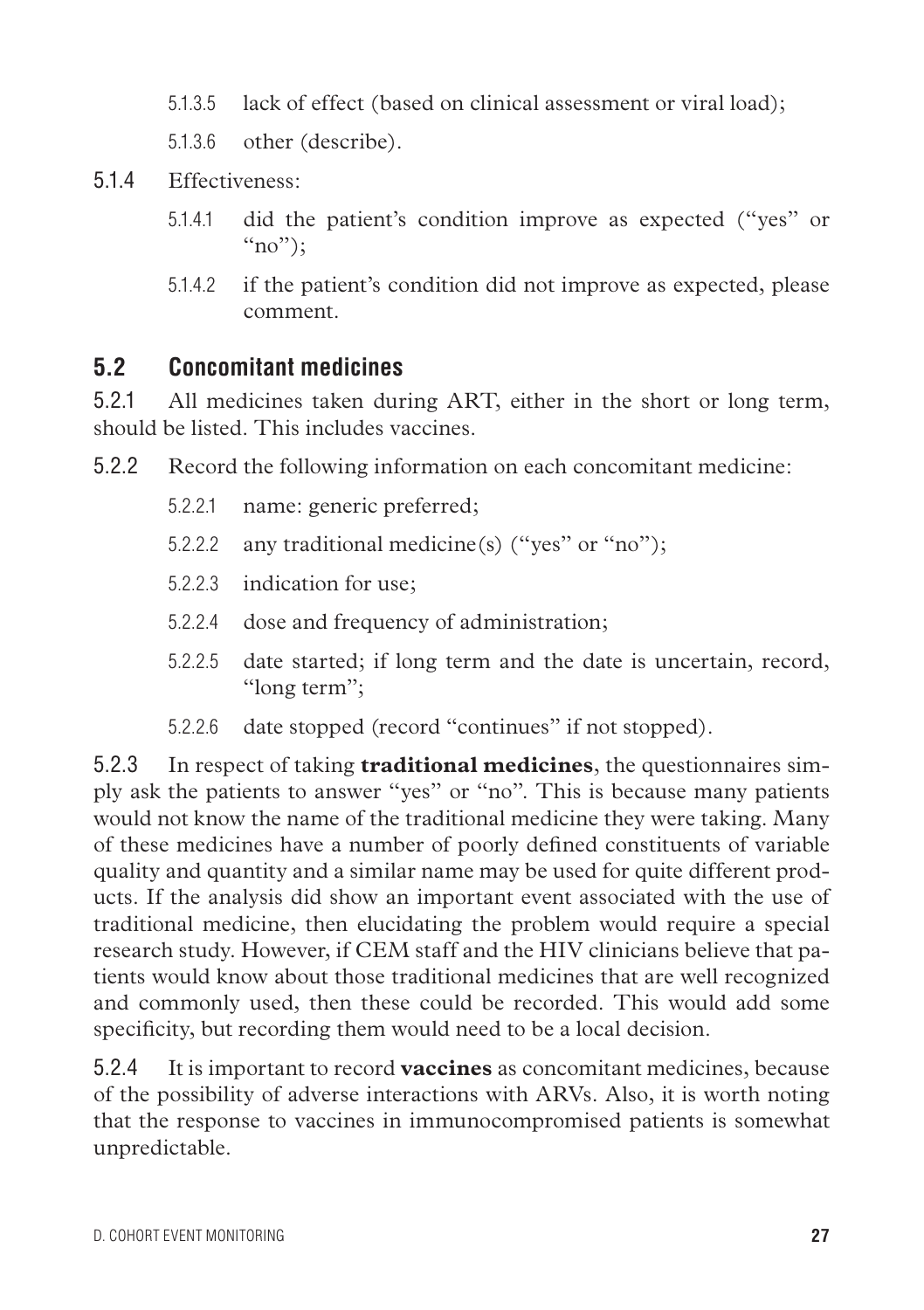5.1.3.5 lack of effect (based on clinical assessment or viral load);

5.1.3.6 other (describe).

5.1.4 Effectiveness:

- 5.1.4.1 did the patient's condition improve as expected ("yes" or  $\lq\lq$ "(no");
- 5.1.4.2 if the patient's condition did not improve as expected, please comment.

### **5.2 Concomitant medicines**

5.2.1 All medicines taken during ART, either in the short or long term, should be listed. This includes vaccines.

- 5.2.2 Record the following information on each concomitant medicine:
	- 5.2.2.1 name: generic preferred;
	- 5.2.2.2 any traditional medicine(s) ("yes" or "no");
	- 5.2.2.3 indication for use;
	- 5.2.2.4 dose and frequency of administration;
	- 5.2.2.5 date started; if long term and the date is uncertain, record, "long term";
	- 5.2.2.6 date stopped (record "continues" if not stopped).

5.2.3 In respect of taking **traditional medicines**, the questionnaires simply ask the patients to answer "yes" or "no". This is because many patients would not know the name of the traditional medicine they were taking. Many of these medicines have a number of poorly defined constituents of variable quality and quantity and a similar name may be used for quite different products. If the analysis did show an important event associated with the use of traditional medicine, then elucidating the problem would require a special research study. However, if CEM staff and the HIV clinicians believe that patients would know about those traditional medicines that are well recognized and commonly used, then these could be recorded. This would add some specificity, but recording them would need to be a local decision.

5.2.4 It is important to record **vaccines** as concomitant medicines, because of the possibility of adverse interactions with ARVs. Also, it is worth noting that the response to vaccines in immunocompromised patients is somewhat unpredictable.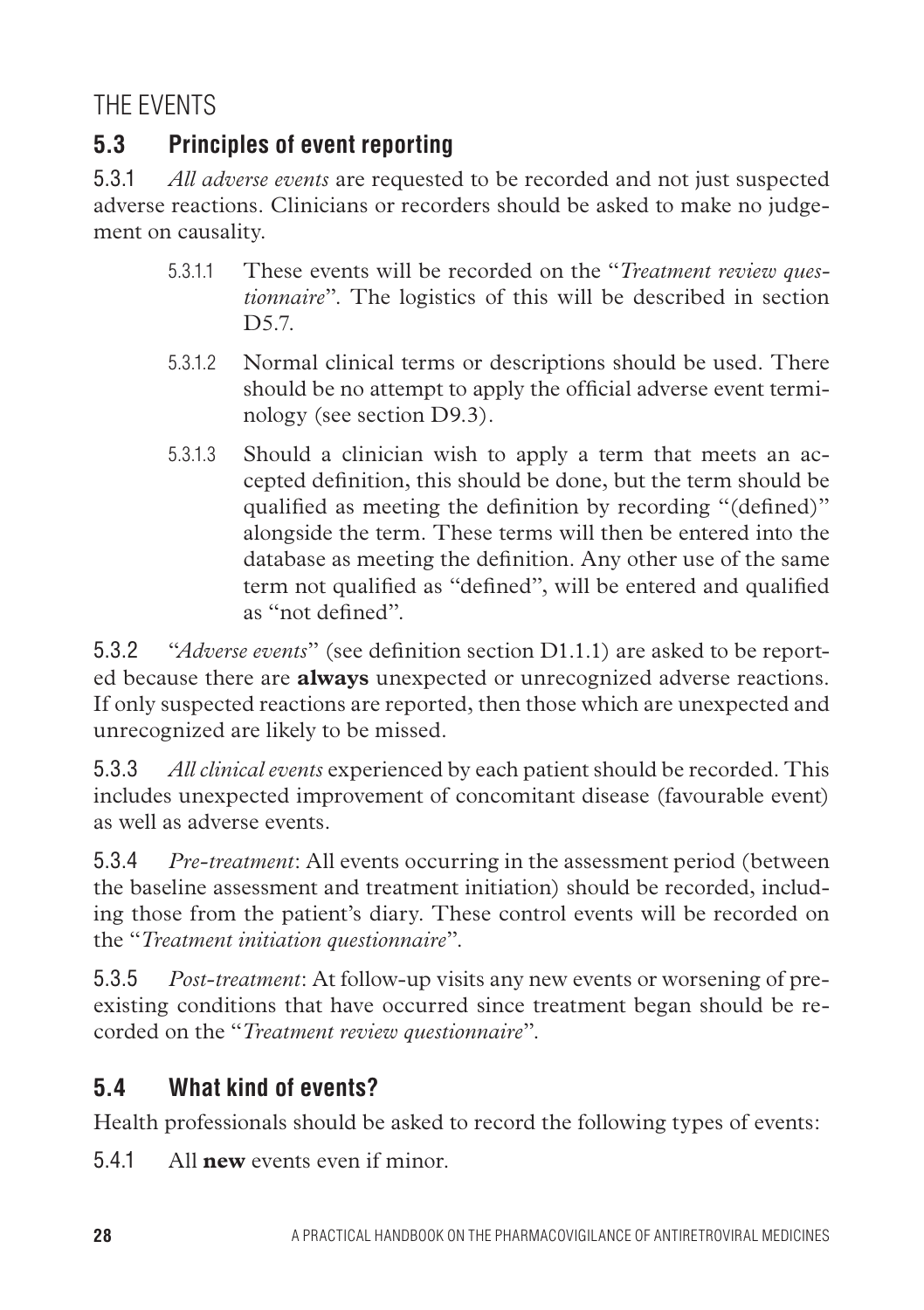THF **EVENTS** 

# **5.3 Principles of event reporting**

5.3.1 *All adverse events* are requested to be recorded and not just suspected adverse reactions. Clinicians or recorders should be asked to make no judgement on causality.

- 5.3.1.1 These events will be recorded on the "*Treatment review questionnaire*". The logistics of this will be described in section D5.7
- 5.3.1.2 Normal clinical terms or descriptions should be used. There should be no attempt to apply the official adverse event terminology (see section D9.3).
- 5.3.1.3 Should a clinician wish to apply a term that meets an accepted definition, this should be done, but the term should be qualified as meeting the definition by recording "(defined)" alongside the term. These terms will then be entered into the database as meeting the definition. Any other use of the same term not qualified as "defined", will be entered and qualified as "not defined".

5.3.2 "*Adverse events*" (see definition section D1.1.1) are asked to be reported because there are **always** unexpected or unrecognized adverse reactions. If only suspected reactions are reported, then those which are unexpected and unrecognized are likely to be missed.

5.3.3 *All clinical events* experienced by each patient should be recorded. This includes unexpected improvement of concomitant disease (favourable event) as well as adverse events.

5.3.4 *Pre-treatment*: All events occurring in the assessment period (between the baseline assessment and treatment initiation) should be recorded, including those from the patient's diary. These control events will be recorded on the "*Treatment initiation questionnaire*".

5.3.5 *Post-treatment*: At follow-up visits any new events or worsening of preexisting conditions that have occurred since treatment began should be recorded on the "*Treatment review questionnaire*".

### **5.4 What kind of events?**

Health professionals should be asked to record the following types of events:

5.4.1 All **new** events even if minor.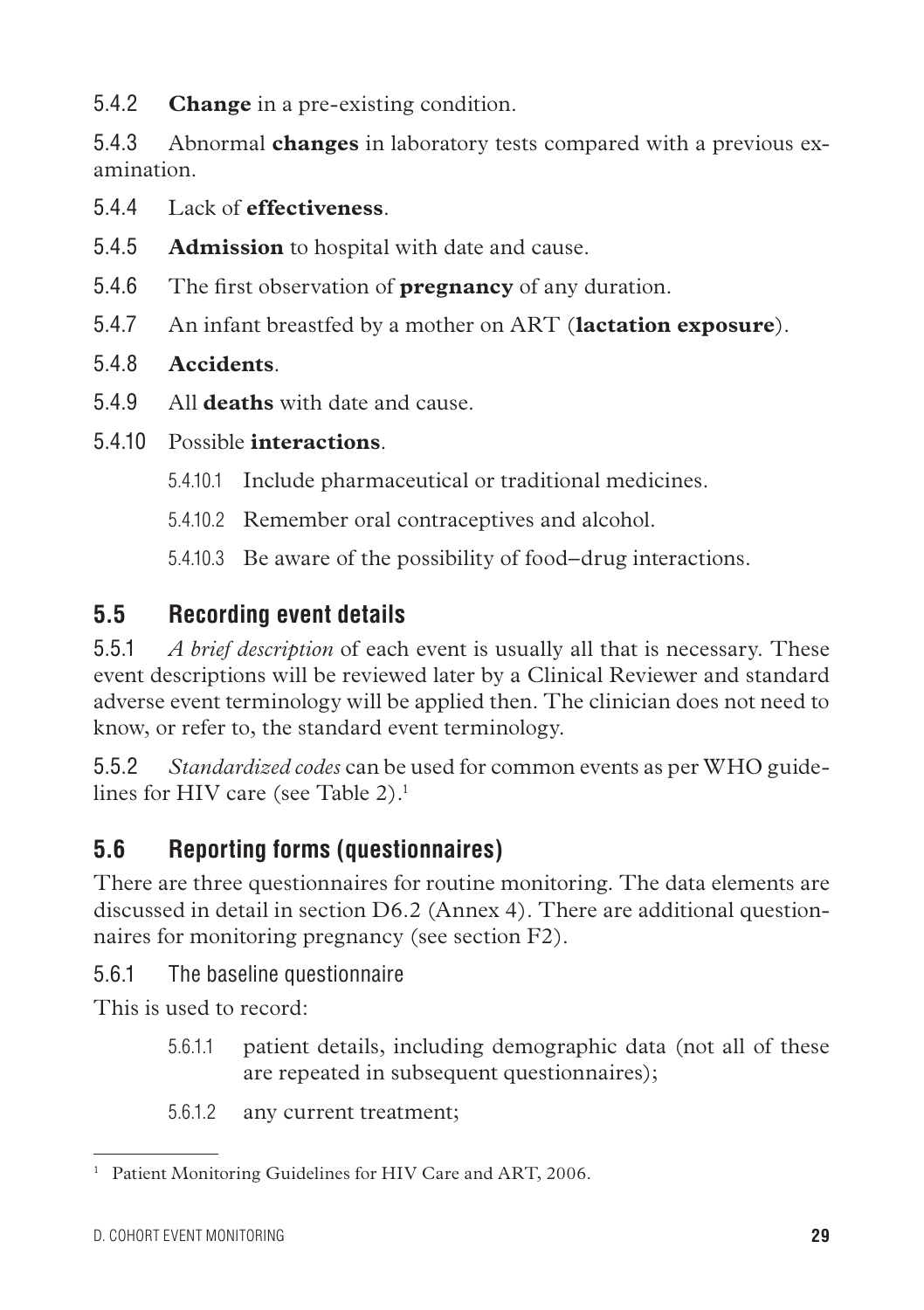5.4.2 **Change** in a pre-existing condition.

5.4.3 Abnormal **changes** in laboratory tests compared with a previous examination.

- 5.4.4 Lack of **effectiveness**.
- 5.4.5 **Admission** to hospital with date and cause.
- 5.4.6 The first observation of **pregnancy** of any duration.
- 5.4.7 An infant breastfed by a mother on ART (**lactation exposure**).
- 5.4.8 **Accidents**.
- 5.4.9 All **deaths** with date and cause.

# 5.4.10 Possible **interactions**.

- 5.4.10.1 Include pharmaceutical or traditional medicines.
- 5.4.10.2 Remember oral contraceptives and alcohol.

5.4.10.3 Be aware of the possibility of food–drug interactions.

# **5.5 Recording event details**

5.5.1 *A brief description* of each event is usually all that is necessary. These event descriptions will be reviewed later by a Clinical Reviewer and standard adverse event terminology will be applied then. The clinician does not need to know, or refer to, the standard event terminology.

5.5.2 *Standardized codes* can be used for common events as per WHO guidelines for HIV care (see Table  $2$ ).<sup>1</sup>

# **5.6 Reporting forms (questionnaires)**

There are three questionnaires for routine monitoring. The data elements are discussed in detail in section D6.2 (Annex 4). There are additional questionnaires for monitoring pregnancy (see section F2).

5.6.1 The baseline questionnaire

This is used to record:

- 5.6.1.1 patient details, including demographic data (not all of these are repeated in subsequent questionnaires);
- 5.6.1.2 any current treatment;

<sup>&</sup>lt;sup>1</sup> Patient Monitoring Guidelines for HIV Care and ART, 2006.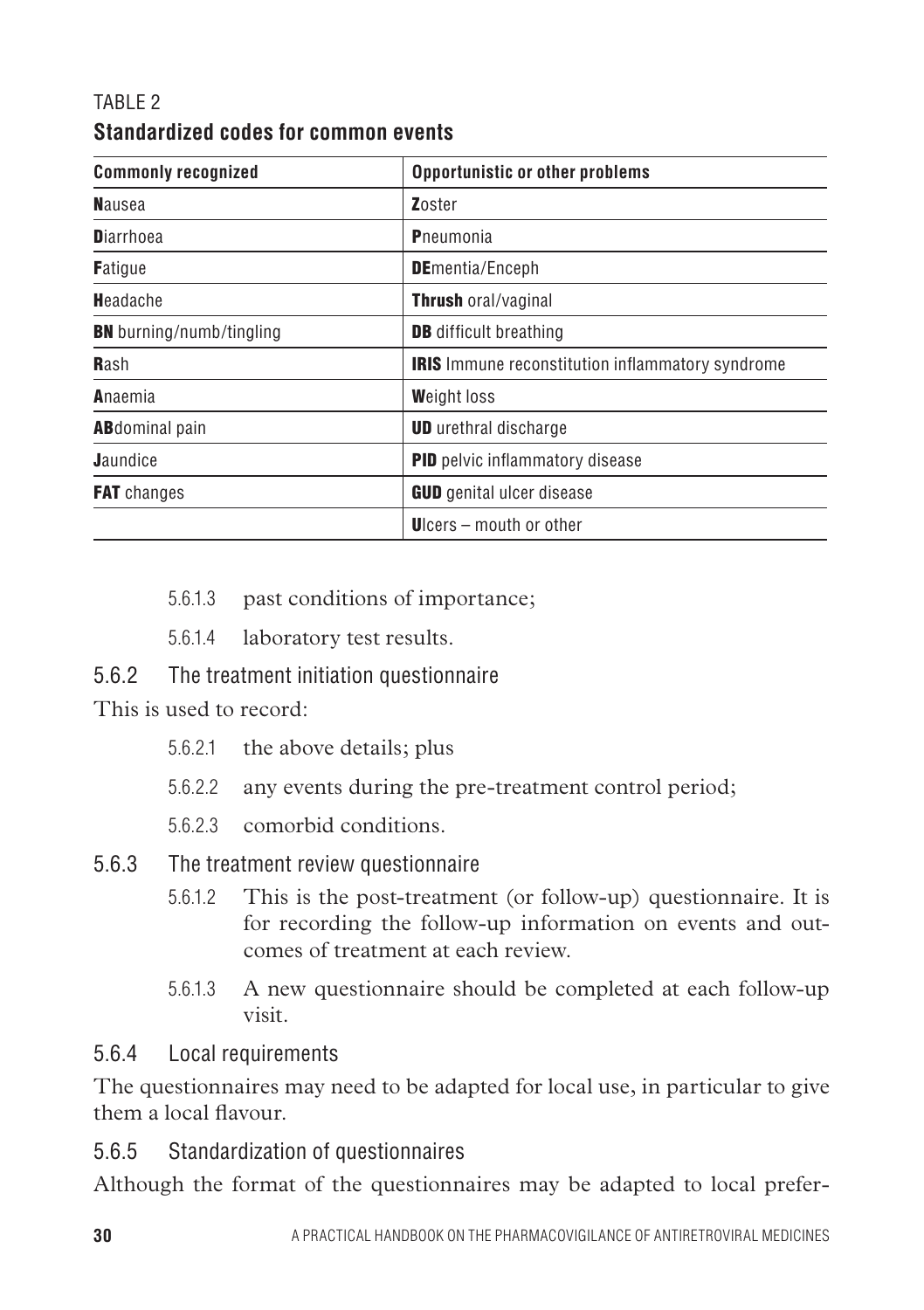#### TABI F 2 **Standardized codes for common events**

| <b>Commonly recognized</b>      | Opportunistic or other problems                         |
|---------------------------------|---------------------------------------------------------|
| <b>N</b> ausea                  | Zoster                                                  |
| <b>D</b> iarrhoea               | Pneumonia                                               |
| <b>Fatique</b>                  | <b>DE</b> mentia/Enceph                                 |
| Headache                        | <b>Thrush oral/vaginal</b>                              |
| <b>BN</b> burning/numb/tingling | <b>DB</b> difficult breathing                           |
| Rash                            | <b>IRIS</b> Immune reconstitution inflammatory syndrome |
| Anaemia                         | <b>Weight loss</b>                                      |
| <b>AB</b> dominal pain          | <b>UD</b> urethral discharge                            |
| <b>Jaundice</b>                 | <b>PID</b> pelvic inflammatory disease                  |
| <b>FAT</b> changes              | <b>GUD</b> genital ulcer disease                        |
|                                 | Ucers – mouth or other                                  |

- 5.6.1.3 past conditions of importance;
- 5.6.1.4 laboratory test results.

#### 5.6.2 The treatment initiation questionnaire

This is used to record:

- 5.6.2.1 the above details; plus
- 5.6.2.2 any events during the pre-treatment control period;
- 5.6.2.3 comorbid conditions.
- 5.6.3 The treatment review questionnaire
	- 5.6.1.2 This is the post-treatment (or follow-up) questionnaire. It is for recording the follow-up information on events and outcomes of treatment at each review.
	- 5.6.1.3 A new questionnaire should be completed at each follow-up visit.

#### 5.6.4 Local requirements

The questionnaires may need to be adapted for local use, in particular to give them a local flavour.

5.6.5 Standardization of questionnaires

Although the format of the questionnaires may be adapted to local prefer-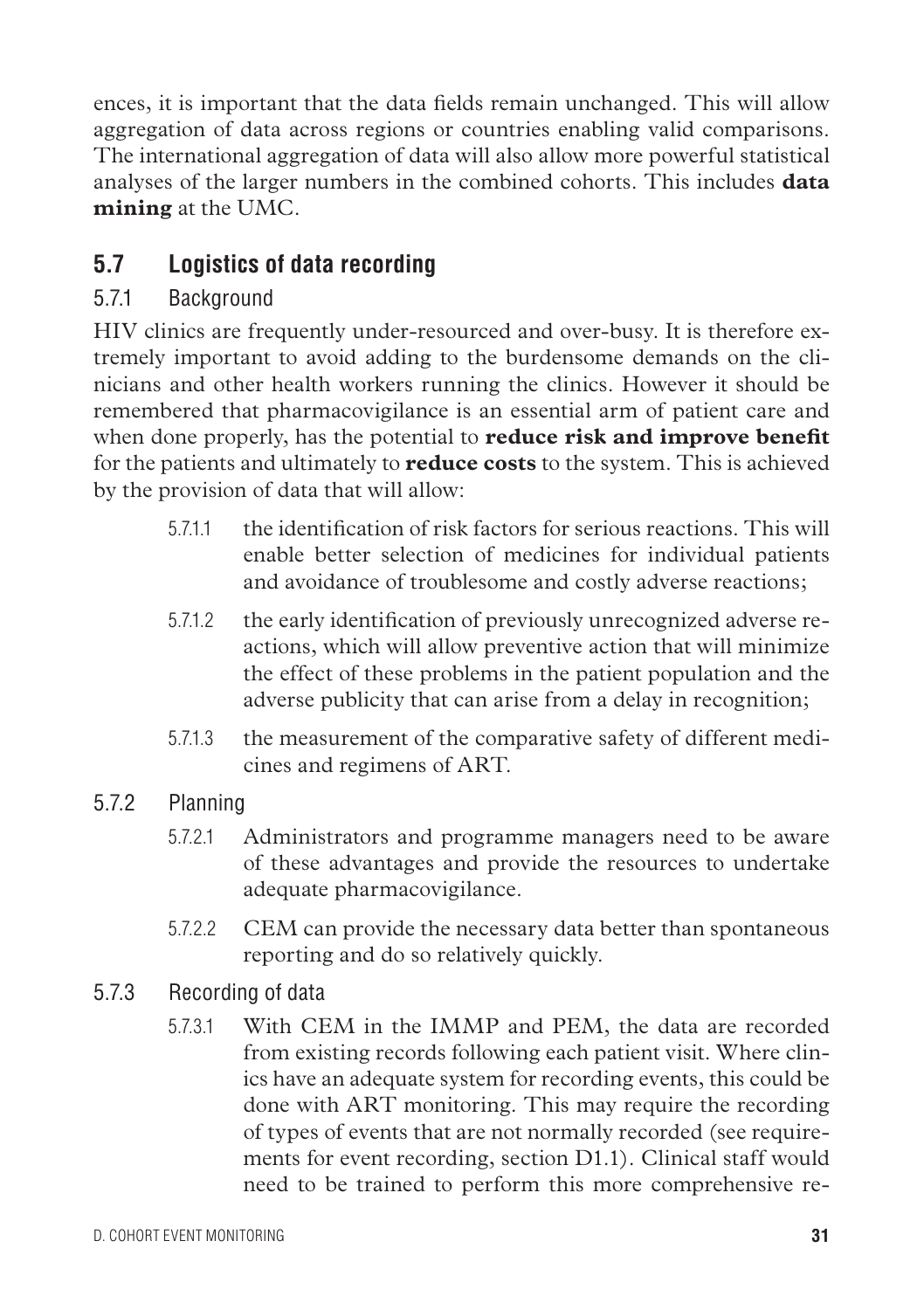ences, it is important that the data fields remain unchanged. This will allow aggregation of data across regions or countries enabling valid comparisons. The international aggregation of data will also allow more powerful statistical analyses of the larger numbers in the combined cohorts. This includes **data mining** at the UMC.

# **5.7 Logistics of data recording**

### 5.7.1 Background

HIV clinics are frequently under-resourced and over-busy. It is therefore extremely important to avoid adding to the burdensome demands on the clinicians and other health workers running the clinics. However it should be remembered that pharmacovigilance is an essential arm of patient care and when done properly, has the potential to **reduce risk and improve benefit** for the patients and ultimately to **reduce costs** to the system. This is achieved by the provision of data that will allow:

- 5.7.1.1 the identification of risk factors for serious reactions. This will enable better selection of medicines for individual patients and avoidance of troublesome and costly adverse reactions;
- 5.7.1.2 the early identification of previously unrecognized adverse reactions, which will allow preventive action that will minimize the effect of these problems in the patient population and the adverse publicity that can arise from a delay in recognition;
- 5.7.1.3 the measurement of the comparative safety of different medicines and regimens of ART.
- 5.7.2 Planning
	- 5.7.2.1 Administrators and programme managers need to be aware of these advantages and provide the resources to undertake adequate pharmacovigilance.
	- 5.7.2.2 CEM can provide the necessary data better than spontaneous reporting and do so relatively quickly.
- 5.7.3 Recording of data
	- 5.7.3.1 With CEM in the IMMP and PEM, the data are recorded from existing records following each patient visit. Where clinics have an adequate system for recording events, this could be done with ART monitoring. This may require the recording of types of events that are not normally recorded (see requirements for event recording, section D1.1). Clinical staff would need to be trained to perform this more comprehensive re-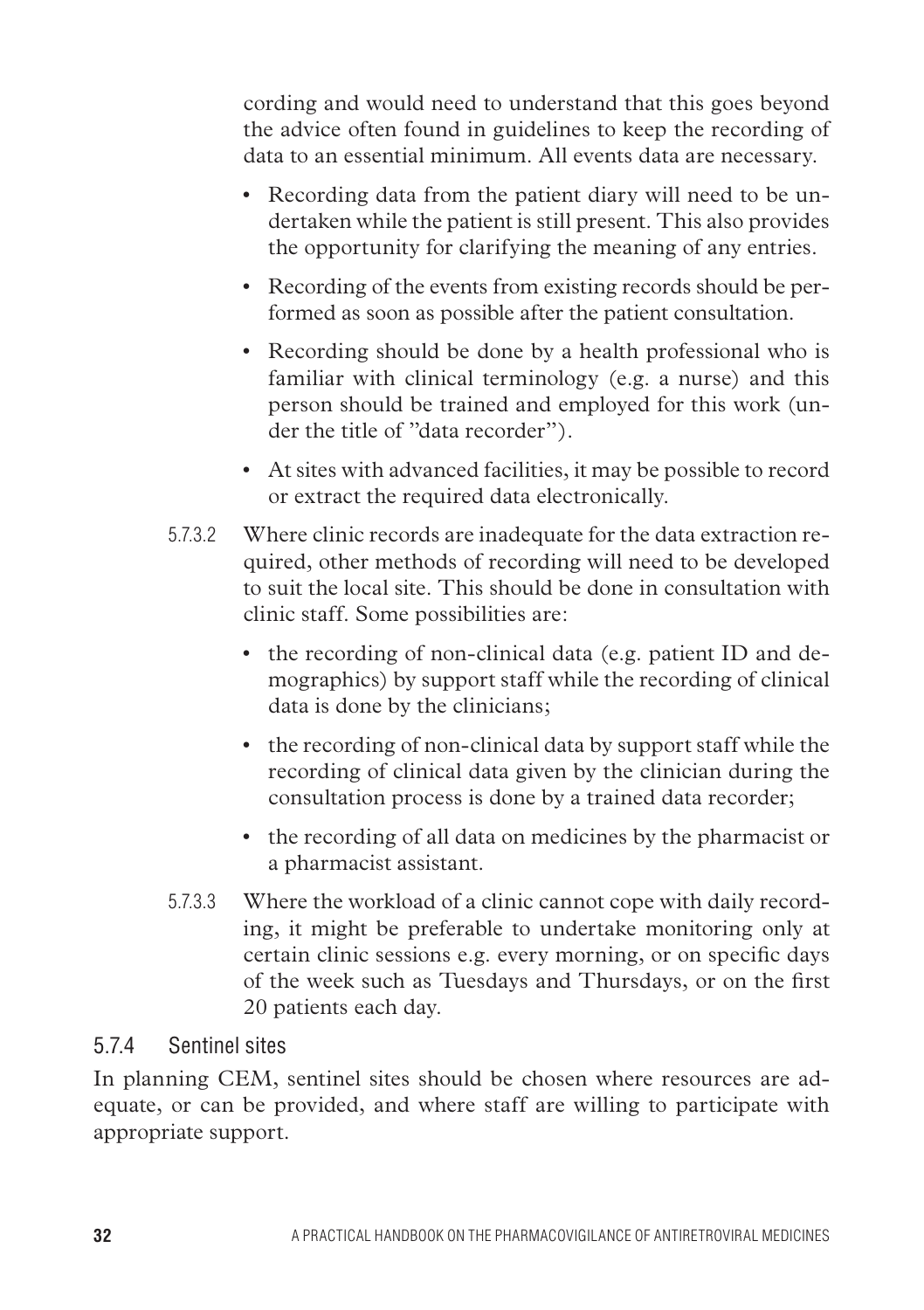cording and would need to understand that this goes beyond the advice often found in guidelines to keep the recording of data to an essential minimum. All events data are necessary.

- Recording data from the patient diary will need to be undertaken while the patient is still present. This also provides the opportunity for clarifying the meaning of any entries.
- Recording of the events from existing records should be performed as soon as possible after the patient consultation.
- Recording should be done by a health professional who is familiar with clinical terminology (e.g. a nurse) and this person should be trained and employed for this work (under the title of "data recorder").
- • At sites with advanced facilities, it may be possible to record or extract the required data electronically.
- 5.7.3.2 Where clinic records are inadequate for the data extraction required, other methods of recording will need to be developed to suit the local site. This should be done in consultation with clinic staff. Some possibilities are:
	- the recording of non-clinical data (e.g. patient ID and demographics) by support staff while the recording of clinical data is done by the clinicians;
	- • the recording of non-clinical data by support staff while the recording of clinical data given by the clinician during the consultation process is done by a trained data recorder;
	- the recording of all data on medicines by the pharmacist or a pharmacist assistant.
- 5.7.3.3 Where the workload of a clinic cannot cope with daily recording, it might be preferable to undertake monitoring only at certain clinic sessions e.g. every morning, or on specific days of the week such as Tuesdays and Thursdays, or on the first 20 patients each day.

#### 5.7.4 Sentinel sites

In planning CEM, sentinel sites should be chosen where resources are adequate, or can be provided, and where staff are willing to participate with appropriate support.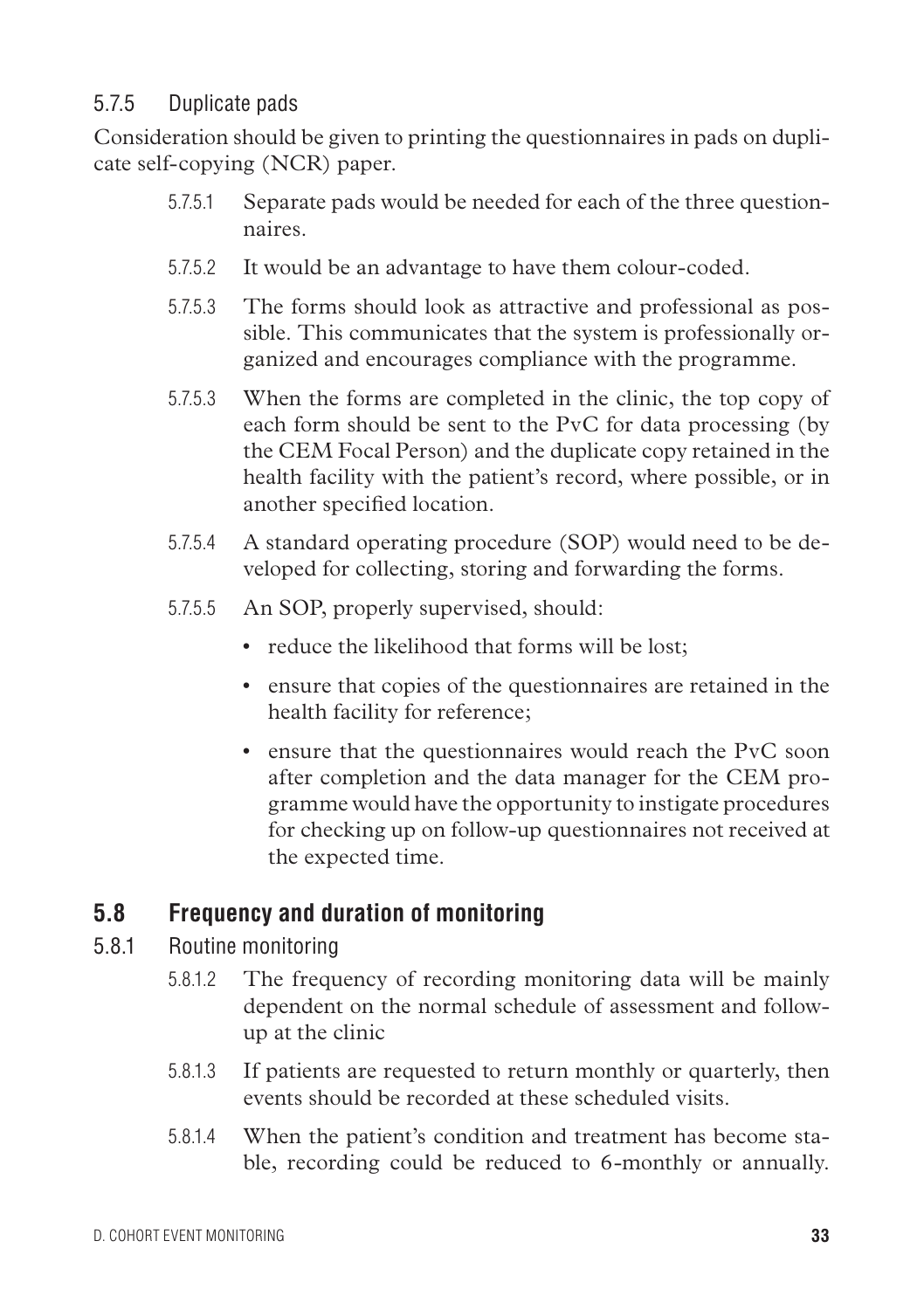#### 5.7.5 Duplicate pads

Consideration should be given to printing the questionnaires in pads on duplicate self-copying (NCR) paper.

- 5.7.5.1 Separate pads would be needed for each of the three questionnaires.
- 5.7.5.2 It would be an advantage to have them colour-coded.
- 5.7.5.3 The forms should look as attractive and professional as possible. This communicates that the system is professionally organized and encourages compliance with the programme.
- 5.7.5.3 When the forms are completed in the clinic, the top copy of each form should be sent to the PvC for data processing (by the CEM Focal Person) and the duplicate copy retained in the health facility with the patient's record, where possible, or in another specified location.
- 5.7.5.4 A standard operating procedure (SOP) would need to be developed for collecting, storing and forwarding the forms.
- 5.7.5.5 An SOP, properly supervised, should:
	- reduce the likelihood that forms will be lost:
	- ensure that copies of the questionnaires are retained in the health facility for reference;
	- ensure that the questionnaires would reach the PvC soon after completion and the data manager for the CEM programme would have the opportunity to instigate procedures for checking up on follow-up questionnaires not received at the expected time.

### **5.8 Frequency and duration of monitoring**

- 5.8.1 Routine monitoring
	- 5.8.1.2 The frequency of recording monitoring data will be mainly dependent on the normal schedule of assessment and followup at the clinic
	- 5.8.1.3 If patients are requested to return monthly or quarterly, then events should be recorded at these scheduled visits.
	- 5.8.1.4 When the patient's condition and treatment has become stable, recording could be reduced to 6-monthly or annually.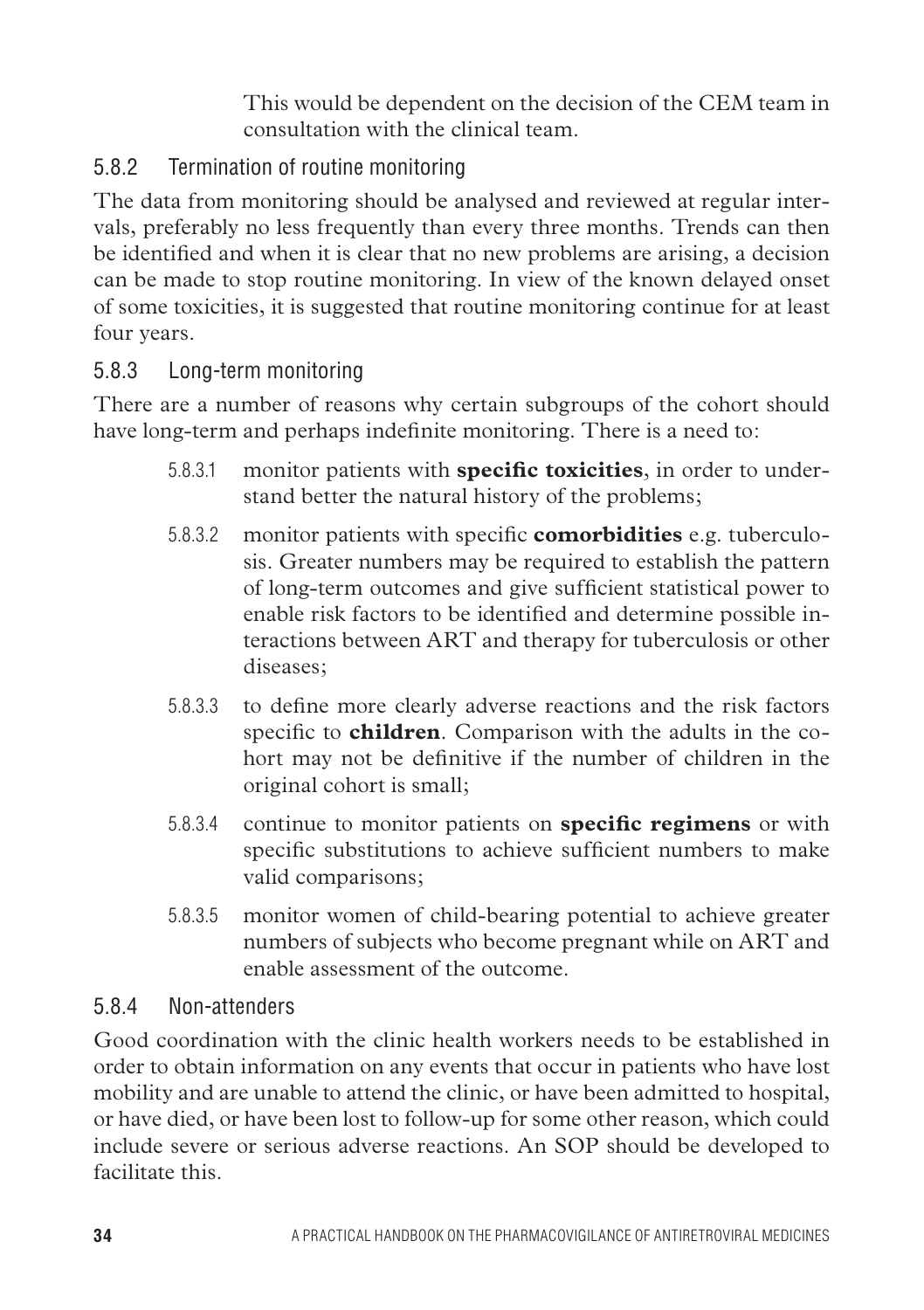This would be dependent on the decision of the CEM team in consultation with the clinical team.

### 5.8.2 Termination of routine monitoring

The data from monitoring should be analysed and reviewed at regular intervals, preferably no less frequently than every three months. Trends can then be identified and when it is clear that no new problems are arising, a decision can be made to stop routine monitoring. In view of the known delayed onset of some toxicities, it is suggested that routine monitoring continue for at least four years.

#### 5.8.3 Long-term monitoring

There are a number of reasons why certain subgroups of the cohort should have long-term and perhaps indefinite monitoring. There is a need to:

- 5.8.3.1 monitor patients with **specific toxicities**, in order to understand better the natural history of the problems;
- 5.8.3.2 monitor patients with specific **comorbidities** e.g. tuberculosis. Greater numbers may be required to establish the pattern of long-term outcomes and give sufficient statistical power to enable risk factors to be identified and determine possible interactions between ART and therapy for tuberculosis or other diseases;
- 5.8.3.3 to define more clearly adverse reactions and the risk factors specific to **children**. Comparison with the adults in the cohort may not be definitive if the number of children in the original cohort is small;
- 5.8.3.4 continue to monitor patients on **specific regimens** or with specific substitutions to achieve sufficient numbers to make valid comparisons;
- 5.8.3.5 monitor women of child-bearing potential to achieve greater numbers of subjects who become pregnant while on ART and enable assessment of the outcome.

#### 5.8.4 Non-attenders

Good coordination with the clinic health workers needs to be established in order to obtain information on any events that occur in patients who have lost mobility and are unable to attend the clinic, or have been admitted to hospital, or have died, or have been lost to follow-up for some other reason, which could include severe or serious adverse reactions. An SOP should be developed to facilitate this.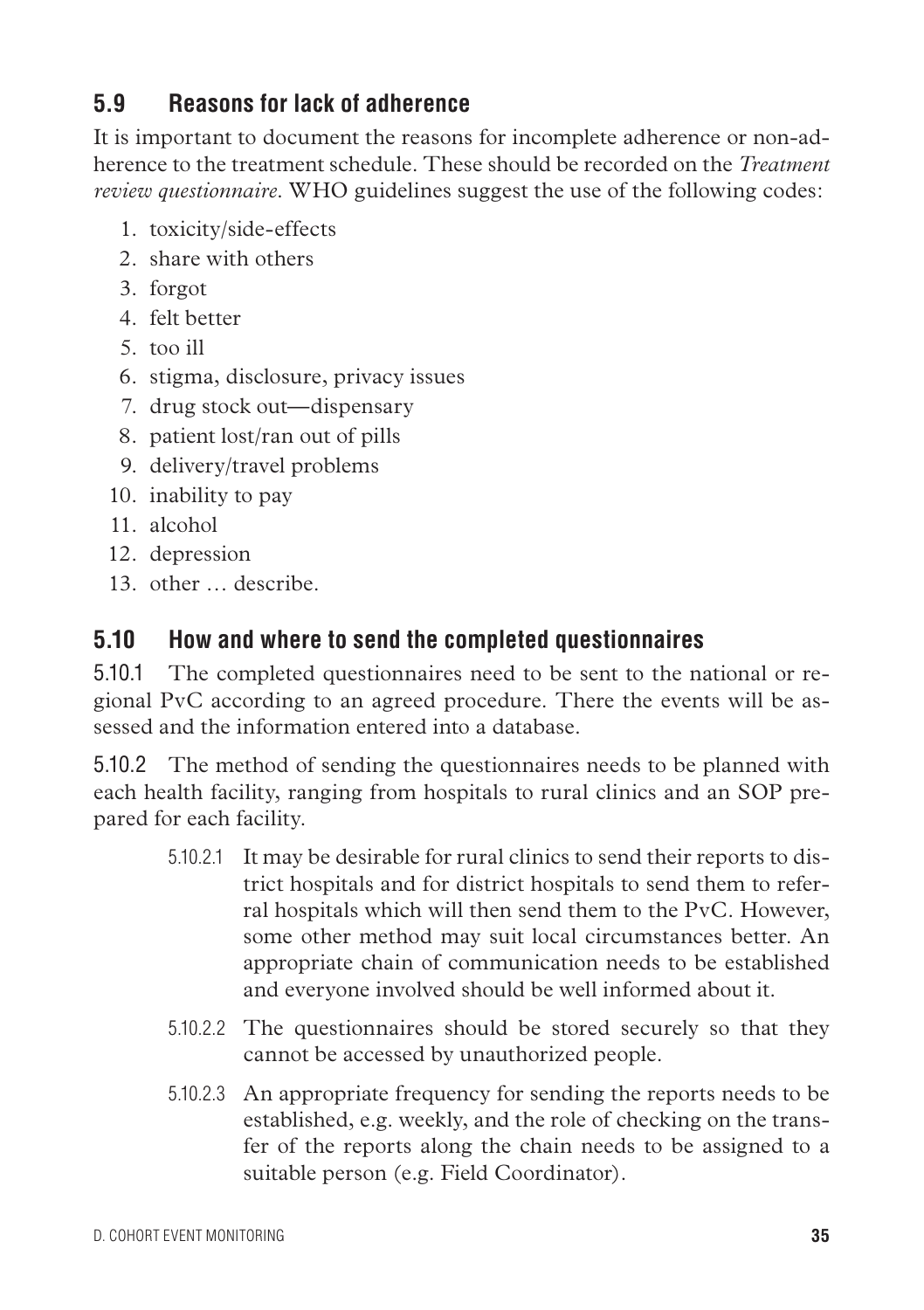### **5.9 Reasons for lack of adherence**

It is important to document the reasons for incomplete adherence or non-adherence to the treatment schedule. These should be recorded on the *Treatment review questionnaire*. WHO guidelines suggest the use of the following codes:

- 1. toxicity/side-effects
- 2. share with others
- 3. forgot
- 4. felt better
- 5. too ill
- 6. stigma, disclosure, privacy issues
- 7. drug stock out—dispensary
- 8. patient lost/ran out of pills
- 9. delivery/travel problems
- 10. inability to pay
- 11. alcohol
- 12. depression
- 13. other … describe.

### **5.10 How and where to send the completed questionnaires**

5.10.1 The completed questionnaires need to be sent to the national or regional PvC according to an agreed procedure. There the events will be assessed and the information entered into a database.

5.10.2 The method of sending the questionnaires needs to be planned with each health facility, ranging from hospitals to rural clinics and an SOP prepared for each facility.

- 5.10.2.1 It may be desirable for rural clinics to send their reports to district hospitals and for district hospitals to send them to referral hospitals which will then send them to the PvC. However, some other method may suit local circumstances better. An appropriate chain of communication needs to be established and everyone involved should be well informed about it.
- 5.10.2.2 The questionnaires should be stored securely so that they cannot be accessed by unauthorized people.
- 5.10.2.3 An appropriate frequency for sending the reports needs to be established, e.g. weekly, and the role of checking on the transfer of the reports along the chain needs to be assigned to a suitable person (e.g. Field Coordinator).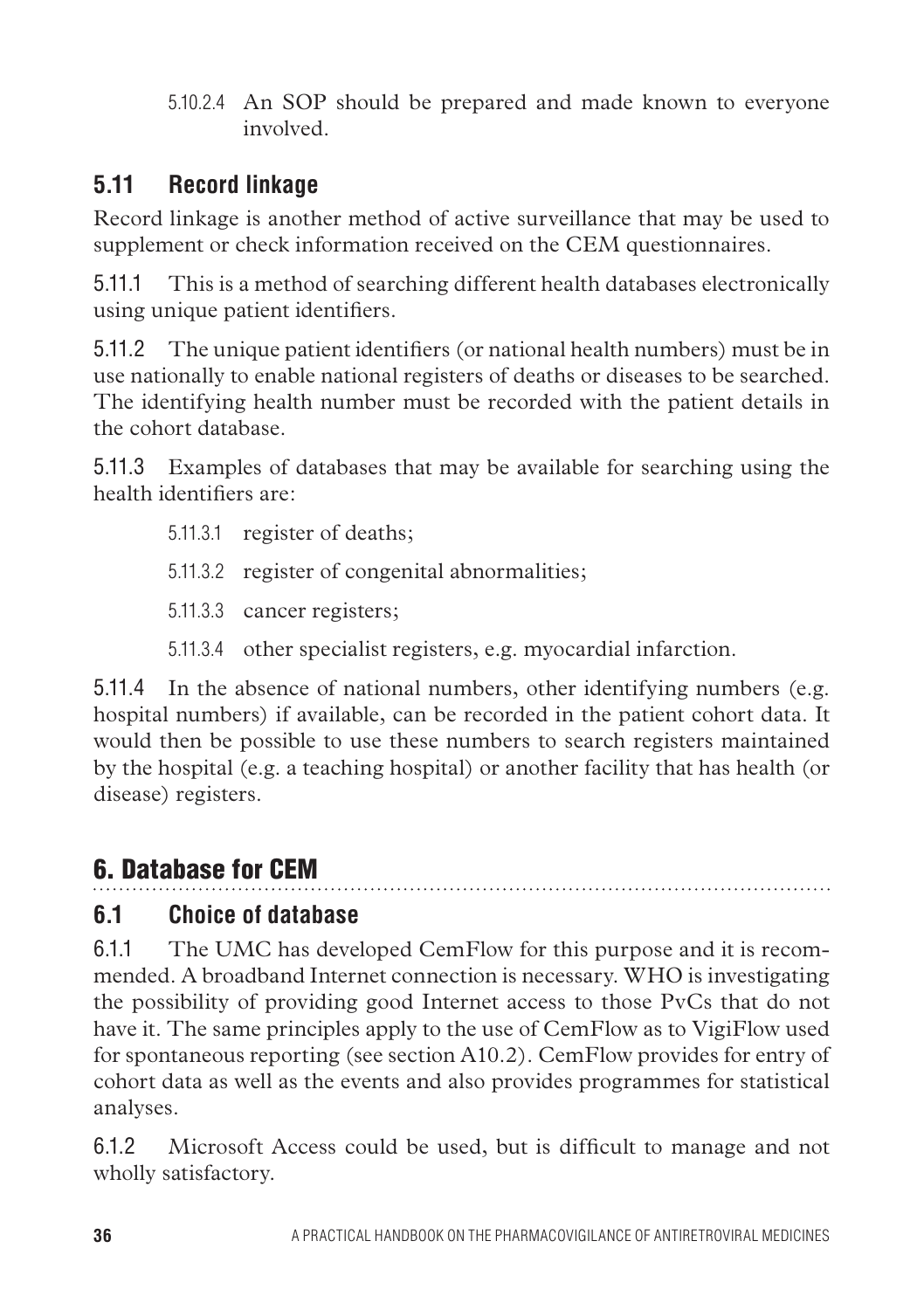5.10.2.4 An SOP should be prepared and made known to everyone involved.

# **5.11 Record linkage**

Record linkage is another method of active surveillance that may be used to supplement or check information received on the CEM questionnaires.

5.11.1 This is a method of searching different health databases electronically using unique patient identifiers.

5.11.2 The unique patient identifiers (or national health numbers) must be in use nationally to enable national registers of deaths or diseases to be searched. The identifying health number must be recorded with the patient details in the cohort database.

5.11.3 Examples of databases that may be available for searching using the health identifiers are:

- 5.11.3.1 register of deaths;
- 5.11.3.2 register of congenital abnormalities;
- 5.11.3.3 cancer registers;
- 5.11.3.4 other specialist registers, e.g. myocardial infarction.

5.11.4 In the absence of national numbers, other identifying numbers (e.g. hospital numbers) if available, can be recorded in the patient cohort data. It would then be possible to use these numbers to search registers maintained by the hospital (e.g. a teaching hospital) or another facility that has health (or disease) registers.

# 6. Database for CEM

### **6.1 Choice of database**

6.1.1 The UMC has developed CemFlow for this purpose and it is recommended. A broadband Internet connection is necessary. WHO is investigating the possibility of providing good Internet access to those PvCs that do not have it. The same principles apply to the use of CemFlow as to VigiFlow used for spontaneous reporting (see section A10.2). CemFlow provides for entry of cohort data as well as the events and also provides programmes for statistical analyses.

6.1.2 Microsoft Access could be used, but is difficult to manage and not wholly satisfactory.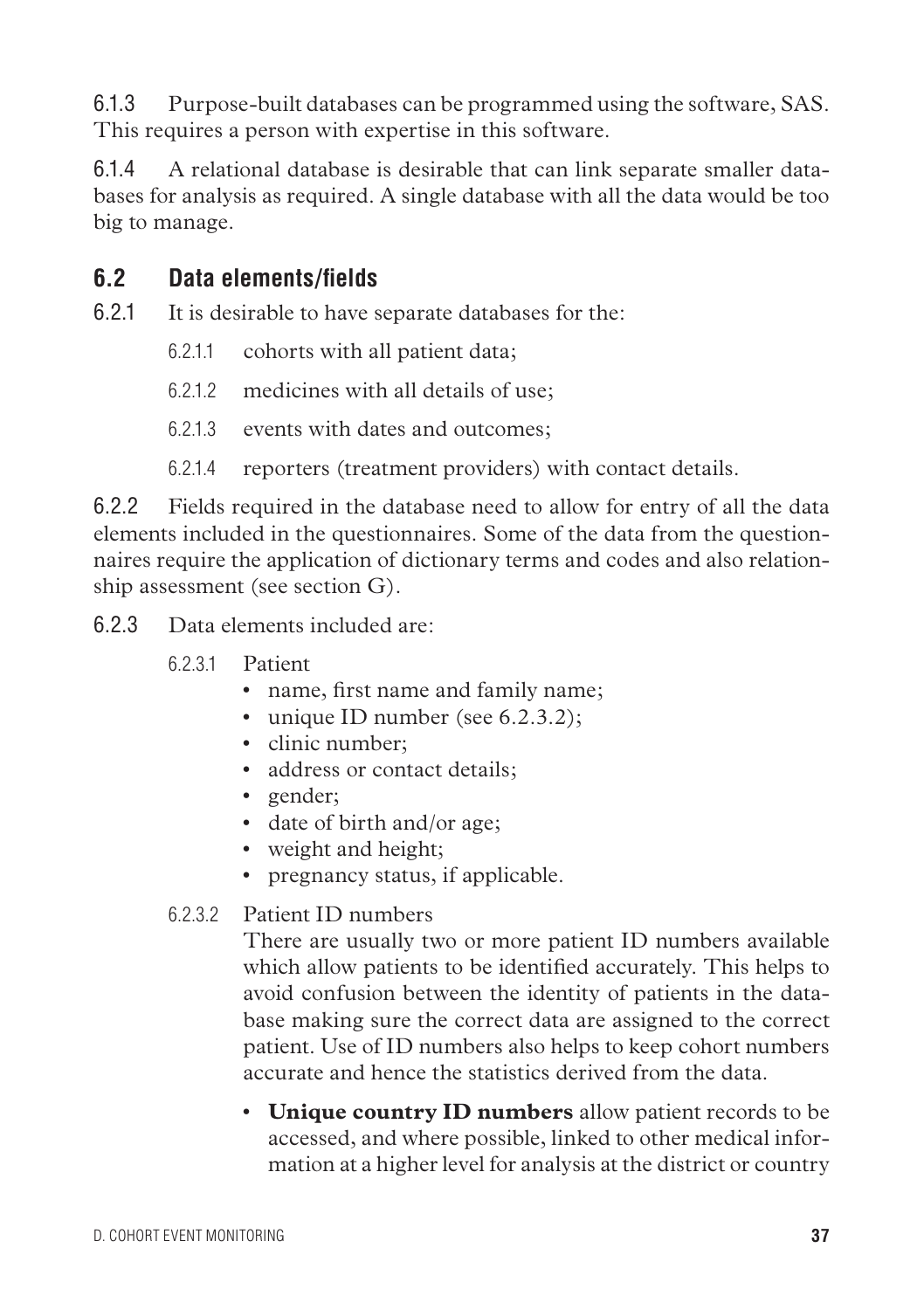6.1.3 Purpose-built databases can be programmed using the software, SAS. This requires a person with expertise in this software.

6.1.4 A relational database is desirable that can link separate smaller databases for analysis as required. A single database with all the data would be too big to manage.

### **6.2 Data elements/fields**

6.2.1 It is desirable to have separate databases for the:

- 6.2.1.1 cohorts with all patient data;
- 6.2.1.2 medicines with all details of use;
- 6.2.1.3 events with dates and outcomes;
- 6.2.1.4 reporters (treatment providers) with contact details.

6.2.2 Fields required in the database need to allow for entry of all the data elements included in the questionnaires. Some of the data from the questionnaires require the application of dictionary terms and codes and also relationship assessment (see section G).

6.2.3 Data elements included are:

- 6.2.3.1 Patient
	- name, first name and family name;
	- unique ID number (see 6.2.3.2);
	- clinic number:
	- address or contact details;
	- gender;
	- date of birth and/or age;
	- weight and height;
	- pregnancy status, if applicable.
- 6.2.3.2 Patient ID numbers

There are usually two or more patient ID numbers available which allow patients to be identified accurately. This helps to avoid confusion between the identity of patients in the database making sure the correct data are assigned to the correct patient. Use of ID numbers also helps to keep cohort numbers accurate and hence the statistics derived from the data.

• **Unique country ID numbers** allow patient records to be accessed, and where possible, linked to other medical information at a higher level for analysis at the district or country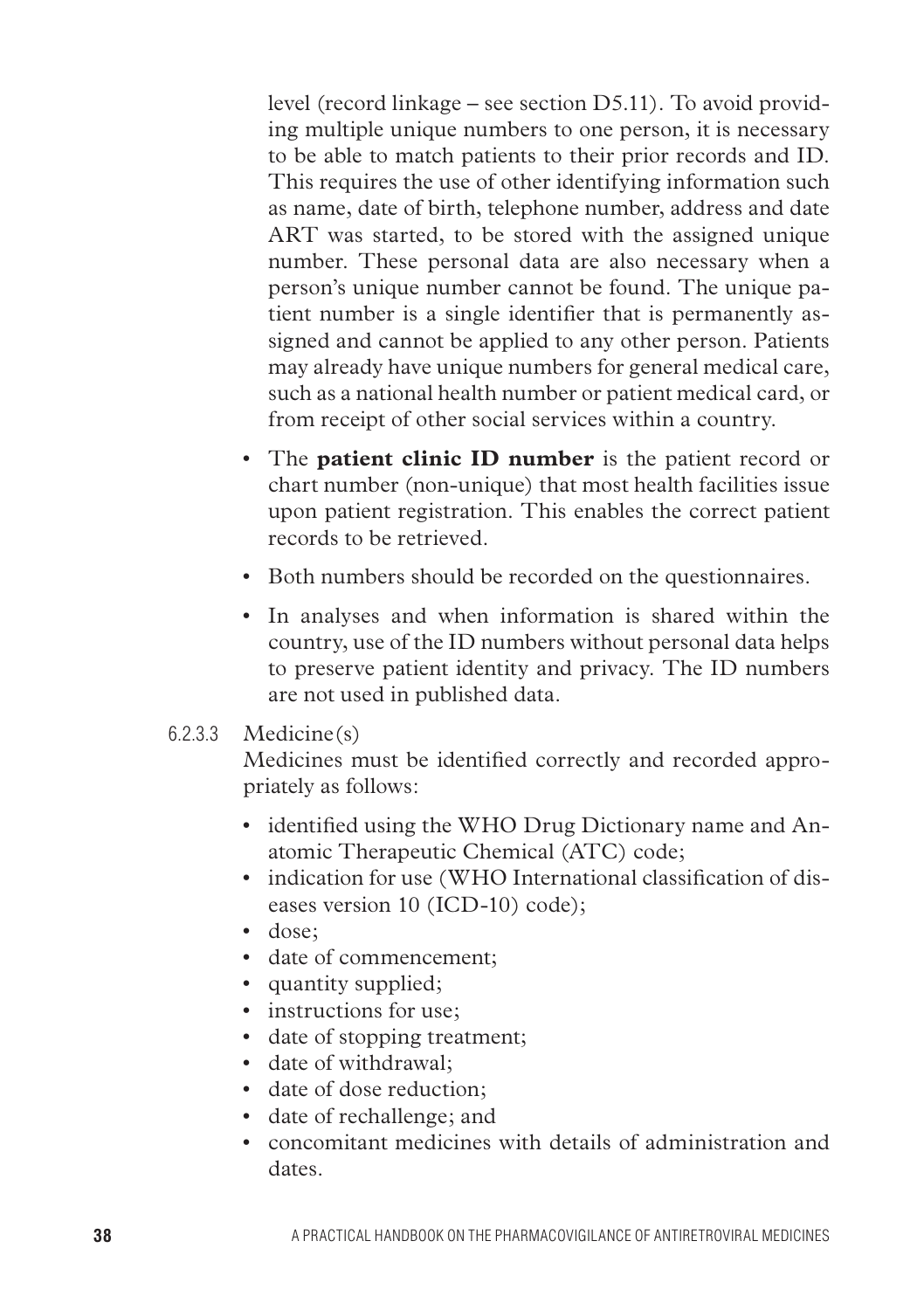level (record linkage – see section D5.11). To avoid providing multiple unique numbers to one person, it is necessary to be able to match patients to their prior records and ID. This requires the use of other identifying information such as name, date of birth, telephone number, address and date ART was started, to be stored with the assigned unique number. These personal data are also necessary when a person's unique number cannot be found. The unique patient number is a single identifier that is permanently assigned and cannot be applied to any other person. Patients may already have unique numbers for general medical care, such as a national health number or patient medical card, or from receipt of other social services within a country.

- The **patient clinic ID number** is the patient record or chart number (non-unique) that most health facilities issue upon patient registration. This enables the correct patient records to be retrieved.
- Both numbers should be recorded on the questionnaires.
- In analyses and when information is shared within the country, use of the ID numbers without personal data helps to preserve patient identity and privacy. The ID numbers are not used in published data.

#### 6.2.3.3 Medicine(s)

Medicines must be identified correctly and recorded appropriately as follows:

- identified using the WHO Drug Dictionary name and Anatomic Therapeutic Chemical (ATC) code;
- indication for use (WHO International classification of diseases version 10 (ICD-10) code);
- dose;
- date of commencement;
- quantity supplied;
- instructions for use;
- date of stopping treatment;
- date of withdrawal;
- date of dose reduction;
- • date of rechallenge; and
- • concomitant medicines with details of administration and dates.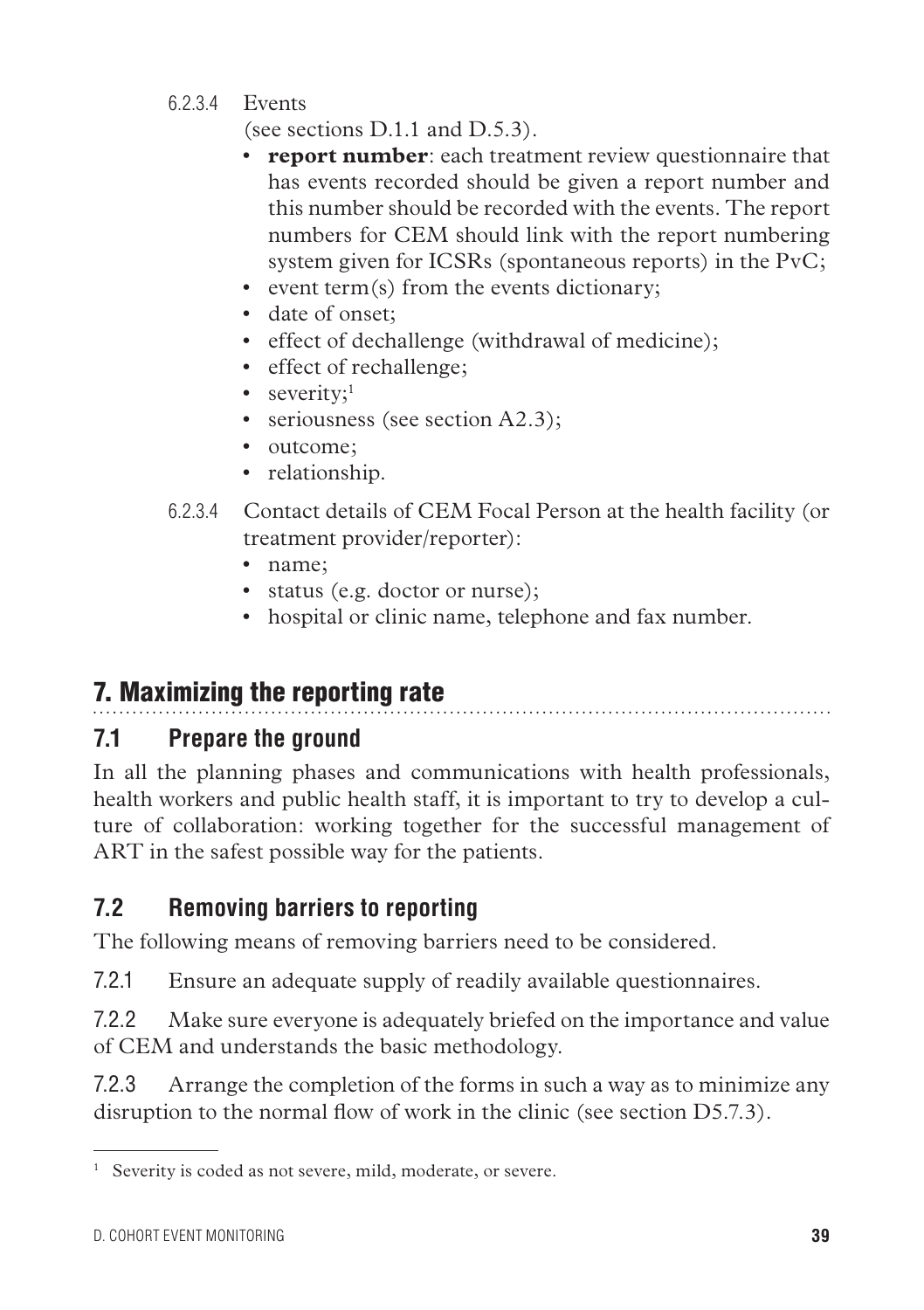6.2.3.4 Events

(see sections D.1.1 and D.5.3).

- **report number**: each treatment review questionnaire that has events recorded should be given a report number and this number should be recorded with the events. The report numbers for CEM should link with the report numbering system given for ICSRs (spontaneous reports) in the PvC;
- event term(s) from the events dictionary;
- date of onset:
- effect of dechallenge (withdrawal of medicine);
- effect of rechallenge;
- severity; $1$
- seriousness (see section A2.3);
- outcome:
- relationship.
- 6.2.3.4 Contact details of CEM Focal Person at the health facility (or treatment provider/reporter):
	- name:
	- status (e.g. doctor or nurse);
	- hospital or clinic name, telephone and fax number.

# 7. Maximizing the reporting rate

# **7.1 Prepare the ground**

In all the planning phases and communications with health professionals, health workers and public health staff, it is important to try to develop a culture of collaboration: working together for the successful management of ART in the safest possible way for the patients.

# **7.2 Removing barriers to reporting**

The following means of removing barriers need to be considered.

7.2.1 Ensure an adequate supply of readily available questionnaires.

7.2.2 Make sure everyone is adequately briefed on the importance and value of CEM and understands the basic methodology.

7.2.3 Arrange the completion of the forms in such a way as to minimize any disruption to the normal flow of work in the clinic (see section D5.7.3).

<sup>&</sup>lt;sup>1</sup> Severity is coded as not severe, mild, moderate, or severe.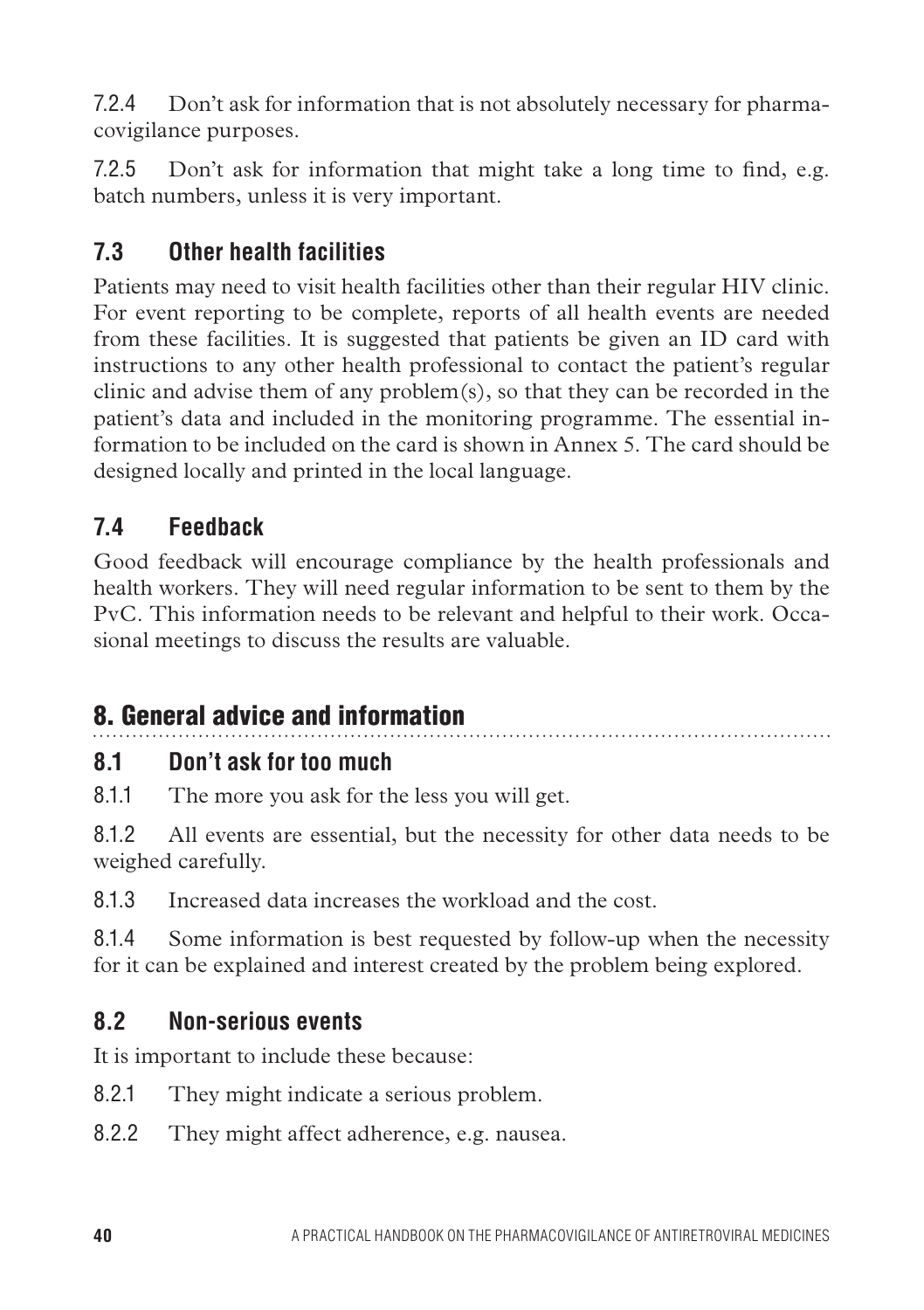7.2.4 Don't ask for information that is not absolutely necessary for pharmacovigilance purposes.

7.2.5 Don't ask for information that might take a long time to find, e.g. batch numbers, unless it is very important.

# **7.3 Other health facilities**

Patients may need to visit health facilities other than their regular HIV clinic. For event reporting to be complete, reports of all health events are needed from these facilities. It is suggested that patients be given an ID card with instructions to any other health professional to contact the patient's regular clinic and advise them of any problem(s), so that they can be recorded in the patient's data and included in the monitoring programme. The essential information to be included on the card is shown in Annex 5. The card should be designed locally and printed in the local language.

# **7.4 Feedback**

Good feedback will encourage compliance by the health professionals and health workers. They will need regular information to be sent to them by the PvC. This information needs to be relevant and helpful to their work. Occasional meetings to discuss the results are valuable.

# 8. General advice and information

### **8.1 Don't ask for too much**

8.1.1 The more you ask for the less you will get.

8.1.2 All events are essential, but the necessity for other data needs to be weighed carefully.

8.1.3 Increased data increases the workload and the cost.

8.1.4 Some information is best requested by follow-up when the necessity for it can be explained and interest created by the problem being explored.

### **8.2 Non-serious events**

It is important to include these because:

- 8.2.1 They might indicate a serious problem.
- 8.2.2 They might affect adherence, e.g. nausea.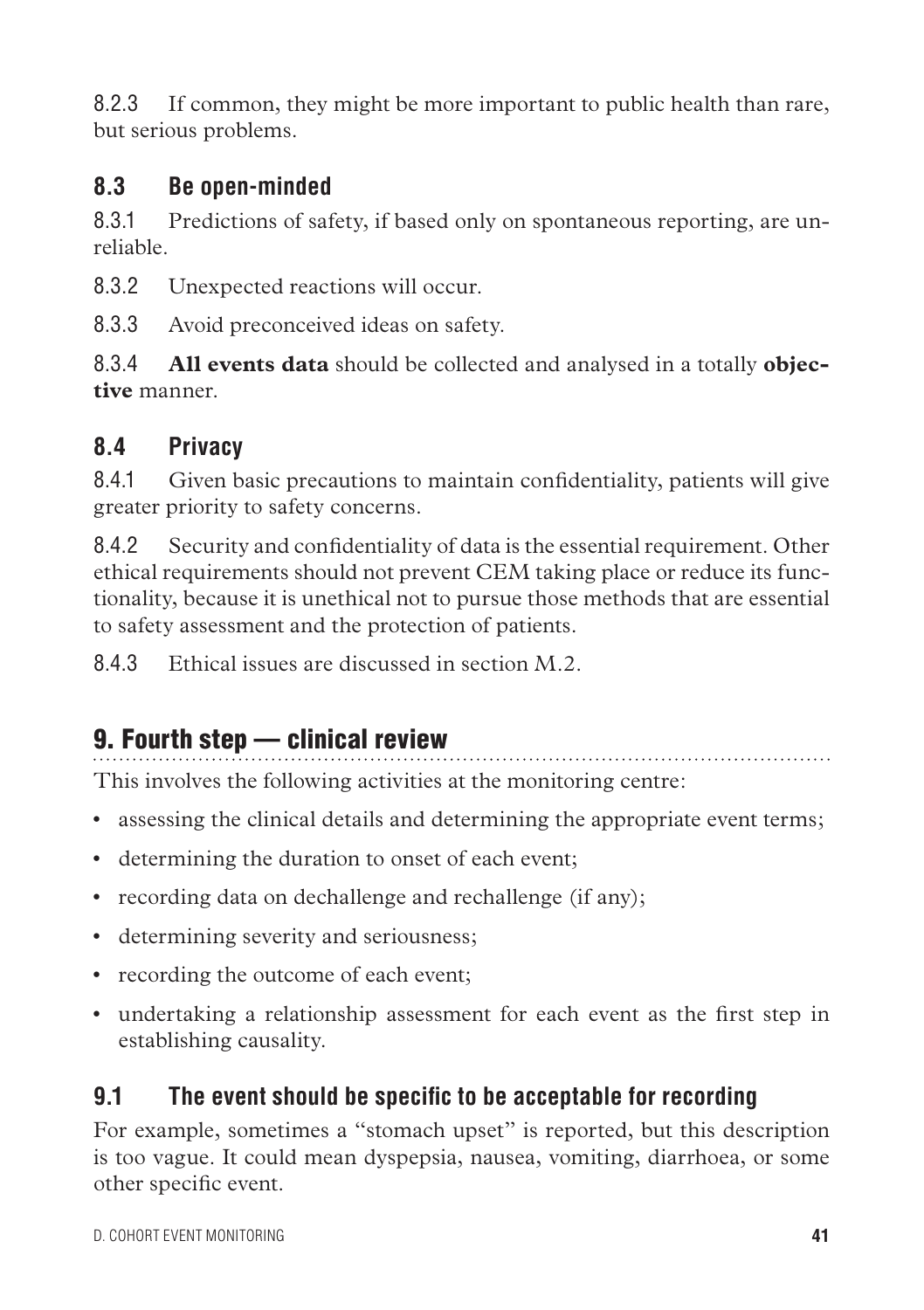8.2.3 If common, they might be more important to public health than rare, but serious problems.

#### **8.3 Be open-minded**

8.3.1 Predictions of safety, if based only on spontaneous reporting, are unreliable.

8.3.2 Unexpected reactions will occur.

8.3.3 Avoid preconceived ideas on safety.

8.3.4 **All events data** should be collected and analysed in a totally **objective** manner.

# **8.4 Privacy**

8.4.1 Given basic precautions to maintain confidentiality, patients will give greater priority to safety concerns.

8.4.2 Security and confidentiality of data is the essential requirement. Other ethical requirements should not prevent CEM taking place or reduce its functionality, because it is unethical not to pursue those methods that are essential to safety assessment and the protection of patients.

8.4.3 Ethical issues are discussed in section M.2.

# 9. Fourth step — clinical review

This involves the following activities at the monitoring centre:

- assessing the clinical details and determining the appropriate event terms;
- determining the duration to onset of each event;
- recording data on dechallenge and rechallenge (if any);
- determining severity and seriousness;
- recording the outcome of each event;
- • undertaking a relationship assessment for each event as the first step in establishing causality.

### **9.1 The event should be specific to be acceptable for recording**

For example, sometimes a "stomach upset" is reported, but this description is too vague. It could mean dyspepsia, nausea, vomiting, diarrhoea, or some other specific event.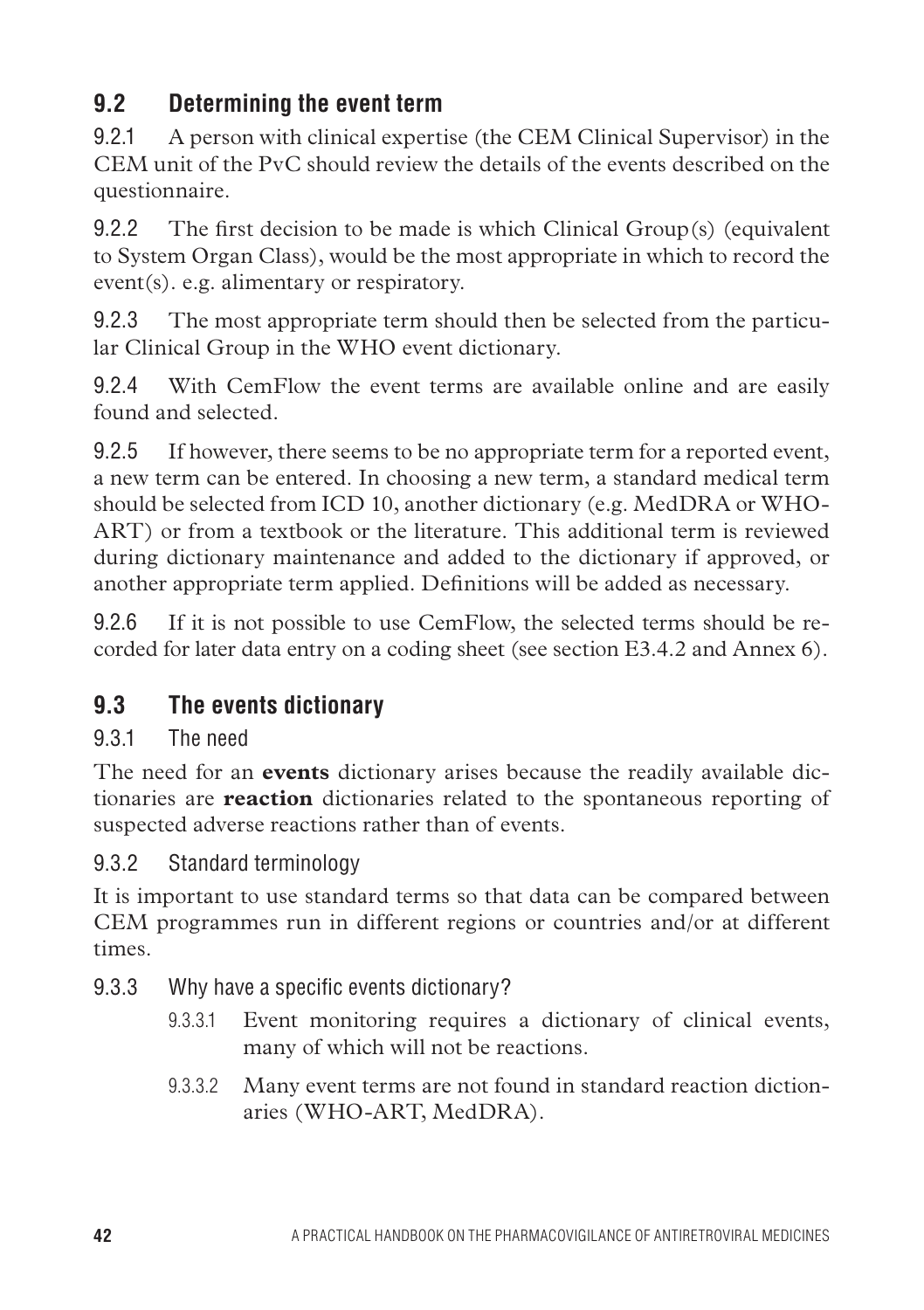# **9.2 Determining the event term**

9.2.1 A person with clinical expertise (the CEM Clinical Supervisor) in the CEM unit of the PvC should review the details of the events described on the questionnaire.

9.2.2 The first decision to be made is which Clinical Group(s) (equivalent to System Organ Class), would be the most appropriate in which to record the event(s). e.g. alimentary or respiratory.

9.2.3 The most appropriate term should then be selected from the particular Clinical Group in the WHO event dictionary.

9.2.4 With CemFlow the event terms are available online and are easily found and selected.

9.2.5 If however, there seems to be no appropriate term for a reported event, a new term can be entered. In choosing a new term, a standard medical term should be selected from ICD 10, another dictionary (e.g. MedDRA or WHO-ART) or from a textbook or the literature. This additional term is reviewed during dictionary maintenance and added to the dictionary if approved, or another appropriate term applied. Definitions will be added as necessary.

9.2.6 If it is not possible to use CemFlow, the selected terms should be recorded for later data entry on a coding sheet (see section E3.4.2 and Annex 6).

# **9.3 The events dictionary**

### 9.3.1 The need

The need for an **events** dictionary arises because the readily available dictionaries are **reaction** dictionaries related to the spontaneous reporting of suspected adverse reactions rather than of events.

### 9.3.2 Standard terminology

It is important to use standard terms so that data can be compared between CEM programmes run in different regions or countries and/or at different times.

- 9.3.3 Why have a specific events dictionary?
	- 9.3.3.1 Event monitoring requires a dictionary of clinical events, many of which will not be reactions.
	- 9.3.3.2 Many event terms are not found in standard reaction dictionaries (WHO-ART, MedDRA).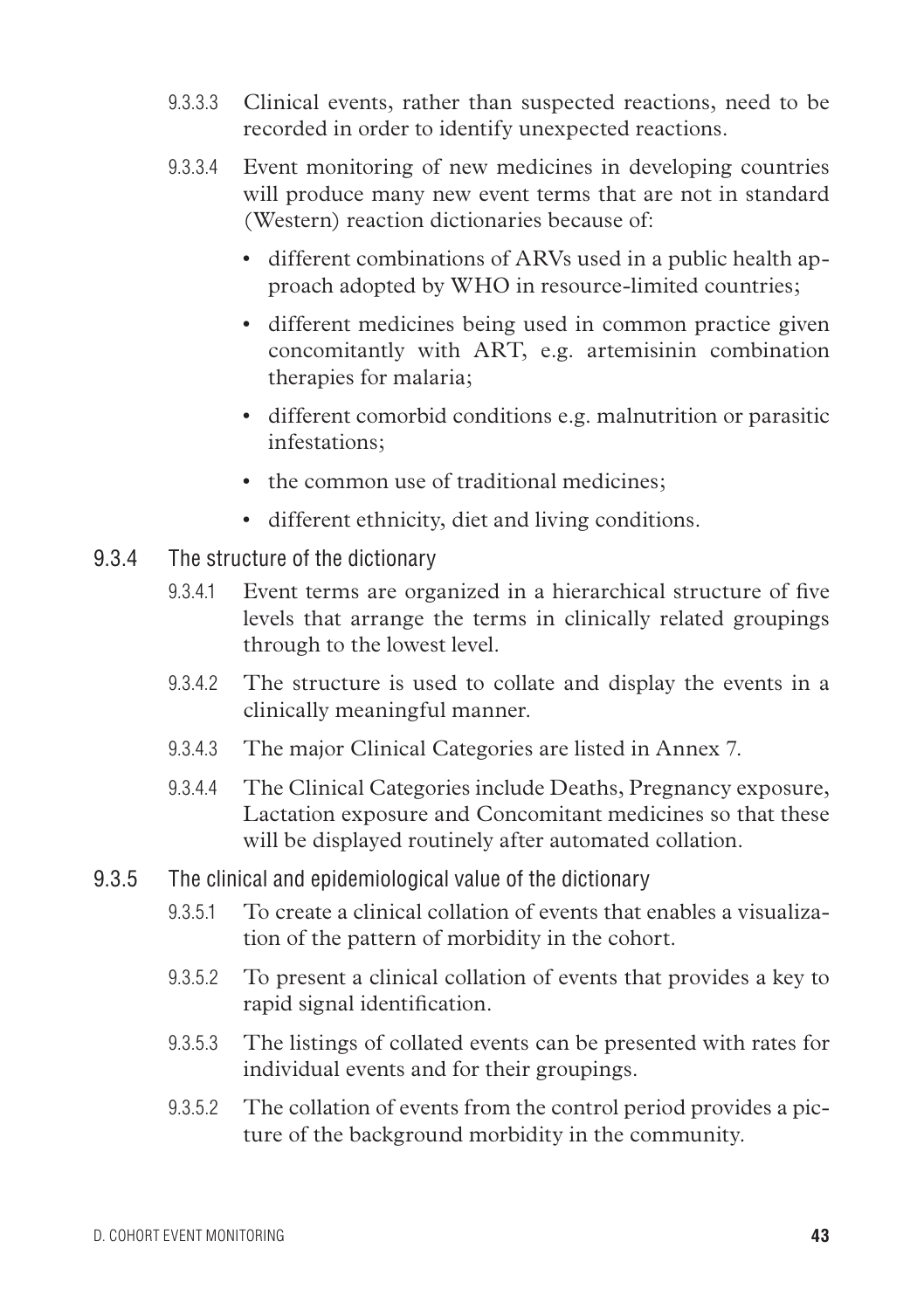- 9.3.3.3 Clinical events, rather than suspected reactions, need to be recorded in order to identify unexpected reactions.
- 9.3.3.4 Event monitoring of new medicines in developing countries will produce many new event terms that are not in standard (Western) reaction dictionaries because of:
	- different combinations of ARVs used in a public health approach adopted by WHO in resource-limited countries;
	- different medicines being used in common practice given concomitantly with ART, e.g. artemisinin combination therapies for malaria;
	- • different comorbid conditions e.g. malnutrition or parasitic infestations;
	- the common use of traditional medicines;
	- • different ethnicity, diet and living conditions.
- 9.3.4 The structure of the dictionary
	- 9.3.4.1 Event terms are organized in a hierarchical structure of five levels that arrange the terms in clinically related groupings through to the lowest level.
	- 9.3.4.2 The structure is used to collate and display the events in a clinically meaningful manner.
	- 9.3.4.3 The major Clinical Categories are listed in Annex 7.
	- 9.3.4.4 The Clinical Categories include Deaths, Pregnancy exposure, Lactation exposure and Concomitant medicines so that these will be displayed routinely after automated collation.
- 9.3.5 The clinical and epidemiological value of the dictionary
	- 9.3.5.1 To create a clinical collation of events that enables a visualization of the pattern of morbidity in the cohort.
	- 9.3.5.2 To present a clinical collation of events that provides a key to rapid signal identification.
	- 9.3.5.3 The listings of collated events can be presented with rates for individual events and for their groupings.
	- 9.3.5.2 The collation of events from the control period provides a picture of the background morbidity in the community.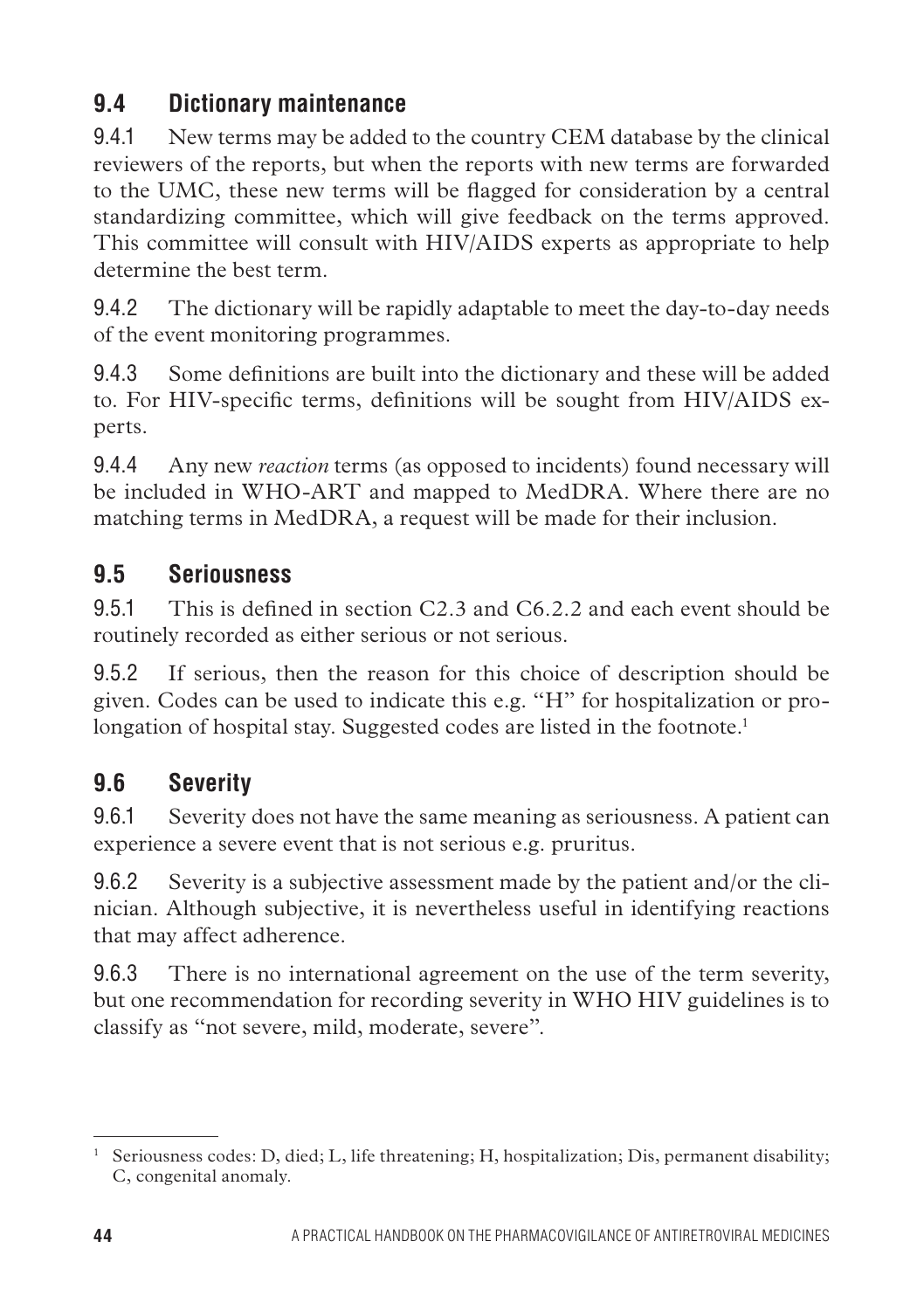# **9.4 Dictionary maintenance**

9.4.1 New terms may be added to the country CEM database by the clinical reviewers of the reports, but when the reports with new terms are forwarded to the UMC, these new terms will be flagged for consideration by a central standardizing committee, which will give feedback on the terms approved. This committee will consult with HIV/AIDS experts as appropriate to help determine the best term.

9.4.2 The dictionary will be rapidly adaptable to meet the day-to-day needs of the event monitoring programmes.

9.4.3 Some definitions are built into the dictionary and these will be added to. For HIV-specific terms, definitions will be sought from HIV/AIDS experts.

9.4.4 Any new *reaction* terms (as opposed to incidents) found necessary will be included in WHO-ART and mapped to MedDRA. Where there are no matching terms in MedDRA, a request will be made for their inclusion.

# **9.5 Seriousness**

9.5.1 This is defined in section C2.3 and C6.2.2 and each event should be routinely recorded as either serious or not serious.

9.5.2 If serious, then the reason for this choice of description should be given. Codes can be used to indicate this e.g. "H" for hospitalization or prolongation of hospital stay. Suggested codes are listed in the footnote.<sup>1</sup>

# **9.6 Severity**

9.6.1 Severity does not have the same meaning as seriousness. A patient can experience a severe event that is not serious e.g. pruritus.

9.6.2 Severity is a subjective assessment made by the patient and/or the clinician. Although subjective, it is nevertheless useful in identifying reactions that may affect adherence.

9.6.3 There is no international agreement on the use of the term severity, but one recommendation for recording severity in WHO HIV guidelines is to classify as "not severe, mild, moderate, severe".

<sup>&</sup>lt;sup>1</sup> Seriousness codes: D, died; L, life threatening; H, hospitalization; Dis, permanent disability; C, congenital anomaly.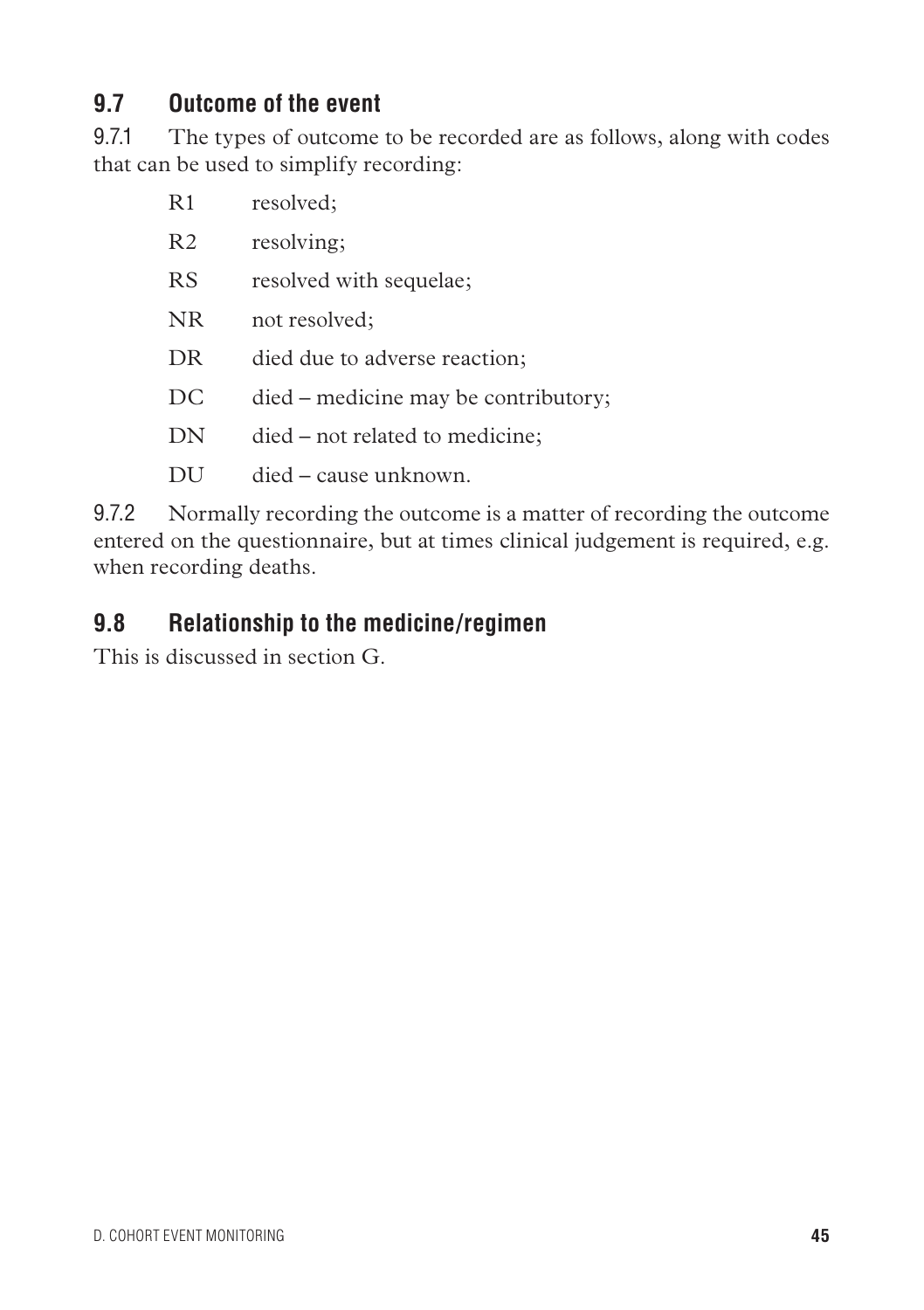### **9.7 Outcome of the event**

9.7.1 The types of outcome to be recorded are as follows, along with codes that can be used to simplify recording:

| R1             | resolved;                            |
|----------------|--------------------------------------|
| R <sub>2</sub> | resolving;                           |
| <b>RS</b>      | resolved with sequelae;              |
| <b>NR</b>      | not resolved;                        |
| DR             | died due to adverse reaction;        |
| DC             | died – medicine may be contributory; |
| DN             | died – not related to medicine;      |
| DU             | died – cause unknown.                |

9.7.2 Normally recording the outcome is a matter of recording the outcome entered on the questionnaire, but at times clinical judgement is required, e.g. when recording deaths.

### **9.8 Relationship to the medicine/regimen**

This is discussed in section G.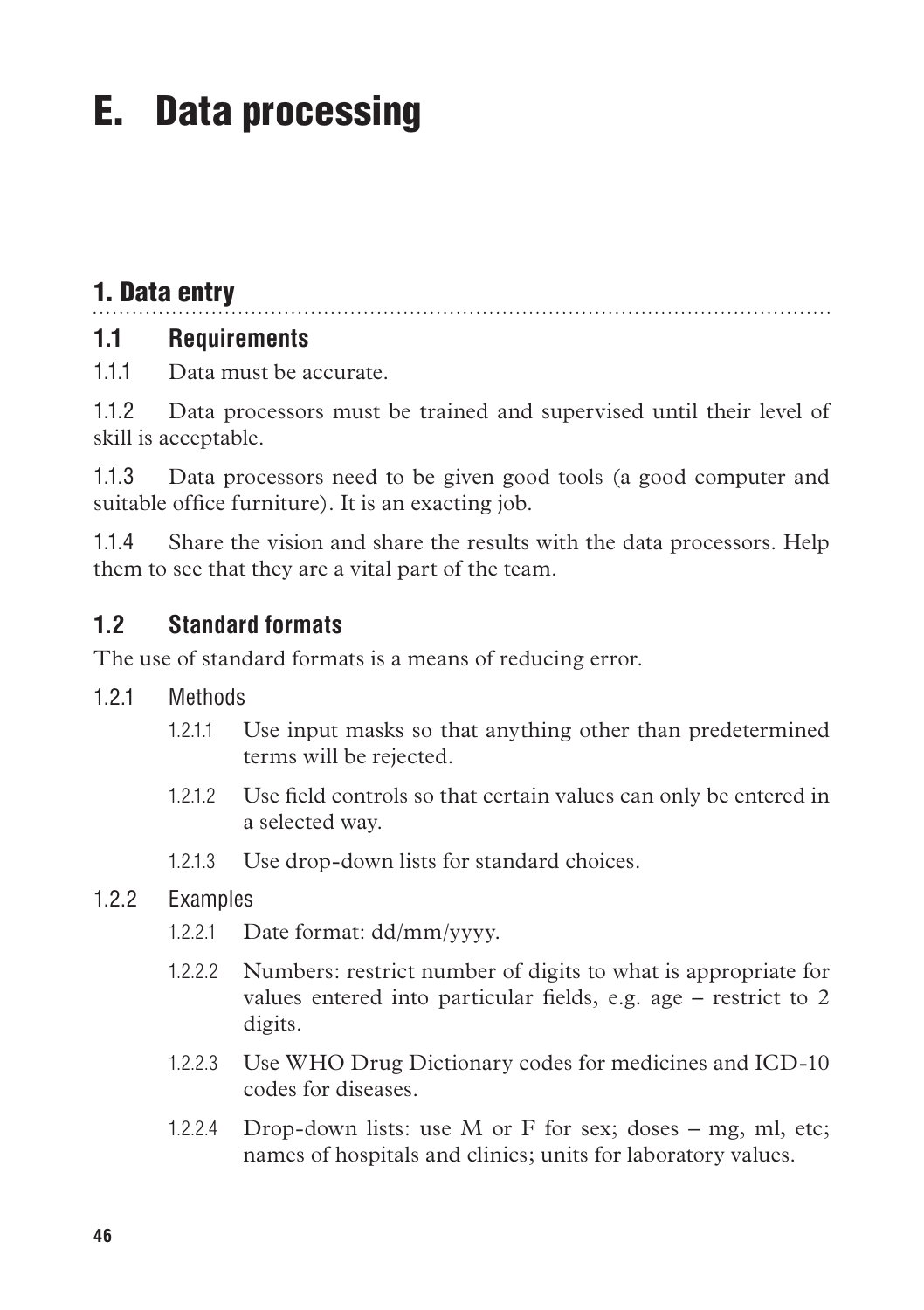# E. Data processing

# 1. Data entry

### **1.1 Requirements**

1.1.1 Data must be accurate.

1.1.2 Data processors must be trained and supervised until their level of skill is acceptable.

1.1.3 Data processors need to be given good tools (a good computer and suitable office furniture). It is an exacting job.

1.1.4 Share the vision and share the results with the data processors. Help them to see that they are a vital part of the team.

#### **1.2 Standard formats**

The use of standard formats is a means of reducing error.

- 1.2.1 Methods
	- 1.2.1.1 Use input masks so that anything other than predetermined terms will be rejected.
	- 1.2.1.2 Use field controls so that certain values can only be entered in a selected way.
	- 1.2.1.3 Use drop-down lists for standard choices.

#### 1.2.2 Examples

- 1.2.2.1 Date format: dd/mm/yyyy.
- 1.2.2.2 Numbers: restrict number of digits to what is appropriate for values entered into particular fields, e.g. age – restrict to 2 digits.
- 1.2.2.3 Use WHO Drug Dictionary codes for medicines and ICD-10 codes for diseases.
- 1.2.2.4 Drop-down lists: use M or F for sex; doses  $-$  mg, ml, etc; names of hospitals and clinics; units for laboratory values.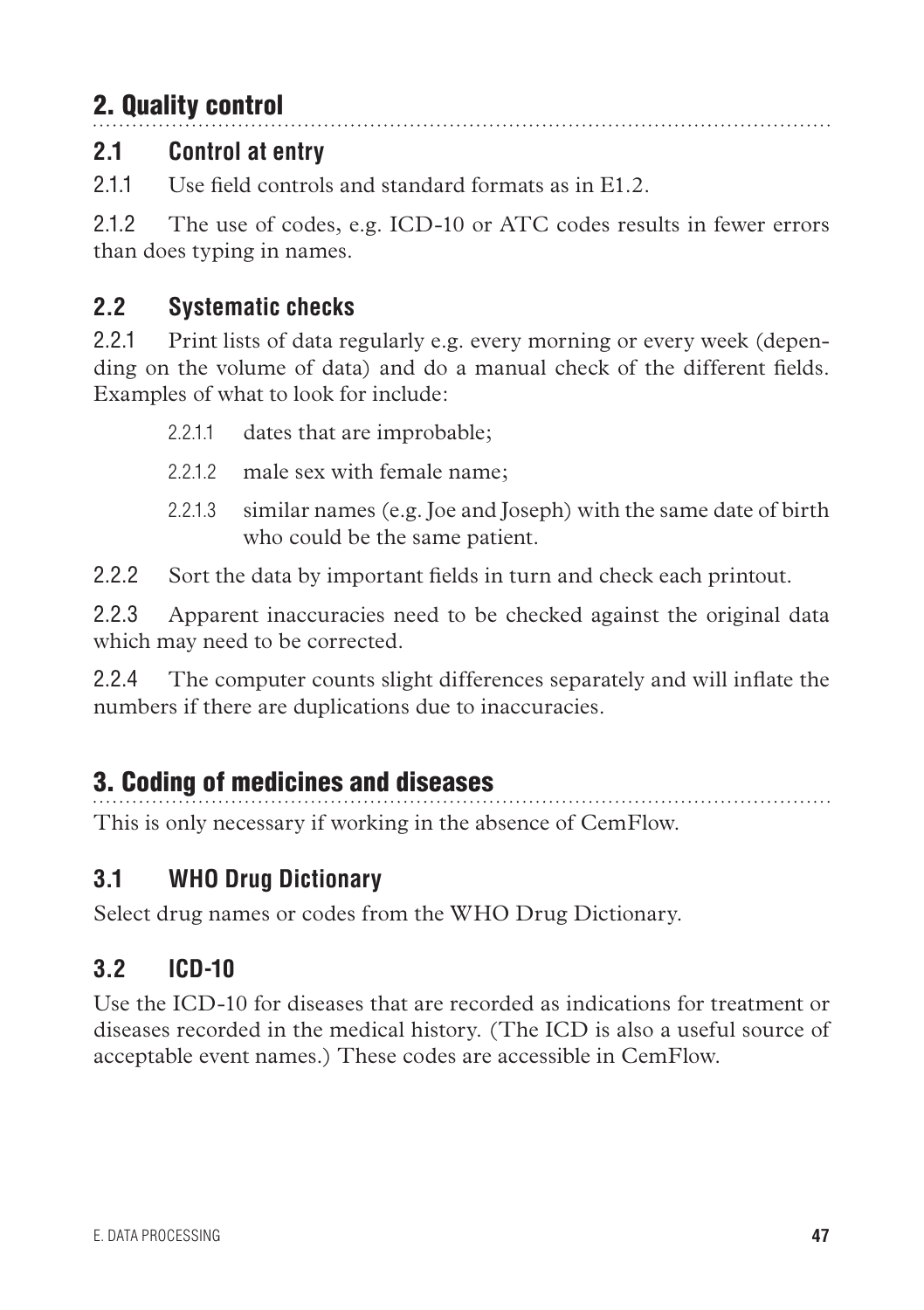# 2. Quality control

# **2.1 Control at entry**

2.1.1 Use field controls and standard formats as in E1.2.

2.1.2 The use of codes, e.g. ICD-10 or ATC codes results in fewer errors than does typing in names.

# **2.2 Systematic checks**

2.2.1 Print lists of data regularly e.g. every morning or every week (depending on the volume of data) and do a manual check of the different fields. Examples of what to look for include:

- 2.2.1.1 dates that are improbable;
- 2.2.1.2 male sex with female name;
- 2.2.1.3 similar names (e.g. Joe and Joseph) with the same date of birth who could be the same patient.

2.2.2 Sort the data by important fields in turn and check each printout.

2.2.3 Apparent inaccuracies need to be checked against the original data which may need to be corrected.

2.2.4 The computer counts slight differences separately and will inflate the numbers if there are duplications due to inaccuracies.

# 3. Coding of medicines and diseases

This is only necessary if working in the absence of CemFlow.

# **3.1 WHO Drug Dictionary**

Select drug names or codes from the WHO Drug Dictionary.

# **3.2 ICD-10**

Use the ICD-10 for diseases that are recorded as indications for treatment or diseases recorded in the medical history. (The ICD is also a useful source of acceptable event names.) These codes are accessible in CemFlow.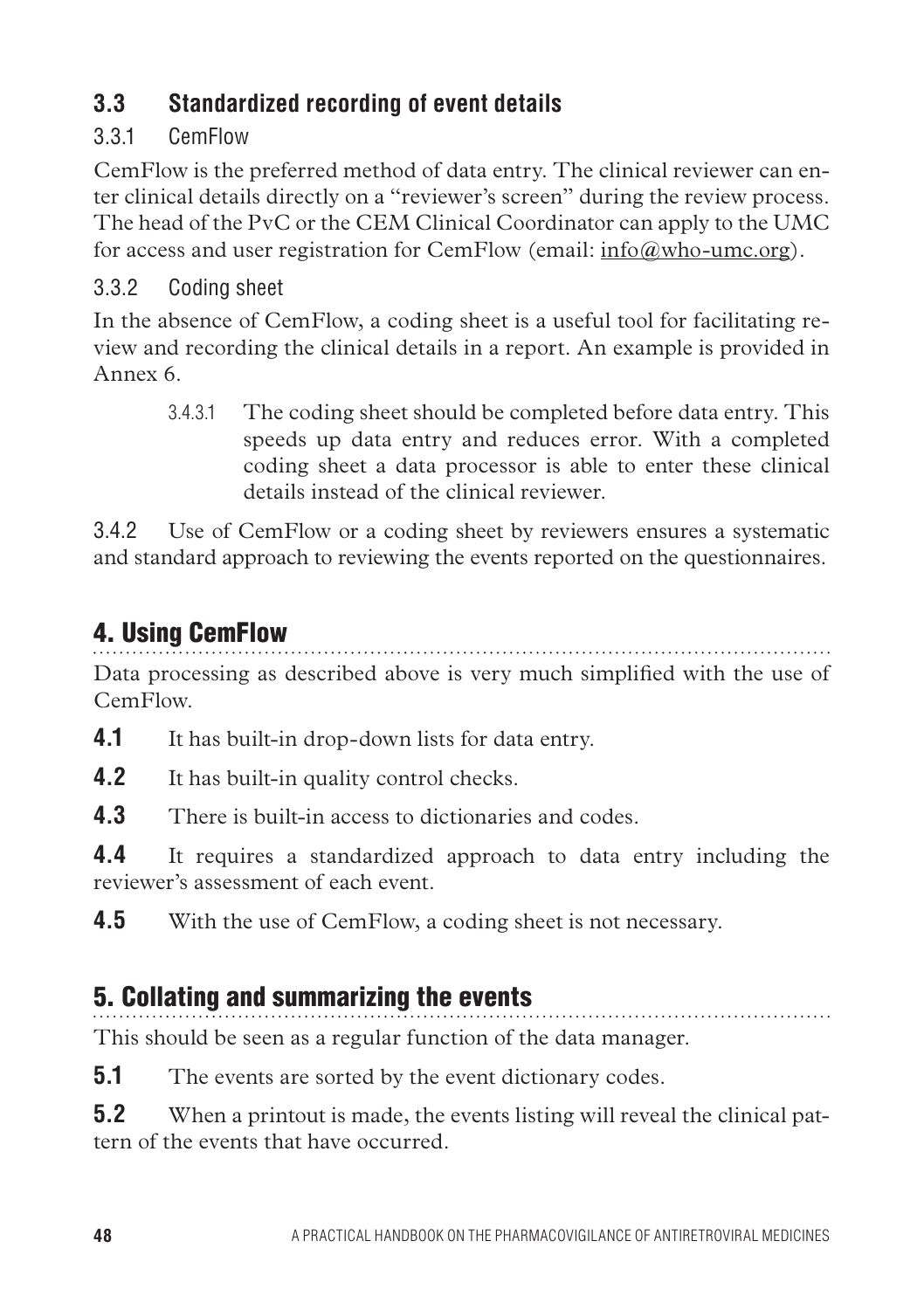# **3.3 Standardized recording of event details**

### 3.3.1 CemFlow

CemFlow is the preferred method of data entry. The clinical reviewer can enter clinical details directly on a "reviewer's screen" during the review process. The head of the PvC or the CEM Clinical Coordinator can apply to the UMC for access and user registration for CemFlow (email: info $@$ who-umc.org).

### 3.3.2 Coding sheet

In the absence of CemFlow, a coding sheet is a useful tool for facilitating review and recording the clinical details in a report. An example is provided in Annex 6.

3.4.3.1 The coding sheet should be completed before data entry. This speeds up data entry and reduces error. With a completed coding sheet a data processor is able to enter these clinical details instead of the clinical reviewer.

3.4.2 Use of CemFlow or a coding sheet by reviewers ensures a systematic and standard approach to reviewing the events reported on the questionnaires.

# 4. Using CemFlow

Data processing as described above is very much simplified with the use of CemFlow.

**4.1** It has built-in drop-down lists for data entry.

**4.2** It has built-in quality control checks.

**4.3** There is built-in access to dictionaries and codes.

**4.4** It requires a standardized approach to data entry including the reviewer's assessment of each event.

**4.5** With the use of CemFlow, a coding sheet is not necessary.

# 5. Collating and summarizing the events

This should be seen as a regular function of the data manager.

**5.1** The events are sorted by the event dictionary codes.

**5.2** When a printout is made, the events listing will reveal the clinical pattern of the events that have occurred.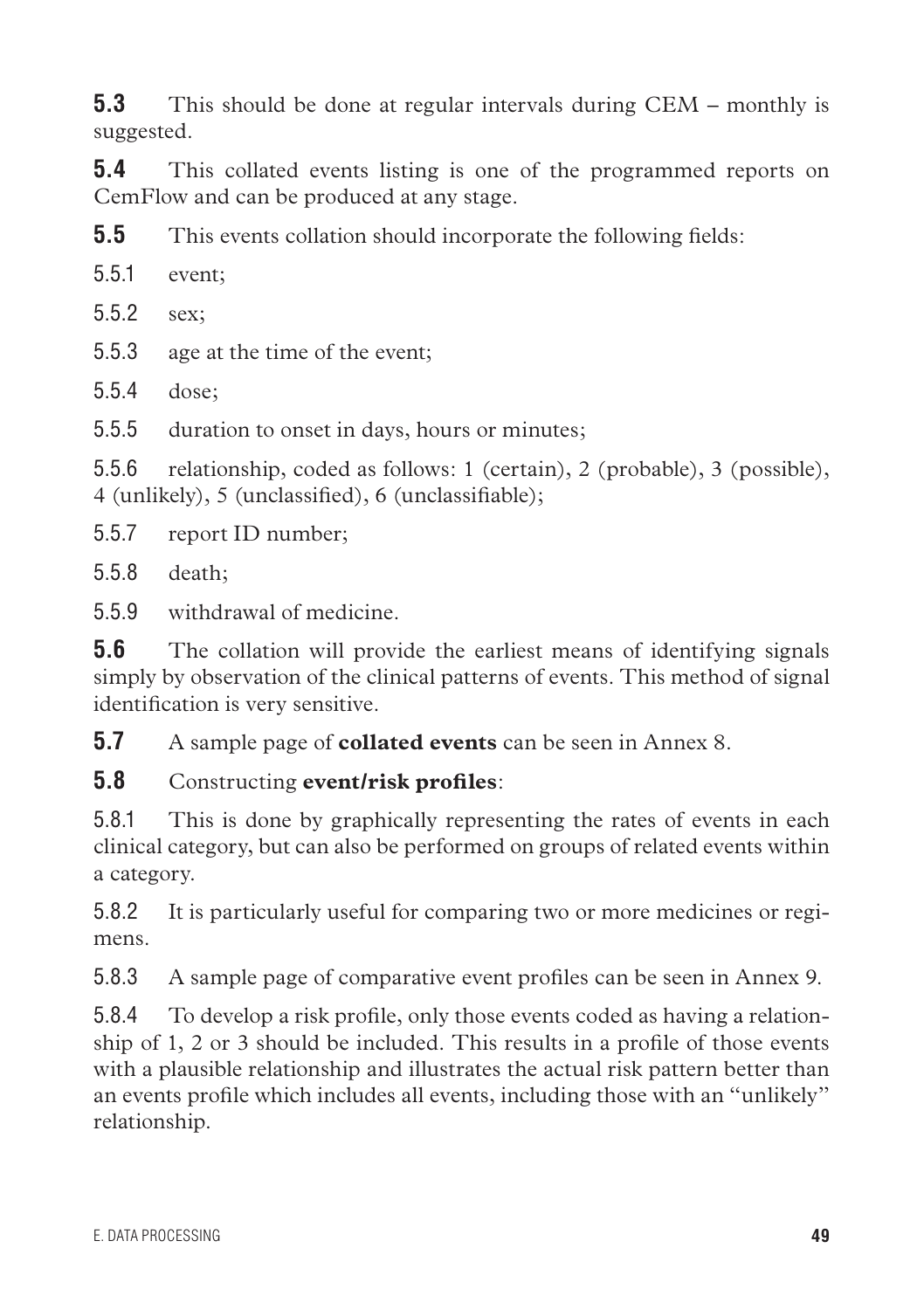**5.3** This should be done at regular intervals during CEM – monthly is suggested.

**5.4** This collated events listing is one of the programmed reports on CemFlow and can be produced at any stage.

**5.5** This events collation should incorporate the following fields:

5.5.1 event;

5.5.2 sex;

5.5.3 age at the time of the event;

5.5.4 dose;

5.5.5 duration to onset in days, hours or minutes;

5.5.6 relationship, coded as follows: 1 (certain), 2 (probable), 3 (possible), 4 (unlikely), 5 (unclassified), 6 (unclassifiable);

5.5.7 report ID number;

5.5.8 death;

5.5.9 withdrawal of medicine.

**5.6** The collation will provide the earliest means of identifying signals simply by observation of the clinical patterns of events. This method of signal identification is very sensitive.

**5.7** A sample page of **collated events** can be seen in Annex 8.

#### **5.8** Constructing **event/risk profiles**:

5.8.1 This is done by graphically representing the rates of events in each clinical category, but can also be performed on groups of related events within a category.

5.8.2 It is particularly useful for comparing two or more medicines or regimens.

5.8.3 A sample page of comparative event profiles can be seen in Annex 9.

5.8.4 To develop a risk profile, only those events coded as having a relationship of 1, 2 or 3 should be included. This results in a profile of those events with a plausible relationship and illustrates the actual risk pattern better than an events profile which includes all events, including those with an "unlikely" relationship.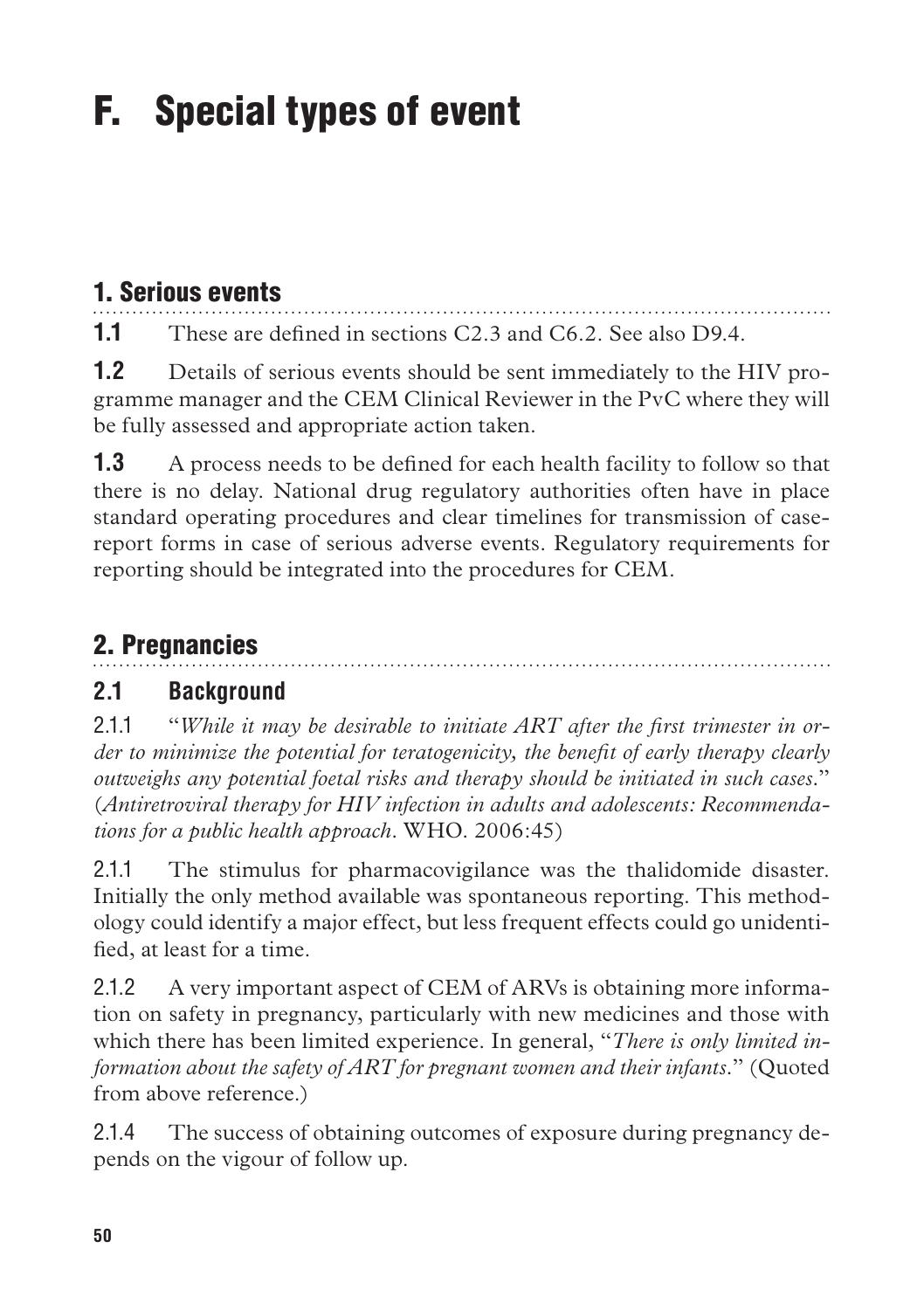# F. Special types of event

# 1. Serious events

**1.1** These are defined in sections C2.3 and C6.2. See also D9.4.

**1.2** Details of serious events should be sent immediately to the HIV programme manager and the CEM Clinical Reviewer in the PvC where they will be fully assessed and appropriate action taken.

**1.3** A process needs to be defined for each health facility to follow so that there is no delay. National drug regulatory authorities often have in place standard operating procedures and clear timelines for transmission of casereport forms in case of serious adverse events. Regulatory requirements for reporting should be integrated into the procedures for CEM.

# 2. Pregnancies

# **2.1 Background**

2.1.1 "*While it may be desirable to initiate ART after the first trimester in order to minimize the potential for teratogenicity, the benefit of early therapy clearly outweighs any potential foetal risks and therapy should be initiated in such cases.*" (*Antiretroviral therapy for HIV infection in adults and adolescents: Recommendations for a public health approach*. WHO. 2006:45)

2.1.1 The stimulus for pharmacovigilance was the thalidomide disaster. Initially the only method available was spontaneous reporting. This methodology could identify a major effect, but less frequent effects could go unidentified, at least for a time.

2.1.2 A very important aspect of CEM of ARVs is obtaining more information on safety in pregnancy, particularly with new medicines and those with which there has been limited experience. In general, "*There is only limited information about the safety of ART for pregnant women and their infants.*" (Quoted from above reference.)

2.1.4 The success of obtaining outcomes of exposure during pregnancy depends on the vigour of follow up.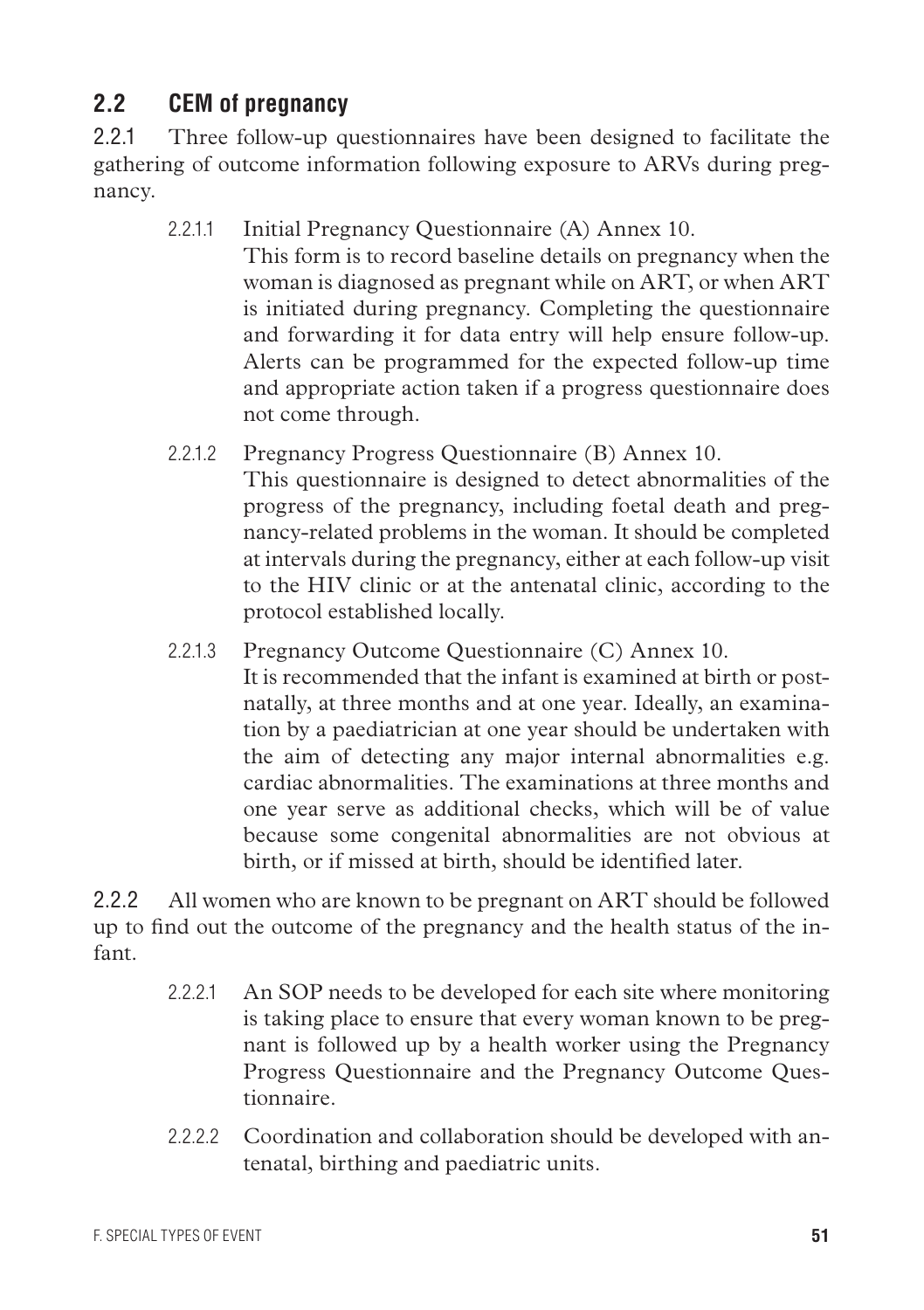# **2.2 CEM of pregnancy**

2.2.1 Three follow-up questionnaires have been designed to facilitate the gathering of outcome information following exposure to ARVs during pregnancy.

2.2.1.1 Initial Pregnancy Questionnaire (A) Annex 10.

This form is to record baseline details on pregnancy when the woman is diagnosed as pregnant while on ART, or when ART is initiated during pregnancy. Completing the questionnaire and forwarding it for data entry will help ensure follow-up. Alerts can be programmed for the expected follow-up time and appropriate action taken if a progress questionnaire does not come through.

- 2.2.1.2 Pregnancy Progress Questionnaire (B) Annex 10. This questionnaire is designed to detect abnormalities of the progress of the pregnancy, including foetal death and pregnancy-related problems in the woman. It should be completed at intervals during the pregnancy, either at each follow-up visit to the HIV clinic or at the antenatal clinic, according to the protocol established locally.
- 2.2.1.3 Pregnancy Outcome Questionnaire (C) Annex 10. It is recommended that the infant is examined at birth or postnatally, at three months and at one year. Ideally, an examination by a paediatrician at one year should be undertaken with the aim of detecting any major internal abnormalities e.g. cardiac abnormalities. The examinations at three months and one year serve as additional checks, which will be of value because some congenital abnormalities are not obvious at birth, or if missed at birth, should be identified later.

2.2.2 All women who are known to be pregnant on ART should be followed up to find out the outcome of the pregnancy and the health status of the infant.

- 2.2.2.1 An SOP needs to be developed for each site where monitoring is taking place to ensure that every woman known to be pregnant is followed up by a health worker using the Pregnancy Progress Questionnaire and the Pregnancy Outcome Questionnaire.
- 2.2.2.2 Coordination and collaboration should be developed with antenatal, birthing and paediatric units.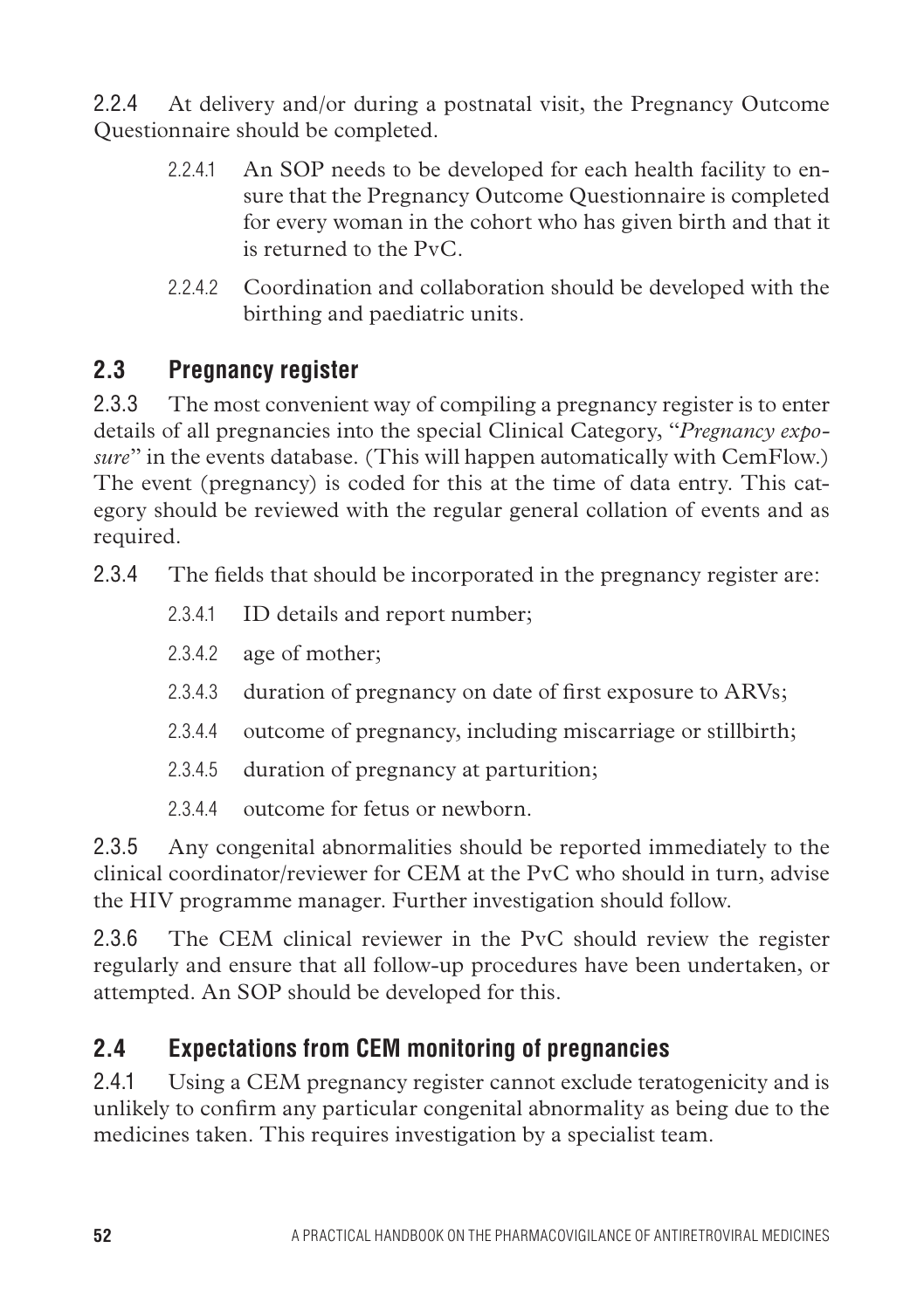2.2.4 At delivery and/or during a postnatal visit, the Pregnancy Outcome Questionnaire should be completed.

- 2.2.4.1 An SOP needs to be developed for each health facility to ensure that the Pregnancy Outcome Questionnaire is completed for every woman in the cohort who has given birth and that it is returned to the PvC.
- 2.2.4.2 Coordination and collaboration should be developed with the birthing and paediatric units.

# **2.3 Pregnancy register**

2.3.3 The most convenient way of compiling a pregnancy register is to enter details of all pregnancies into the special Clinical Category, "*Pregnancy exposure*" in the events database. (This will happen automatically with CemFlow.) The event (pregnancy) is coded for this at the time of data entry. This category should be reviewed with the regular general collation of events and as required.

- 2.3.4 The fields that should be incorporated in the pregnancy register are:
	- 2.3.4.1 ID details and report number;
	- 2.3.4.2 age of mother;
	- 2.3.4.3 duration of pregnancy on date of first exposure to ARVs;
	- 2.3.4.4 outcome of pregnancy, including miscarriage or stillbirth;
	- 2.3.4.5 duration of pregnancy at parturition;
	- 2.3.4.4 outcome for fetus or newborn.

2.3.5 Any congenital abnormalities should be reported immediately to the clinical coordinator/reviewer for CEM at the PvC who should in turn, advise the HIV programme manager. Further investigation should follow.

2.3.6 The CEM clinical reviewer in the PvC should review the register regularly and ensure that all follow-up procedures have been undertaken, or attempted. An SOP should be developed for this.

# **2.4 Expectations from CEM monitoring of pregnancies**

2.4.1 Using a CEM pregnancy register cannot exclude teratogenicity and is unlikely to confirm any particular congenital abnormality as being due to the medicines taken. This requires investigation by a specialist team.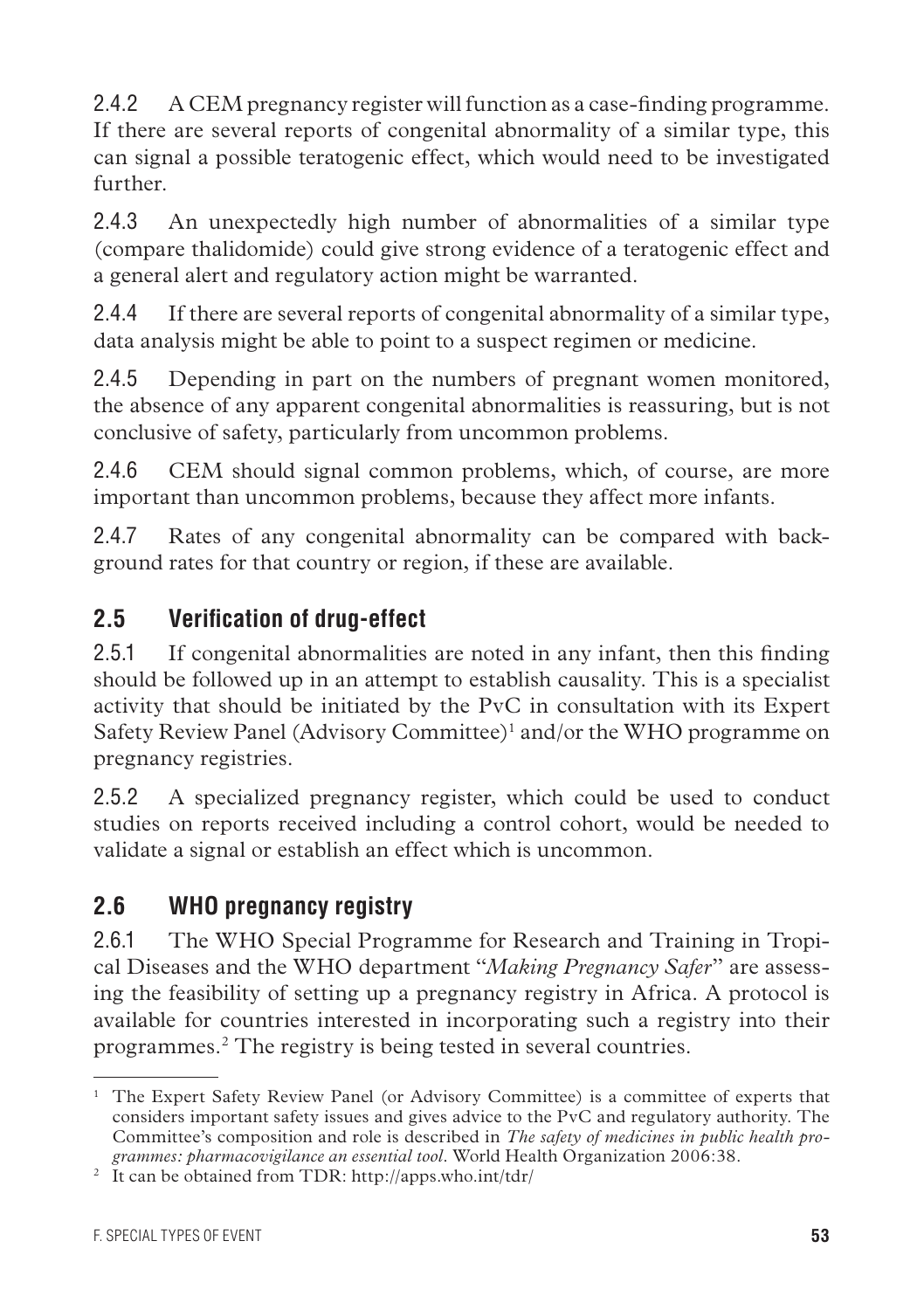2.4.2 A CEM pregnancy register will function as a case-finding programme. If there are several reports of congenital abnormality of a similar type, this can signal a possible teratogenic effect, which would need to be investigated further.

2.4.3 An unexpectedly high number of abnormalities of a similar type (compare thalidomide) could give strong evidence of a teratogenic effect and a general alert and regulatory action might be warranted.

2.4.4 If there are several reports of congenital abnormality of a similar type, data analysis might be able to point to a suspect regimen or medicine.

2.4.5 Depending in part on the numbers of pregnant women monitored, the absence of any apparent congenital abnormalities is reassuring, but is not conclusive of safety, particularly from uncommon problems.

2.4.6 CEM should signal common problems, which, of course, are more important than uncommon problems, because they affect more infants.

2.4.7 Rates of any congenital abnormality can be compared with background rates for that country or region, if these are available.

# **2.5 Verification of drug-effect**

2.5.1 If congenital abnormalities are noted in any infant, then this finding should be followed up in an attempt to establish causality. This is a specialist activity that should be initiated by the PvC in consultation with its Expert Safety Review Panel (Advisory Committee)<sup>1</sup> and/or the WHO programme on pregnancy registries.

2.5.2 A specialized pregnancy register, which could be used to conduct studies on reports received including a control cohort, would be needed to validate a signal or establish an effect which is uncommon.

# **2.6 WHO pregnancy registry**

2.6.1 The WHO Special Programme for Research and Training in Tropical Diseases and the WHO department "*Making Pregnancy Safer*" are assessing the feasibility of setting up a pregnancy registry in Africa. A protocol is available for countries interested in incorporating such a registry into their programmes.2 The registry is being tested in several countries.

<sup>&</sup>lt;sup>1</sup> The Expert Safety Review Panel (or Advisory Committee) is a committee of experts that considers important safety issues and gives advice to the PvC and regulatory authority. The Committee's composition and role is described in *The safety of medicines in public health programmes: pharmacovigilance an essential tool*. World Health Organization 2006:38.

<sup>2</sup> It can be obtained from TDR: http://apps.who.int/tdr/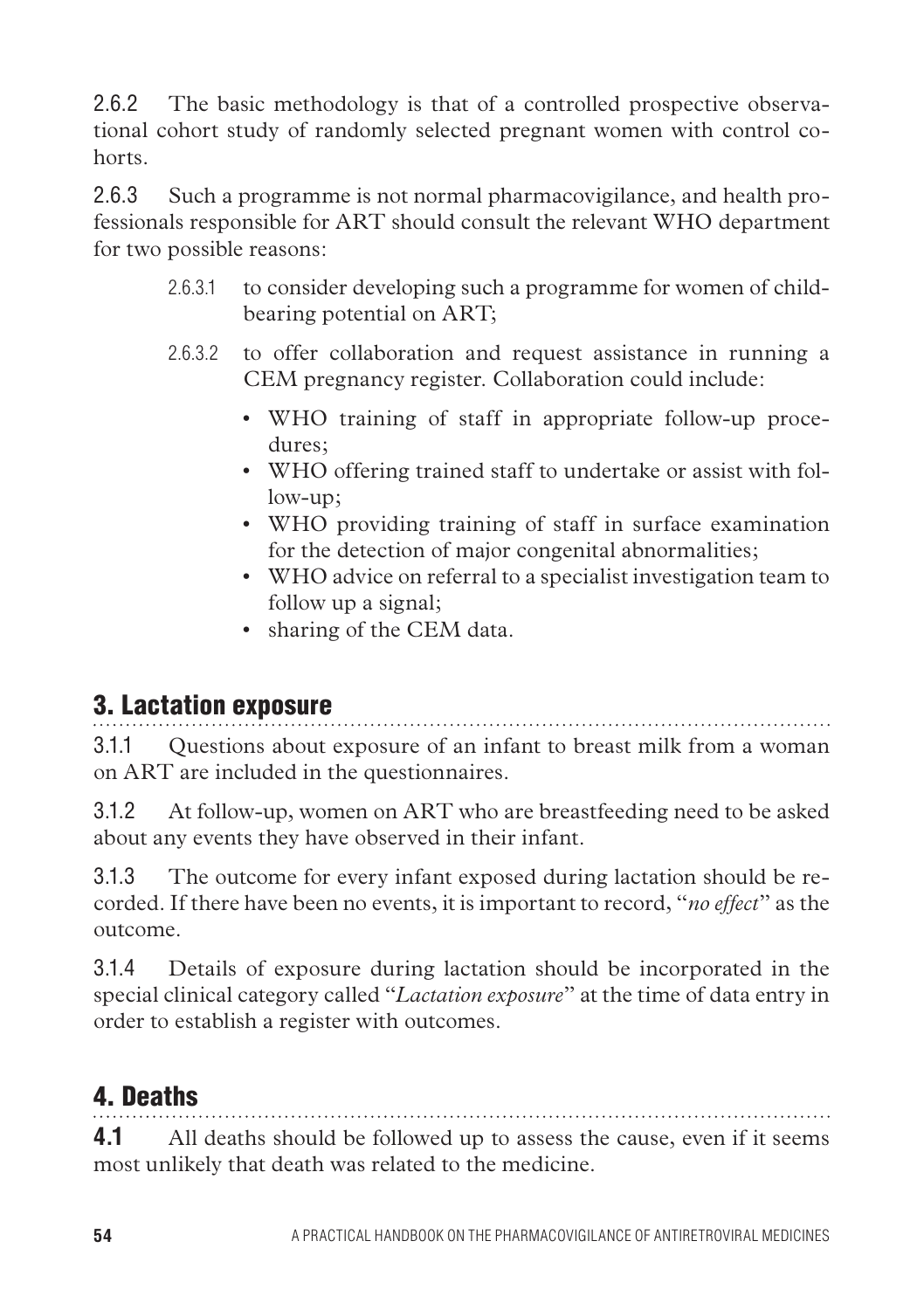2.6.2 The basic methodology is that of a controlled prospective observational cohort study of randomly selected pregnant women with control cohorts.

2.6.3 Such a programme is not normal pharmacovigilance, and health professionals responsible for ART should consult the relevant WHO department for two possible reasons:

- 2.6.3.1 to consider developing such a programme for women of childbearing potential on ART;
- 2.6.3.2 to offer collaboration and request assistance in running a CEM pregnancy register. Collaboration could include:
	- WHO training of staff in appropriate follow-up procedures;
	- WHO offering trained staff to undertake or assist with follow-up;
	- WHO providing training of staff in surface examination for the detection of major congenital abnormalities;
	- WHO advice on referral to a specialist investigation team to follow up a signal;
	- sharing of the CEM data.

# 3. Lactation exposure

3.1.1 Questions about exposure of an infant to breast milk from a woman on ART are included in the questionnaires.

3.1.2 At follow-up, women on ART who are breastfeeding need to be asked about any events they have observed in their infant.

3.1.3 The outcome for every infant exposed during lactation should be recorded. If there have been no events, it is important to record, "*no effect*" as the outcome.

3.1.4 Details of exposure during lactation should be incorporated in the special clinical category called "*Lactation exposure*" at the time of data entry in order to establish a register with outcomes.

# 4. Deaths

**4.1** All deaths should be followed up to assess the cause, even if it seems most unlikely that death was related to the medicine.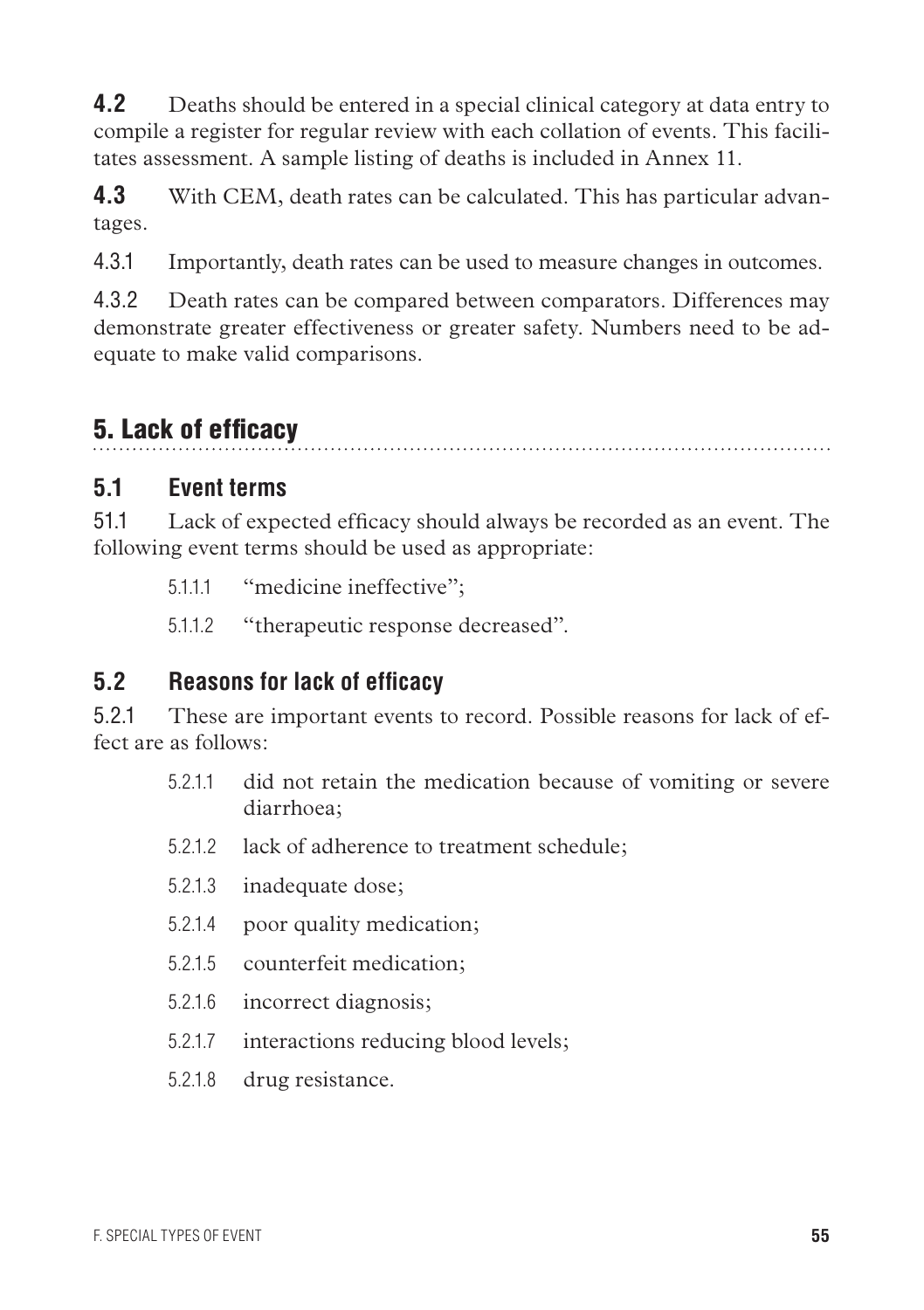**4.2** Deaths should be entered in a special clinical category at data entry to compile a register for regular review with each collation of events. This facilitates assessment. A sample listing of deaths is included in Annex 11.

**4.3** With CEM, death rates can be calculated. This has particular advantages.

4.3.1 Importantly, death rates can be used to measure changes in outcomes.

4.3.2 Death rates can be compared between comparators. Differences may demonstrate greater effectiveness or greater safety. Numbers need to be adequate to make valid comparisons.

# 5. Lack of efficacy

### **5.1 Event terms**

51.1 Lack of expected efficacy should always be recorded as an event. The following event terms should be used as appropriate:

5.1.1.1 "medicine ineffective";

5.1.1.2 "therapeutic response decreased".

### **5.2 Reasons for lack of efficacy**

5.2.1 These are important events to record. Possible reasons for lack of effect are as follows:

- 5.2.1.1 did not retain the medication because of vomiting or severe diarrhoea;
- 5.2.1.2 lack of adherence to treatment schedule;
- 5.2.1.3 inadequate dose;
- 5.2.1.4 poor quality medication;
- 5.2.1.5 counterfeit medication;
- 5.2.1.6 incorrect diagnosis;
- 5.2.1.7 interactions reducing blood levels;
- 5.2.1.8 drug resistance.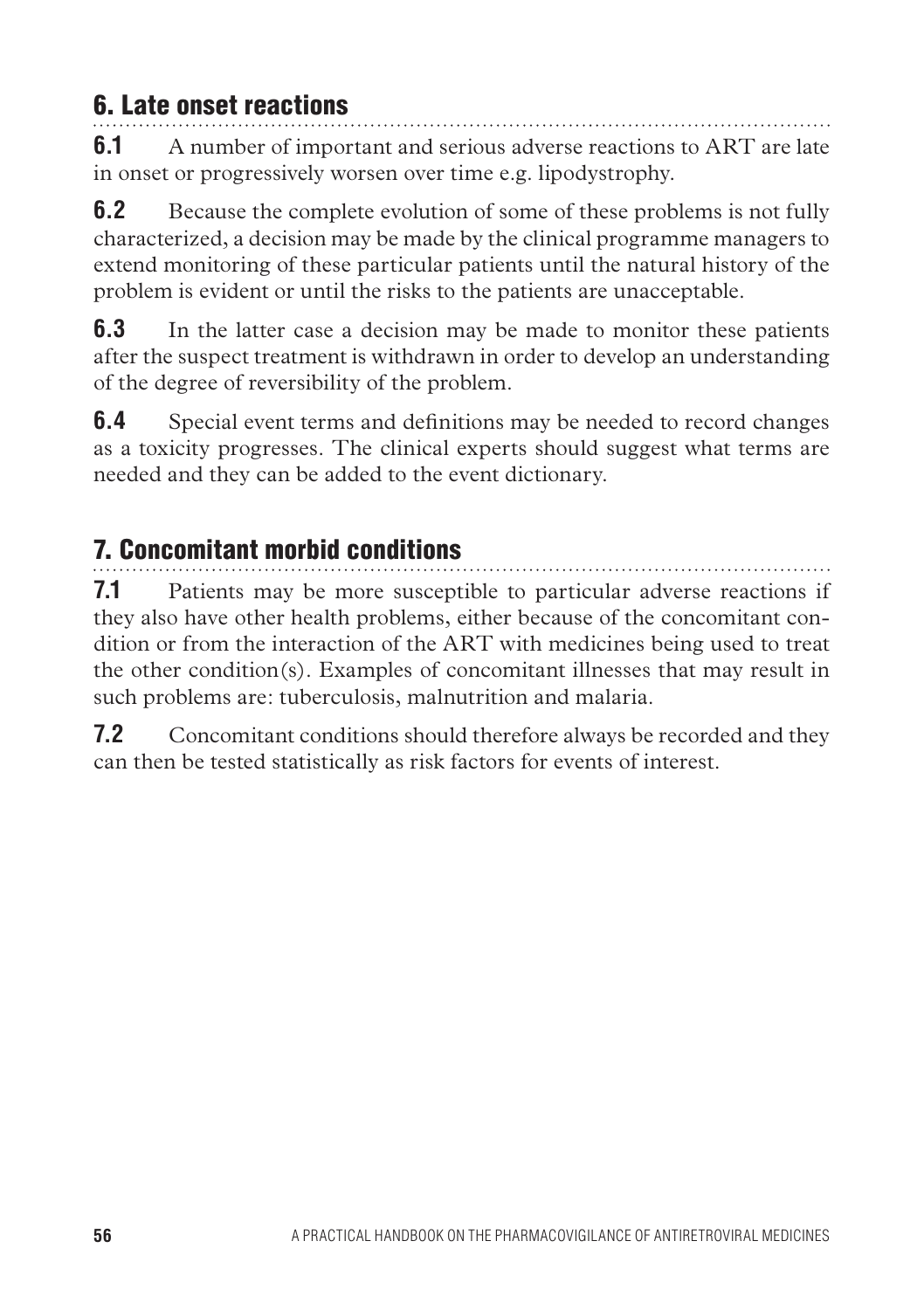# 6. Late onset reactions

**6.1** A number of important and serious adverse reactions to ART are late in onset or progressively worsen over time e.g. lipodystrophy.

**6.2** Because the complete evolution of some of these problems is not fully characterized, a decision may be made by the clinical programme managers to extend monitoring of these particular patients until the natural history of the problem is evident or until the risks to the patients are unacceptable.

**6.3** In the latter case a decision may be made to monitor these patients after the suspect treatment is withdrawn in order to develop an understanding of the degree of reversibility of the problem.

**6.4** Special event terms and definitions may be needed to record changes as a toxicity progresses. The clinical experts should suggest what terms are needed and they can be added to the event dictionary.

# 7. Concomitant morbid conditions

**7.1** Patients may be more susceptible to particular adverse reactions if they also have other health problems, either because of the concomitant condition or from the interaction of the ART with medicines being used to treat the other condition(s). Examples of concomitant illnesses that may result in such problems are: tuberculosis, malnutrition and malaria.

**7.2** Concomitant conditions should therefore always be recorded and they can then be tested statistically as risk factors for events of interest.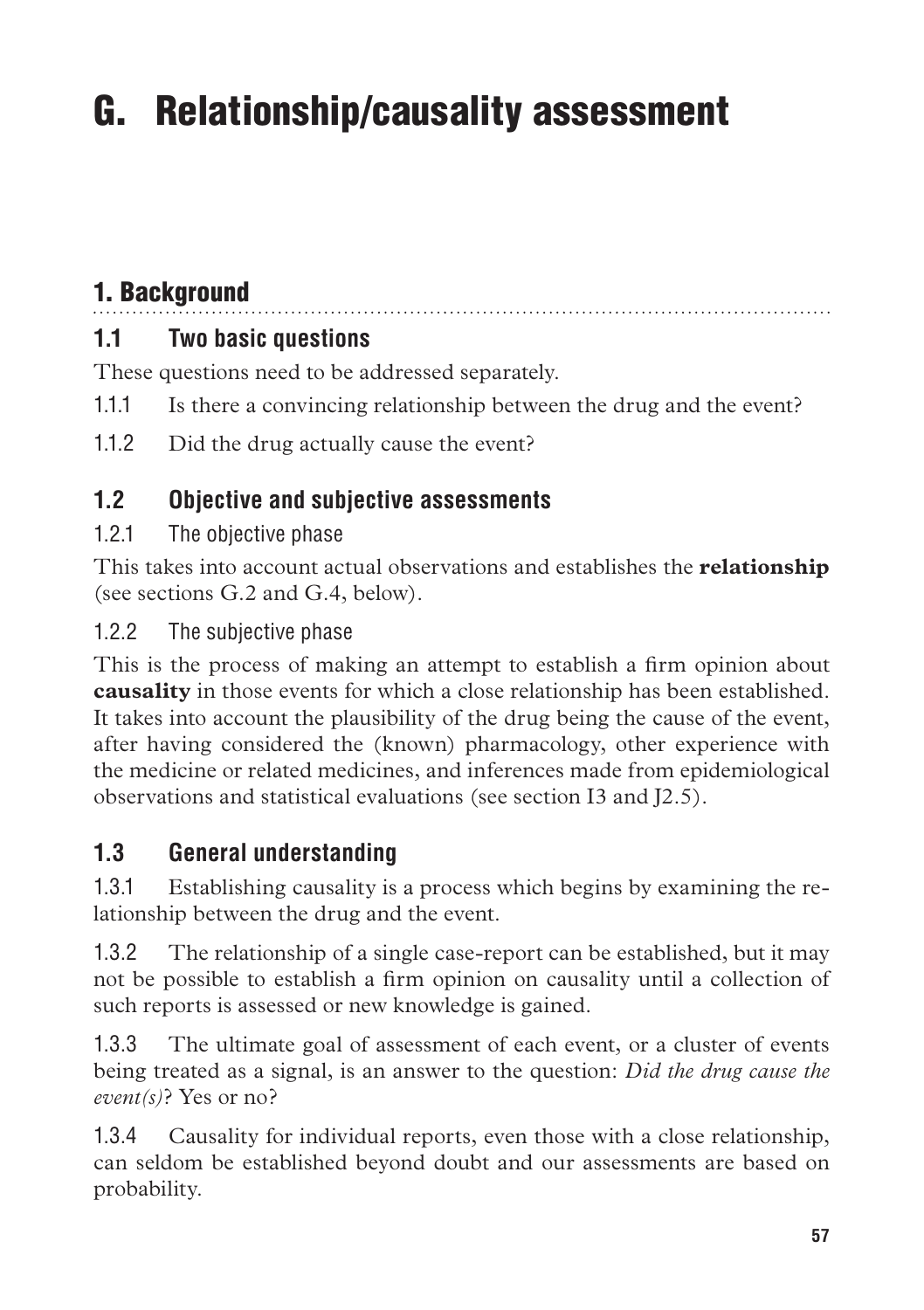# G. Relationship/causality assessment

# 1. Background

# **1.1 Two basic questions**

These questions need to be addressed separately.

- 1.1.1 Is there a convincing relationship between the drug and the event?
- 1.1.2 Did the drug actually cause the event?

# **1.2 Objective and subjective assessments**

1.2.1 The objective phase

This takes into account actual observations and establishes the **relationship** (see sections G.2 and G.4, below).

### 1.2.2 The subjective phase

This is the process of making an attempt to establish a firm opinion about **causality** in those events for which a close relationship has been established. It takes into account the plausibility of the drug being the cause of the event, after having considered the (known) pharmacology, other experience with the medicine or related medicines, and inferences made from epidemiological observations and statistical evaluations (see section I3 and J2.5).

# **1.3 General understanding**

1.3.1 Establishing causality is a process which begins by examining the relationship between the drug and the event.

1.3.2 The relationship of a single case-report can be established, but it may not be possible to establish a firm opinion on causality until a collection of such reports is assessed or new knowledge is gained.

1.3.3 The ultimate goal of assessment of each event, or a cluster of events being treated as a signal, is an answer to the question: *Did the drug cause the event(s)*? Yes or no?

1.3.4 Causality for individual reports, even those with a close relationship, can seldom be established beyond doubt and our assessments are based on probability.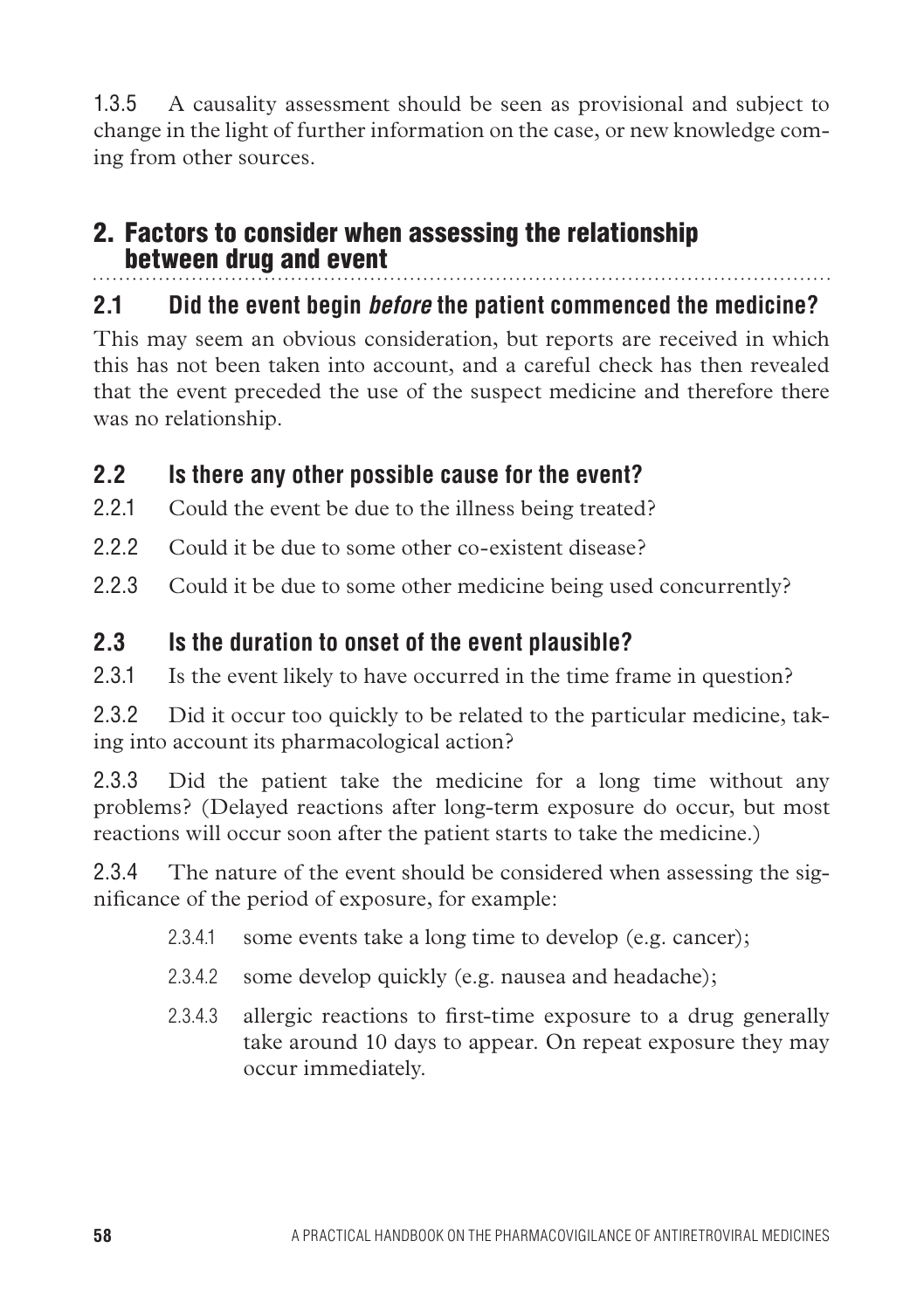1.3.5 A causality assessment should be seen as provisional and subject to change in the light of further information on the case, or new knowledge coming from other sources.

### 2. Factors to consider when assessing the relationship between drug and event

# **2.1 Did the event begin** *before* **the patient commenced the medicine?**

This may seem an obvious consideration, but reports are received in which this has not been taken into account, and a careful check has then revealed that the event preceded the use of the suspect medicine and therefore there was no relationship.

### **2.2 Is there any other possible cause for the event?**

- 2.2.1 Could the event be due to the illness being treated?
- 2.2.2 Could it be due to some other co-existent disease?
- 2.2.3 Could it be due to some other medicine being used concurrently?

### **2.3 Is the duration to onset of the event plausible?**

2.3.1 Is the event likely to have occurred in the time frame in question?

2.3.2 Did it occur too quickly to be related to the particular medicine, taking into account its pharmacological action?

2.3.3 Did the patient take the medicine for a long time without any problems? (Delayed reactions after long-term exposure do occur, but most reactions will occur soon after the patient starts to take the medicine.)

2.3.4 The nature of the event should be considered when assessing the significance of the period of exposure, for example:

- 2.3.4.1 some events take a long time to develop (e.g. cancer);
- 2.3.4.2 some develop quickly (e.g. nausea and headache);
- 2.3.4.3 allergic reactions to first-time exposure to a drug generally take around 10 days to appear. On repeat exposure they may occur immediately.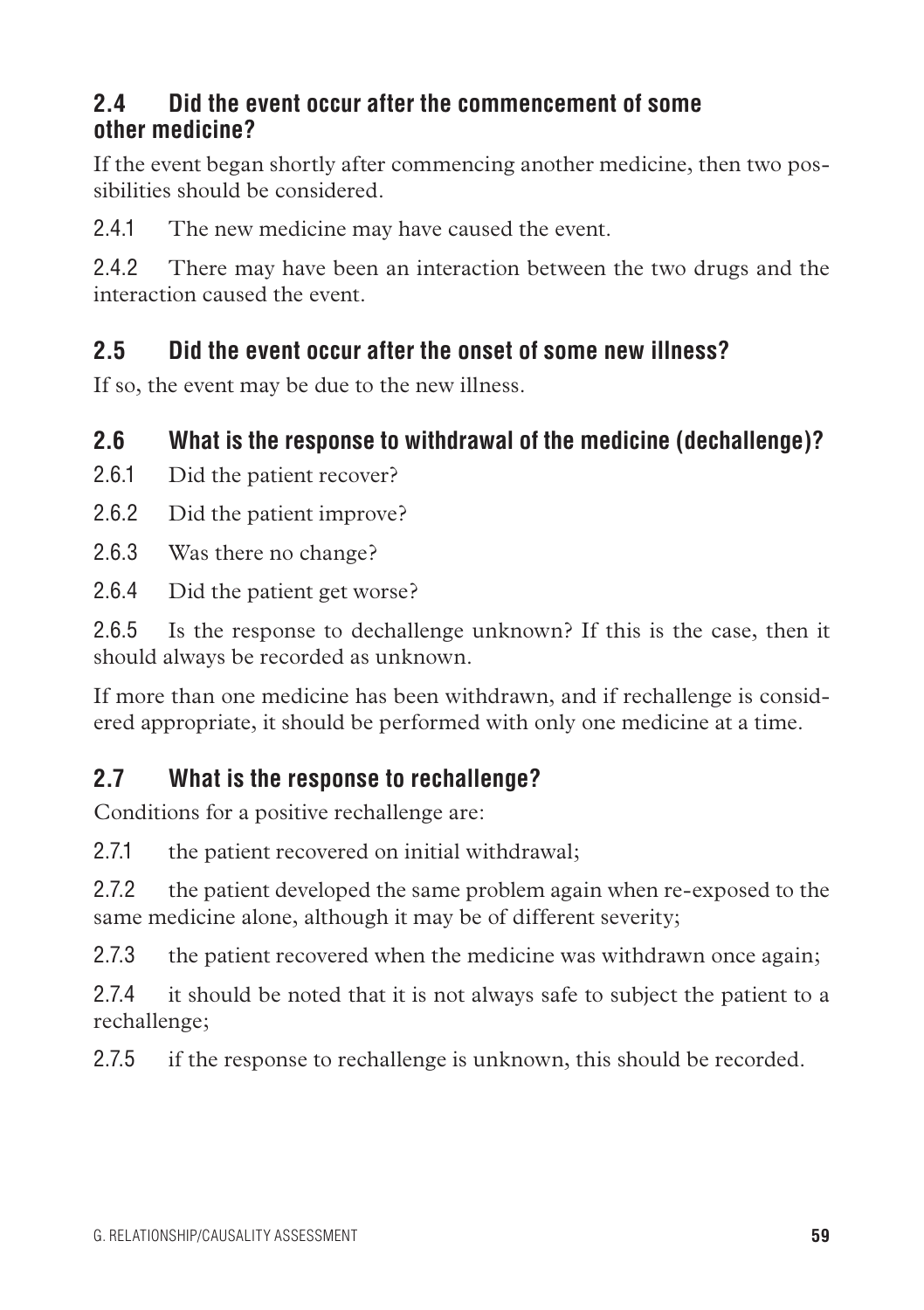### **2.4 Did the event occur after the commencement of some other medicine?**

If the event began shortly after commencing another medicine, then two possibilities should be considered.

2.4.1 The new medicine may have caused the event.

2.4.2 There may have been an interaction between the two drugs and the interaction caused the event.

# **2.5 Did the event occur after the onset of some new illness?**

If so, the event may be due to the new illness.

# **2.6 What is the response to withdrawal of the medicine (dechallenge)?**

- 2.6.1 Did the patient recover?
- 2.6.2 Did the patient improve?
- 2.6.3 Was there no change?
- 2.6.4 Did the patient get worse?

2.6.5 Is the response to dechallenge unknown? If this is the case, then it should always be recorded as unknown.

If more than one medicine has been withdrawn, and if rechallenge is considered appropriate, it should be performed with only one medicine at a time.

# **2.7 What is the response to rechallenge?**

Conditions for a positive rechallenge are:

2.7.1 the patient recovered on initial withdrawal;

2.7.2 the patient developed the same problem again when re-exposed to the same medicine alone, although it may be of different severity;

2.7.3 the patient recovered when the medicine was withdrawn once again;

2.7.4 it should be noted that it is not always safe to subject the patient to a rechallenge;

2.7.5 if the response to rechallenge is unknown, this should be recorded.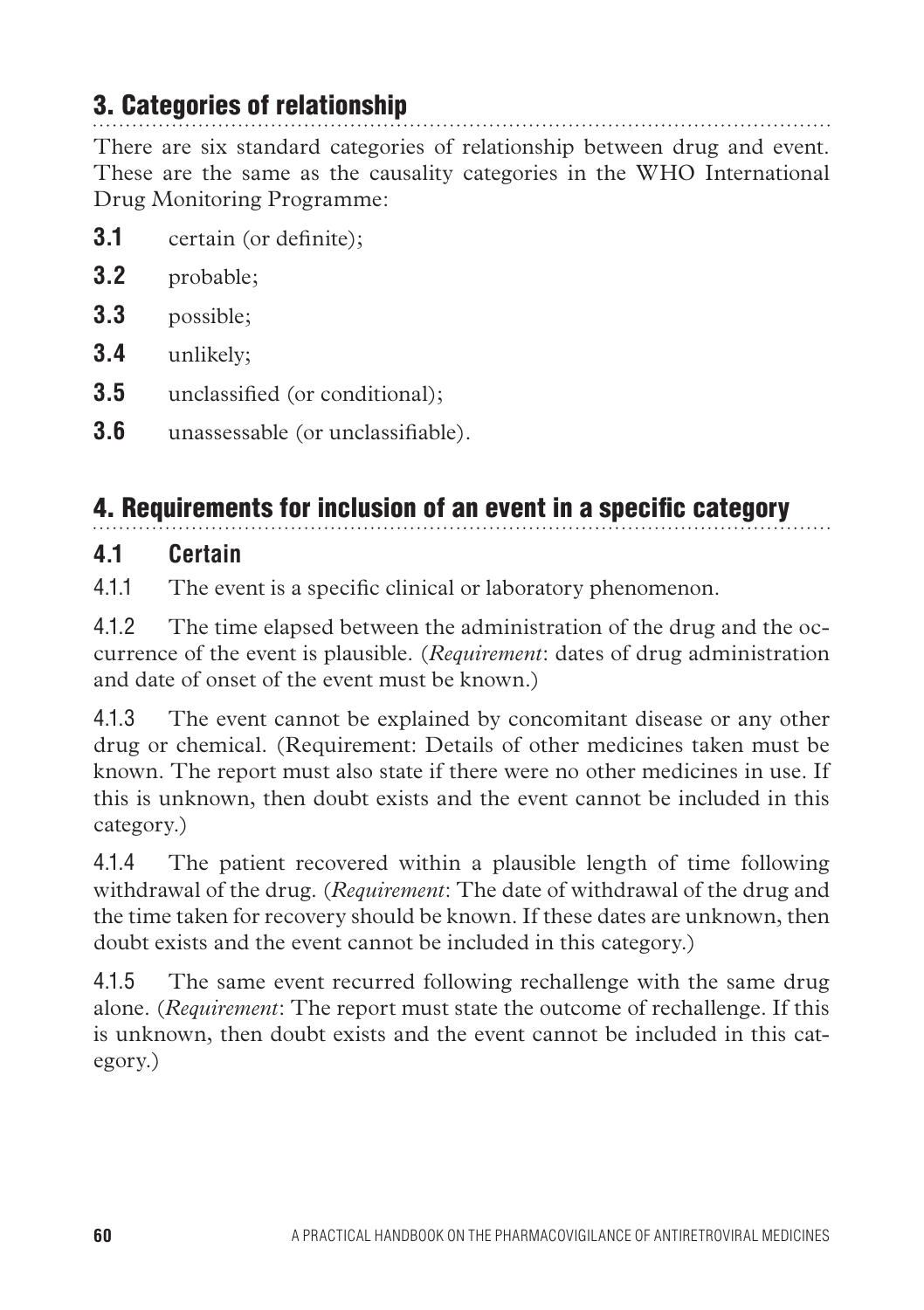# 3. Categories of relationship

There are six standard categories of relationship between drug and event. These are the same as the causality categories in the WHO International Drug Monitoring Programme:

- **3.1** certain (or definite);
- **3.2** probable;
- **3.3** possible;
- **3.4** unlikely;
- **3.5** unclassified (or conditional);
- **3.6** unassessable (or unclassifiable).

# 4. Requirements for inclusion of an event in a specific category

### **4.1 Certain**

4.1.1 The event is a specific clinical or laboratory phenomenon.

4.1.2 The time elapsed between the administration of the drug and the occurrence of the event is plausible. (*Requirement*: dates of drug administration and date of onset of the event must be known.)

4.1.3 The event cannot be explained by concomitant disease or any other drug or chemical. (Requirement: Details of other medicines taken must be known. The report must also state if there were no other medicines in use. If this is unknown, then doubt exists and the event cannot be included in this category.)

4.1.4 The patient recovered within a plausible length of time following withdrawal of the drug. (*Requirement*: The date of withdrawal of the drug and the time taken for recovery should be known. If these dates are unknown, then doubt exists and the event cannot be included in this category.)

4.1.5 The same event recurred following rechallenge with the same drug alone. (*Requirement*: The report must state the outcome of rechallenge. If this is unknown, then doubt exists and the event cannot be included in this category.)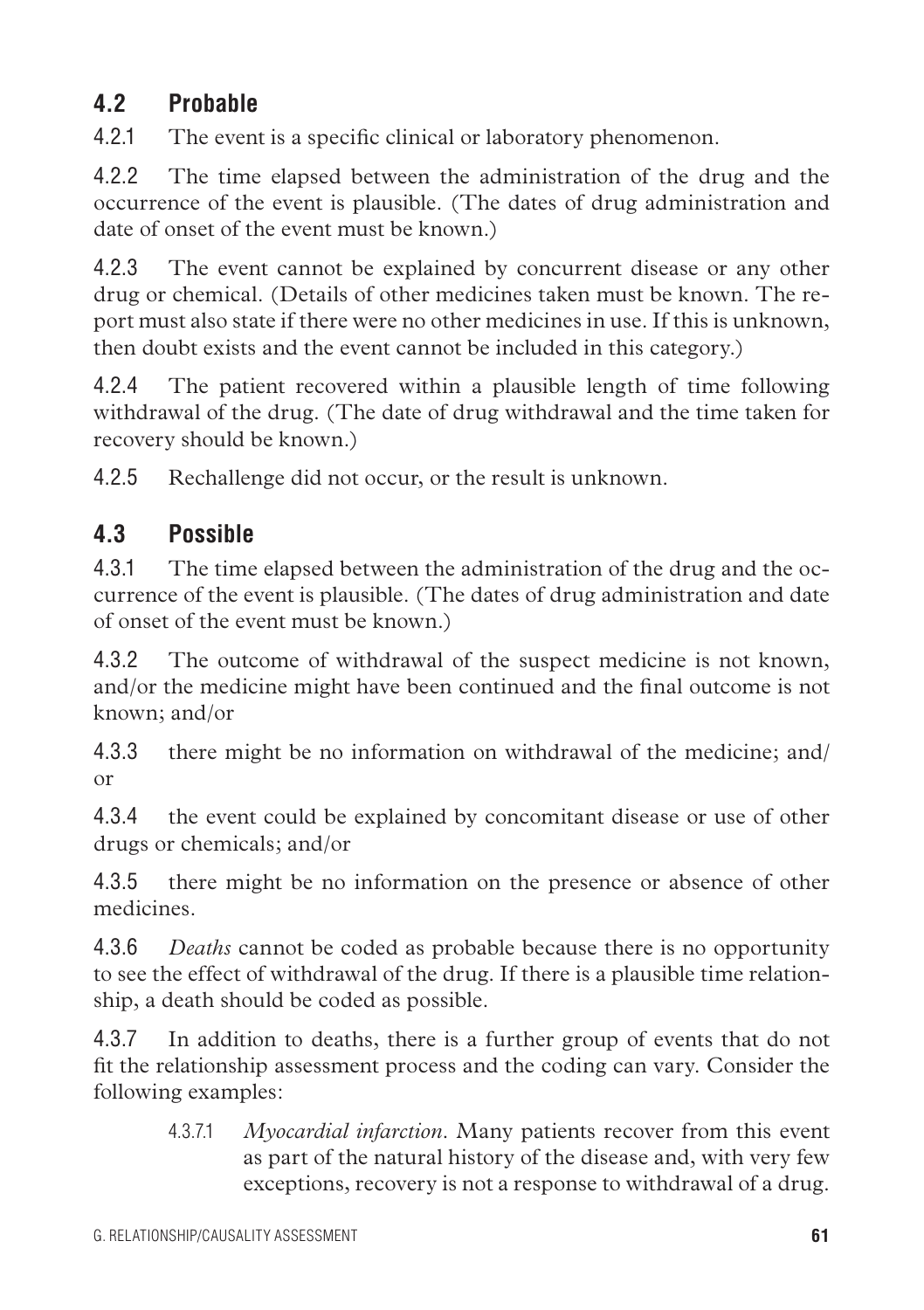## **4.2 Probable**

4.2.1 The event is a specific clinical or laboratory phenomenon.

4.2.2 The time elapsed between the administration of the drug and the occurrence of the event is plausible. (The dates of drug administration and date of onset of the event must be known.)

4.2.3 The event cannot be explained by concurrent disease or any other drug or chemical. (Details of other medicines taken must be known. The report must also state if there were no other medicines in use. If this is unknown, then doubt exists and the event cannot be included in this category.)

4.2.4 The patient recovered within a plausible length of time following withdrawal of the drug. (The date of drug withdrawal and the time taken for recovery should be known.)

4.2.5 Rechallenge did not occur, or the result is unknown.

## **4.3 Possible**

4.3.1 The time elapsed between the administration of the drug and the occurrence of the event is plausible. (The dates of drug administration and date of onset of the event must be known.)

4.3.2 The outcome of withdrawal of the suspect medicine is not known, and/or the medicine might have been continued and the final outcome is not known; and/or

4.3.3 there might be no information on withdrawal of the medicine; and/ or

4.3.4 the event could be explained by concomitant disease or use of other drugs or chemicals; and/or

4.3.5 there might be no information on the presence or absence of other medicines.

4.3.6 *Deaths* cannot be coded as probable because there is no opportunity to see the effect of withdrawal of the drug. If there is a plausible time relationship, a death should be coded as possible.

4.3.7 In addition to deaths, there is a further group of events that do not fit the relationship assessment process and the coding can vary. Consider the following examples:

4.3.7.1 *Myocardial infarction*. Many patients recover from this event as part of the natural history of the disease and, with very few exceptions, recovery is not a response to withdrawal of a drug.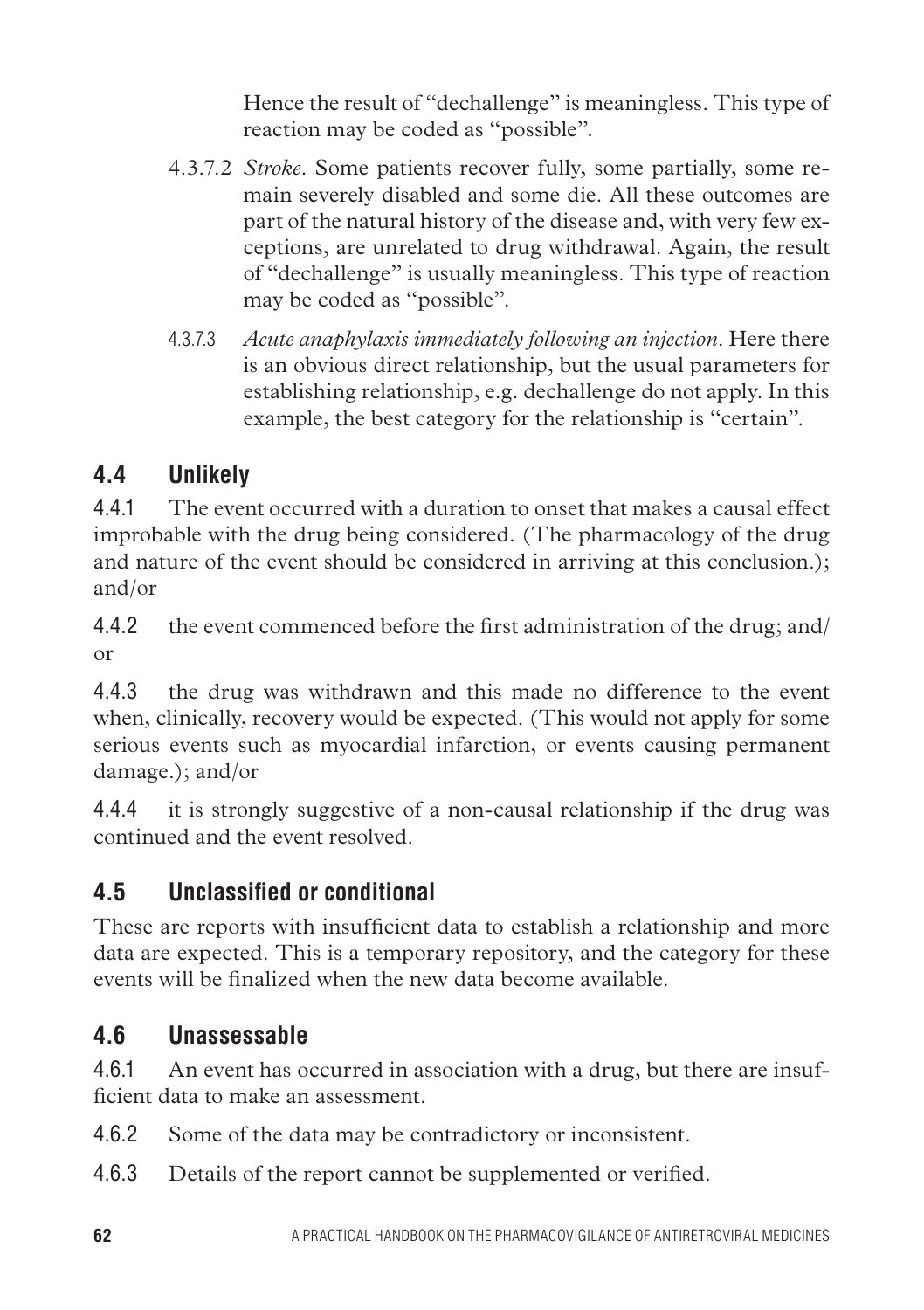Hence the result of "dechallenge" is meaningless. This type of reaction may be coded as "possible".

- 4.3.7.2 *Stroke*. Some patients recover fully, some partially, some remain severely disabled and some die. All these outcomes are part of the natural history of the disease and, with very few exceptions, are unrelated to drug withdrawal. Again, the result of "dechallenge" is usually meaningless. This type of reaction may be coded as "possible".
- 4.3.7.3 *Acute anaphylaxis immediately following an injection*. Here there is an obvious direct relationship, but the usual parameters for establishing relationship, e.g. dechallenge do not apply. In this example, the best category for the relationship is "certain".

## **4.4 Unlikely**

4.4.1 The event occurred with a duration to onset that makes a causal effect improbable with the drug being considered. (The pharmacology of the drug and nature of the event should be considered in arriving at this conclusion.); and/or

4.4.2 the event commenced before the first administration of the drug; and/ or

4.4.3 the drug was withdrawn and this made no difference to the event when, clinically, recovery would be expected. (This would not apply for some serious events such as myocardial infarction, or events causing permanent damage.); and/or

4.4.4 it is strongly suggestive of a non-causal relationship if the drug was continued and the event resolved.

## **4.5 Unclassified or conditional**

These are reports with insufficient data to establish a relationship and more data are expected. This is a temporary repository, and the category for these events will be finalized when the new data become available.

## **4.6 Unassessable**

4.6.1 An event has occurred in association with a drug, but there are insufficient data to make an assessment.

4.6.2 Some of the data may be contradictory or inconsistent.

4.6.3 Details of the report cannot be supplemented or verified.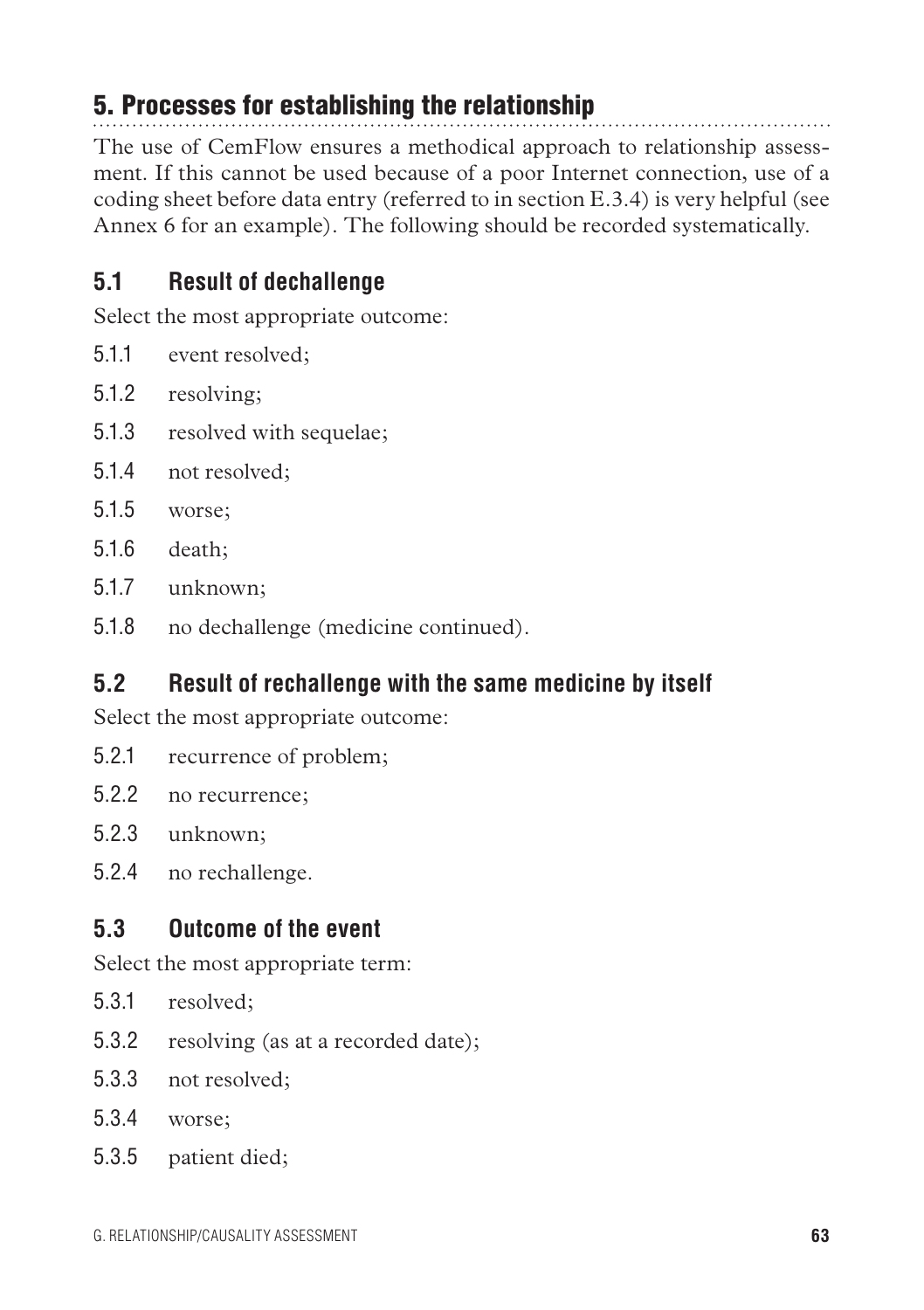## 5. Processes for establishing the relationship

The use of CemFlow ensures a methodical approach to relationship assessment. If this cannot be used because of a poor Internet connection, use of a coding sheet before data entry (referred to in section E.3.4) is very helpful (see Annex 6 for an example). The following should be recorded systematically.

## **5.1 Result of dechallenge**

Select the most appropriate outcome:

- 5.1.1 event resolved;
- 5.1.2 resolving;
- 5.1.3 resolved with sequelae;
- 5.1.4 not resolved;
- 5.1.5 worse;
- 5.1.6 death;
- 5.1.7 unknown;
- 5.1.8 no dechallenge (medicine continued).

## **5.2 Result of rechallenge with the same medicine by itself**

Select the most appropriate outcome:

- 5.2.1 recurrence of problem;
- 5.2.2 no recurrence;
- 5.2.3 unknown;
- 5.2.4 no rechallenge.

## **5.3 Outcome of the event**

Select the most appropriate term:

- 5.3.1 resolved;
- 5.3.2 resolving (as at a recorded date);
- 5.3.3 not resolved;
- 5.3.4 worse;
- 5.3.5 patient died;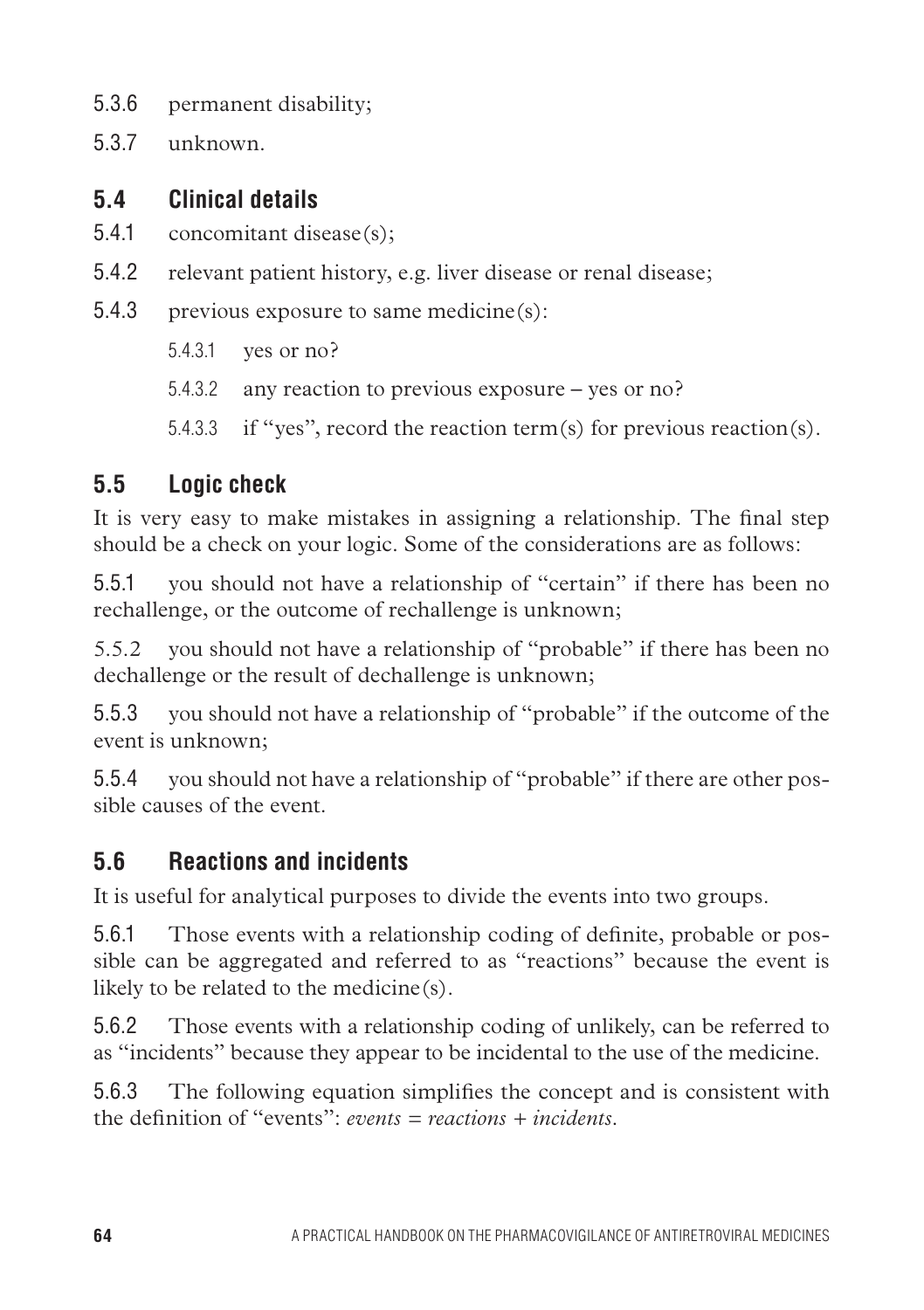- 5.3.6 permanent disability;
- 5.3.7 unknown.

## **5.4 Clinical details**

- 5.4.1 concomitant disease(s);
- 5.4.2 relevant patient history, e.g. liver disease or renal disease;
- 5.4.3 previous exposure to same medicine(s):
	- 5.4.3.1 yes or no?
	- 5.4.3.2 any reaction to previous exposure yes or no?

5.4.3.3 if "yes", record the reaction term(s) for previous reaction(s).

## **5.5 Logic check**

It is very easy to make mistakes in assigning a relationship. The final step should be a check on your logic. Some of the considerations are as follows:

5.5.1 you should not have a relationship of "certain" if there has been no rechallenge, or the outcome of rechallenge is unknown;

5.5.2 you should not have a relationship of "probable" if there has been no dechallenge or the result of dechallenge is unknown;

5.5.3 you should not have a relationship of "probable" if the outcome of the event is unknown;

5.5.4 you should not have a relationship of "probable" if there are other possible causes of the event.

## **5.6 Reactions and incidents**

It is useful for analytical purposes to divide the events into two groups.

5.6.1 Those events with a relationship coding of definite, probable or possible can be aggregated and referred to as "reactions" because the event is likely to be related to the medicine(s).

5.6.2 Those events with a relationship coding of unlikely, can be referred to as "incidents" because they appear to be incidental to the use of the medicine.

5.6.3 The following equation simplifies the concept and is consistent with the definition of "events": *events = reactions + incidents*.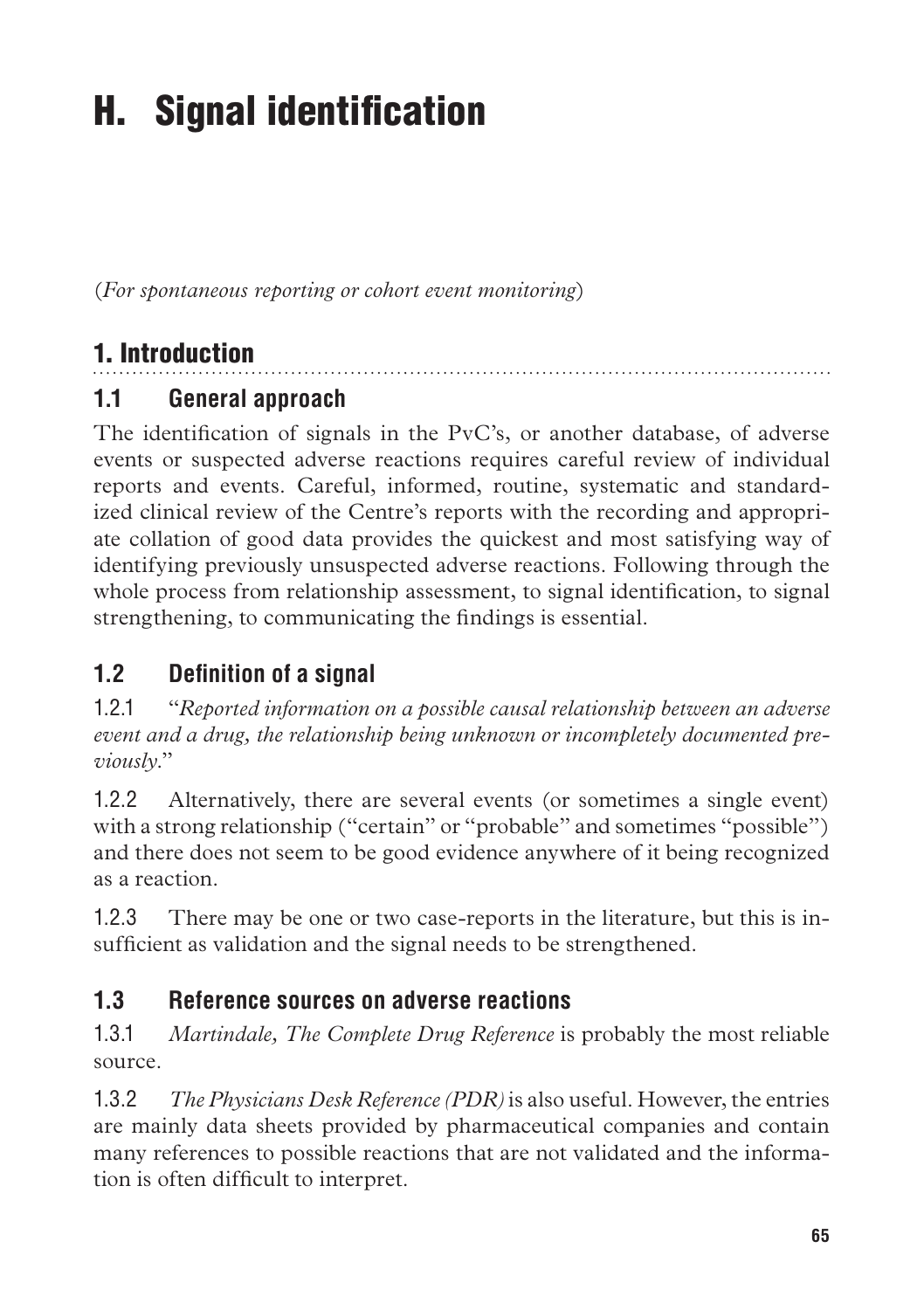# H. Signal identification

(*For spontaneous reporting or cohort event monitoring*)

## 1. Introduction

## **1.1 General approach**

The identification of signals in the PvC's, or another database, of adverse events or suspected adverse reactions requires careful review of individual reports and events. Careful, informed, routine, systematic and standardized clinical review of the Centre's reports with the recording and appropriate collation of good data provides the quickest and most satisfying way of identifying previously unsuspected adverse reactions. Following through the whole process from relationship assessment, to signal identification, to signal strengthening, to communicating the findings is essential.

## **1.2 Definition of a signal**

1.2.1 "*Reported information on a possible causal relationship between an adverse event and a drug, the relationship being unknown or incompletely documented previously*."

1.2.2 Alternatively, there are several events (or sometimes a single event) with a strong relationship ("certain" or "probable" and sometimes "possible") and there does not seem to be good evidence anywhere of it being recognized as a reaction.

1.2.3 There may be one or two case-reports in the literature, but this is insufficient as validation and the signal needs to be strengthened.

## **1.3 Reference sources on adverse reactions**

1.3.1 *Martindale, The Complete Drug Reference* is probably the most reliable source.

1.3.2 *The Physicians Desk Reference (PDR)* is also useful. However, the entries are mainly data sheets provided by pharmaceutical companies and contain many references to possible reactions that are not validated and the information is often difficult to interpret.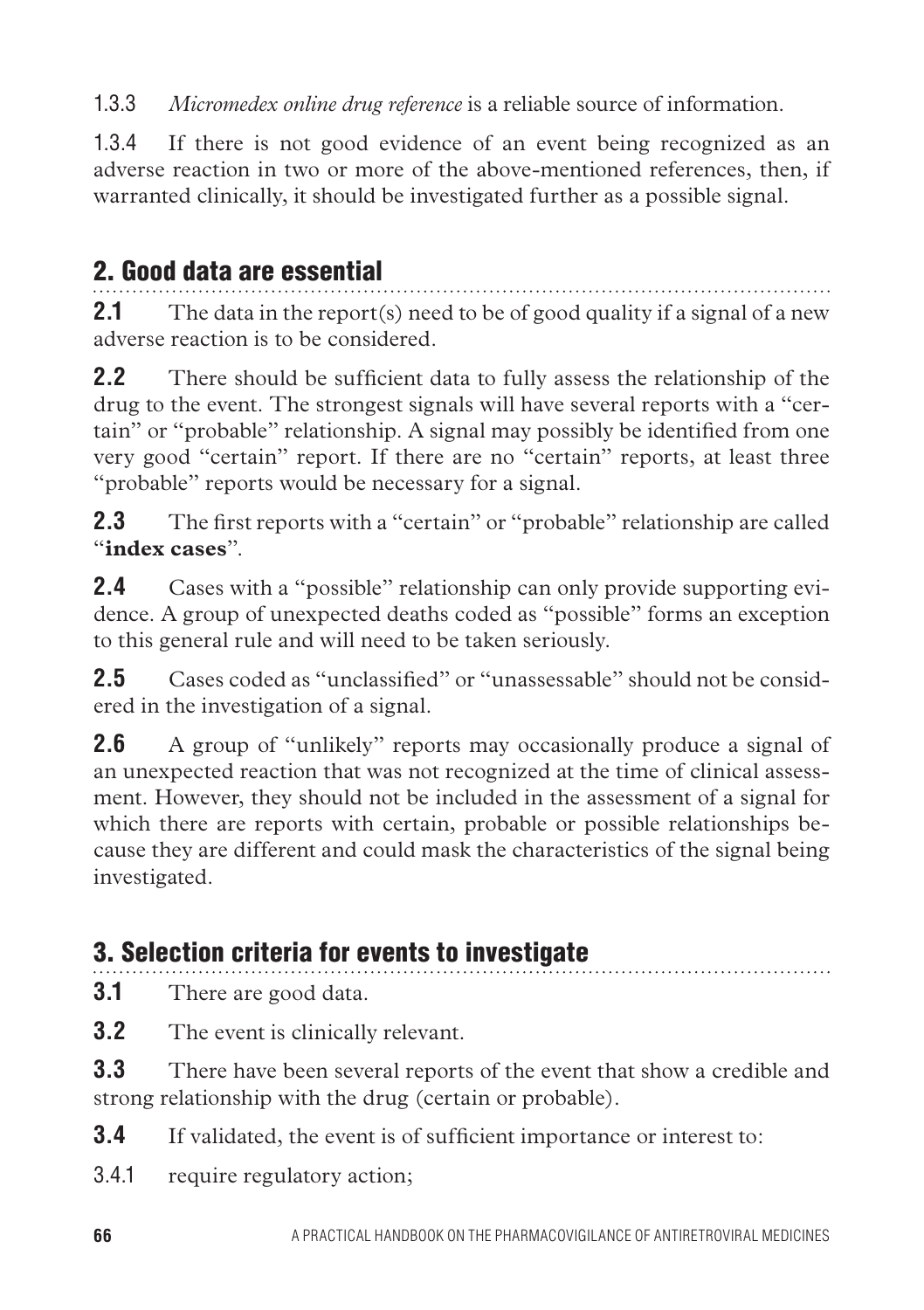1.3.3 *Micromedex online drug reference* is a reliable source of information.

1.3.4 If there is not good evidence of an event being recognized as an adverse reaction in two or more of the above-mentioned references, then, if warranted clinically, it should be investigated further as a possible signal.

## 2. Good data are essential

**2.1** The data in the report(s) need to be of good quality if a signal of a new adverse reaction is to be considered.

**2.2** There should be sufficient data to fully assess the relationship of the drug to the event. The strongest signals will have several reports with a "certain" or "probable" relationship. A signal may possibly be identified from one very good "certain" report. If there are no "certain" reports, at least three "probable" reports would be necessary for a signal.

**2.3** The first reports with a "certain" or "probable" relationship are called "**index cases**".

**2.4** Cases with a "possible" relationship can only provide supporting evidence. A group of unexpected deaths coded as "possible" forms an exception to this general rule and will need to be taken seriously.

**2.5** Cases coded as "unclassified" or "unassessable" should not be considered in the investigation of a signal.

**2.6** A group of "unlikely" reports may occasionally produce a signal of an unexpected reaction that was not recognized at the time of clinical assessment. However, they should not be included in the assessment of a signal for which there are reports with certain, probable or possible relationships because they are different and could mask the characteristics of the signal being investigated.

## 3. Selection criteria for events to investigate

**3.1** There are good data.

**3.2** The event is clinically relevant.

**3.3** There have been several reports of the event that show a credible and strong relationship with the drug (certain or probable).

**3.4** If validated, the event is of sufficient importance or interest to:

3.4.1 require regulatory action;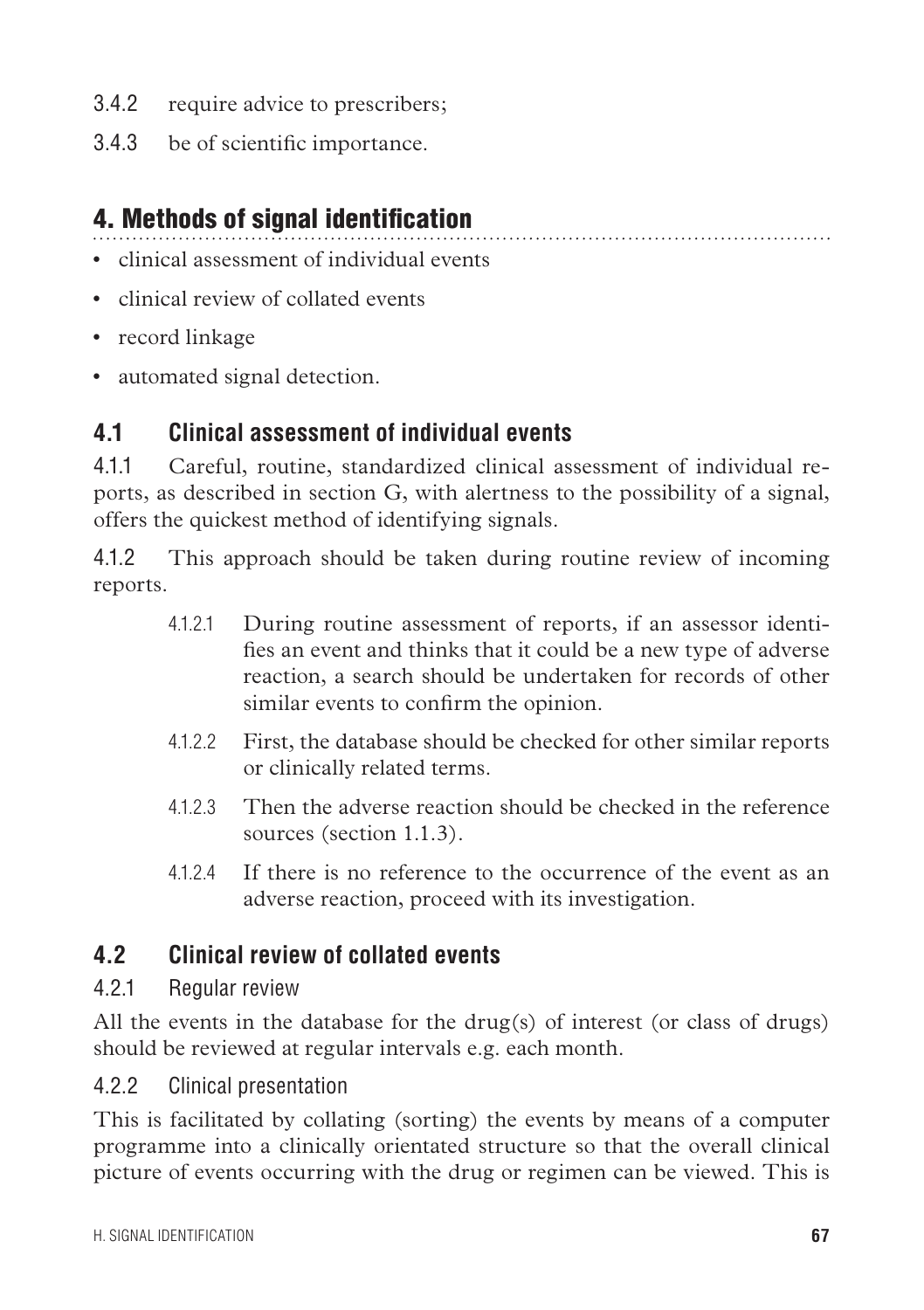- 3.4.2 require advice to prescribers;
- 3.4.3 be of scientific importance.

## 4. Methods of signal identification

- • clinical assessment of individual events
- clinical review of collated events
- record linkage
- automated signal detection.

#### **4.1 Clinical assessment of individual events**

4.1.1 Careful, routine, standardized clinical assessment of individual reports, as described in section G, with alertness to the possibility of a signal, offers the quickest method of identifying signals.

4.1.2 This approach should be taken during routine review of incoming reports.

- 4.1.2.1 During routine assessment of reports, if an assessor identifies an event and thinks that it could be a new type of adverse reaction, a search should be undertaken for records of other similar events to confirm the opinion.
- 4.1.2.2 First, the database should be checked for other similar reports or clinically related terms.
- 4.1.2.3 Then the adverse reaction should be checked in the reference sources (section 1.1.3).
- 4124 If there is no reference to the occurrence of the event as an adverse reaction, proceed with its investigation.

## **4.2 Clinical review of collated events**

#### 4.2.1 Regular review

All the events in the database for the drug(s) of interest (or class of drugs) should be reviewed at regular intervals e.g. each month.

#### 4.2.2 Clinical presentation

This is facilitated by collating (sorting) the events by means of a computer programme into a clinically orientated structure so that the overall clinical picture of events occurring with the drug or regimen can be viewed. This is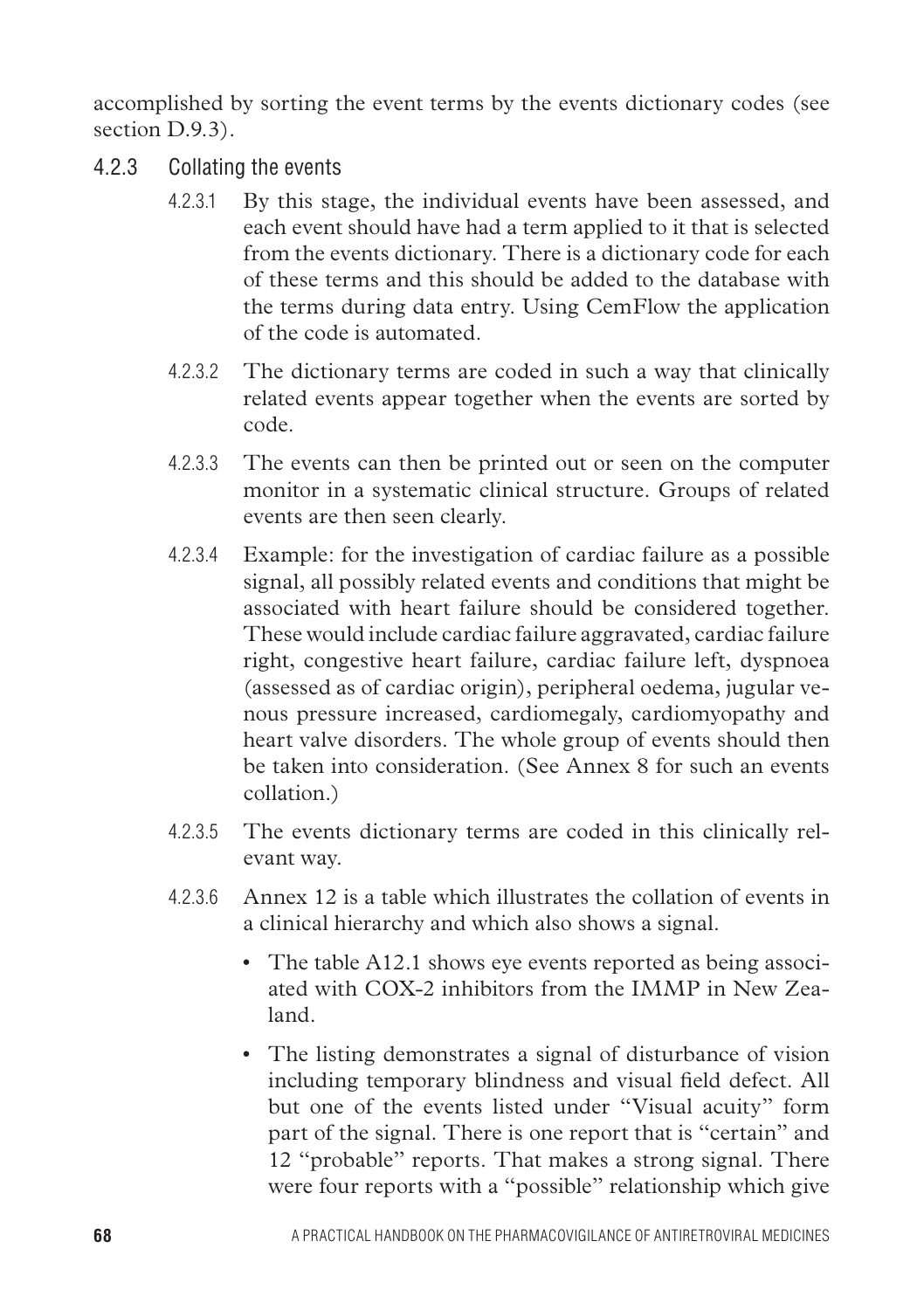accomplished by sorting the event terms by the events dictionary codes (see section D.9.3).

- 4.2.3 Collating the events
	- 4.2.3.1 By this stage, the individual events have been assessed, and each event should have had a term applied to it that is selected from the events dictionary. There is a dictionary code for each of these terms and this should be added to the database with the terms during data entry. Using CemFlow the application of the code is automated.
	- 4.2.3.2 The dictionary terms are coded in such a way that clinically related events appear together when the events are sorted by code.
	- 4.2.3.3 The events can then be printed out or seen on the computer monitor in a systematic clinical structure. Groups of related events are then seen clearly.
	- 4.2.3.4 Example: for the investigation of cardiac failure as a possible signal, all possibly related events and conditions that might be associated with heart failure should be considered together. These would include cardiac failure aggravated, cardiac failure right, congestive heart failure, cardiac failure left, dyspnoea (assessed as of cardiac origin), peripheral oedema, jugular venous pressure increased, cardiomegaly, cardiomyopathy and heart valve disorders. The whole group of events should then be taken into consideration. (See Annex 8 for such an events collation.)
	- 4.2.3.5 The events dictionary terms are coded in this clinically relevant way.
	- 4.2.3.6 Annex 12 is a table which illustrates the collation of events in a clinical hierarchy and which also shows a signal.
		- The table A12.1 shows eye events reported as being associated with COX-2 inhibitors from the IMMP in New Zealand.
		- The listing demonstrates a signal of disturbance of vision including temporary blindness and visual field defect. All but one of the events listed under "Visual acuity" form part of the signal. There is one report that is "certain" and 12 "probable" reports. That makes a strong signal. There were four reports with a "possible" relationship which give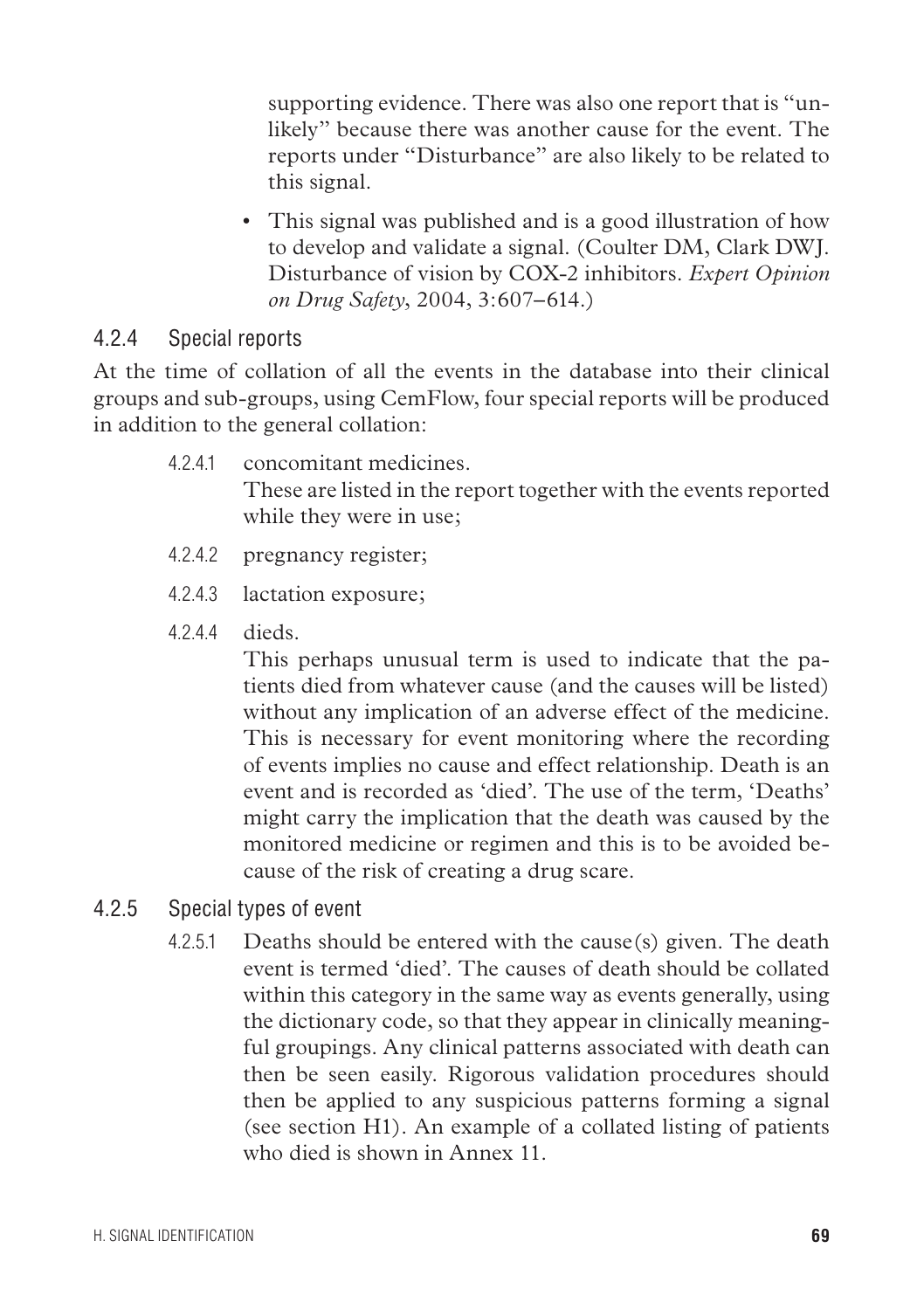supporting evidence. There was also one report that is "unlikely" because there was another cause for the event. The reports under "Disturbance" are also likely to be related to this signal.

• This signal was published and is a good illustration of how to develop and validate a signal. (Coulter DM, Clark DWJ. Disturbance of vision by COX-2 inhibitors. *Expert Opinion on Drug Safety*, 2004, 3:607–614.)

#### 4.2.4 Special reports

At the time of collation of all the events in the database into their clinical groups and sub-groups, using CemFlow, four special reports will be produced in addition to the general collation:

- 4.2.4.1 concomitant medicines. These are listed in the report together with the events reported while they were in use;
- 4.2.4.2 pregnancy register;
- 4.2.4.3 lactation exposure;
- 4244 dieds.

This perhaps unusual term is used to indicate that the patients died from whatever cause (and the causes will be listed) without any implication of an adverse effect of the medicine. This is necessary for event monitoring where the recording of events implies no cause and effect relationship. Death is an event and is recorded as 'died'. The use of the term, 'Deaths' might carry the implication that the death was caused by the monitored medicine or regimen and this is to be avoided because of the risk of creating a drug scare.

- 4.2.5 Special types of event
	- 4.2.5.1 Deaths should be entered with the cause(s) given. The death event is termed 'died'. The causes of death should be collated within this category in the same way as events generally, using the dictionary code, so that they appear in clinically meaningful groupings. Any clinical patterns associated with death can then be seen easily. Rigorous validation procedures should then be applied to any suspicious patterns forming a signal (see section H1). An example of a collated listing of patients who died is shown in Anney 11.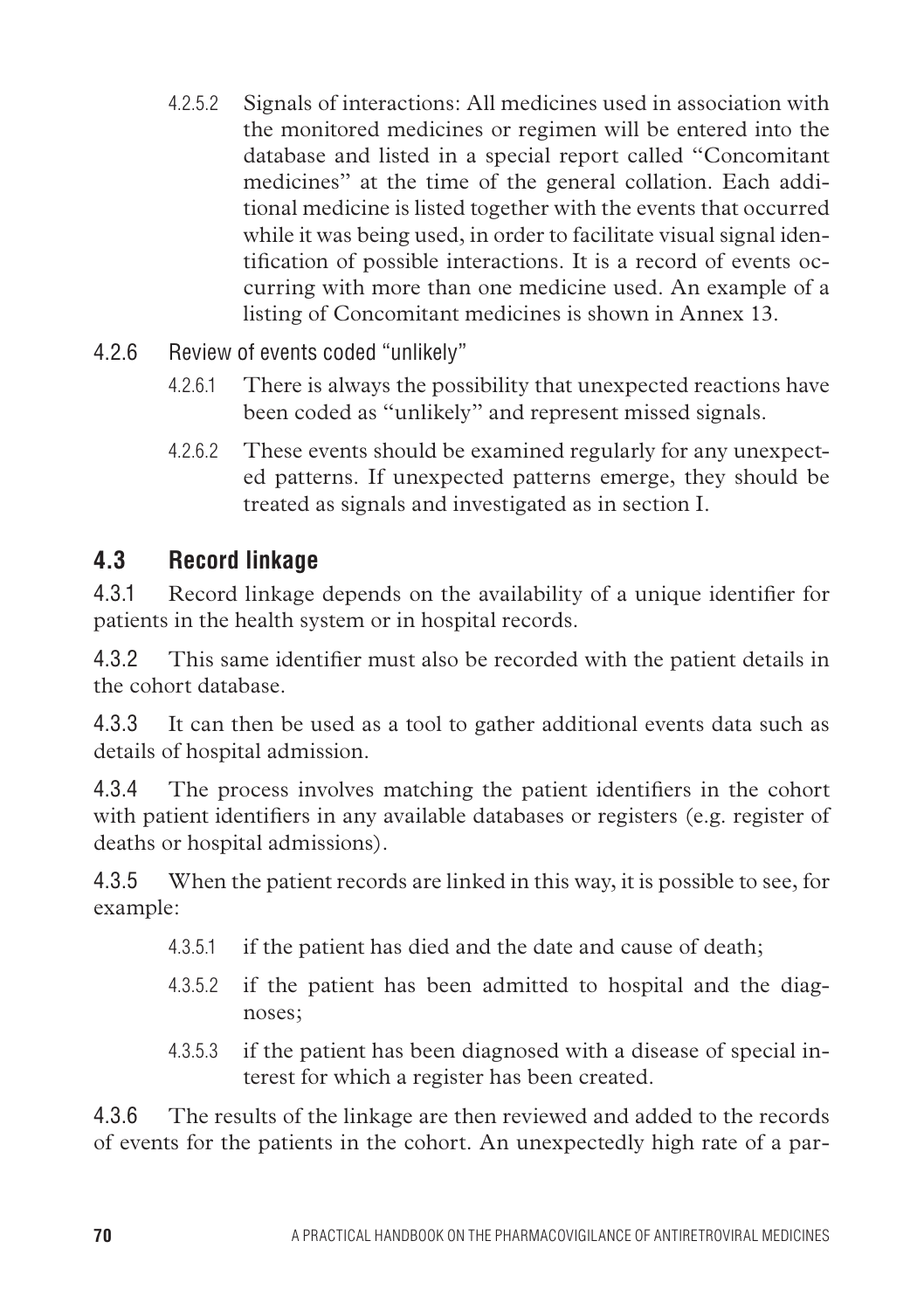- 4.2.5.2 Signals of interactions: All medicines used in association with the monitored medicines or regimen will be entered into the database and listed in a special report called "Concomitant medicines" at the time of the general collation. Each additional medicine is listed together with the events that occurred while it was being used, in order to facilitate visual signal identification of possible interactions. It is a record of events occurring with more than one medicine used. An example of a listing of Concomitant medicines is shown in Annex 13.
- 4.2.6 Review of events coded "unlikely"
	- 4.2.6.1 There is always the possibility that unexpected reactions have been coded as "unlikely" and represent missed signals.
	- 4.2.6.2 These events should be examined regularly for any unexpected patterns. If unexpected patterns emerge, they should be treated as signals and investigated as in section I.

#### **4.3 Record linkage**

4.3.1 Record linkage depends on the availability of a unique identifier for patients in the health system or in hospital records.

4.3.2 This same identifier must also be recorded with the patient details in the cohort database.

4.3.3 It can then be used as a tool to gather additional events data such as details of hospital admission.

4.3.4 The process involves matching the patient identifiers in the cohort with patient identifiers in any available databases or registers (e.g. register of deaths or hospital admissions).

4.3.5 When the patient records are linked in this way, it is possible to see, for example:

- 4.3.5.1 if the patient has died and the date and cause of death;
- 4.3.5.2 if the patient has been admitted to hospital and the diagnoses;
- 4.3.5.3 if the patient has been diagnosed with a disease of special interest for which a register has been created.

4.3.6 The results of the linkage are then reviewed and added to the records of events for the patients in the cohort. An unexpectedly high rate of a par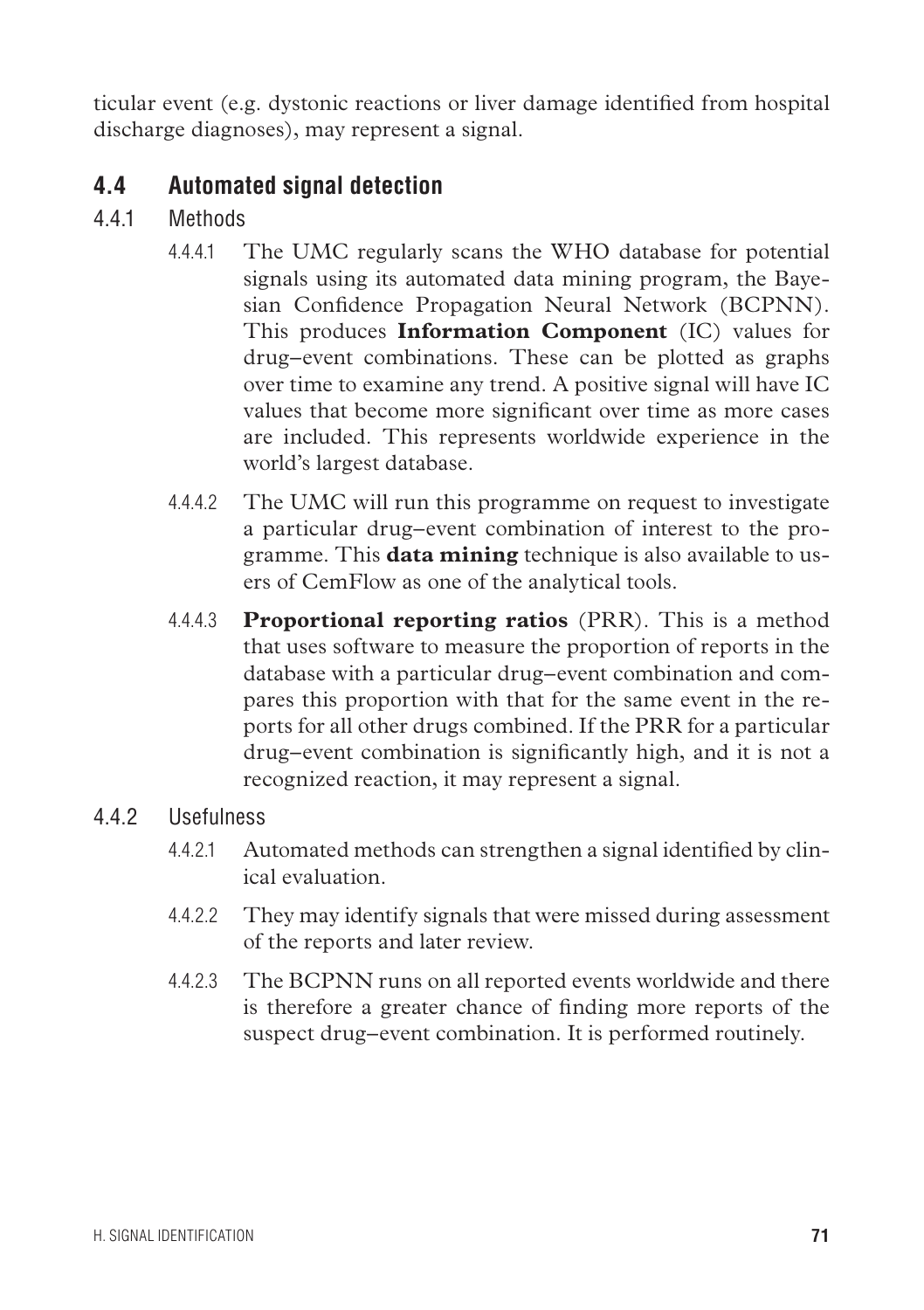ticular event (e.g. dystonic reactions or liver damage identified from hospital discharge diagnoses), may represent a signal.

## **4.4 Automated signal detection**

- 4.4.1 Methods
	- 4.4.4.1 The UMC regularly scans the WHO database for potential signals using its automated data mining program, the Bayesian Confidence Propagation Neural Network (BCPNN). This produces **Information Component** (IC) values for drug–event combinations. These can be plotted as graphs over time to examine any trend. A positive signal will have IC values that become more significant over time as more cases are included. This represents worldwide experience in the world's largest database.
	- 4.4.4.2 The UMC will run this programme on request to investigate a particular drug–event combination of interest to the programme. This **data mining** technique is also available to users of CemFlow as one of the analytical tools.
	- 4.4.4.3 **Proportional reporting ratios** (PRR). This is a method that uses software to measure the proportion of reports in the database with a particular drug–event combination and compares this proportion with that for the same event in the reports for all other drugs combined. If the PRR for a particular drug–event combination is significantly high, and it is not a recognized reaction, it may represent a signal.

#### 4.4.2 Usefulness

- 4.4.2.1 Automated methods can strengthen a signal identified by clinical evaluation.
- 4.4.2.2 They may identify signals that were missed during assessment of the reports and later review.
- 4.4.2.3 The BCPNN runs on all reported events worldwide and there is therefore a greater chance of finding more reports of the suspect drug–event combination. It is performed routinely.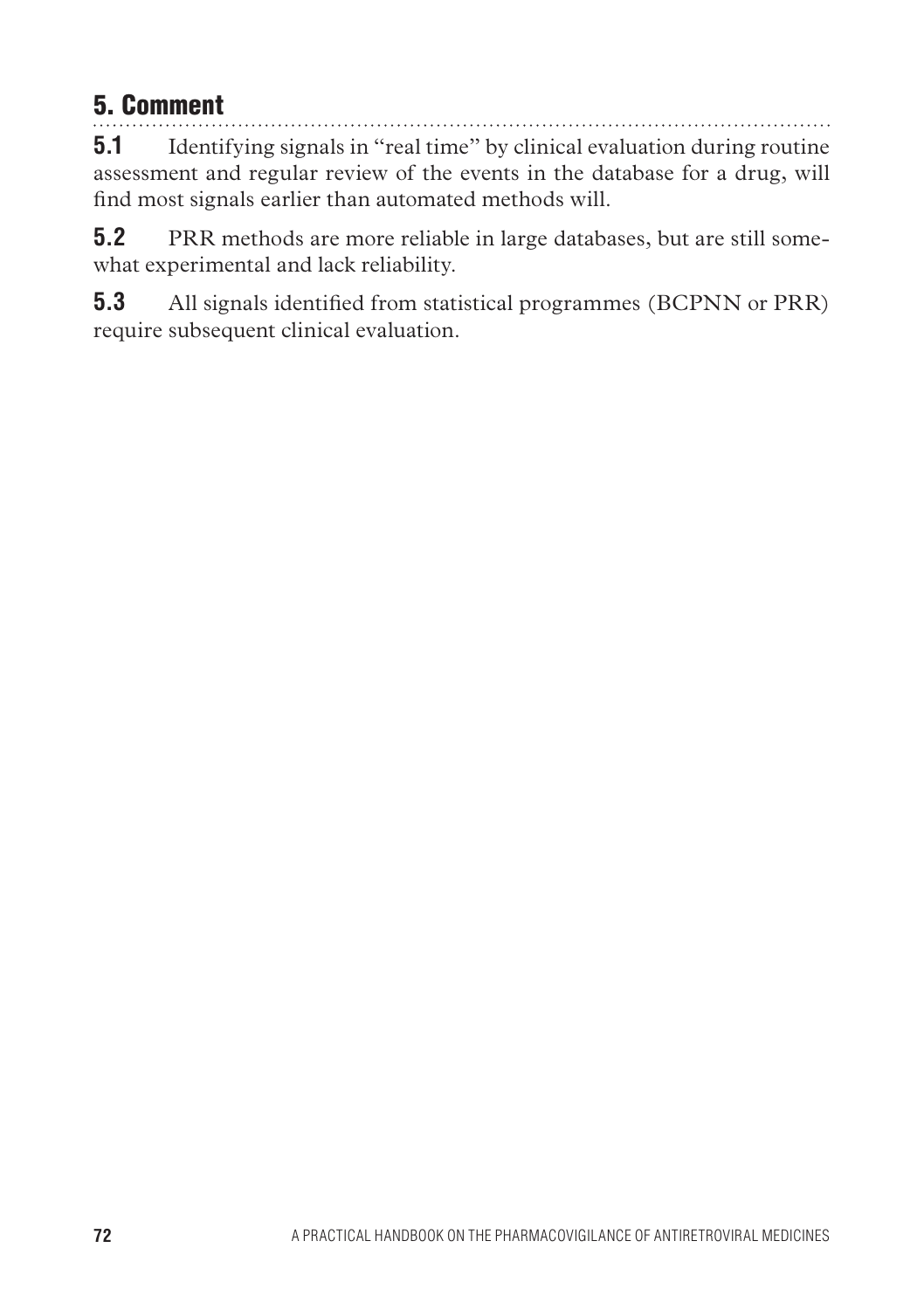## 5. Comment

**5.1** Identifying signals in "real time" by clinical evaluation during routine assessment and regular review of the events in the database for a drug, will find most signals earlier than automated methods will.

**5.2** PRR methods are more reliable in large databases, but are still somewhat experimental and lack reliability.

**5.3** All signals identified from statistical programmes (BCPNN or PRR) require subsequent clinical evaluation.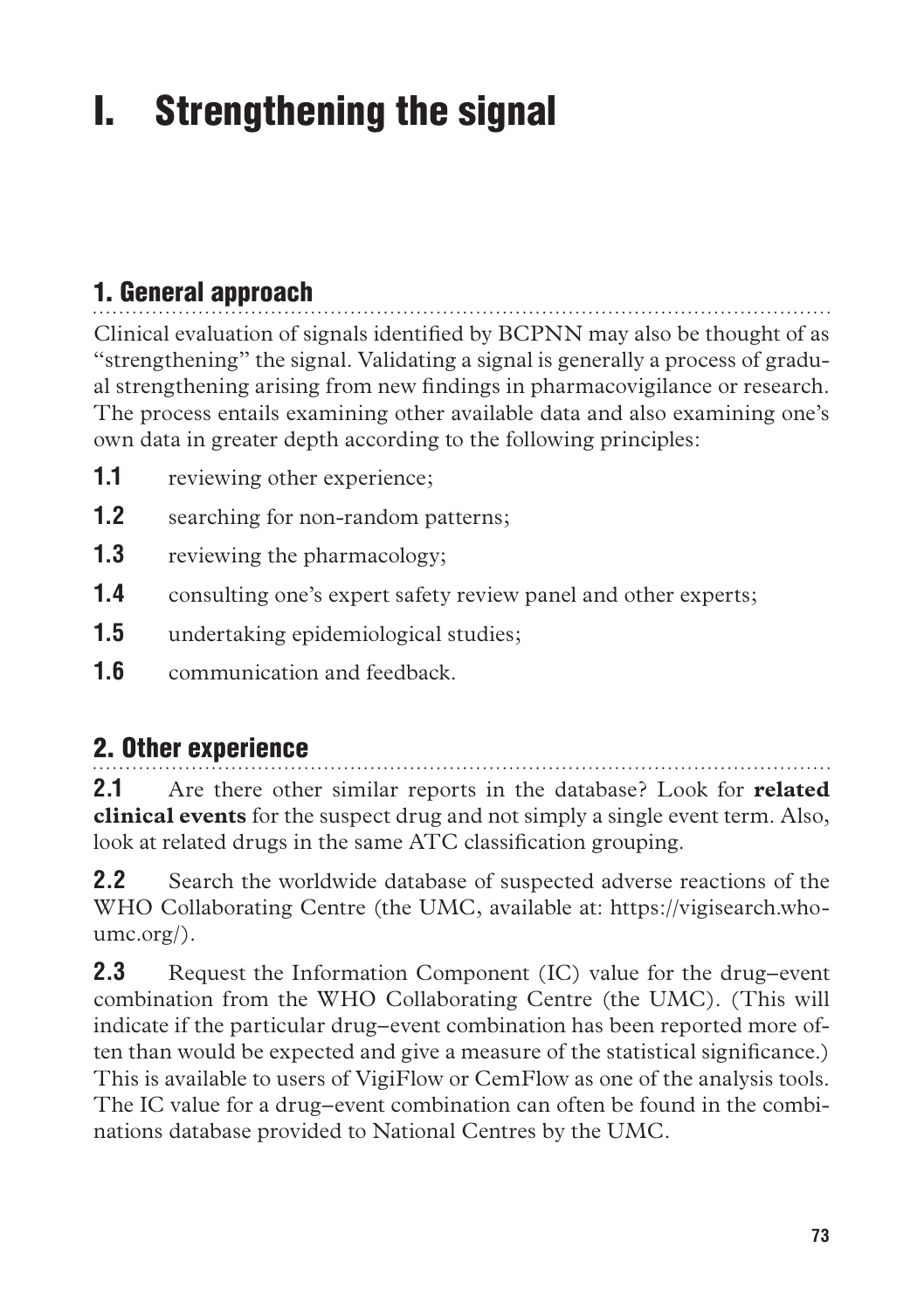# I. Strengthening the signal

# 1. General approach

Clinical evaluation of signals identified by BCPNN may also be thought of as "strengthening" the signal. Validating a signal is generally a process of gradual strengthening arising from new findings in pharmacovigilance or research. The process entails examining other available data and also examining one's own data in greater depth according to the following principles:

- **1.1** reviewing other experience;
- **1.2** searching for non-random patterns;
- **1.3** reviewing the pharmacology;
- **1.4** consulting one's expert safety review panel and other experts;
- **1.5** undertaking epidemiological studies;
- **1.6** communication and feedback.

## 2. Other experience

**2.1** Are there other similar reports in the database? Look for **related clinical events** for the suspect drug and not simply a single event term. Also, look at related drugs in the same ATC classification grouping.

**2.2** Search the worldwide database of suspected adverse reactions of the WHO Collaborating Centre (the UMC, available at: https://vigisearch.whoumc.org/).

**2.3** Request the Information Component (IC) value for the drug–event combination from the WHO Collaborating Centre (the UMC). (This will indicate if the particular drug–event combination has been reported more often than would be expected and give a measure of the statistical significance.) This is available to users of VigiFlow or CemFlow as one of the analysis tools. The IC value for a drug–event combination can often be found in the combinations database provided to National Centres by the UMC.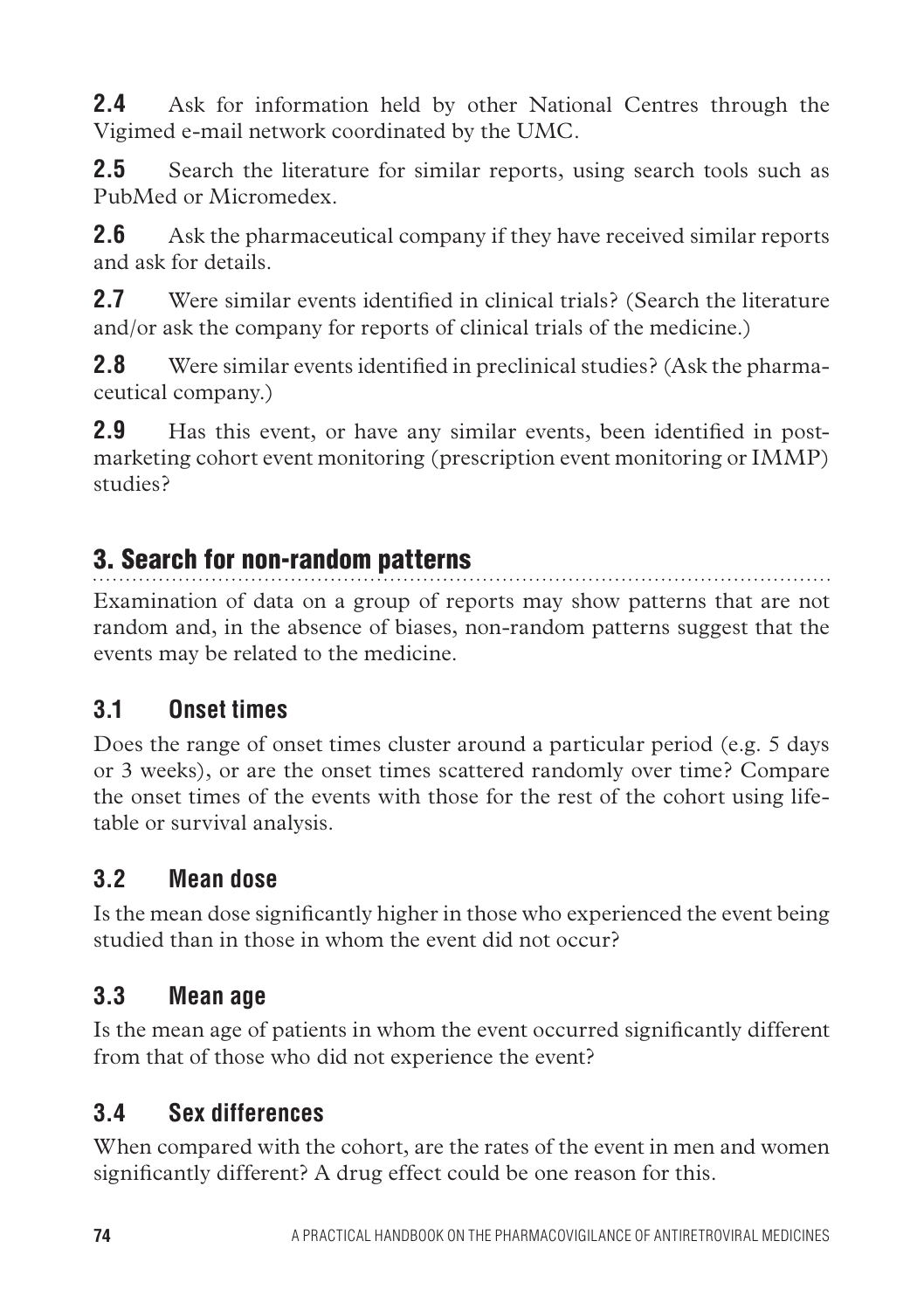**2.4** Ask for information held by other National Centres through the Vigimed e-mail network coordinated by the UMC.

**2.5** Search the literature for similar reports, using search tools such as PubMed or Micromedex.

**2.6** Ask the pharmaceutical company if they have received similar reports and ask for details.

**2.7** Were similar events identified in clinical trials? (Search the literature and/or ask the company for reports of clinical trials of the medicine.)

**2.8** Were similar events identified in preclinical studies? (Ask the pharmaceutical company.)

**2.9** Has this event, or have any similar events, been identified in postmarketing cohort event monitoring (prescription event monitoring or IMMP) studies?

## 3. Search for non-random patterns

Examination of data on a group of reports may show patterns that are not random and, in the absence of biases, non-random patterns suggest that the events may be related to the medicine.

## **3.1 Onset times**

Does the range of onset times cluster around a particular period (e.g. 5 days or 3 weeks), or are the onset times scattered randomly over time? Compare the onset times of the events with those for the rest of the cohort using lifetable or survival analysis.

## **3.2 Mean dose**

Is the mean dose significantly higher in those who experienced the event being studied than in those in whom the event did not occur?

## **3.3 Mean age**

Is the mean age of patients in whom the event occurred significantly different from that of those who did not experience the event?

## **3.4 Sex differences**

When compared with the cohort, are the rates of the event in men and women significantly different? A drug effect could be one reason for this.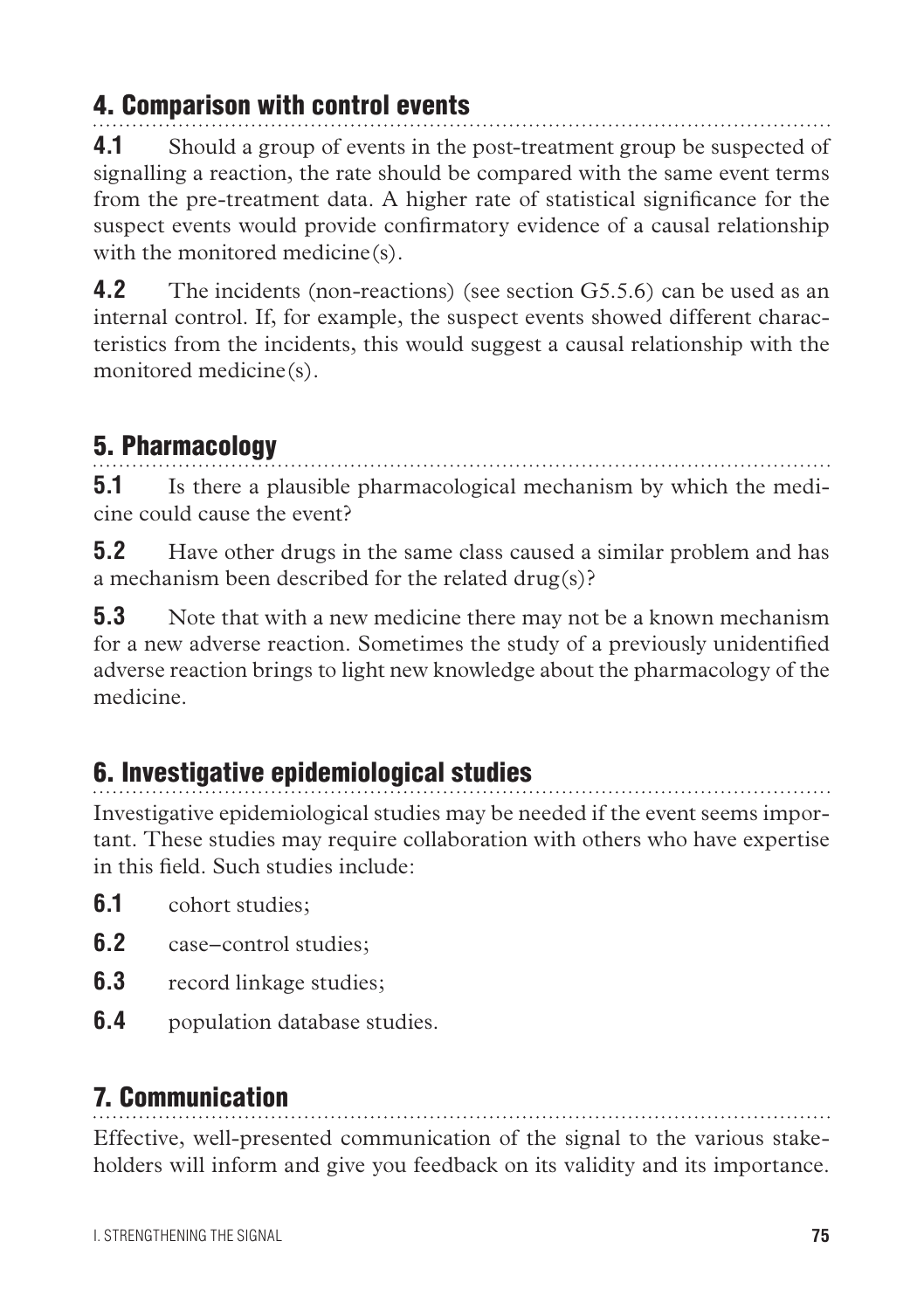## 4. Comparison with control events

**4.1** Should a group of events in the post-treatment group be suspected of signalling a reaction, the rate should be compared with the same event terms from the pre-treatment data. A higher rate of statistical significance for the suspect events would provide confirmatory evidence of a causal relationship with the monitored medicine(s).

**4.2** The incidents (non-reactions) (see section G5.5.6) can be used as an internal control. If, for example, the suspect events showed different characteristics from the incidents, this would suggest a causal relationship with the monitored medicine(s).

# 5. Pharmacology

**5.1** Is there a plausible pharmacological mechanism by which the medicine could cause the event?

**5.2** Have other drugs in the same class caused a similar problem and has a mechanism been described for the related drug(s)?

**5.3** Note that with a new medicine there may not be a known mechanism for a new adverse reaction. Sometimes the study of a previously unidentified adverse reaction brings to light new knowledge about the pharmacology of the medicine.

# 6. Investigative epidemiological studies

Investigative epidemiological studies may be needed if the event seems important. These studies may require collaboration with others who have expertise in this field. Such studies include:

- **6.1** cohort studies;
- **6.2** case–control studies;
- **6.3** record linkage studies;
- **6.4** population database studies.

# 7. Communication

Effective, well-presented communication of the signal to the various stakeholders will inform and give you feedback on its validity and its importance.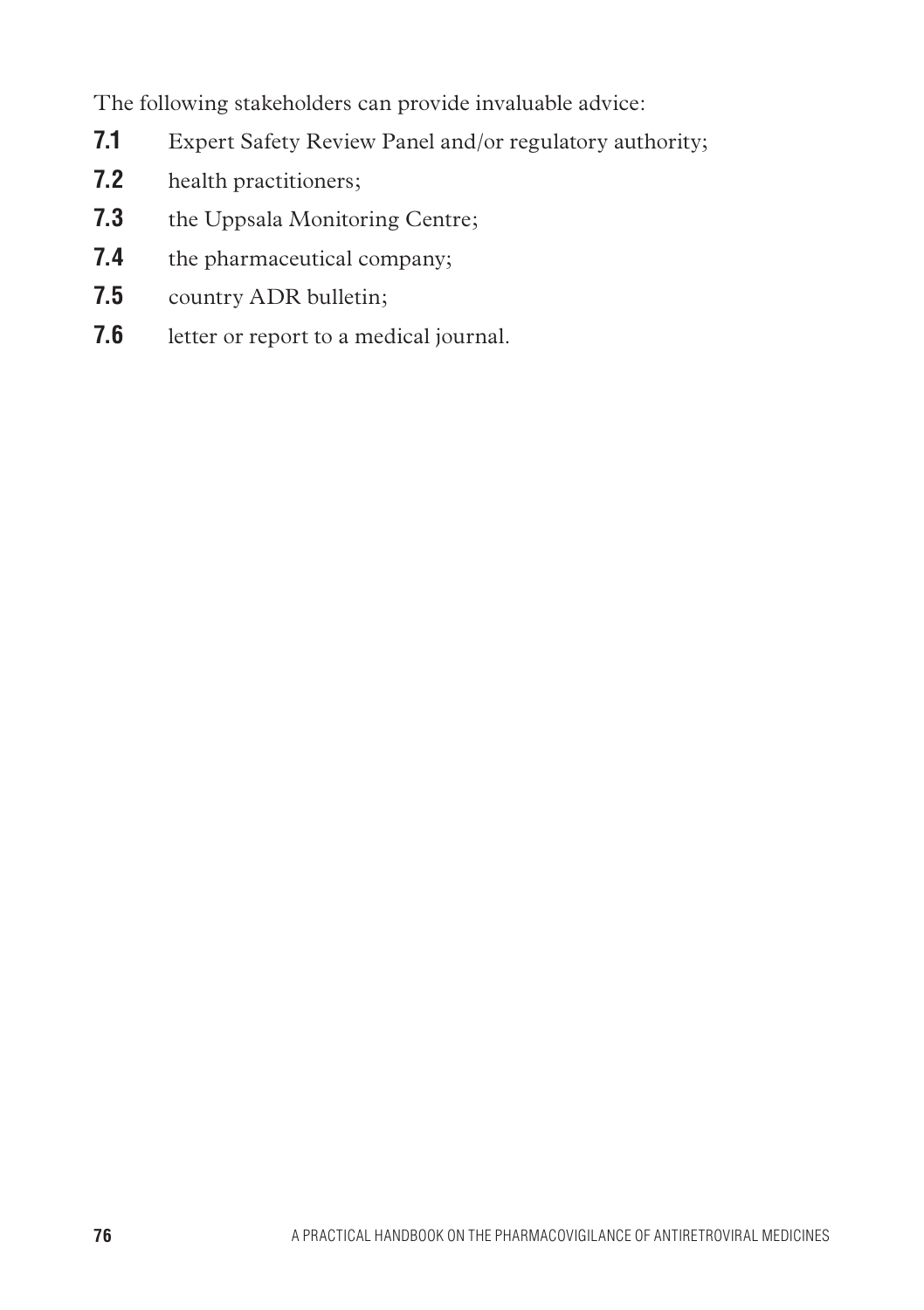The following stakeholders can provide invaluable advice:

- **7.1** Expert Safety Review Panel and/or regulatory authority;
- **7.2** health practitioners;
- **7.3** the Uppsala Monitoring Centre;
- **7.4** the pharmaceutical company;
- **7.5** country ADR bulletin;
- **7.6** letter or report to a medical journal.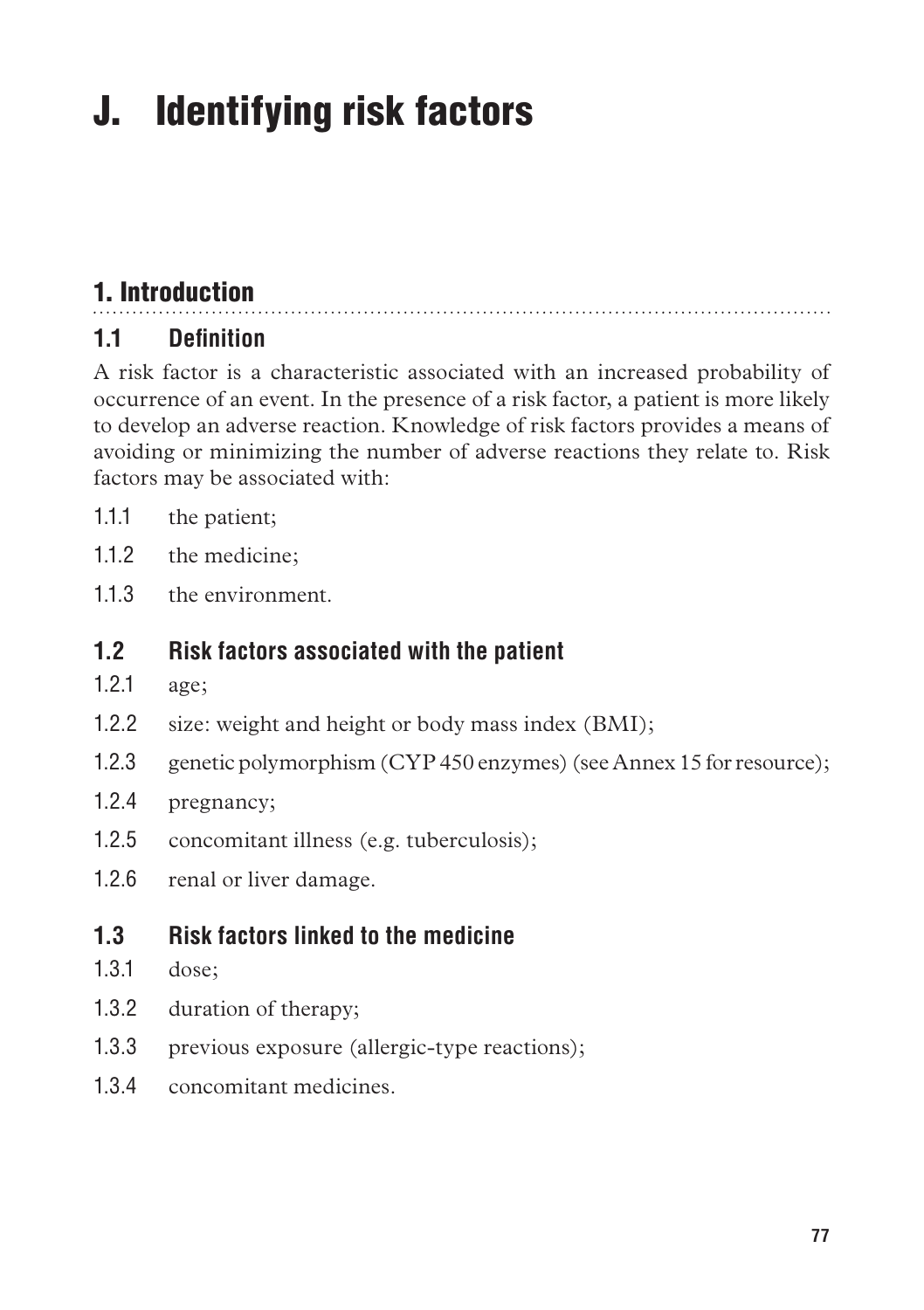# J. Identifying risk factors

# 1. Introduction

## **1.1 Definition**

A risk factor is a characteristic associated with an increased probability of occurrence of an event. In the presence of a risk factor, a patient is more likely to develop an adverse reaction. Knowledge of risk factors provides a means of avoiding or minimizing the number of adverse reactions they relate to. Risk factors may be associated with:

- 1.1.1 the patient;
- 1.1.2 the medicine;
- 11.3 the environment.

#### **1.2 Risk factors associated with the patient**

- 1.2.1 age;
- 1.2.2 size: weight and height or body mass index (BMI);
- 1.2.3 genetic polymorphism (CYP 450 enzymes) (see Annex 15 for resource);
- 1.2.4 pregnancy;
- 1.2.5 concomitant illness (e.g. tuberculosis);
- 1.2.6 renal or liver damage.
- **1.3 Risk factors linked to the medicine**
- 1.3.1 dose;
- 1.3.2 duration of therapy;
- 1.3.3 previous exposure (allergic-type reactions);
- 1.3.4 concomitant medicines.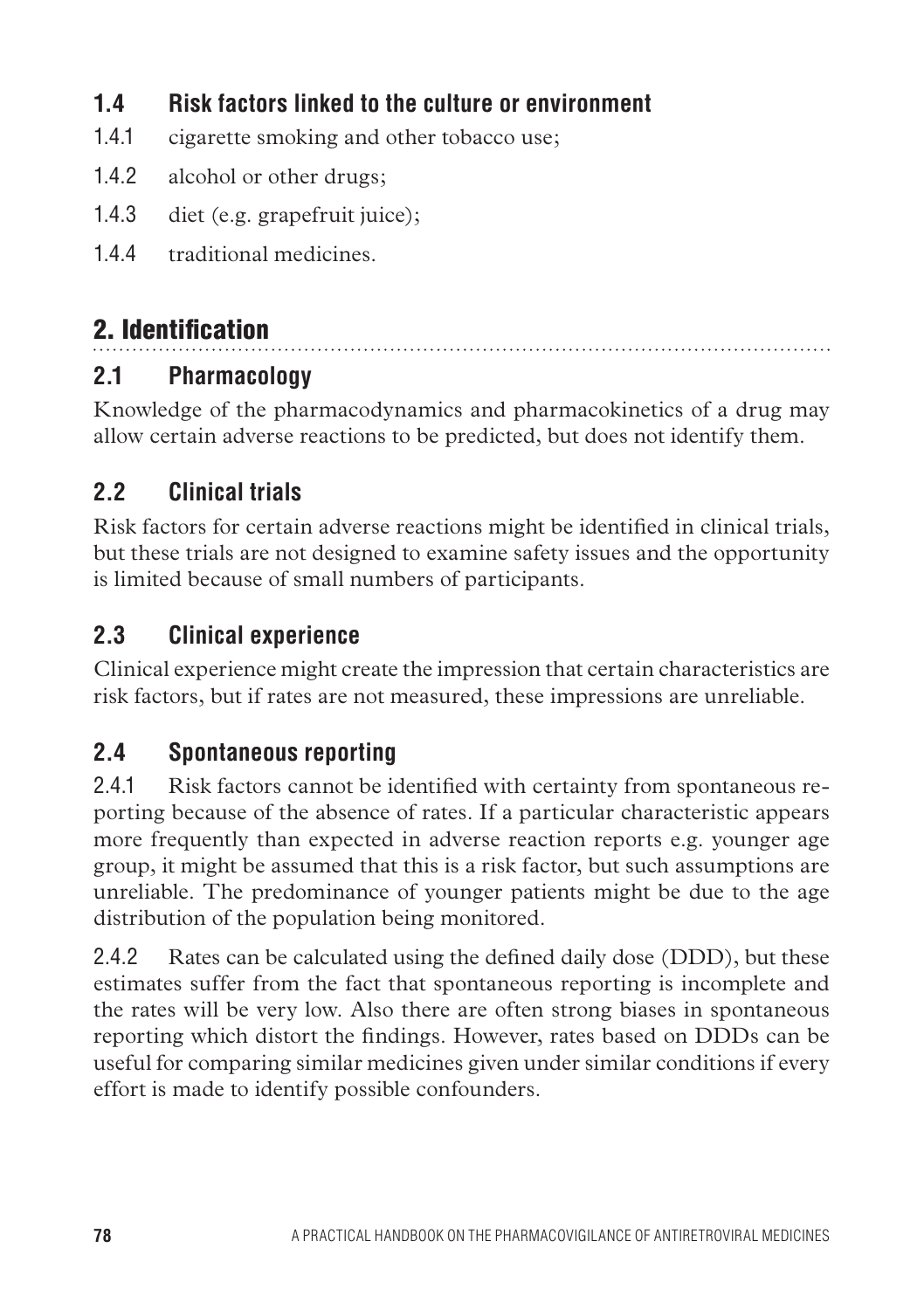## **1.4 Risk factors linked to the culture or environment**

- 1.4.1 cigarette smoking and other tobacco use;
- 1.4.2 alcohol or other drugs;
- 1.4.3 diet (e.g. grapefruit juice);
- 1.4.4 traditional medicines.

# 2. Identification

## **2.1 Pharmacology**

Knowledge of the pharmacodynamics and pharmacokinetics of a drug may allow certain adverse reactions to be predicted, but does not identify them.

## **2.2 Clinical trials**

Risk factors for certain adverse reactions might be identified in clinical trials, but these trials are not designed to examine safety issues and the opportunity is limited because of small numbers of participants.

## **2.3 Clinical experience**

Clinical experience might create the impression that certain characteristics are risk factors, but if rates are not measured, these impressions are unreliable.

## **2.4 Spontaneous reporting**

2.4.1 Risk factors cannot be identified with certainty from spontaneous reporting because of the absence of rates. If a particular characteristic appears more frequently than expected in adverse reaction reports e.g. younger age group, it might be assumed that this is a risk factor, but such assumptions are unreliable. The predominance of younger patients might be due to the age distribution of the population being monitored.

2.4.2 Rates can be calculated using the defined daily dose (DDD), but these estimates suffer from the fact that spontaneous reporting is incomplete and the rates will be very low. Also there are often strong biases in spontaneous reporting which distort the findings. However, rates based on DDDs can be useful for comparing similar medicines given under similar conditions if every effort is made to identify possible confounders.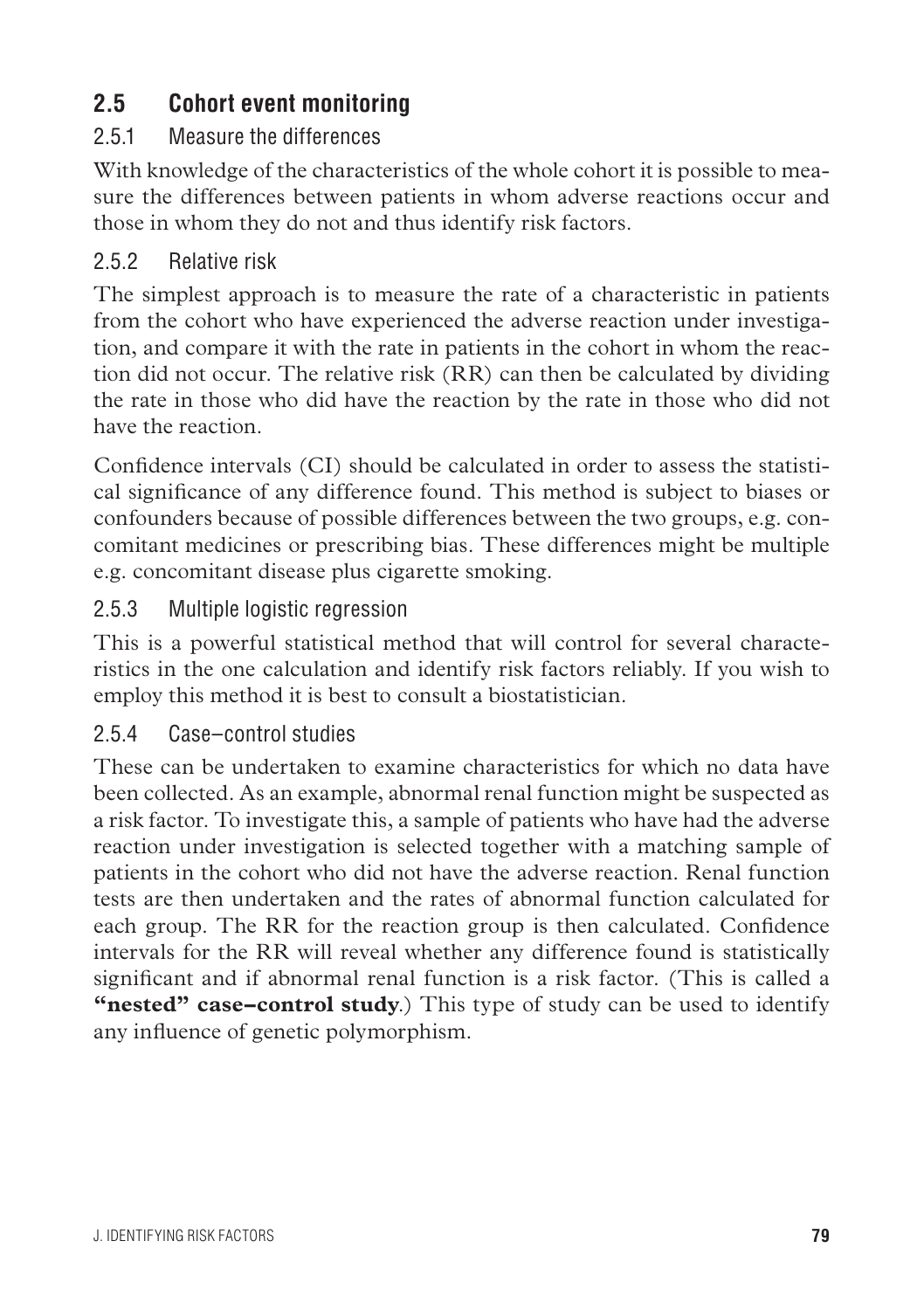## **2.5 Cohort event monitoring**

#### 2.5.1 Measure the differences

With knowledge of the characteristics of the whole cohort it is possible to measure the differences between patients in whom adverse reactions occur and those in whom they do not and thus identify risk factors.

#### 2.5.2 Relative risk

The simplest approach is to measure the rate of a characteristic in patients from the cohort who have experienced the adverse reaction under investigation, and compare it with the rate in patients in the cohort in whom the reaction did not occur. The relative risk (RR) can then be calculated by dividing the rate in those who did have the reaction by the rate in those who did not have the reaction.

Confidence intervals (CI) should be calculated in order to assess the statistical significance of any difference found. This method is subject to biases or confounders because of possible differences between the two groups, e.g. concomitant medicines or prescribing bias. These differences might be multiple e.g. concomitant disease plus cigarette smoking.

#### 2.5.3 Multiple logistic regression

This is a powerful statistical method that will control for several characteristics in the one calculation and identify risk factors reliably. If you wish to employ this method it is best to consult a biostatistician.

#### 2.5.4 Case–control studies

These can be undertaken to examine characteristics for which no data have been collected. As an example, abnormal renal function might be suspected as a risk factor. To investigate this, a sample of patients who have had the adverse reaction under investigation is selected together with a matching sample of patients in the cohort who did not have the adverse reaction. Renal function tests are then undertaken and the rates of abnormal function calculated for each group. The RR for the reaction group is then calculated. Confidence intervals for the RR will reveal whether any difference found is statistically significant and if abnormal renal function is a risk factor. (This is called a **"nested" case–control study**.) This type of study can be used to identify any influence of genetic polymorphism.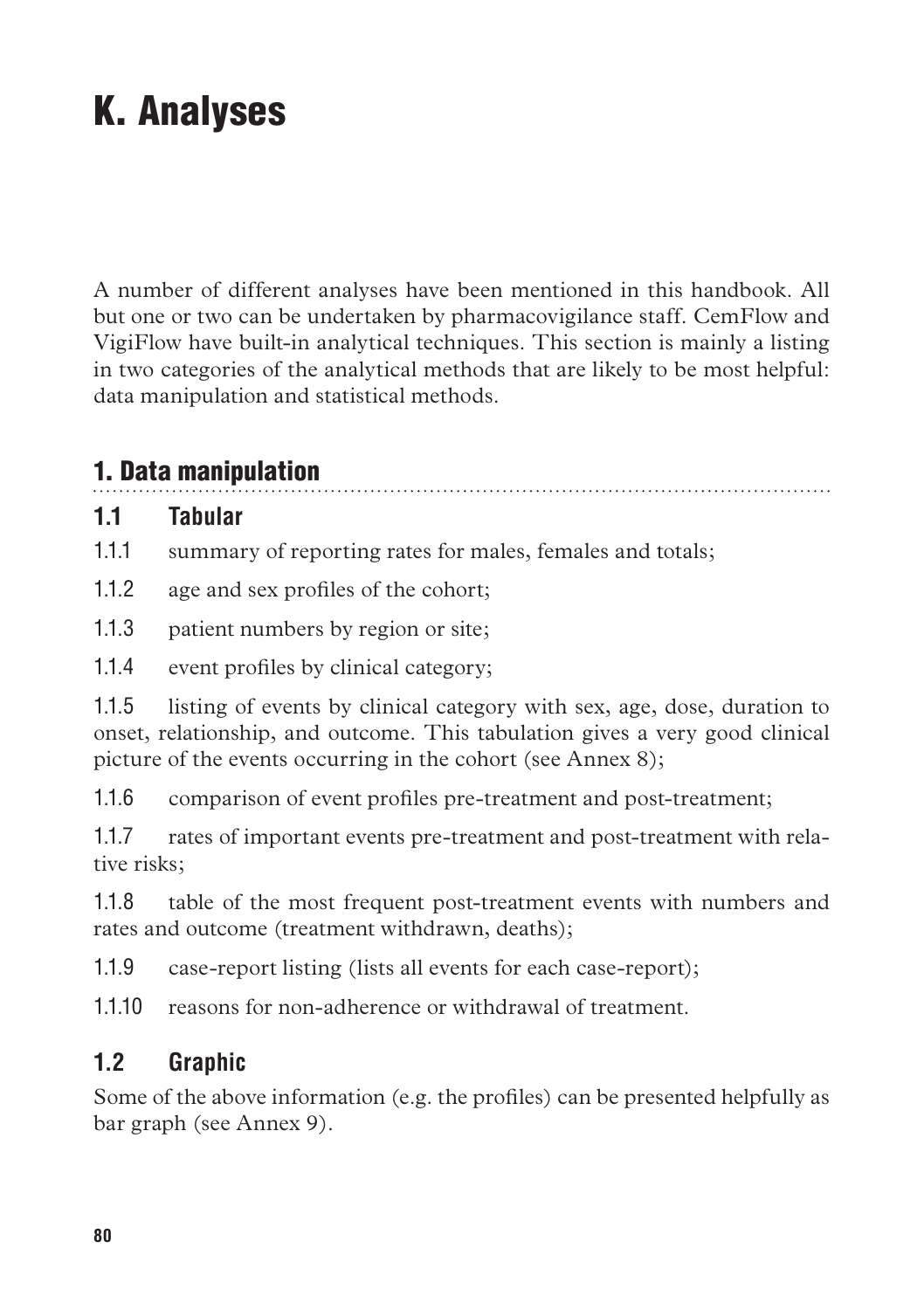# K. Analyses

A number of different analyses have been mentioned in this handbook. All but one or two can be undertaken by pharmacovigilance staff. CemFlow and VigiFlow have built-in analytical techniques. This section is mainly a listing in two categories of the analytical methods that are likely to be most helpful: data manipulation and statistical methods.

## 1. Data manipulation

#### **1.1 Tabular**

1.1.1 summary of reporting rates for males, females and totals;

- 1.1.2 age and sex profiles of the cohort;
- 1.1.3 patient numbers by region or site;
- 1.1.4 event profiles by clinical category;

1.1.5 listing of events by clinical category with sex, age, dose, duration to onset, relationship, and outcome. This tabulation gives a very good clinical picture of the events occurring in the cohort (see Annex 8);

1.1.6 comparison of event profiles pre-treatment and post-treatment;

1.1.7 rates of important events pre-treatment and post-treatment with relative risks;

1.1.8 table of the most frequent post-treatment events with numbers and rates and outcome (treatment withdrawn, deaths);

1.1.9 case-report listing (lists all events for each case-report);

1.1.10 reasons for non-adherence or withdrawal of treatment.

## **1.2 Graphic**

Some of the above information (e.g. the profiles) can be presented helpfully as bar graph (see Annex 9).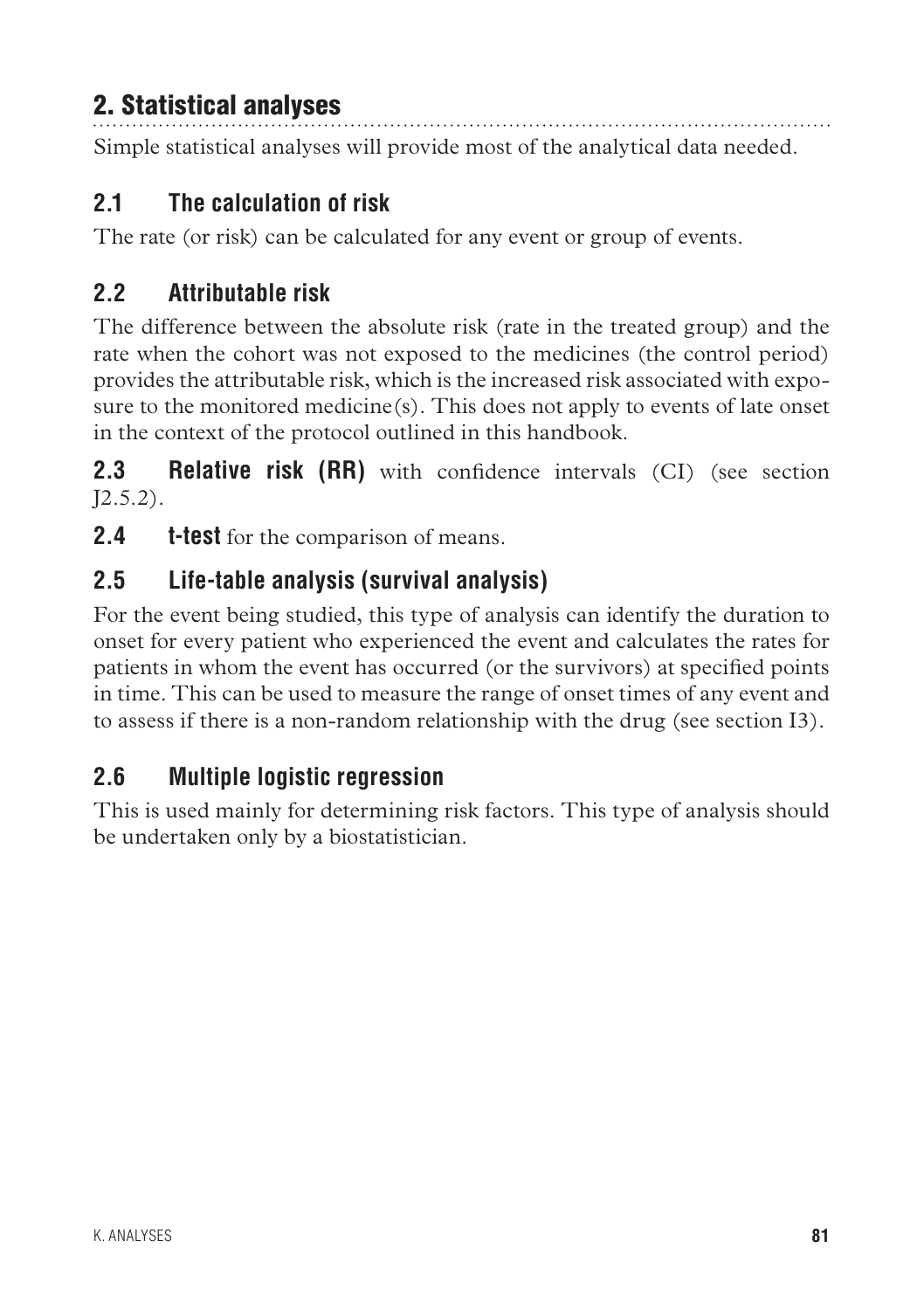## 2. Statistical analyses

Simple statistical analyses will provide most of the analytical data needed.

## **2.1 The calculation of risk**

The rate (or risk) can be calculated for any event or group of events.

## **2.2 Attributable risk**

The difference between the absolute risk (rate in the treated group) and the rate when the cohort was not exposed to the medicines (the control period) provides the attributable risk, which is the increased risk associated with exposure to the monitored medicine $(s)$ . This does not apply to events of late onset in the context of the protocol outlined in this handbook.

**2.3 Relative risk (RR)** with confidence intervals (CI) (see section  $[2.5.2)$ .

**2.4 t-test** for the comparison of means.

## **2.5 Life-table analysis (survival analysis)**

For the event being studied, this type of analysis can identify the duration to onset for every patient who experienced the event and calculates the rates for patients in whom the event has occurred (or the survivors) at specified points in time. This can be used to measure the range of onset times of any event and to assess if there is a non-random relationship with the drug (see section I3).

## **2.6 Multiple logistic regression**

This is used mainly for determining risk factors. This type of analysis should be undertaken only by a biostatistician.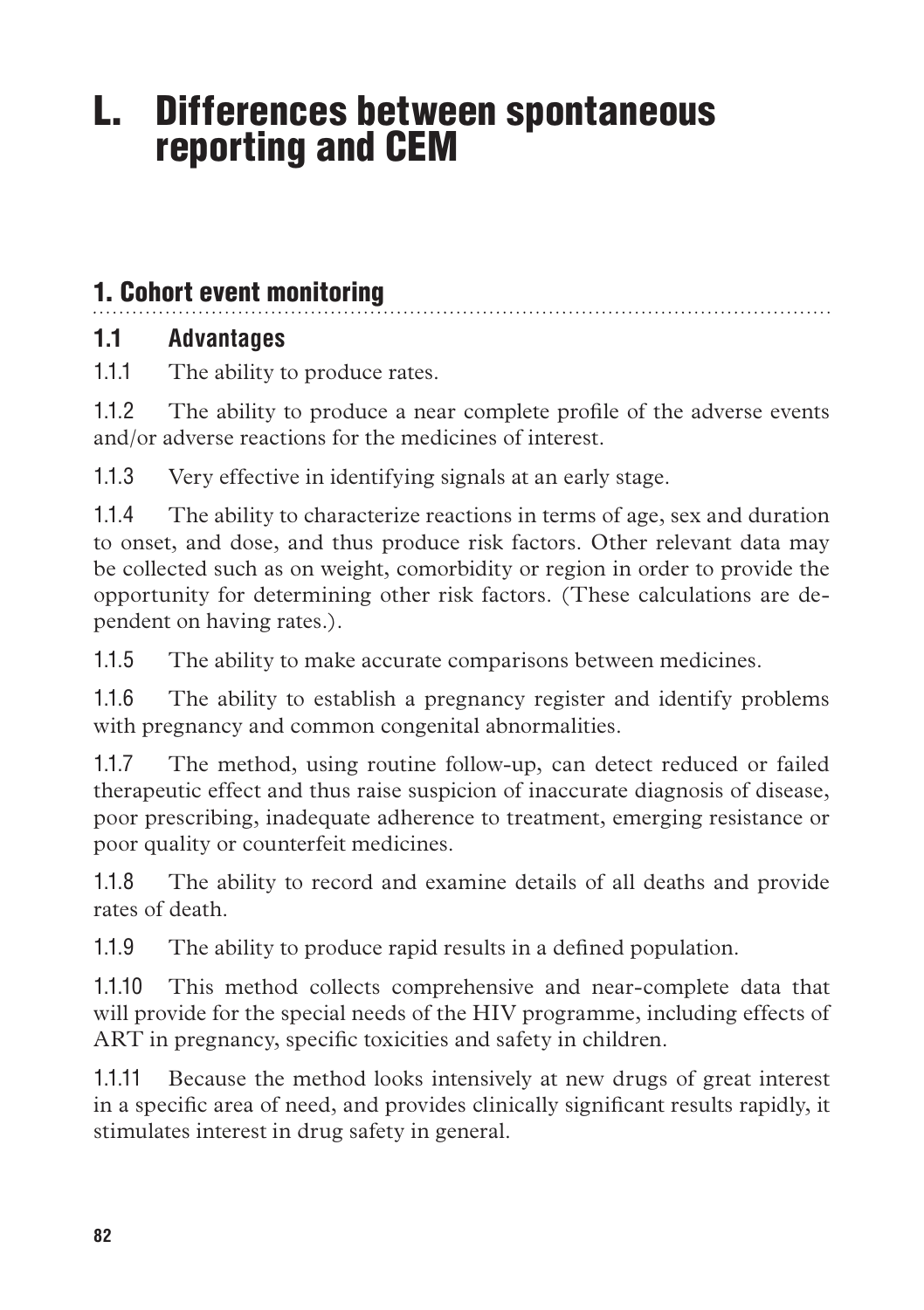# L. Differences between spontaneous reporting and CEM

## 1. Cohort event monitoring

## **1.1 Advantages**

1.1.1 The ability to produce rates.

1.1.2 The ability to produce a near complete profile of the adverse events and/or adverse reactions for the medicines of interest.

1.1.3 Very effective in identifying signals at an early stage.

1.1.4 The ability to characterize reactions in terms of age, sex and duration to onset, and dose, and thus produce risk factors. Other relevant data may be collected such as on weight, comorbidity or region in order to provide the opportunity for determining other risk factors. (These calculations are dependent on having rates.).

1.1.5 The ability to make accurate comparisons between medicines.

1.1.6 The ability to establish a pregnancy register and identify problems with pregnancy and common congenital abnormalities.

1.1.7 The method, using routine follow-up, can detect reduced or failed therapeutic effect and thus raise suspicion of inaccurate diagnosis of disease, poor prescribing, inadequate adherence to treatment, emerging resistance or poor quality or counterfeit medicines.

1.1.8 The ability to record and examine details of all deaths and provide rates of death.

1.1.9 The ability to produce rapid results in a defined population.

1.1.10 This method collects comprehensive and near-complete data that will provide for the special needs of the HIV programme, including effects of ART in pregnancy, specific toxicities and safety in children.

1.1.11 Because the method looks intensively at new drugs of great interest in a specific area of need, and provides clinically significant results rapidly, it stimulates interest in drug safety in general.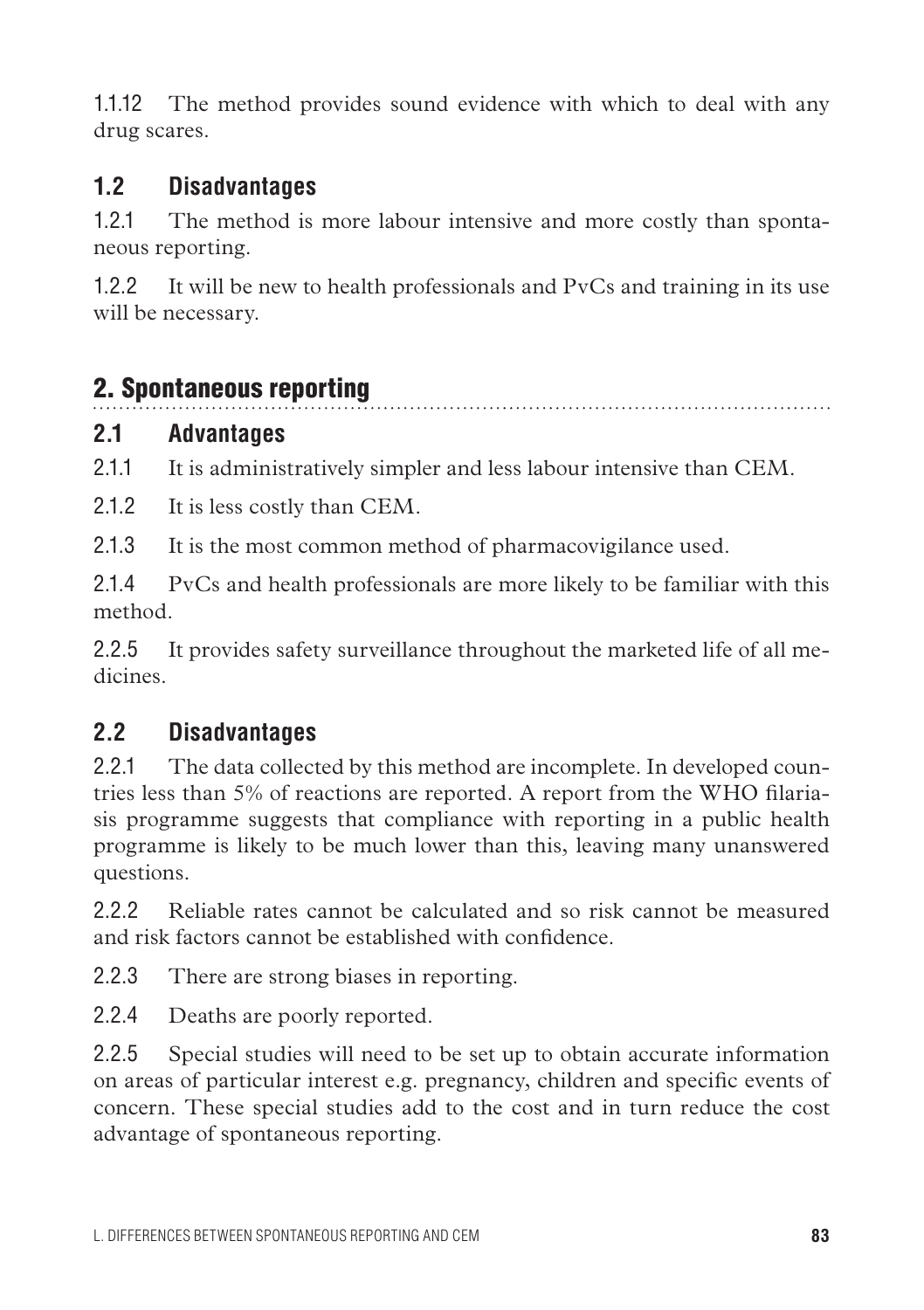1.1.12 The method provides sound evidence with which to deal with any drug scares.

### **1.2 Disadvantages**

1.2.1 The method is more labour intensive and more costly than spontaneous reporting.

1.2.2 It will be new to health professionals and PvCs and training in its use will be necessary.

## 2. Spontaneous reporting

#### **2.1 Advantages**

2.1.1 It is administratively simpler and less labour intensive than CEM.

2.1.2 It is less costly than CEM.

2.1.3 It is the most common method of pharmacovigilance used.

2.1.4 PvCs and health professionals are more likely to be familiar with this method.

2.2.5 It provides safety surveillance throughout the marketed life of all medicines.

## **2.2 Disadvantages**

2.2.1 The data collected by this method are incomplete. In developed countries less than 5% of reactions are reported. A report from the WHO filariasis programme suggests that compliance with reporting in a public health programme is likely to be much lower than this, leaving many unanswered questions.

2.2.2 Reliable rates cannot be calculated and so risk cannot be measured and risk factors cannot be established with confidence.

2.2.3 There are strong biases in reporting.

2.2.4 Deaths are poorly reported.

2.2.5 Special studies will need to be set up to obtain accurate information on areas of particular interest e.g. pregnancy, children and specific events of concern. These special studies add to the cost and in turn reduce the cost advantage of spontaneous reporting.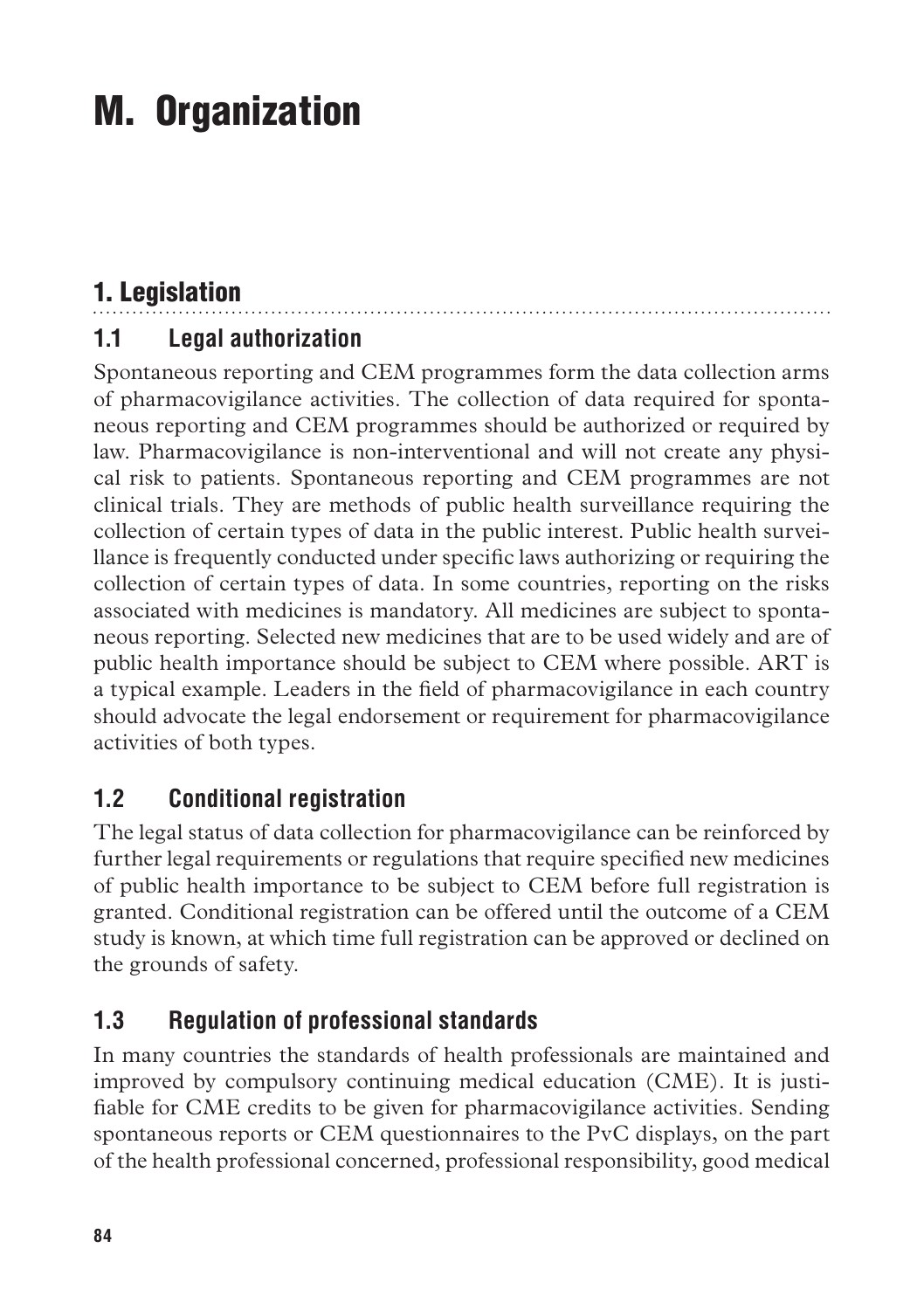# M. Organization

# 1. Legislation

## **1.1 Legal authorization**

Spontaneous reporting and CEM programmes form the data collection arms of pharmacovigilance activities. The collection of data required for spontaneous reporting and CEM programmes should be authorized or required by law. Pharmacovigilance is non-interventional and will not create any physical risk to patients. Spontaneous reporting and CEM programmes are not clinical trials. They are methods of public health surveillance requiring the collection of certain types of data in the public interest. Public health surveillance is frequently conducted under specific laws authorizing or requiring the collection of certain types of data. In some countries, reporting on the risks associated with medicines is mandatory. All medicines are subject to spontaneous reporting. Selected new medicines that are to be used widely and are of public health importance should be subject to CEM where possible. ART is a typical example. Leaders in the field of pharmacovigilance in each country should advocate the legal endorsement or requirement for pharmacovigilance activities of both types.

## **1.2 Conditional registration**

The legal status of data collection for pharmacovigilance can be reinforced by further legal requirements or regulations that require specified new medicines of public health importance to be subject to CEM before full registration is granted. Conditional registration can be offered until the outcome of a CEM study is known, at which time full registration can be approved or declined on the grounds of safety.

## **1.3 Regulation of professional standards**

In many countries the standards of health professionals are maintained and improved by compulsory continuing medical education (CME). It is justifiable for CME credits to be given for pharmacovigilance activities. Sending spontaneous reports or CEM questionnaires to the PvC displays, on the part of the health professional concerned, professional responsibility, good medical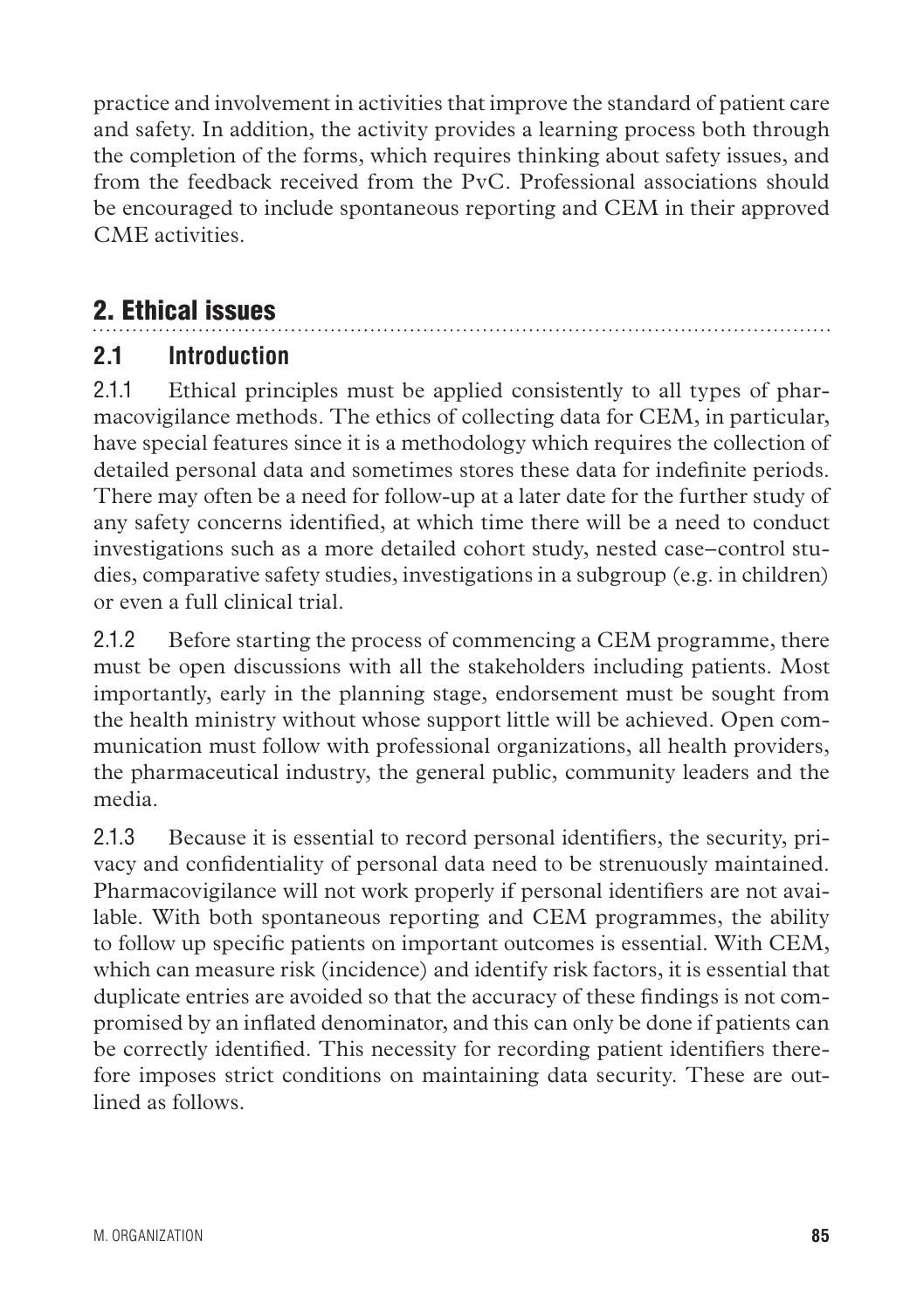practice and involvement in activities that improve the standard of patient care and safety. In addition, the activity provides a learning process both through the completion of the forms, which requires thinking about safety issues, and from the feedback received from the PvC. Professional associations should be encouraged to include spontaneous reporting and CEM in their approved CME activities.

## 2. Ethical issues

#### **2.1 Introduction**

2.1.1 Ethical principles must be applied consistently to all types of pharmacovigilance methods. The ethics of collecting data for CEM, in particular, have special features since it is a methodology which requires the collection of detailed personal data and sometimes stores these data for indefinite periods. There may often be a need for follow-up at a later date for the further study of any safety concerns identified, at which time there will be a need to conduct investigations such as a more detailed cohort study, nested case–control studies, comparative safety studies, investigations in a subgroup (e.g. in children) or even a full clinical trial.

2.1.2 Before starting the process of commencing a CEM programme, there must be open discussions with all the stakeholders including patients. Most importantly, early in the planning stage, endorsement must be sought from the health ministry without whose support little will be achieved. Open communication must follow with professional organizations, all health providers, the pharmaceutical industry, the general public, community leaders and the media.

2.1.3 Because it is essential to record personal identifiers, the security, privacy and confidentiality of personal data need to be strenuously maintained. Pharmacovigilance will not work properly if personal identifiers are not available. With both spontaneous reporting and CEM programmes, the ability to follow up specific patients on important outcomes is essential. With CEM, which can measure risk (incidence) and identify risk factors, it is essential that duplicate entries are avoided so that the accuracy of these findings is not compromised by an inflated denominator, and this can only be done if patients can be correctly identified. This necessity for recording patient identifiers therefore imposes strict conditions on maintaining data security. These are outlined as follows.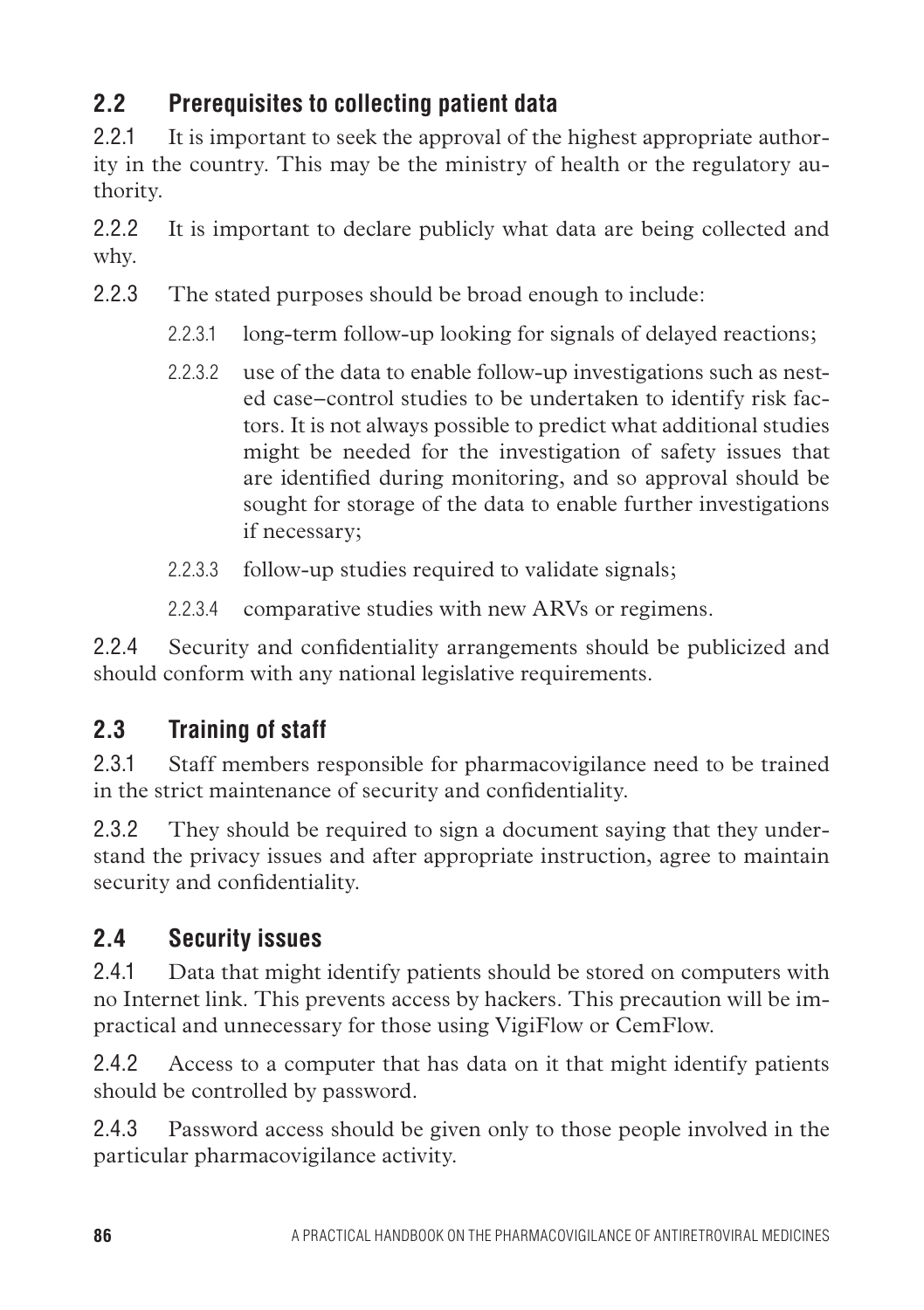## **2.2 Prerequisites to collecting patient data**

2.2.1 It is important to seek the approval of the highest appropriate authority in the country. This may be the ministry of health or the regulatory authority.

2.2.2 It is important to declare publicly what data are being collected and why.

- 2.2.3 The stated purposes should be broad enough to include:
	- 2.2.3.1 long-term follow-up looking for signals of delayed reactions;
	- 2.2.3.2 use of the data to enable follow-up investigations such as nested case–control studies to be undertaken to identify risk factors. It is not always possible to predict what additional studies might be needed for the investigation of safety issues that are identified during monitoring, and so approval should be sought for storage of the data to enable further investigations if necessary;
	- 2.2.3.3 follow-up studies required to validate signals;
	- 2.2.3.4 comparative studies with new ARVs or regimens.

2.2.4 Security and confidentiality arrangements should be publicized and should conform with any national legislative requirements.

## **2.3 Training of staff**

2.3.1 Staff members responsible for pharmacovigilance need to be trained in the strict maintenance of security and confidentiality.

2.3.2 They should be required to sign a document saying that they understand the privacy issues and after appropriate instruction, agree to maintain security and confidentiality.

## **2.4 Security issues**

2.4.1 Data that might identify patients should be stored on computers with no Internet link. This prevents access by hackers. This precaution will be impractical and unnecessary for those using VigiFlow or CemFlow.

2.4.2 Access to a computer that has data on it that might identify patients should be controlled by password.

2.4.3 Password access should be given only to those people involved in the particular pharmacovigilance activity.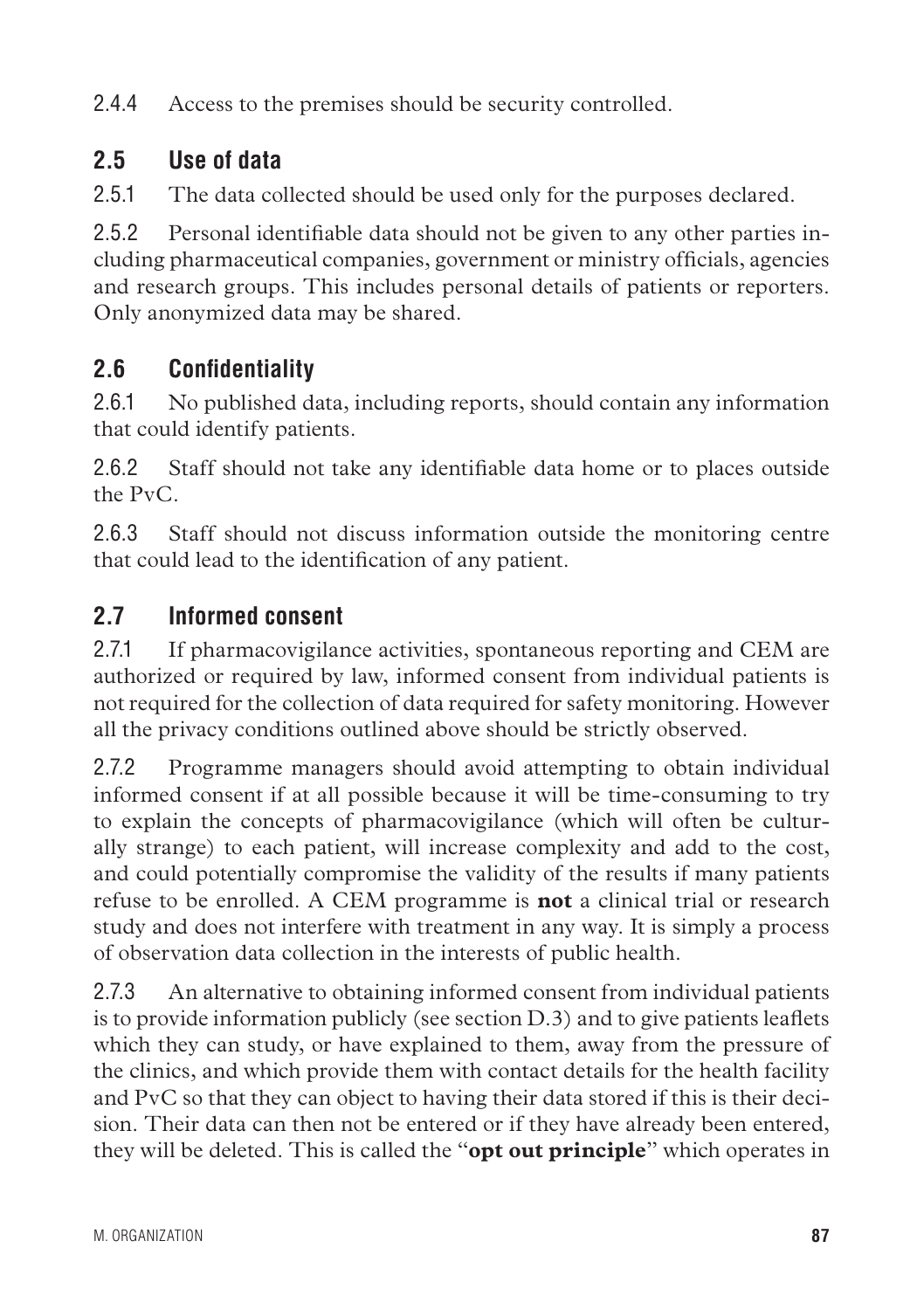2.4.4 Access to the premises should be security controlled.

## **2.5 Use of data**

2.5.1 The data collected should be used only for the purposes declared.

2.5.2 Personal identifiable data should not be given to any other parties including pharmaceutical companies, government or ministry officials, agencies and research groups. This includes personal details of patients or reporters. Only anonymized data may be shared.

## **2.6 Confidentiality**

2.6.1 No published data, including reports, should contain any information that could identify patients.

2.6.2 Staff should not take any identifiable data home or to places outside the PvC.

2.6.3 Staff should not discuss information outside the monitoring centre that could lead to the identification of any patient.

## **2.7 Informed consent**

2.7.1 If pharmacovigilance activities, spontaneous reporting and CEM are authorized or required by law, informed consent from individual patients is not required for the collection of data required for safety monitoring. However all the privacy conditions outlined above should be strictly observed.

2.7.2 Programme managers should avoid attempting to obtain individual informed consent if at all possible because it will be time-consuming to try to explain the concepts of pharmacovigilance (which will often be culturally strange) to each patient, will increase complexity and add to the cost, and could potentially compromise the validity of the results if many patients refuse to be enrolled. A CEM programme is **not** a clinical trial or research study and does not interfere with treatment in any way. It is simply a process of observation data collection in the interests of public health.

2.7.3 An alternative to obtaining informed consent from individual patients is to provide information publicly (see section D.3) and to give patients leaflets which they can study, or have explained to them, away from the pressure of the clinics, and which provide them with contact details for the health facility and PvC so that they can object to having their data stored if this is their decision. Their data can then not be entered or if they have already been entered, they will be deleted. This is called the "**opt out principle**" which operates in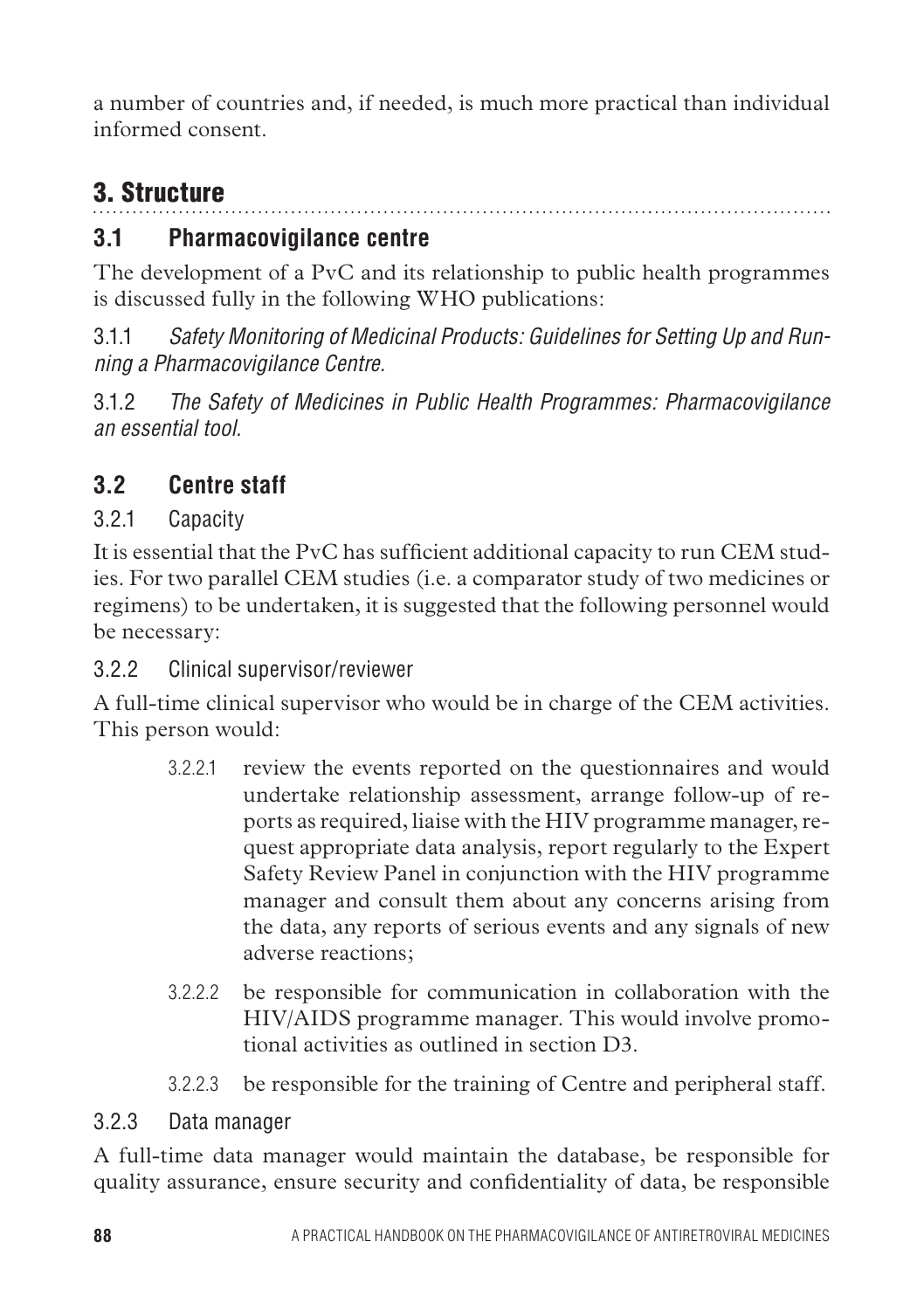a number of countries and, if needed, is much more practical than individual informed consent.

# 3. Structure

## **3.1 Pharmacovigilance centre**

The development of a PvC and its relationship to public health programmes is discussed fully in the following WHO publications:

3.1.1 *Safety Monitoring of Medicinal Products: Guidelines for Setting Up and Running a Pharmacovigilance Centre.* 

3.1.2 *The Safety of Medicines in Public Health Programmes: Pharmacovigilance an essential tool.*

## **3.2 Centre staff**

#### 3.2.1 Capacity

It is essential that the PvC has sufficient additional capacity to run CEM studies. For two parallel CEM studies (i.e. a comparator study of two medicines or regimens) to be undertaken, it is suggested that the following personnel would be necessary:

#### 3.2.2 Clinical supervisor/reviewer

A full-time clinical supervisor who would be in charge of the CEM activities. This person would:

- 3.2.2.1 review the events reported on the questionnaires and would undertake relationship assessment, arrange follow-up of reports as required, liaise with the HIV programme manager, request appropriate data analysis, report regularly to the Expert Safety Review Panel in conjunction with the HIV programme manager and consult them about any concerns arising from the data, any reports of serious events and any signals of new adverse reactions;
- 3.2.2.2 be responsible for communication in collaboration with the HIV/AIDS programme manager. This would involve promotional activities as outlined in section D3.
- 3.2.2.3 be responsible for the training of Centre and peripheral staff.

#### 3.2.3 Data manager

A full-time data manager would maintain the database, be responsible for quality assurance, ensure security and confidentiality of data, be responsible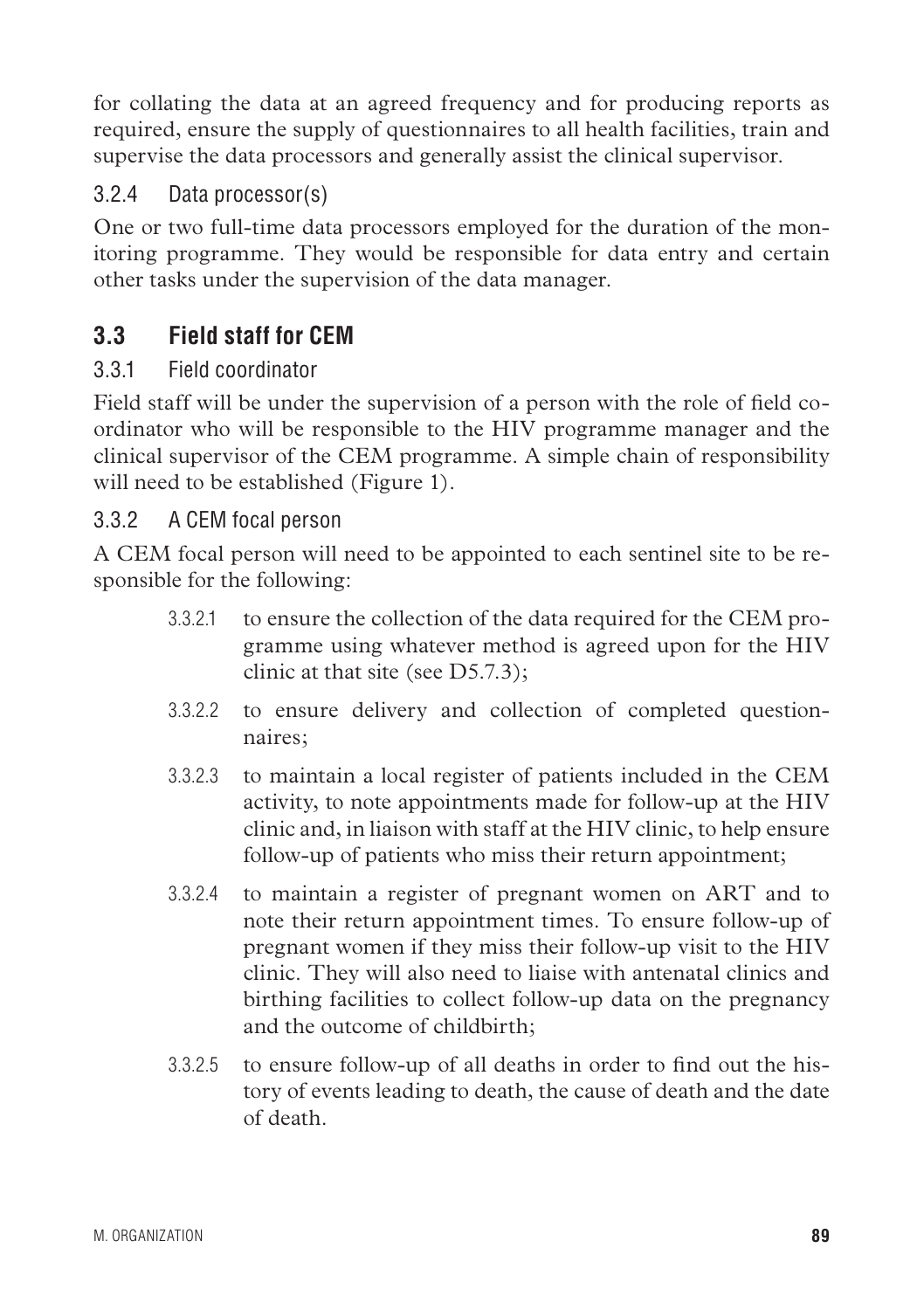for collating the data at an agreed frequency and for producing reports as required, ensure the supply of questionnaires to all health facilities, train and supervise the data processors and generally assist the clinical supervisor.

#### 3.2.4 Data processor(s)

One or two full-time data processors employed for the duration of the monitoring programme. They would be responsible for data entry and certain other tasks under the supervision of the data manager.

## **3.3 Field staff for CEM**

#### 3.3.1 Field coordinator

Field staff will be under the supervision of a person with the role of field coordinator who will be responsible to the HIV programme manager and the clinical supervisor of the CEM programme. A simple chain of responsibility will need to be established (Figure 1).

#### 3.3.2 A CEM focal person

A CEM focal person will need to be appointed to each sentinel site to be responsible for the following:

- 3.3.2.1 to ensure the collection of the data required for the CEM programme using whatever method is agreed upon for the HIV clinic at that site (see D5.7.3);
- 3.3.2.2 to ensure delivery and collection of completed questionnaires;
- 3.3.2.3 to maintain a local register of patients included in the CEM activity, to note appointments made for follow-up at the HIV clinic and, in liaison with staff at the HIV clinic, to help ensure follow-up of patients who miss their return appointment;
- 3.3.2.4 to maintain a register of pregnant women on ART and to note their return appointment times. To ensure follow-up of pregnant women if they miss their follow-up visit to the HIV clinic. They will also need to liaise with antenatal clinics and birthing facilities to collect follow-up data on the pregnancy and the outcome of childbirth;
- 3.3.2.5 to ensure follow-up of all deaths in order to find out the history of events leading to death, the cause of death and the date of death.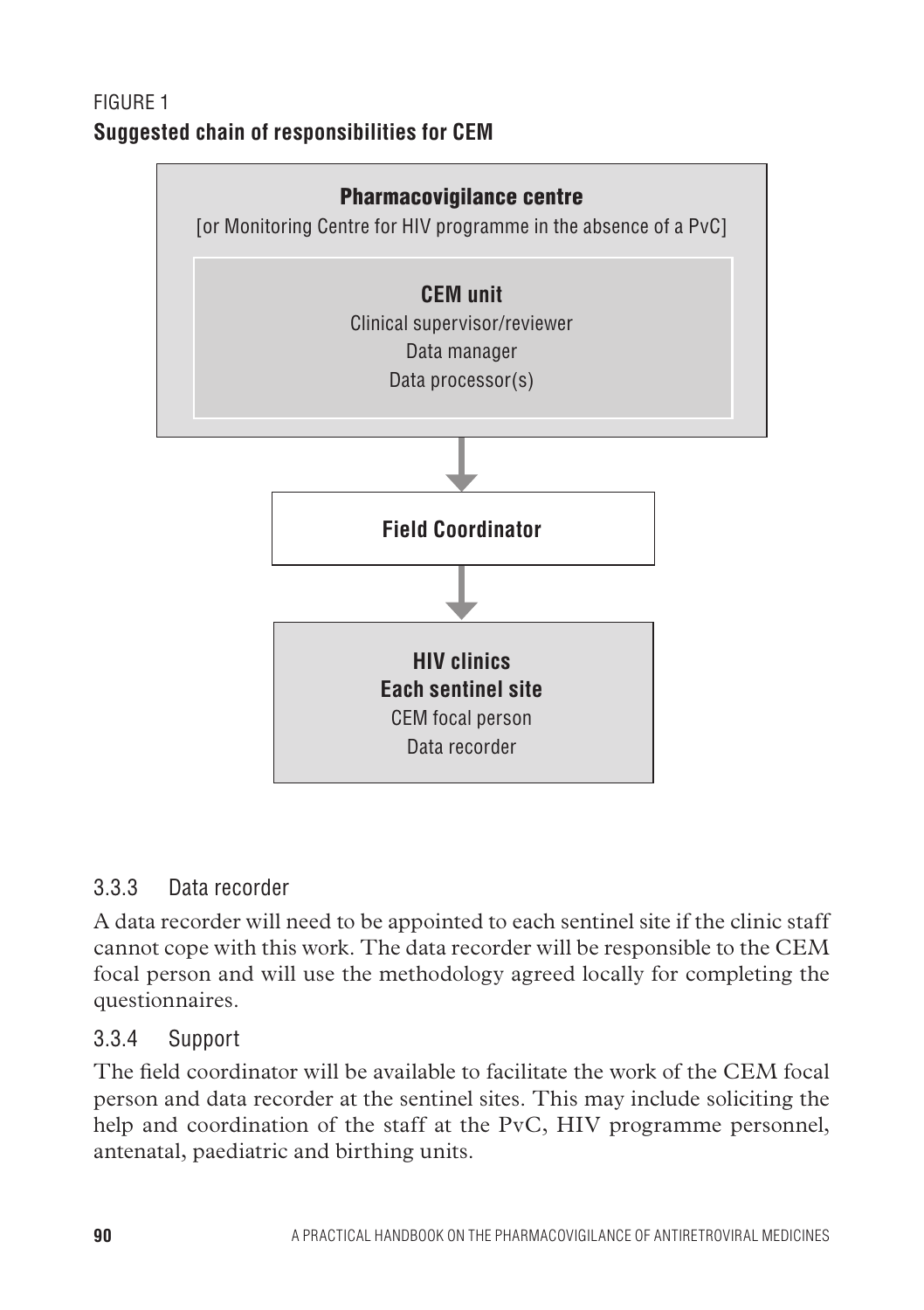## Figure 1 **Suggested chain of responsibilities for CEM**



#### 3.3.3 Data recorder

A data recorder will need to be appointed to each sentinel site if the clinic staff cannot cope with this work. The data recorder will be responsible to the CEM focal person and will use the methodology agreed locally for completing the questionnaires.

#### 3.3.4 Support

The field coordinator will be available to facilitate the work of the CEM focal person and data recorder at the sentinel sites. This may include soliciting the help and coordination of the staff at the PvC, HIV programme personnel, antenatal, paediatric and birthing units.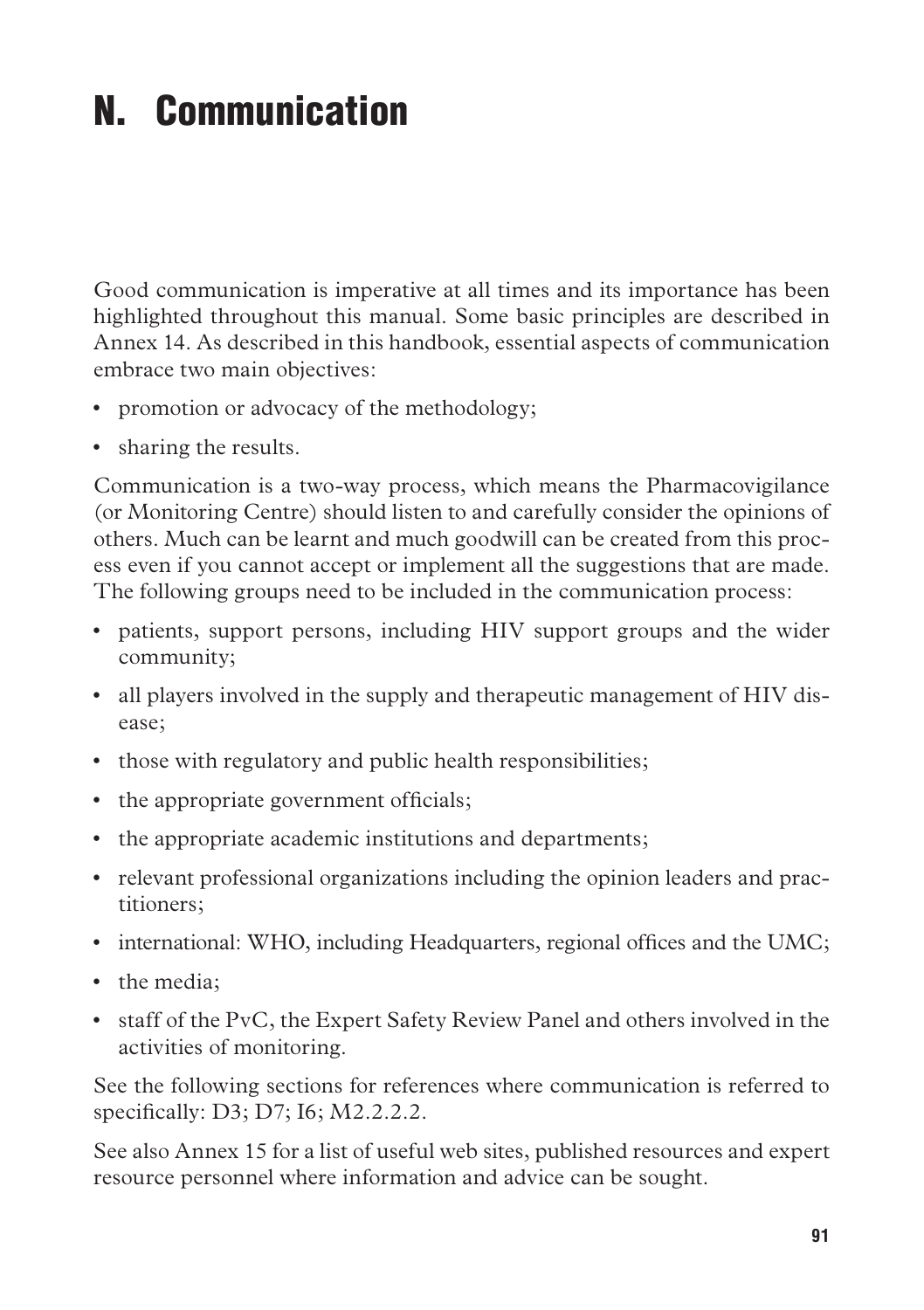# N. Communication

Good communication is imperative at all times and its importance has been highlighted throughout this manual. Some basic principles are described in Annex 14. As described in this handbook, essential aspects of communication embrace two main objectives:

- promotion or advocacy of the methodology;
- sharing the results.

Communication is a two-way process, which means the Pharmacovigilance (or Monitoring Centre) should listen to and carefully consider the opinions of others. Much can be learnt and much goodwill can be created from this process even if you cannot accept or implement all the suggestions that are made. The following groups need to be included in the communication process:

- • patients, support persons, including HIV support groups and the wider community;
- all players involved in the supply and therapeutic management of HIV disease;
- those with regulatory and public health responsibilities;
- the appropriate government officials;
- the appropriate academic institutions and departments;
- • relevant professional organizations including the opinion leaders and practitioners;
- international: WHO, including Headquarters, regional offices and the UMC;
- the media:
- • staff of the PvC, the Expert Safety Review Panel and others involved in the activities of monitoring.

See the following sections for references where communication is referred to specifically: D3; D7; I6; M2.2.2.2.

See also Annex 15 for a list of useful web sites, published resources and expert resource personnel where information and advice can be sought.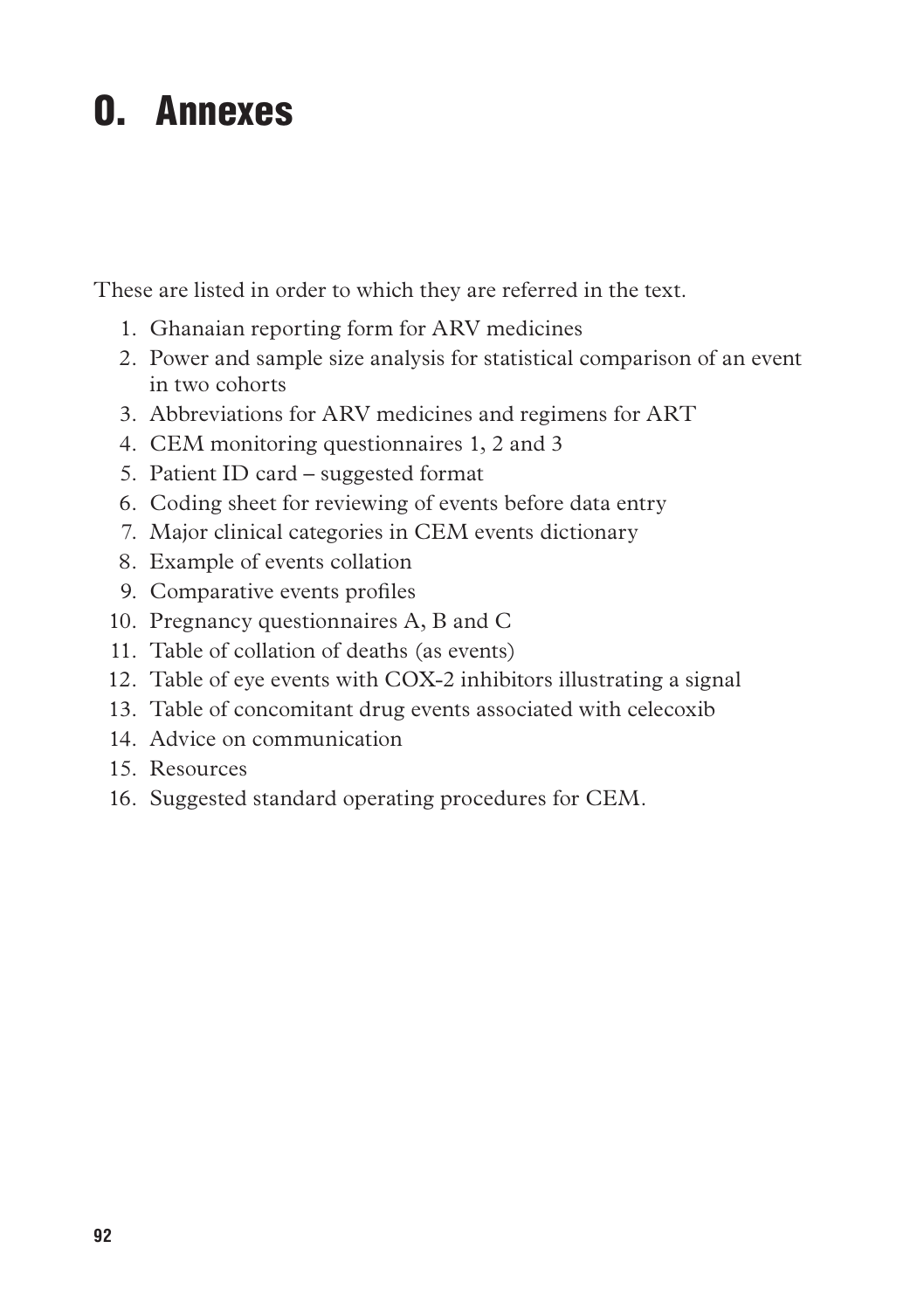# O. Annexes

These are listed in order to which they are referred in the text.

- 1. Ghanaian reporting form for ARV medicines
- 2. Power and sample size analysis for statistical comparison of an event in two cohorts
- 3. Abbreviations for ARV medicines and regimens for ART
- 4. CEM monitoring questionnaires 1, 2 and 3
- 5. Patient ID card suggested format
- 6. Coding sheet for reviewing of events before data entry
- 7. Major clinical categories in CEM events dictionary
- 8. Example of events collation
- 9. Comparative events profiles
- 10. Pregnancy questionnaires A, B and C
- 11. Table of collation of deaths (as events)
- 12. Table of eye events with COX-2 inhibitors illustrating a signal
- 13. Table of concomitant drug events associated with celecoxib
- 14. Advice on communication
- 15. Resources
- 16. Suggested standard operating procedures for CEM.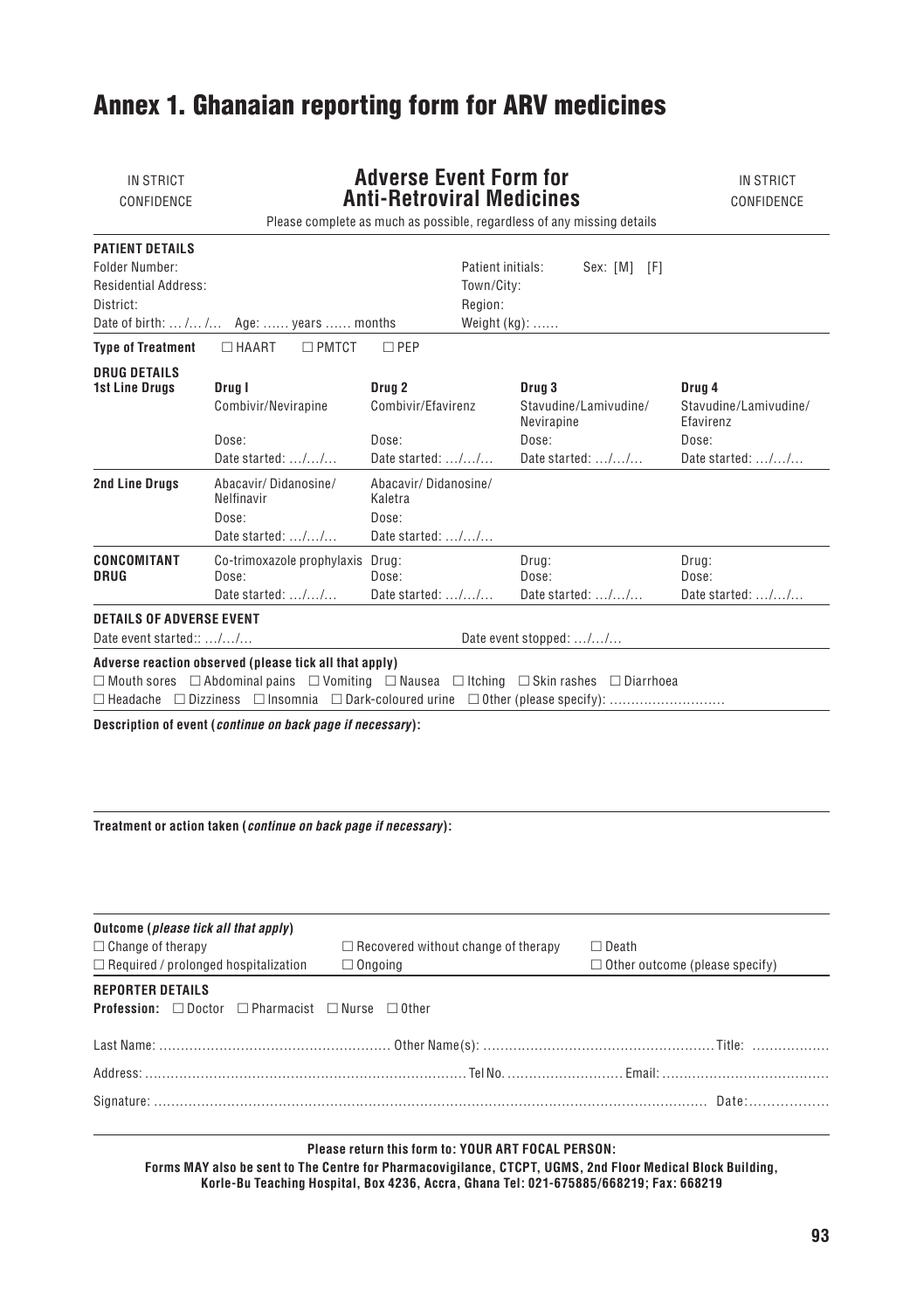## Annex 1. Ghanaian reporting form for ARV medicines

| IN STRICT<br>CONFIDENCE                                                                                                                                                              | <b>Adverse Event Form for</b><br><b>Anti-Retroviral Medicines</b><br>Please complete as much as possible, regardless of any missing details |                                                                               |                                                               |                      | IN STRICT<br>CONFIDENCE                      |                                                    |
|--------------------------------------------------------------------------------------------------------------------------------------------------------------------------------------|---------------------------------------------------------------------------------------------------------------------------------------------|-------------------------------------------------------------------------------|---------------------------------------------------------------|----------------------|----------------------------------------------|----------------------------------------------------|
| PATIENT DETAILS<br>Folder Number:<br><b>Residential Address:</b><br>District:                                                                                                        | Date of birth:  / / Age:  years  months                                                                                                     |                                                                               | Patient initials:<br>Town/City:<br>Region:<br>Weight $(kq)$ : |                      | Sex: [M] [F]                                 |                                                    |
| <b>Type of Treatment</b>                                                                                                                                                             | $\Box$ PMTCT<br>$\Box$ HAART                                                                                                                | $\square$ PEP                                                                 |                                                               |                      |                                              |                                                    |
| <b>DRUG DETAILS</b><br><b>1st Line Drugs</b>                                                                                                                                         | Drug I<br>Combivir/Nevirapine                                                                                                               | Drug <sub>2</sub><br>Combivir/Efavirenz                                       |                                                               | Drug 3<br>Nevirapine | Stavudine/Lamivudine/                        | Drug 4<br>Stavudine/Lamivudine/<br>Efavirenz       |
|                                                                                                                                                                                      | Dose:<br>Date started: $\ldots$ / $\ldots$ / $\ldots$                                                                                       | Dose:<br>Date started: $\ldots$ / $\ldots$ /                                  |                                                               | Dose:                | Date started: $\ldots$ / $\ldots$ / $\ldots$ | Dose:<br>Date started: $\dots$ / $\dots$ / $\dots$ |
| <b>2nd Line Drugs</b>                                                                                                                                                                | Abacavir/Didanosine/<br>Nelfinavir<br>Dose:<br>Date started: $\dots/\dots/\dots$                                                            | Abacavir/Didanosine/<br>Kaletra<br>Dose:<br>Date started: $\dots/\dots/\dots$ |                                                               |                      |                                              |                                                    |
| CONCOMITANT<br><b>DRUG</b>                                                                                                                                                           | Co-trimoxazole prophylaxis Drug:<br>Dose:<br>Date started: $\dots/\dots/\dots$                                                              | Dose:<br>Date started: $\dots/\dots/\dots$                                    |                                                               | Drug:<br>Dose:       | Date started: $\dots/\dots/\dots$            | Drug:<br>Dose:<br>Date started: //                 |
| <b>DETAILS OF ADVERSE EVENT</b><br>Date event started:: //<br>Date event stopped: //                                                                                                 |                                                                                                                                             |                                                                               |                                                               |                      |                                              |                                                    |
| Adverse reaction observed (please tick all that apply)<br>$\Box$ Mouth sores $\Box$ Abdominal pains $\Box$ Vomiting $\Box$ Nausea $\Box$ Itching $\Box$ Skin rashes $\Box$ Diarrhoea |                                                                                                                                             |                                                                               |                                                               |                      |                                              |                                                    |
| Description of event (continue on back page if necessary):                                                                                                                           |                                                                                                                                             |                                                                               |                                                               |                      |                                              |                                                    |

**Treatment or action taken (***continue on back page if necessary***):**

| Outcome ( <i>please tick all that apply</i> )<br>$\Box$ Change of therapy<br>$\Box$ Required / prolonged hospitalization | $\Box$ Recovered without change of therapy<br>$\Box$ Ongoing | $\Box$ Death<br>$\Box$ Other outcome (please specify) |  |  |  |  |
|--------------------------------------------------------------------------------------------------------------------------|--------------------------------------------------------------|-------------------------------------------------------|--|--|--|--|
| <b>REPORTER DETAILS</b><br><b>Profession:</b> $\Box$ Doctor $\Box$ Pharmacist $\Box$ Nurse $\Box$ Other                  |                                                              |                                                       |  |  |  |  |
|                                                                                                                          |                                                              |                                                       |  |  |  |  |
|                                                                                                                          |                                                              |                                                       |  |  |  |  |
|                                                                                                                          |                                                              |                                                       |  |  |  |  |

#### **Please return this form to: YOUR ART FOCAL PERSON:**

**Forms MAY also be sent to The Centre for Pharmacovigilance, CTCPT, UGMS, 2nd Floor Medical Block Building, Korle-Bu Teaching Hospital, Box 4236, Accra, Ghana Tel: 021-675885/668219; Fax: 668219**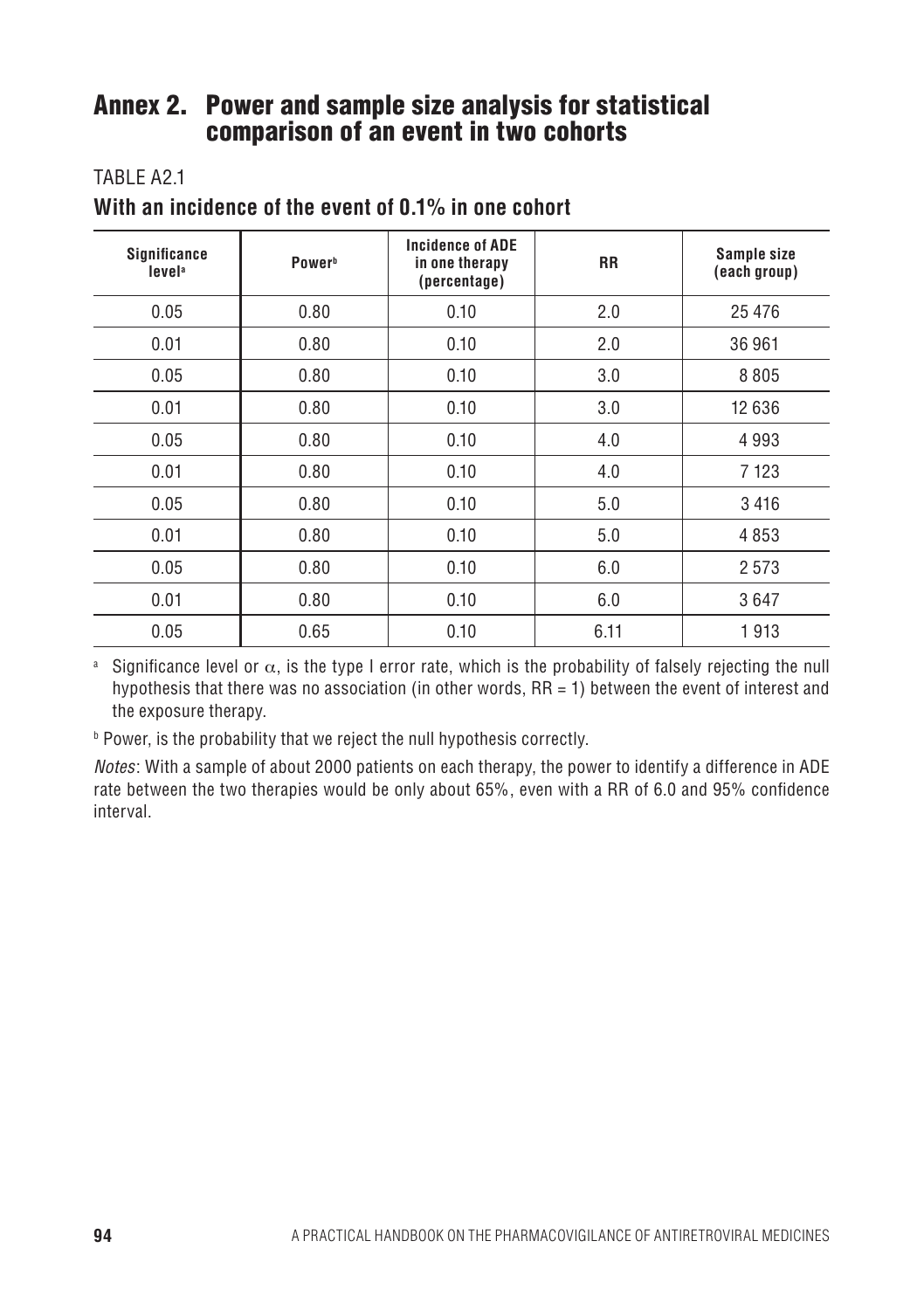### Annex 2. Power and sample size analysis for statistical comparison of an event in two cohorts

#### TARI F A<sub>21</sub>

| <b>Significance</b><br>level <sup>a</sup> | Power <sup>b</sup> | <b>Incidence of ADE</b><br>in one therapy<br>(percentage) | <b>RR</b> | Sample size<br>(each group) |
|-------------------------------------------|--------------------|-----------------------------------------------------------|-----------|-----------------------------|
| 0.05                                      | 0.80               | 0.10                                                      | 2.0       | 25 4 7 6                    |
| 0.01                                      | 0.80               | 0.10                                                      | 2.0       | 36 961                      |
| 0.05                                      | 0.80               | 0.10                                                      | 3.0       | 8805                        |
| 0.01                                      | 0.80               | 0.10                                                      | 3.0       | 12 636                      |
| 0.05                                      | 0.80               | 0.10                                                      | 4.0       | 4993                        |
| 0.01                                      | 0.80               | 0.10                                                      | 4.0       | 7 1 2 3                     |
| 0.05                                      | 0.80               | 0.10                                                      | 5.0       | 3416                        |
| 0.01                                      | 0.80               | 0.10                                                      | 5.0       | 4853                        |
| 0.05                                      | 0.80               | 0.10                                                      | 6.0       | 2573                        |
| 0.01                                      | 0.80               | 0.10                                                      | 6.0       | 3647                        |
| 0.05                                      | 0.65               | 0.10                                                      | 6.11      | 1913                        |

**With an incidence of the event of 0.1% in one cohort**

<sup>a</sup> Significance level or  $\alpha$ , is the type I error rate, which is the probability of falsely rejecting the null hypothesis that there was no association (in other words, RR = 1) between the event of interest and the exposure therapy.

 $^{\rm b}$  Power, is the probability that we reject the null hypothesis correctly.

*Notes*: With a sample of about 2000 patients on each therapy, the power to identify a difference in ADE rate between the two therapies would be only about 65%, even with a RR of 6.0 and 95% confidence interval.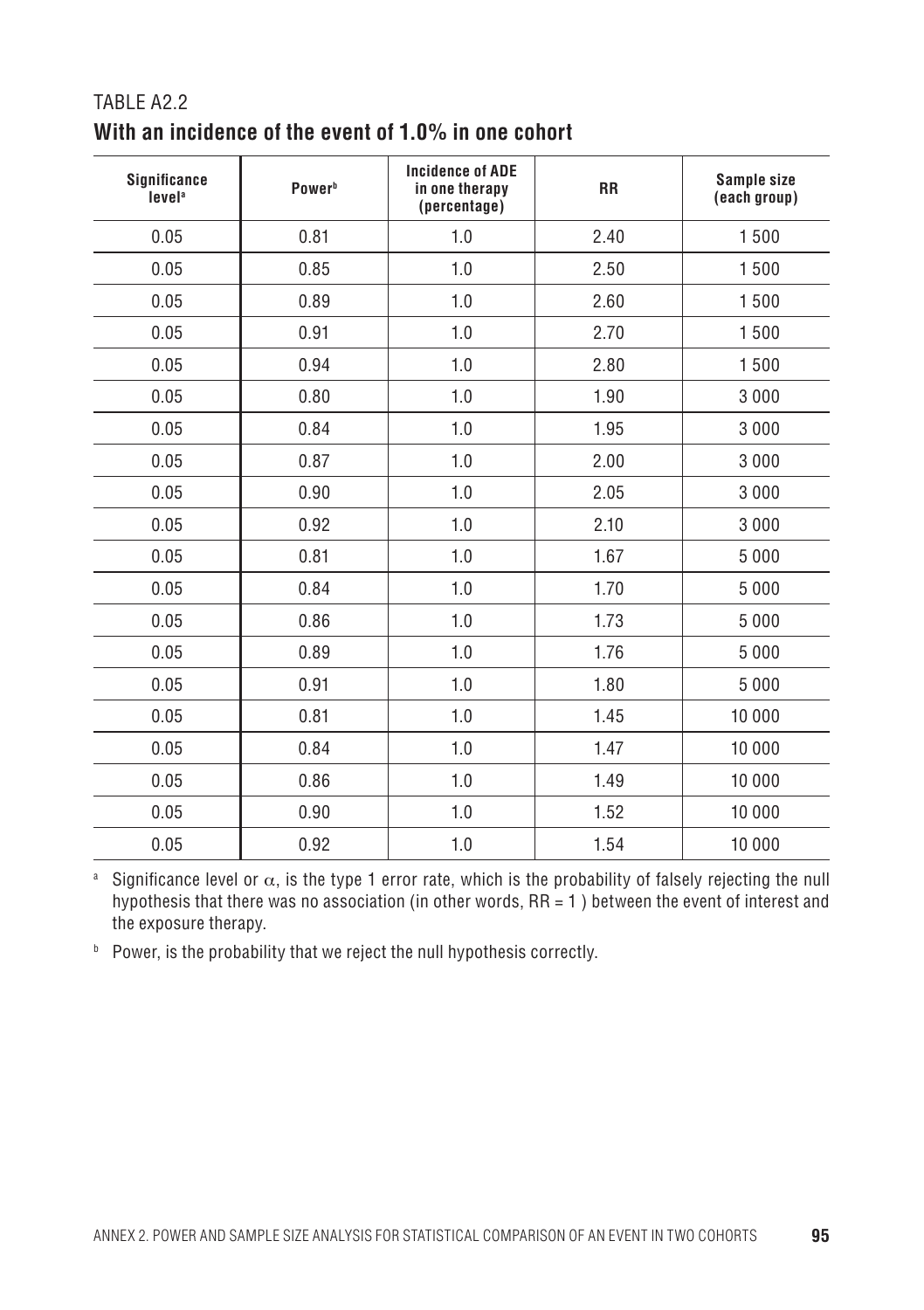| <b>Significance</b><br>level <sup>a</sup> | Power <sup>b</sup> | <b>Incidence of ADE</b><br>in one therapy<br>(percentage) | <b>RR</b> | Sample size<br>(each group) |
|-------------------------------------------|--------------------|-----------------------------------------------------------|-----------|-----------------------------|
| 0.05                                      | 0.81               | 1.0                                                       | 2.40      | 1500                        |
| 0.05                                      | 0.85               | 1.0                                                       | 2.50      | 1500                        |
| 0.05                                      | 0.89               | 1.0                                                       | 2.60      | 1500                        |
| 0.05                                      | 0.91               | 1.0                                                       | 2.70      | 1500                        |
| 0.05                                      | 0.94               | 1.0                                                       | 2.80      | 1500                        |
| 0.05                                      | 0.80               | 1.0                                                       | 1.90      | 3 0 0 0                     |
| 0.05                                      | 0.84               | 1.0                                                       | 1.95      | 3 0 0 0                     |
| 0.05                                      | 0.87               | 1.0                                                       | 2.00      | 3 0 0 0                     |
| 0.05                                      | 0.90               | 1.0                                                       | 2.05      | 3 0 0 0                     |
| 0.05                                      | 0.92               | 1.0                                                       | 2.10      | 3 0 0 0                     |
| 0.05                                      | 0.81               | 1.0                                                       | 1.67      | 5 0 0 0                     |
| 0.05                                      | 0.84               | 1.0                                                       | 1.70      | 5 0 0 0                     |
| 0.05                                      | 0.86               | 1.0                                                       | 1.73      | 5 0 0 0                     |
| 0.05                                      | 0.89               | 1.0                                                       | 1.76      | 5 0 0 0                     |
| 0.05                                      | 0.91               | 1.0                                                       | 1.80      | 5 0 0 0                     |
| 0.05                                      | 0.81               | 1.0                                                       | 1.45      | 10 000                      |
| 0.05                                      | 0.84               | 1.0                                                       | 1.47      | 10 000                      |
| 0.05                                      | 0.86               | 1.0                                                       | 1.49      | 10 000                      |
| 0.05                                      | 0.90               | 1.0                                                       | 1.52      | 10 000                      |
| 0.05                                      | 0.92               | 1.0                                                       | 1.54      | 10 000                      |

#### Table A2.2 **With an incidence of the event of 1.0% in one cohort**

<sup>a</sup> Significance level or  $\alpha$ , is the type 1 error rate, which is the probability of falsely rejecting the null hypothesis that there was no association (in other words, RR = 1 ) between the event of interest and the exposure therapy.

**b** Power, is the probability that we reject the null hypothesis correctly.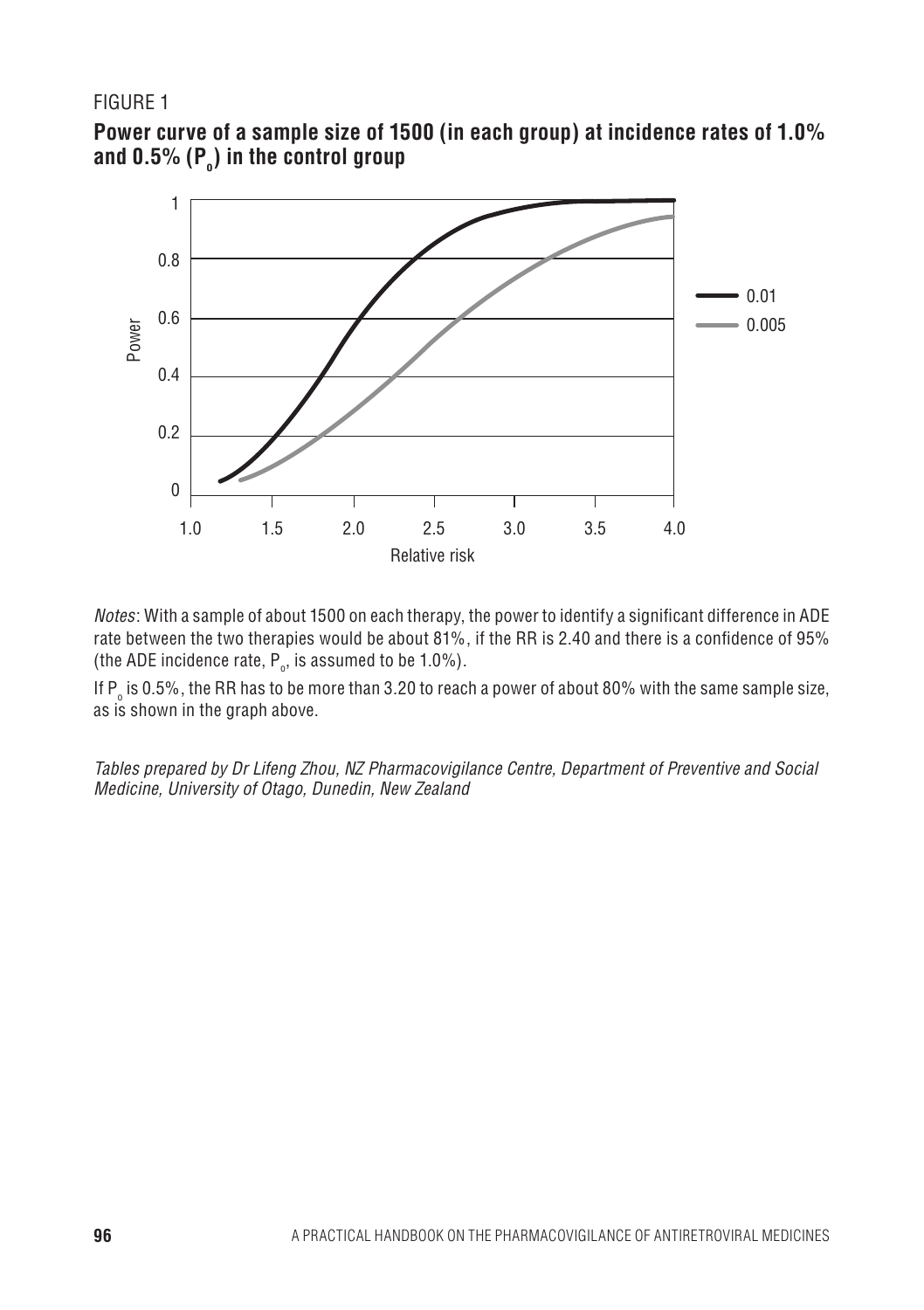#### Figure 1





*Notes*: With a sample of about 1500 on each therapy, the power to identify a significant difference in ADE rate between the two therapies would be about 81%, if the RR is 2.40 and there is a confidence of 95% (the ADE incidence rate,  $P_o$ , is assumed to be 1.0%).

If P $_{\circ}$  is 0.5%, the RR has to be more than 3.20 to reach a power of about 80% with the same sample size, as is shown in the graph above.

*Tables prepared by Dr Lifeng Zhou, NZ Pharmacovigilance Centre, Department of Preventive and Social Medicine, University of Otago, Dunedin, New Zealand*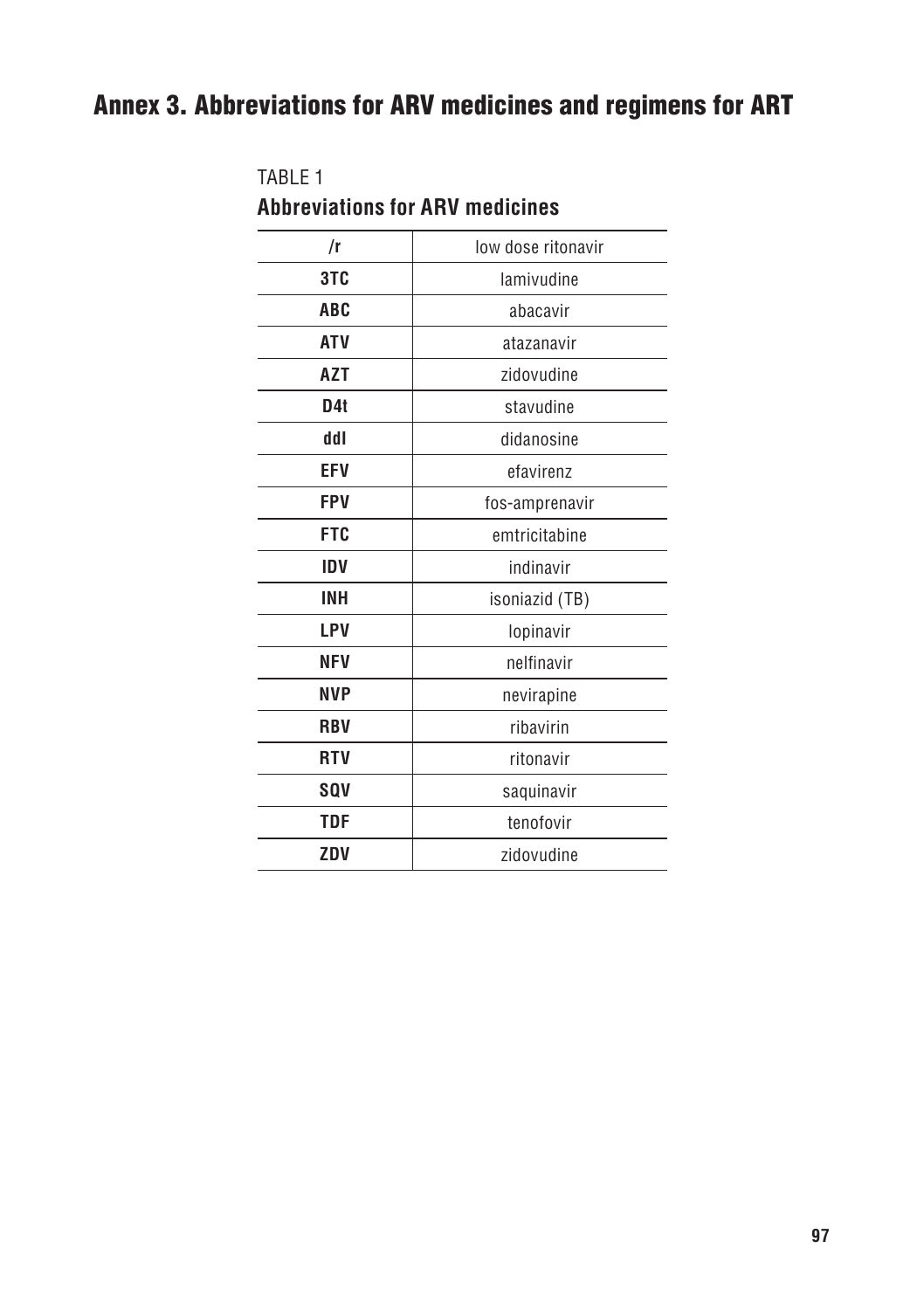## Annex 3. Abbreviations for ARV medicines and regimens for ART

| <b>Abbreviations for ARV medicines</b> |                    |  |  |  |
|----------------------------------------|--------------------|--|--|--|
| /r                                     | low dose ritonavir |  |  |  |
| 3TC                                    | lamivudine         |  |  |  |
| <b>ABC</b>                             | abacavir           |  |  |  |
| <b>ATV</b>                             | atazanavir         |  |  |  |
| <b>AZT</b>                             | zidovudine         |  |  |  |
| D <sub>4</sub> t                       | stavudine          |  |  |  |
| ddl                                    | didanosine         |  |  |  |
| <b>EFV</b>                             | efavirenz          |  |  |  |
| FPV                                    | fos-amprenavir     |  |  |  |
| <b>FTC</b>                             | emtricitabine      |  |  |  |
| IDV                                    | indinavir          |  |  |  |
| <b>INH</b>                             | isoniazid (TB)     |  |  |  |
| LPV                                    | lopinavir          |  |  |  |
| <b>NFV</b>                             | nelfinavir         |  |  |  |
| <b>NVP</b>                             | nevirapine         |  |  |  |
| <b>RBV</b>                             | ribavirin          |  |  |  |
| <b>RTV</b>                             | ritonavir          |  |  |  |
| <b>SQV</b>                             | saquinavir         |  |  |  |
| TDF                                    | tenofovir          |  |  |  |
| ZDV                                    | zidovudine         |  |  |  |

# Table 1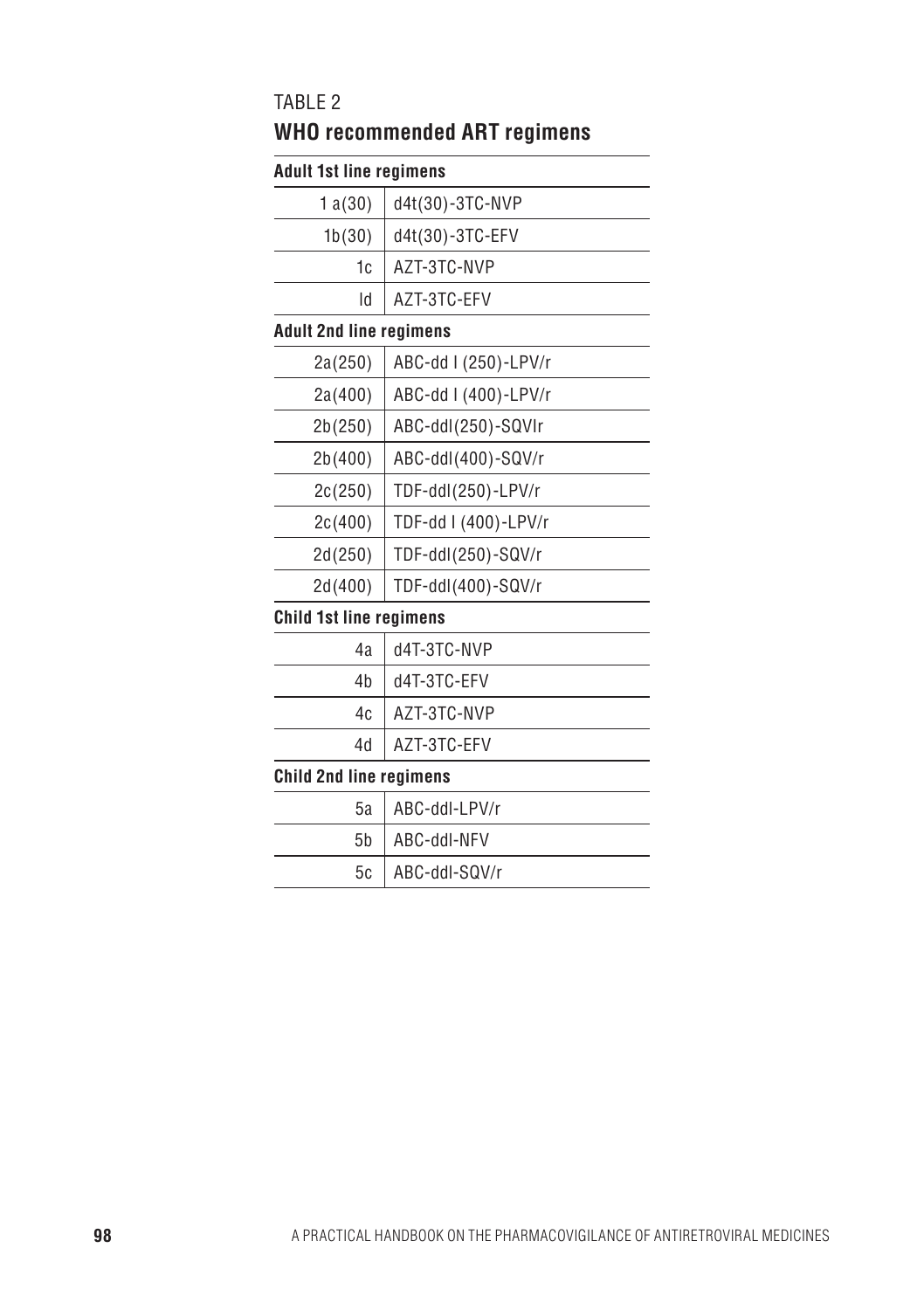#### Table 2

## **WHO recommended ART regimens**

### **Adult 1st line regimens**

| 1881 191 11116 1 6 4 111 1611 19 |                      |
|----------------------------------|----------------------|
| 1a(30)                           | d4t(30)-3TC-NVP      |
| 1b(30)                           | d4t(30)-3TC-EFV      |
| 1c                               | AZT-3TC-NVP          |
| ld                               | AZT-3TC-EFV          |
| <b>Adult 2nd line regimens</b>   |                      |
| 2a(250)                          | ABC-dd I (250)-LPV/r |
| 2a(400)                          | ABC-dd I (400)-LPV/r |
| 2b(250)                          | ABC-ddl(250)-SQVIr   |
| 2b(400)                          | ABC-ddl(400)-SQV/r   |
| 2c(250)                          | TDF-ddl(250)-LPV/r   |
| 2c(400)                          | TDF-dd I (400)-LPV/r |
| 2d(250)                          | TDF-ddl(250)-SQV/r   |
| 2d(400)                          | TDF-ddl(400)-SQV/r   |
| <b>Child 1st line regimens</b>   |                      |
| 4a                               | d4T-3TC-NVP          |
| 4b                               | d4T-3TC-EFV          |
| 4c                               | AZT-3TC-NVP          |
| 4d                               | AZT-3TC-EFV          |
| <b>Child 2nd line regimens</b>   |                      |
| 5a                               | ABC-ddl-LPV/r        |
| 5b                               | ABC-ddl-NFV          |
| 5c                               | ABC-ddl-SQV/r        |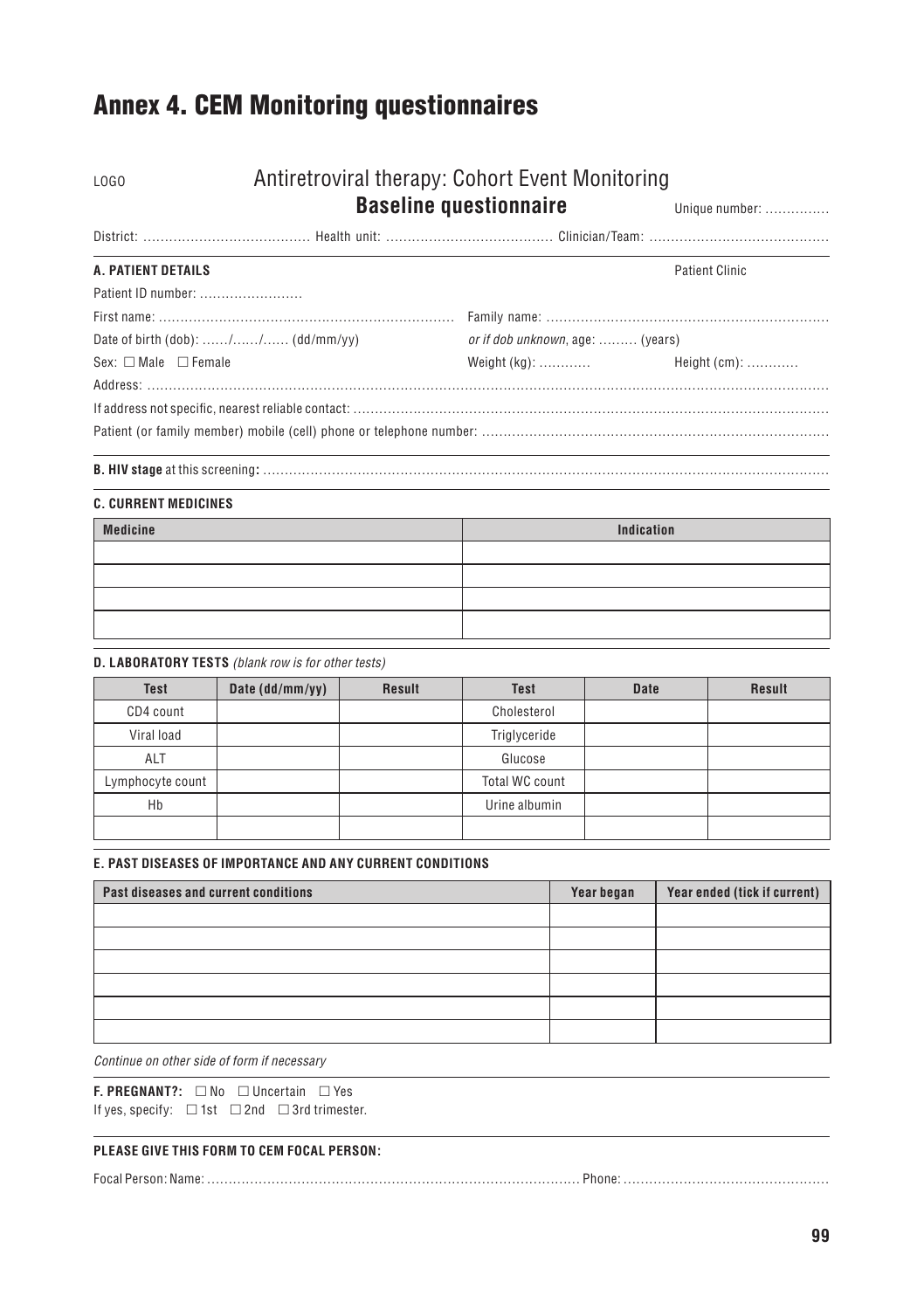## Annex 4. CEM Monitoring questionnaires

## LOGO Antiretroviral therapy: Cohort Event Monitoring

### **Baseline questionnaire Unique number: ………………**

| A. PATIENT DETAILS                      |                                  | Patient Clinic |
|-----------------------------------------|----------------------------------|----------------|
| Patient ID number:                      |                                  |                |
|                                         |                                  |                |
| Date of birth $(dob)$ : // $(dd/mm/vy)$ | or if dob unknown, age:  (years) |                |
| $Sex: \Box Male \Box Female$            |                                  |                |
|                                         |                                  |                |
|                                         |                                  |                |

#### **B. HIV stage** at this screening**:** ……………………………………………………………………………………………………………………

| <b>C. CURRENT MEDICINES</b> |            |  |  |  |  |
|-----------------------------|------------|--|--|--|--|
| <b>Medicine</b>             | Indication |  |  |  |  |
|                             |            |  |  |  |  |
|                             |            |  |  |  |  |
|                             |            |  |  |  |  |
|                             |            |  |  |  |  |

#### **D. Laboratory tests** *(blank row is for other tests)*

| <b>Test</b>      | Date (dd/mm/yy) | Result | <b>Test</b>    | <b>Date</b> | <b>Result</b> |
|------------------|-----------------|--------|----------------|-------------|---------------|
| CD4 count        |                 |        | Cholesterol    |             |               |
| Viral load       |                 |        | Triglyceride   |             |               |
| <b>ALT</b>       |                 |        | Glucose        |             |               |
| Lymphocyte count |                 |        | Total WC count |             |               |
| Hb               |                 |        | Urine albumin  |             |               |
|                  |                 |        |                |             |               |

#### **E. Past diseases of importance and any current conditions**

| Year began | Year ended (tick if current) |
|------------|------------------------------|
|            |                              |
|            |                              |
|            |                              |
|            |                              |
|            |                              |
|            |                              |
|            |                              |

*Continue on other side of form if necessary*

**F. PREGNANT?:**  $□$  No  $□$  Uncertain  $□$  Yes If yes, specify:  $\Box$  1st  $\Box$  2nd  $\Box$  3rd trimester.

#### **PLEASE GIVE THIS FORM TO CEM FOCAL PERSON:**

|--|--|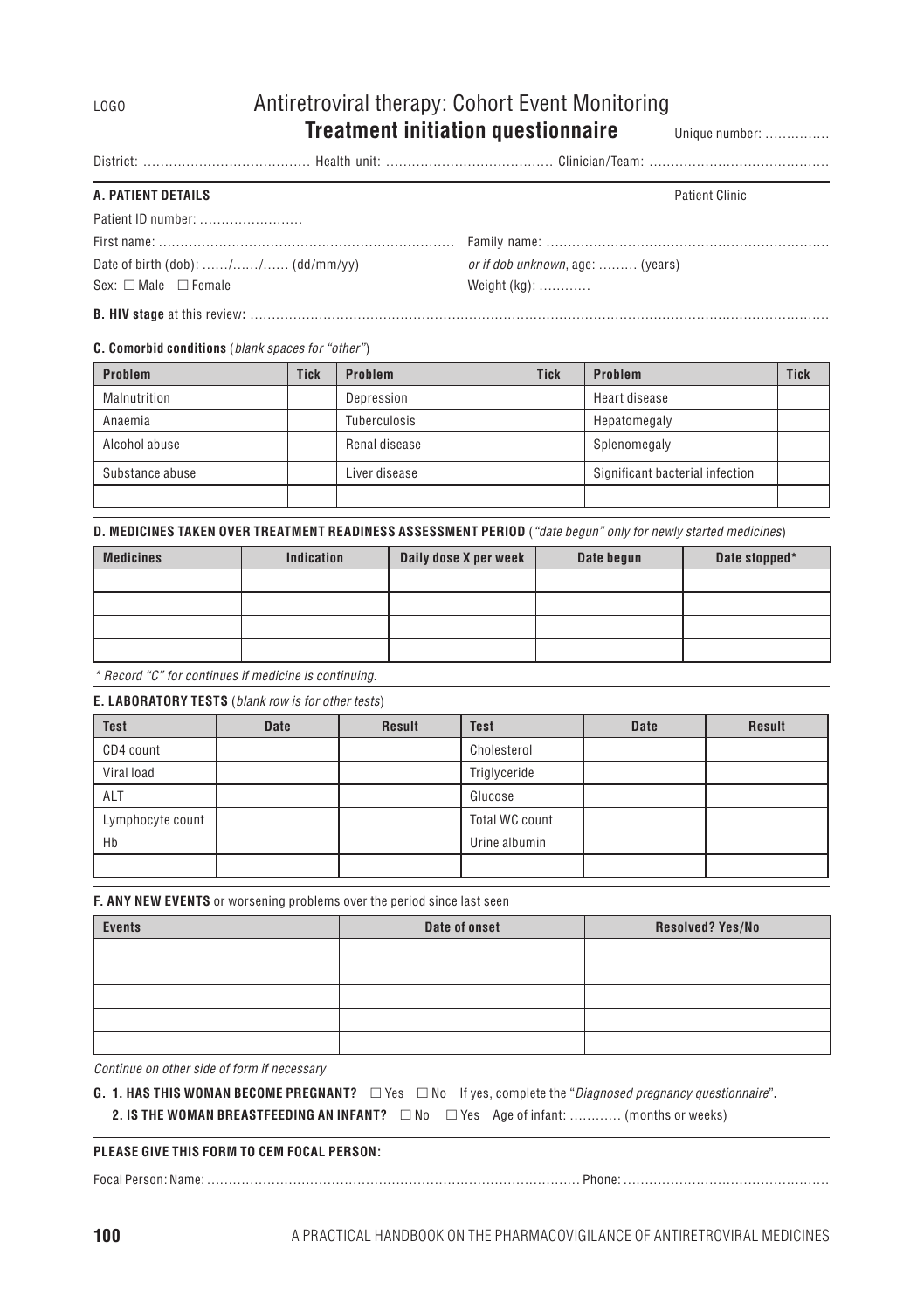### LOGO Antiretroviral therapy: Cohort Event Monitoring **Treatment initiation questionnaire** Unique number: ……………

District: ………………………………… Health unit: ………………………………… Clinician/Team: ……………………………………

#### **A. PATIENT DETAILS**

| Patient Clinic |  |
|----------------|--|
|----------------|--|

| Patient ID number:                      |                                          |
|-----------------------------------------|------------------------------------------|
|                                         |                                          |
| Date of birth $(dob)$ : // $(dd/mm/yy)$ | <i>or if dob unknown</i> , age:  (years) |
| $Sex: \Box Male \Box Female$            | Weight (kg):                             |

**B. HIV stage** at this review**:** ………………………………………………………………………………………………………………………

**C. Comorbid conditions** (*blank spaces for "other"*)

| Problem         | <b>Tick</b> | Problem             | <b>Tick</b> | Problem                         | <b>Tick</b> |
|-----------------|-------------|---------------------|-------------|---------------------------------|-------------|
| Malnutrition    |             | Depression          |             | Heart disease                   |             |
| Anaemia         |             | <b>Tuberculosis</b> |             | Hepatomegaly                    |             |
| Alcohol abuse   |             | Renal disease       |             | Splenomegaly                    |             |
| Substance abuse |             | Liver disease       |             | Significant bacterial infection |             |
|                 |             |                     |             |                                 |             |

**D. Medicines taken over treatment readiness assessment period** (*"date begun" only for newly started medicines*)

| <b>Medicines</b> | Indication | Daily dose X per week | Date begun | Date stopped* |
|------------------|------------|-----------------------|------------|---------------|
|                  |            |                       |            |               |
|                  |            |                       |            |               |
|                  |            |                       |            |               |
|                  |            |                       |            |               |

*\* Record "C" for continues if medicine is continuing.*

**E. Laboratory tests** (*blank row is for other tests*)

| <b>Test</b>      | <b>Date</b> | <b>Result</b> | <b>Test</b>    | <b>Date</b> | <b>Result</b> |
|------------------|-------------|---------------|----------------|-------------|---------------|
| CD4 count        |             |               | Cholesterol    |             |               |
| Viral load       |             |               | Triglyceride   |             |               |
| ALT              |             |               | Glucose        |             |               |
| Lymphocyte count |             |               | Total WC count |             |               |
| Hb               |             |               | Urine albumin  |             |               |
|                  |             |               |                |             |               |

**F. ANY NEW EVENTS** or worsening problems over the period since last seen

| <b>Events</b> | Date of onset | Resolved? Yes/No |
|---------------|---------------|------------------|
|               |               |                  |
|               |               |                  |
|               |               |                  |
|               |               |                  |
|               |               |                  |

*Continue on other side of form if necessary*

**G. 1. HAS THIS WOMAN BECOME PREGNANT?**  $\Box$  Yes  $\Box$  No If yes, complete the "*Diagnosed pregnancy questionnaire*".

**2. IS THE WOMAN BREASTFEEDING AN INFANT?** □ No □ Yes Age of infant: ………… (months or weeks)

#### **PLEASE GIVE THIS FORM TO CEM FOCAL PERSON:**

Focal Person: Name: …………………………………………………………………………… Phone: …………………………………………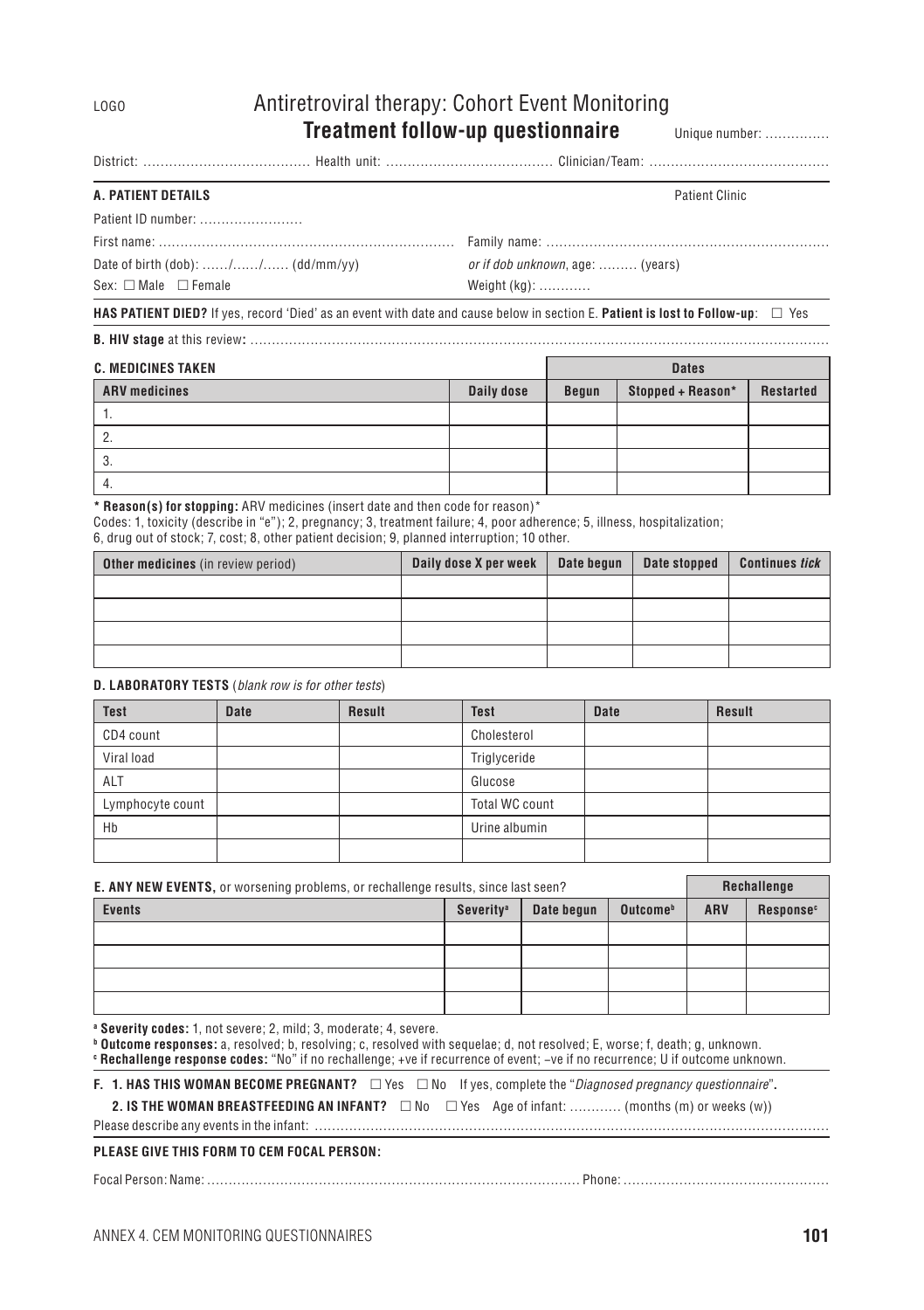### LOGO Antiretroviral therapy: Cohort Event Monitoring **Treatment follow-up questionnaire** Unique number: ……………

|--|--|--|--|--|--|

#### **A. Patient details** Patient Clinic

| Patient ID number: |  |
|--------------------|--|
|                    |  |

| $-$ | ганніў |
|-----|--------|
|     |        |
|     |        |

 $Sex: \Box$  Male  $\Box$  Female Weight (kg): …………

Date of birth (dob): ……/……/…… (dd/mm/yy) *or if dob unknown*, age: ……… (years)

#### **HAS PATIENT DIED?** If yes, record 'Died' as an event with date and cause below in section E. Patient is lost to Follow-up: □ Yes

**B. HIV stage** at this review**:** ………………………………………………………………………………………………………………………

| <b>C. MEDICINES TAKEN</b> |            |       | <b>Dates</b>      |           |  |
|---------------------------|------------|-------|-------------------|-----------|--|
| <b>ARV</b> medicines      | Daily dose | Begun | Stopped + Reason* | Restarted |  |
|                           |            |       |                   |           |  |
| Ζ.                        |            |       |                   |           |  |
| - 3.                      |            |       |                   |           |  |
| 4.                        |            |       |                   |           |  |

**\* Reason(s) for stopping:** ARV medicines (insert date and then code for reason)\*

Codes: 1, toxicity (describe in "e"); 2, pregnancy; 3, treatment failure; 4, poor adherence; 5, illness, hospitalization;

6, drug out of stock; 7, cost; 8, other patient decision; 9, planned interruption; 10 other.

| <b>Other medicines</b> (in review period) | Daily dose X per week | Date begun | Date stopped | <b>Continues tick</b> |
|-------------------------------------------|-----------------------|------------|--------------|-----------------------|
|                                           |                       |            |              |                       |
|                                           |                       |            |              |                       |
|                                           |                       |            |              |                       |
|                                           |                       |            |              |                       |

#### **D. Laboratory tests** (*blank row is for other tests*)

| <b>Test</b>      | <b>Date</b> | Result | <b>Test</b>    | <b>Date</b> | Result |
|------------------|-------------|--------|----------------|-------------|--------|
| CD4 count        |             |        | Cholesterol    |             |        |
| Viral load       |             |        | Triglyceride   |             |        |
| ALT              |             |        | Glucose        |             |        |
| Lymphocyte count |             |        | Total WC count |             |        |
| Hb               |             |        | Urine albumin  |             |        |
|                  |             |        |                |             |        |

| <b>E. ANY NEW EVENTS, or worsening problems, or rechallenge results, since last seen?</b> |                              | Rechallenge |                      |            |                       |
|-------------------------------------------------------------------------------------------|------------------------------|-------------|----------------------|------------|-----------------------|
| <b>Events</b>                                                                             | <b>Severity</b> <sup>a</sup> | Date begun  | Outcome <sup>b</sup> | <b>ARV</b> | Response <sup>c</sup> |
|                                                                                           |                              |             |                      |            |                       |
|                                                                                           |                              |             |                      |            |                       |
|                                                                                           |                              |             |                      |            |                       |
|                                                                                           |                              |             |                      |            |                       |

**a Severity codes:** 1, not severe; 2, mild; 3, moderate; 4, severe.

**b Outcome responses:** a, resolved; b, resolving; c, resolved with sequelae; d, not resolved; E, worse; f, death; g, unknown. **c Rechallenge response codes:** "No" if no rechallenge; +ve if recurrence of event; −ve if no recurrence; U if outcome unknown.

**F. 1. HAS THIS WOMAN BECOME PREGNANT?** □ Yes □ No If yes, complete the "*Diagnosed pregnancy questionnaire*".

**2. IS THE WOMAN REFASTFFEDING AN INFANT?**  $\Box$  No  $\Box$  Yes Age of infant: ……… (months (m) or weeks (w))

Please describe any events in the infant: …………………………………………………………………………………………………………

#### **PLEASE GIVE THIS FORM TO CEM FOCAL PERSON:**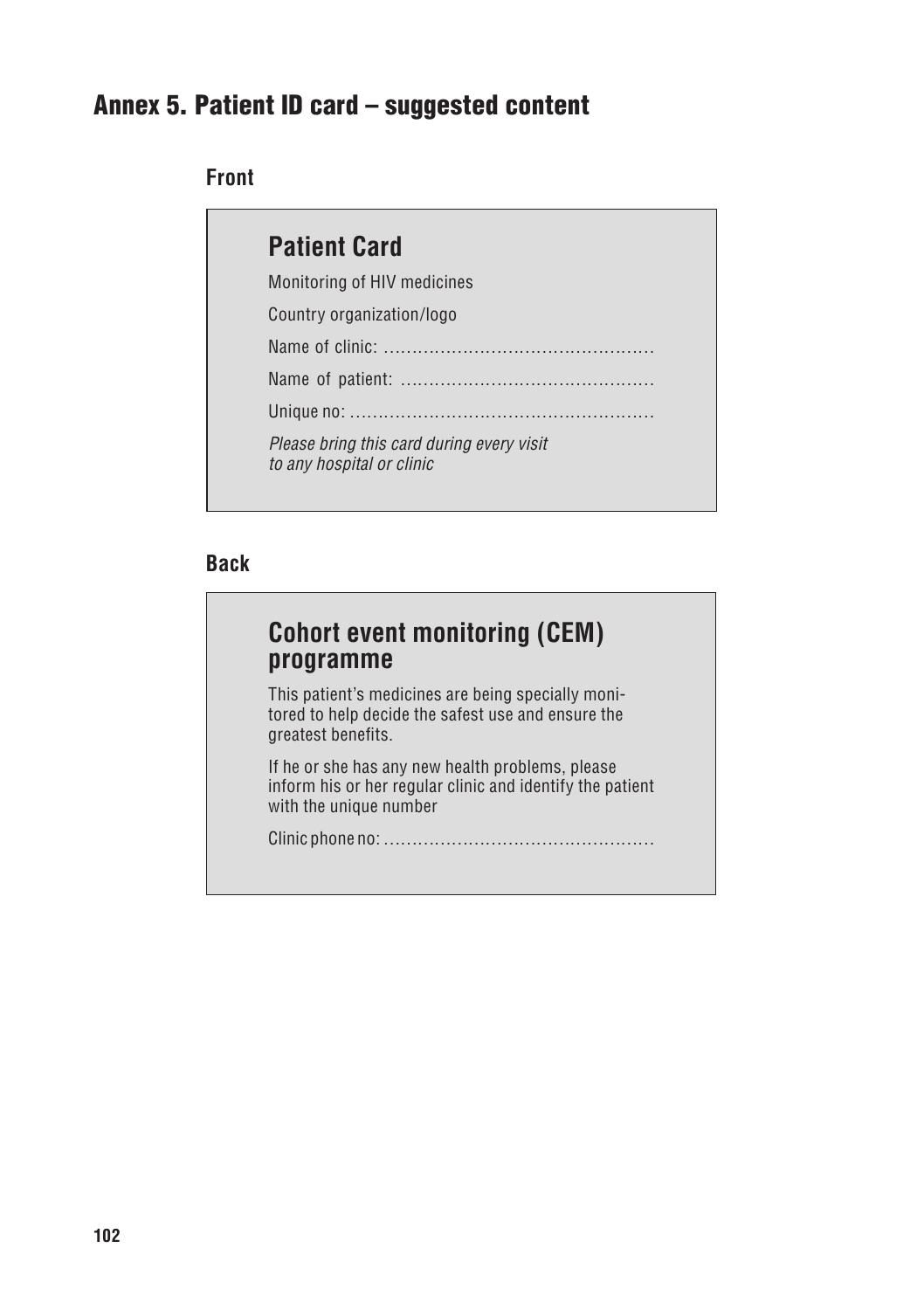## Annex 5. Patient ID card – suggested content

#### **Front**

| <b>Patient Card</b>                                                    |
|------------------------------------------------------------------------|
| Monitoring of HIV medicines                                            |
| Country organization/logo                                              |
|                                                                        |
|                                                                        |
|                                                                        |
| Please bring this card during every visit<br>to any hospital or clinic |

#### **Back**

## **Cohort event monitoring (CEM) programme**

This patient's medicines are being specially monitored to help decide the safest use and ensure the greatest benefits.

If he or she has any new health problems, please inform his or her regular clinic and identify the patient with the unique number

Clinic phone no: …………………………………………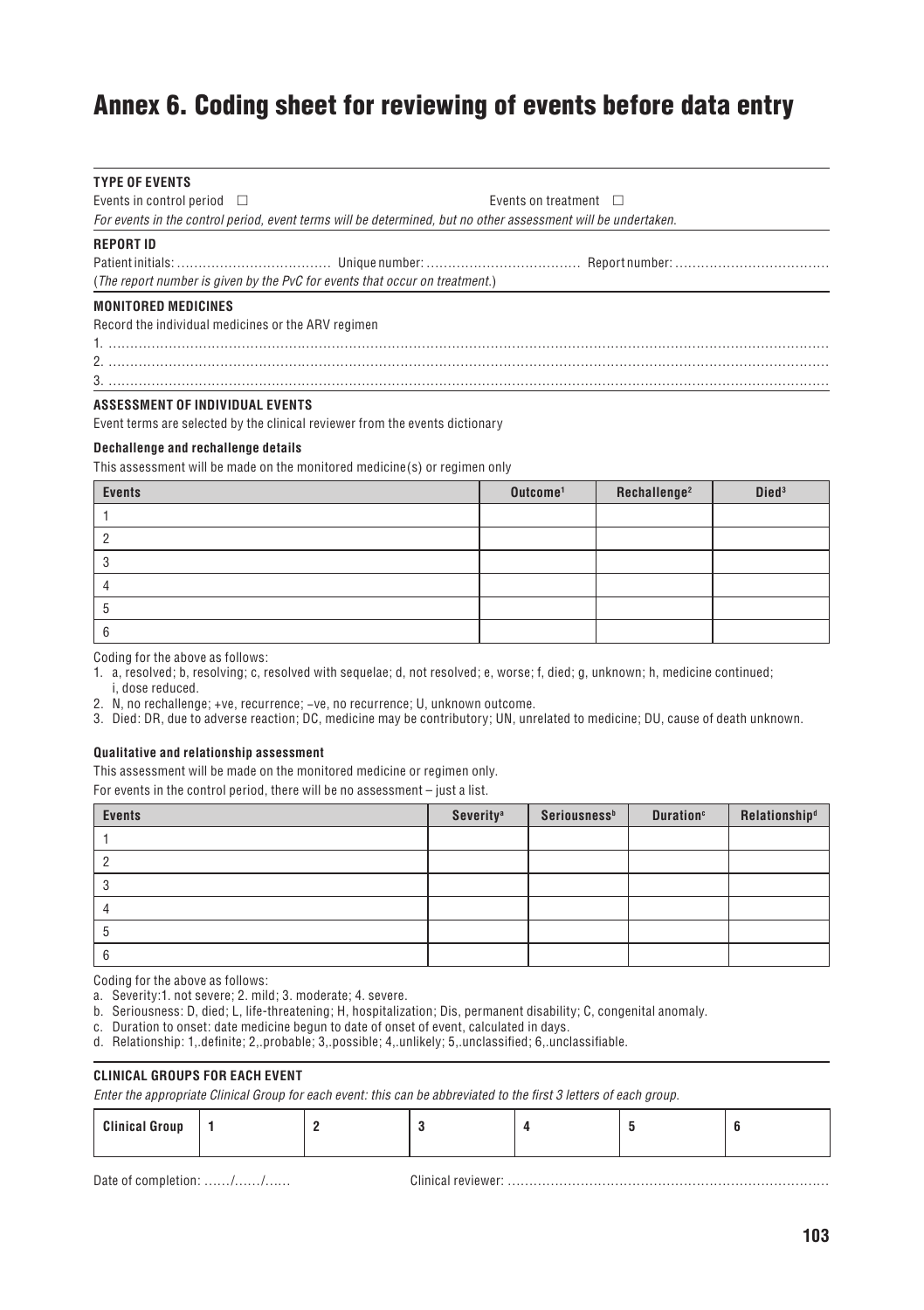## Annex 6. Coding sheet for reviewing of events before data entry

| <b>TYPE OF EVENTS</b>                                                                                         |                                                                             |  |  |  |  |
|---------------------------------------------------------------------------------------------------------------|-----------------------------------------------------------------------------|--|--|--|--|
| Events in control period $\Box$<br>Events on treatment $\Box$                                                 |                                                                             |  |  |  |  |
| For events in the control period, event terms will be determined, but no other assessment will be undertaken. |                                                                             |  |  |  |  |
| <b>REPORT ID</b>                                                                                              |                                                                             |  |  |  |  |
|                                                                                                               |                                                                             |  |  |  |  |
|                                                                                                               | (The report number is given by the PvC for events that occur on treatment.) |  |  |  |  |
| <b>MONITORED MEDICINES</b>                                                                                    |                                                                             |  |  |  |  |
| Record the individual medicines or the ARV regimen                                                            |                                                                             |  |  |  |  |
|                                                                                                               |                                                                             |  |  |  |  |

2. ……………………………………………………………………………………………………………………………………………………

3. ……………………………………………………………………………………………………………………………………………………

#### **Assessment of individual events**

Event terms are selected by the clinical reviewer from the events dictionary

#### **Dechallenge and rechallenge details**

This assessment will be made on the monitored medicine(s) or regimen only

| <b>Events</b> | Outcome <sup>1</sup> | Rechallenge <sup>2</sup> | Died <sup>3</sup> |
|---------------|----------------------|--------------------------|-------------------|
|               |                      |                          |                   |
|               |                      |                          |                   |
|               |                      |                          |                   |
|               |                      |                          |                   |
|               |                      |                          |                   |
|               |                      |                          |                   |

Coding for the above as follows:

1. a, resolved; b, resolving; c, resolved with sequelae; d, not resolved; e, worse; f, died; g, unknown; h, medicine continued; i, dose reduced.

2. N, no rechallenge; +ve, recurrence; −ve, no recurrence; U, unknown outcome.

3. Died: DR, due to adverse reaction; DC, medicine may be contributory; UN, unrelated to medicine; DU, cause of death unknown.

#### **Qualitative and relationship assessment**

This assessment will be made on the monitored medicine or regimen only.

For events in the control period, there will be no assessment – just a list.

| <b>Events</b> | Severity <sup>a</sup> | Seriousness <sup>b</sup> | <b>Duration</b> <sup>c</sup> | Relationship <sup>d</sup> |
|---------------|-----------------------|--------------------------|------------------------------|---------------------------|
|               |                       |                          |                              |                           |
|               |                       |                          |                              |                           |
|               |                       |                          |                              |                           |
|               |                       |                          |                              |                           |
|               |                       |                          |                              |                           |
|               |                       |                          |                              |                           |

Coding for the above as follows:

a. Severity:1. not severe; 2. mild; 3. moderate; 4. severe.

b. Seriousness: D, died; L, life-threatening; H, hospitalization; Dis, permanent disability; C, congenital anomaly.

- c. Duration to onset: date medicine begun to date of onset of event, calculated in days.
- d. Relationship: 1,.definite; 2,.probable; 3,.possible; 4,.unlikely; 5,.unclassified; 6,.unclassifiable.

#### **Clinical Groups for each event**

*Enter the appropriate Clinical Group for each event: this can be abbreviated to the first 3 letters of each group*.

| $\sim$ |  |  |  |  |  |  |
|--------|--|--|--|--|--|--|
|--------|--|--|--|--|--|--|

Date of completion: ……/……/……… Clinical reviewer: ……………………………………………………………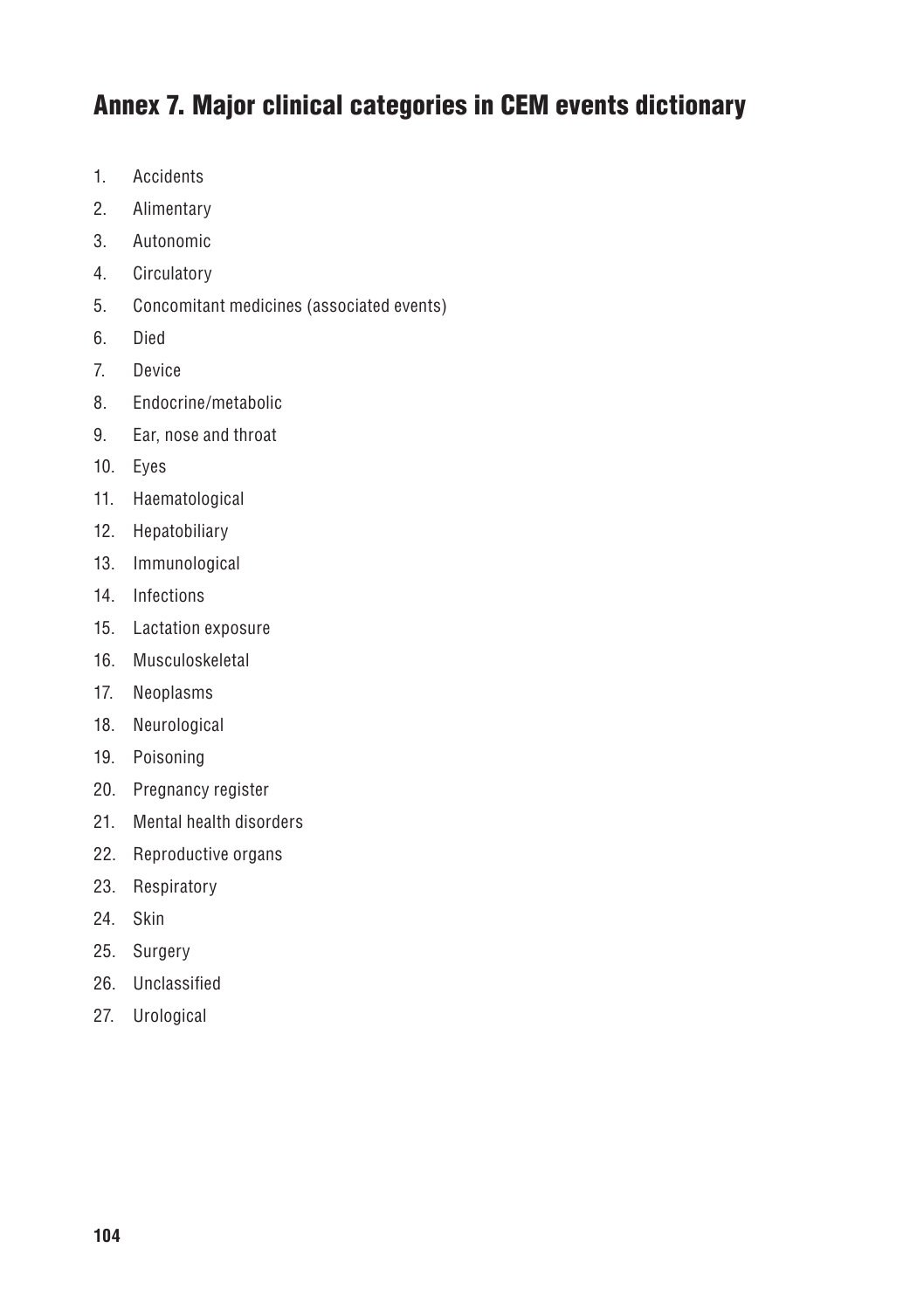## Annex 7. Major clinical categories in CEM events dictionary

- 1. Accidents
- 2. Alimentary
- 3. Autonomic
- 4. Circulatory
- 5. Concomitant medicines (associated events)
- 6. Died
- 7. Device
- 8. Endocrine/metabolic
- 9. Ear, nose and throat
- 10. Eyes
- 11. Haematological
- 12. Hepatobiliary
- 13. Immunological
- 14. Infections
- 15. Lactation exposure
- 16. Musculoskeletal
- 17. Neoplasms
- 18. Neurological
- 19. Poisoning
- 20. Pregnancy register
- 21. Mental health disorders
- 22. Reproductive organs
- 23. Respiratory
- 24. Skin
- 25. Surgery
- 26. Unclassified
- 27. Urological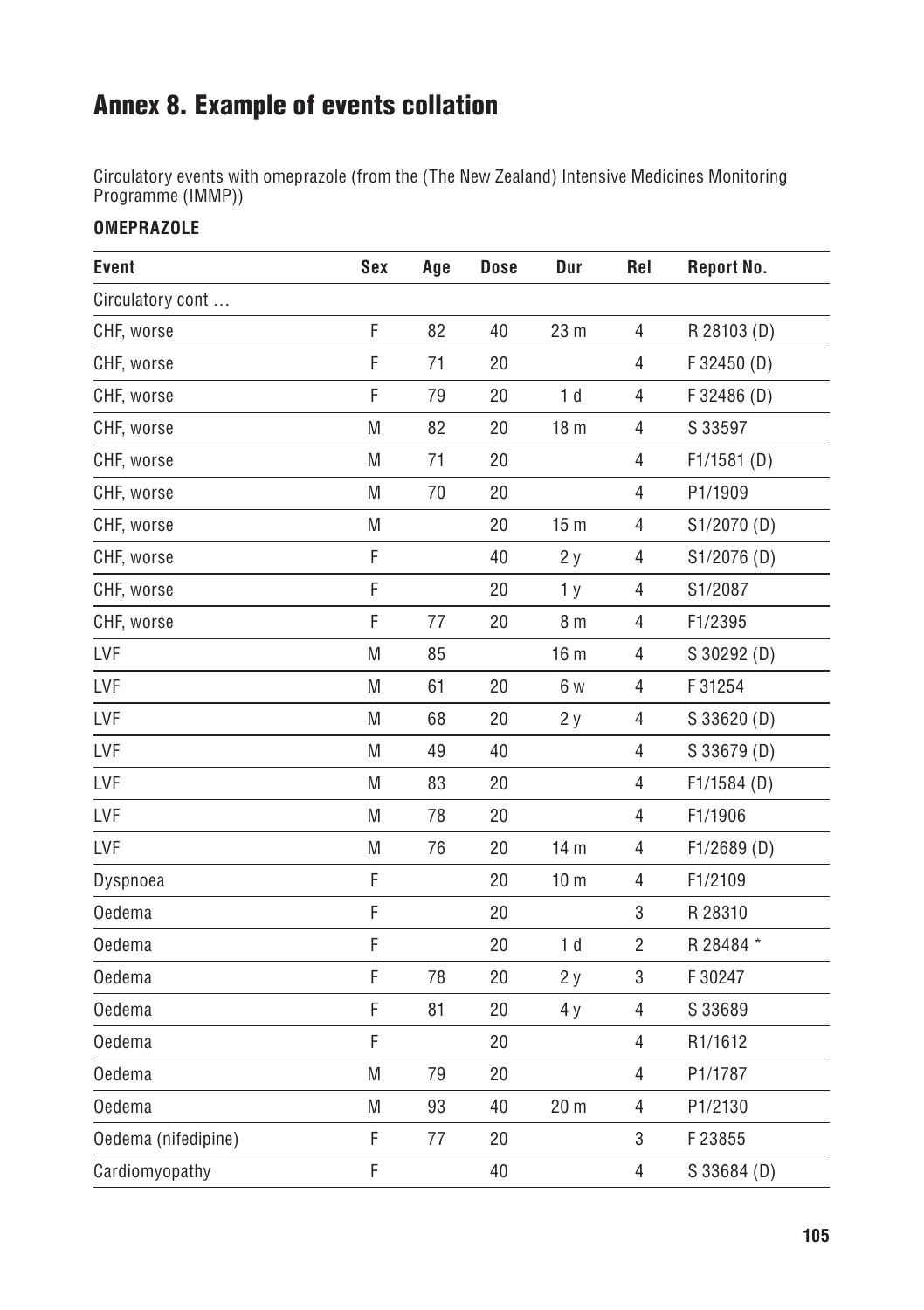## Annex 8. Example of events collation

Circulatory events with omeprazole (from the (The New Zealand) Intensive Medicines Monitoring Programme (IMMP))

#### **Omeprazole**

| Event               | Sex | Age | <b>Dose</b> | Dur             | Rel            | Report No.    |
|---------------------|-----|-----|-------------|-----------------|----------------|---------------|
| Circulatory cont    |     |     |             |                 |                |               |
| CHF, worse          | F   | 82  | 40          | 23 m            | $\overline{4}$ | R 28103 (D)   |
| CHF, worse          | F   | 71  | 20          |                 | $\overline{4}$ | F 32450 (D)   |
| CHF, worse          | F   | 79  | 20          | 1 <sub>d</sub>  | $\overline{4}$ | F 32486 (D)   |
| CHF, worse          | M   | 82  | 20          | 18 <sub>m</sub> | 4              | S 33597       |
| CHF, worse          | M   | 71  | 20          |                 | 4              | $F1/1581$ (D) |
| CHF, worse          | M   | 70  | 20          |                 | $\overline{4}$ | P1/1909       |
| CHF, worse          | M   |     | 20          | 15 <sub>m</sub> | 4              | S1/2070 (D)   |
| CHF, worse          | F   |     | 40          | 2y              | 4              | S1/2076 (D)   |
| CHF, worse          | F   |     | 20          | 1 <sub>y</sub>  | 4              | S1/2087       |
| CHF, worse          | F   | 77  | 20          | 8 <sub>m</sub>  | $\overline{4}$ | F1/2395       |
| LVF                 | M   | 85  |             | 16 <sub>m</sub> | 4              | S 30292 (D)   |
| LVF                 | M   | 61  | 20          | 6 w             | $\overline{4}$ | F 31254       |
| LVF                 | M   | 68  | 20          | 2y              | 4              | S 33620 (D)   |
| LVF                 | M   | 49  | 40          |                 | $\overline{4}$ | S 33679 (D)   |
| LVF                 | M   | 83  | 20          |                 | 4              | F1/1584(D)    |
| LVF                 | M   | 78  | 20          |                 | 4              | F1/1906       |
| LVF                 | M   | 76  | 20          | 14 m            | $\overline{4}$ | F1/2689(D)    |
| Dyspnoea            | F   |     | 20          | 10 <sub>m</sub> | 4              | F1/2109       |
| <b>Oedema</b>       | F   |     | 20          |                 | 3              | R 28310       |
| <b>Oedema</b>       | F   |     | 20          | 1 <sub>d</sub>  | $\overline{2}$ | R 28484 *     |
| Oedema              | F   | 78  | 20          | 2y              | 3              | F 30247       |
| Oedema              | F   | 81  | 20          | 4 y             | 4              | S 33689       |
| Oedema              | F   |     | 20          |                 | 4              | R1/1612       |
| Oedema              | M   | 79  | 20          |                 | 4              | P1/1787       |
| <b>Oedema</b>       | M   | 93  | 40          | 20 <sub>m</sub> | $\overline{4}$ | P1/2130       |
| Oedema (nifedipine) | F   | 77  | 20          |                 | 3              | F23855        |
| Cardiomyopathy      | F   |     | 40          |                 | $\overline{4}$ | S 33684 (D)   |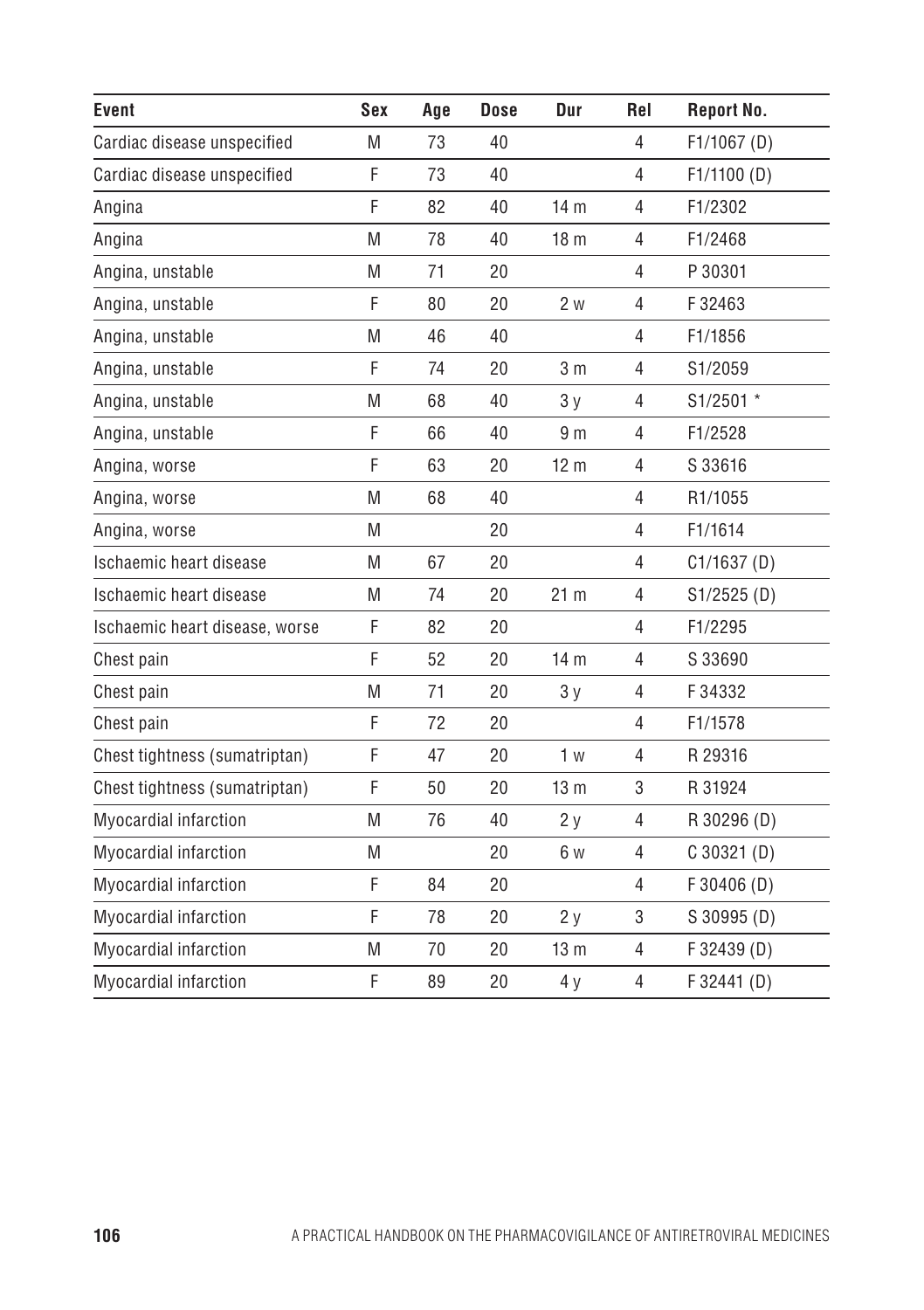| Event                          | Sex | Age | <b>Dose</b> | Dur             | Rel            | Report No.    |
|--------------------------------|-----|-----|-------------|-----------------|----------------|---------------|
| Cardiac disease unspecified    | M   | 73  | 40          |                 | 4              | $F1/1067$ (D) |
| Cardiac disease unspecified    | F   | 73  | 40          |                 | $\overline{4}$ | F1/1100(D)    |
| Angina                         | F   | 82  | 40          | 14 <sub>m</sub> | $\overline{4}$ | F1/2302       |
| Angina                         | M   | 78  | 40          | 18 <sub>m</sub> | $\overline{4}$ | F1/2468       |
| Angina, unstable               | M   | 71  | 20          |                 | 4              | P 30301       |
| Angina, unstable               | F   | 80  | 20          | 2 w             | $\overline{4}$ | F32463        |
| Angina, unstable               | M   | 46  | 40          |                 | $\overline{4}$ | F1/1856       |
| Angina, unstable               | F   | 74  | 20          | 3 <sub>m</sub>  | 4              | S1/2059       |
| Angina, unstable               | M   | 68  | 40          | 3y              | 4              | S1/2501 *     |
| Angina, unstable               | F   | 66  | 40          | 9 <sub>m</sub>  | 4              | F1/2528       |
| Angina, worse                  | F   | 63  | 20          | 12 <sub>m</sub> | $\overline{4}$ | S 33616       |
| Angina, worse                  | M   | 68  | 40          |                 | 4              | R1/1055       |
| Angina, worse                  | M   |     | 20          |                 | $\overline{4}$ | F1/1614       |
| Ischaemic heart disease        | M   | 67  | 20          |                 | $\overline{4}$ | C1/1637(D)    |
| Ischaemic heart disease        | M   | 74  | 20          | 21 <sub>m</sub> | $\overline{4}$ | S1/2525(D)    |
| Ischaemic heart disease, worse | F   | 82  | 20          |                 | $\overline{4}$ | F1/2295       |
| Chest pain                     | F   | 52  | 20          | 14 <sub>m</sub> | 4              | S 33690       |
| Chest pain                     | M   | 71  | 20          | 3y              | $\overline{4}$ | F34332        |
| Chest pain                     | F   | 72  | 20          |                 | 4              | F1/1578       |
| Chest tightness (sumatriptan)  | F   | 47  | 20          | 1 <sub>w</sub>  | $\overline{4}$ | R 29316       |
| Chest tightness (sumatriptan)  | F   | 50  | 20          | 13 <sub>m</sub> | 3              | R 31924       |
| Myocardial infarction          | M   | 76  | 40          | 2y              | 4              | R 30296 (D)   |
| Myocardial infarction          | M   |     | 20          | 6 w             | $\overline{4}$ | $C$ 30321 (D) |
| Myocardial infarction          | F   | 84  | 20          |                 | $\overline{4}$ | F30406(D)     |
| Myocardial infarction          | F   | 78  | 20          | 2y              | 3              | S 30995 (D)   |
| Myocardial infarction          | M   | 70  | 20          | 13 <sub>m</sub> | 4              | F 32439 (D)   |
| Myocardial infarction          | F   | 89  | 20          | 4y              | $\overline{4}$ | $F$ 32441 (D) |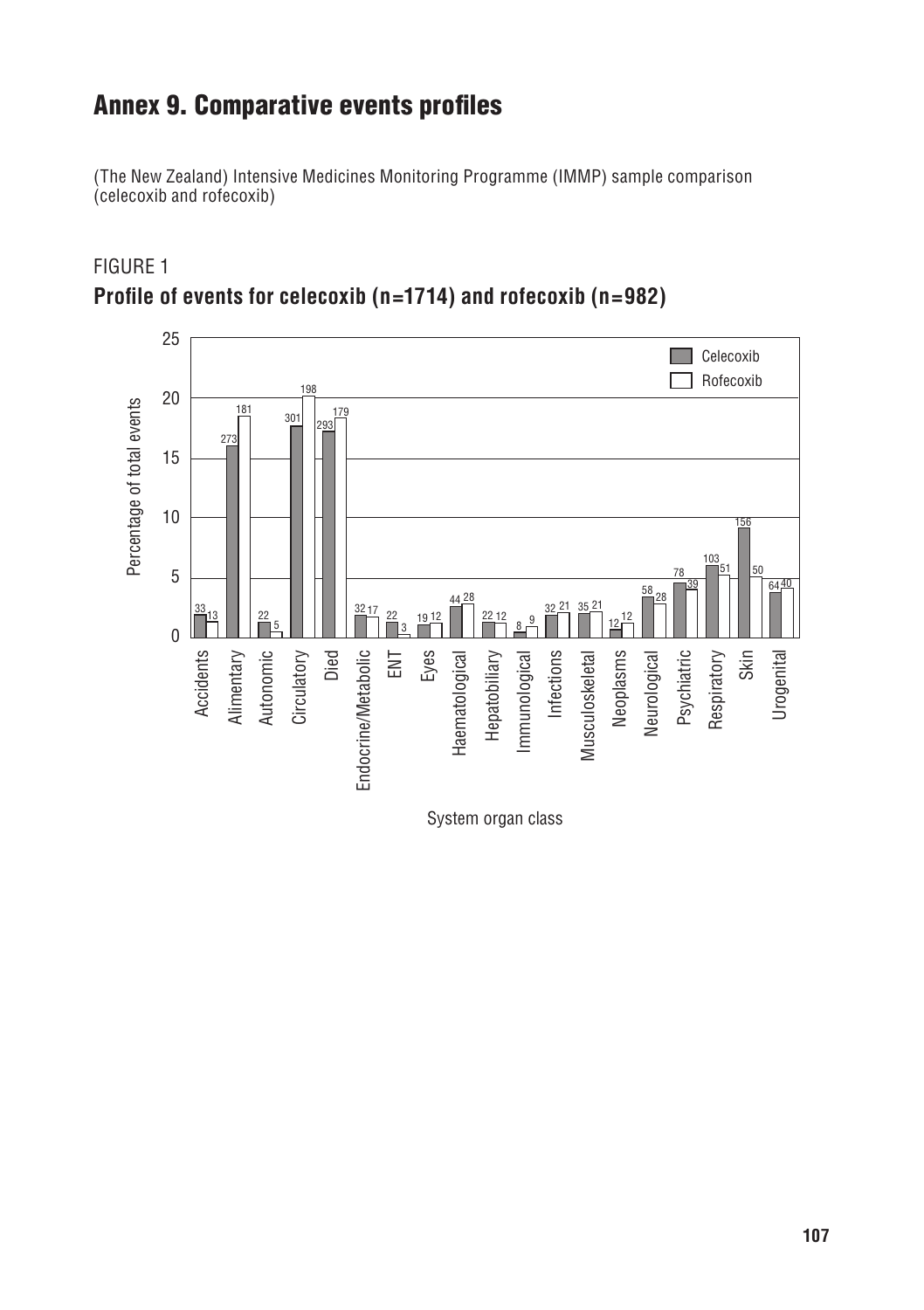## Annex 9. Comparative events profiles

(The New Zealand) Intensive Medicines Monitoring Programme (IMMP) sample comparison (celecoxib and rofecoxib)



Figure 1 **Profile of events for celecoxib (n=1714) and rofecoxib (n=982)**

System organ class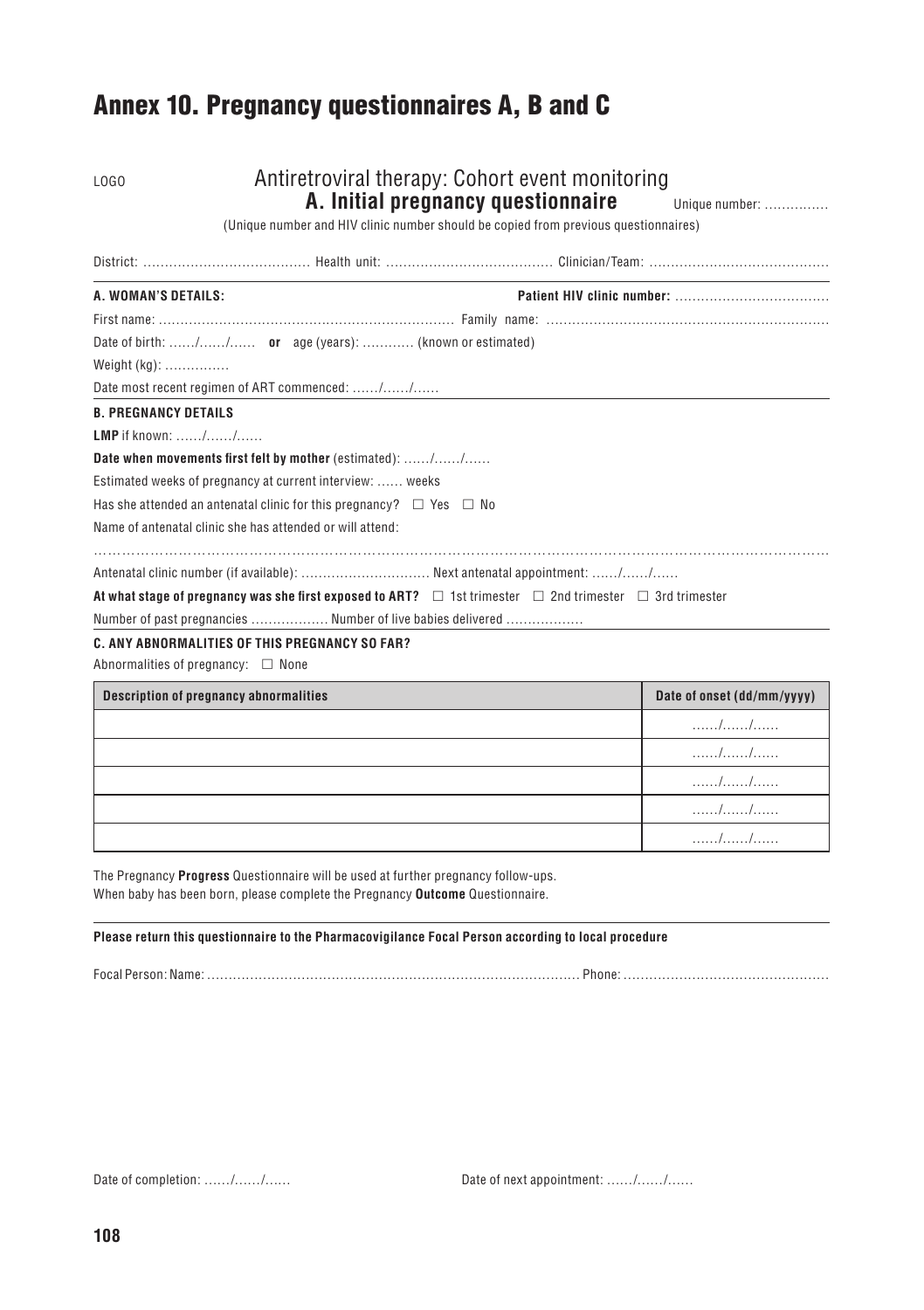## Annex 10. Pregnancy questionnaires A, B and C

| LOGO                                                                                                                    | Antiretroviral therapy: Cohort event monitoring<br>A. Initial pregnancy questionnaire<br>(Unique number and HIV clinic number should be copied from previous questionnaires) | Unique number:             |
|-------------------------------------------------------------------------------------------------------------------------|------------------------------------------------------------------------------------------------------------------------------------------------------------------------------|----------------------------|
|                                                                                                                         |                                                                                                                                                                              |                            |
| A. WOMAN'S DETAILS:                                                                                                     |                                                                                                                                                                              |                            |
|                                                                                                                         |                                                                                                                                                                              |                            |
| Date of birth: // or age (years):  (known or estimated)                                                                 |                                                                                                                                                                              |                            |
| Weight $(kq)$ :                                                                                                         |                                                                                                                                                                              |                            |
| Date most recent regimen of ART commenced: //                                                                           |                                                                                                                                                                              |                            |
| <b>B. PREGNANCY DETAILS</b>                                                                                             |                                                                                                                                                                              |                            |
| <b>LMP</b> if known: //                                                                                                 |                                                                                                                                                                              |                            |
| Date when movements first felt by mother (estimated): //                                                                |                                                                                                                                                                              |                            |
| Estimated weeks of pregnancy at current interview:  weeks                                                               |                                                                                                                                                                              |                            |
| Has she attended an antenatal clinic for this pregnancy? $\Box$ Yes $\Box$ No                                           |                                                                                                                                                                              |                            |
| Name of antenatal clinic she has attended or will attend:                                                               |                                                                                                                                                                              |                            |
| Antenatal clinic number (if available):  Next antenatal appointment: //                                                 |                                                                                                                                                                              |                            |
| At what stage of pregnancy was she first exposed to ART? $\Box$ 1st trimester $\Box$ 2nd trimester $\Box$ 3rd trimester |                                                                                                                                                                              |                            |
| Number of past pregnancies  Number of live babies delivered                                                             |                                                                                                                                                                              |                            |
| C. ANY ABNORMALITIES OF THIS PREGNANCY SO FAR?                                                                          |                                                                                                                                                                              |                            |
| Abnormalities of pregnancy: $\square$ None                                                                              |                                                                                                                                                                              |                            |
| <b>Description of pregnancy abnormalities</b>                                                                           |                                                                                                                                                                              | Date of onset (dd/mm/yyyy) |

| Description of pregnancy abnormalities | Date of onset (dd/mm/yyyy) |
|----------------------------------------|----------------------------|
|                                        |                            |
|                                        | .                          |
|                                        | .                          |
|                                        |                            |
|                                        | .                          |

The Pregnancy **Progress** Questionnaire will be used at further pregnancy follow-ups. When baby has been born, please complete the Pregnancy **Outcome** Questionnaire.

**Please return this questionnaire to the Pharmacovigilance Focal Person according to local procedure**

Focal Person: Name: …………………………………………………………………………… Phone: …………………………………………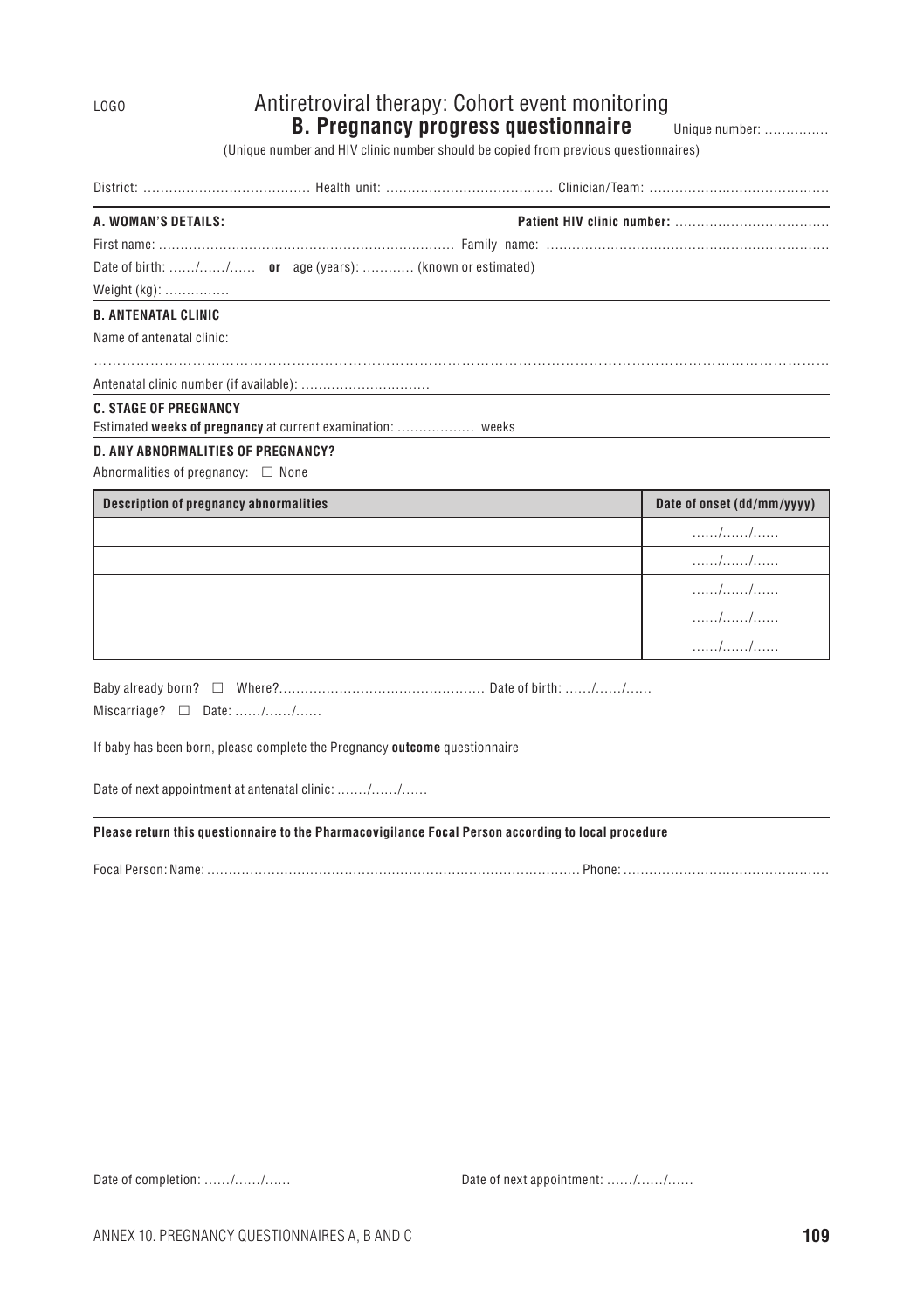#### LOGO Antiretroviral therapy: Cohort event monitoring **B. Pregnancy progress questionnaire** Unique number: ...............

(Unique number and HIV clinic number should be copied from previous questionnaires)

District: ………………………………… Health unit: ………………………………… Clinician/Team: ……………………………………

| A. WOMAN'S DETAILS:        |                                                         |
|----------------------------|---------------------------------------------------------|
|                            |                                                         |
|                            | Date of birth: // or age (years):  (known or estimated) |
| Weight $(kg)$ :            |                                                         |
| <b>B. ANTENATAL CLINIC</b> |                                                         |

…………………………………………………………………………………………………………………………………………

Name of antenatal clinic:

Antenatal clinic number (if available): …………………………

#### **C. Stage of pregnancy**

Estimated **weeks of pregnancy** at current examination: ……………… weeks

#### **D. Any abnormalities of pregnancy?**

Abnormalities of pregnancy:  $\Box$  None

| Description of pregnancy abnormalities | Date of onset (dd/mm/yyyy) |
|----------------------------------------|----------------------------|
|                                        | . / /                      |
|                                        |                            |
|                                        | .                          |
|                                        |                            |
|                                        |                            |

Baby already born?  $\Box$  Where?……………………………………………………………… Date of birth: ……/……/……

 $Miscarriage? \Box$  Date: ....../....../......

If baby has been born, please complete the Pregnancy **outcome** questionnaire

Date of next appointment at antenatal clinic: ....../....../......

#### **Please return this questionnaire to the Pharmacovigilance Focal Person according to local procedure**

Focal Person: Name: …………………………………………………………………………… Phone: …………………………………………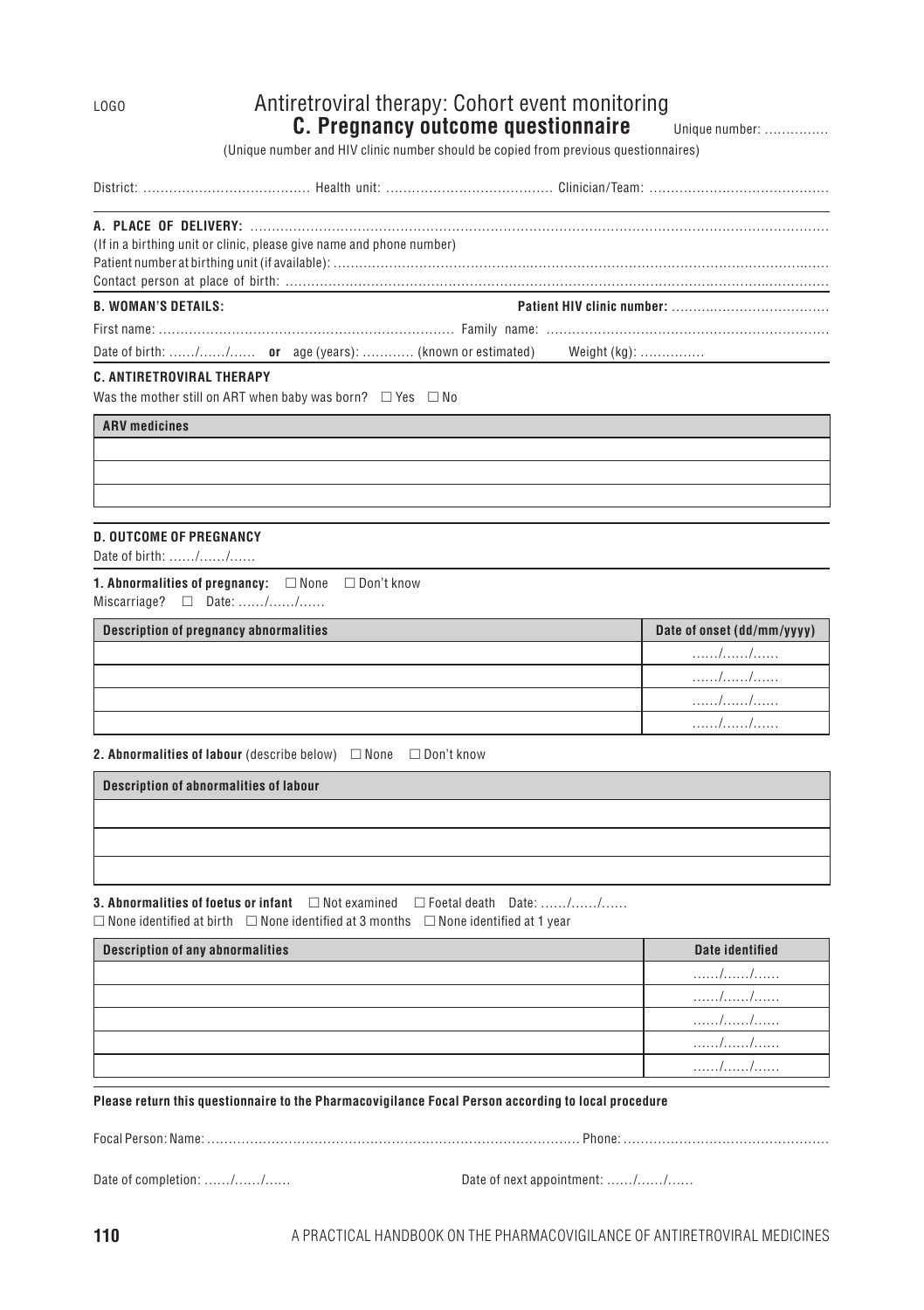#### LOGO Antiretroviral therapy: Cohort event monitoring **C. Pregnancy outcome questionnaire** Unique number: ...............

(Unique number and HIV clinic number should be copied from previous questionnaires)

| (If in a birthing unit or clinic, please give name and phone number) |                                                                      |
|----------------------------------------------------------------------|----------------------------------------------------------------------|
|                                                                      |                                                                      |
|                                                                      |                                                                      |
| <b>B. WOMAN'S DETAILS:</b>                                           |                                                                      |
|                                                                      |                                                                      |
|                                                                      | Date of birth: // or age (years):  (known or estimated) Weight (kg): |

#### **C. Antiretroviral therapy**

Was the mother still on ART when baby was born?  $\Box$  Yes  $\Box$  No

**ARV medicines**

#### **D. Outcome of pregnancy**

Date of birth: ……/……/……

**1. Abnormalities of pregnancy:**  $\square$  None  $\square$  Don't know  $Miscarriaae? \Box$  Date: ……/……/……

| <b>Description of pregnancy abnormalities</b> | Date of onset (dd/mm/yyyy) |
|-----------------------------------------------|----------------------------|
|                                               |                            |
|                                               |                            |
|                                               |                            |
|                                               |                            |

**2. Abnormalities of labour** (describe below) **□ None** □ Don't know

**Description of abnormalities of labour**

**3. Abnormalities of foetus or infant**  $□$  Not examined  $□$  Foetal death Date: ……/……/……  $\Box$  None identified at birth  $\Box$  None identified at 3 months  $\Box$  None identified at 1 year

| Description of any abnormalities | Date identified |
|----------------------------------|-----------------|
|                                  |                 |
|                                  | .               |
|                                  | .               |
|                                  | .               |
|                                  | .               |

#### **Please return this questionnaire to the Pharmacovigilance Focal Person according to local procedure**

Focal Person: Name: …………………………………………………………………………… Phone: …………………………………………

Date of completion: ……/……/…… Date of next appointment: ……/……/……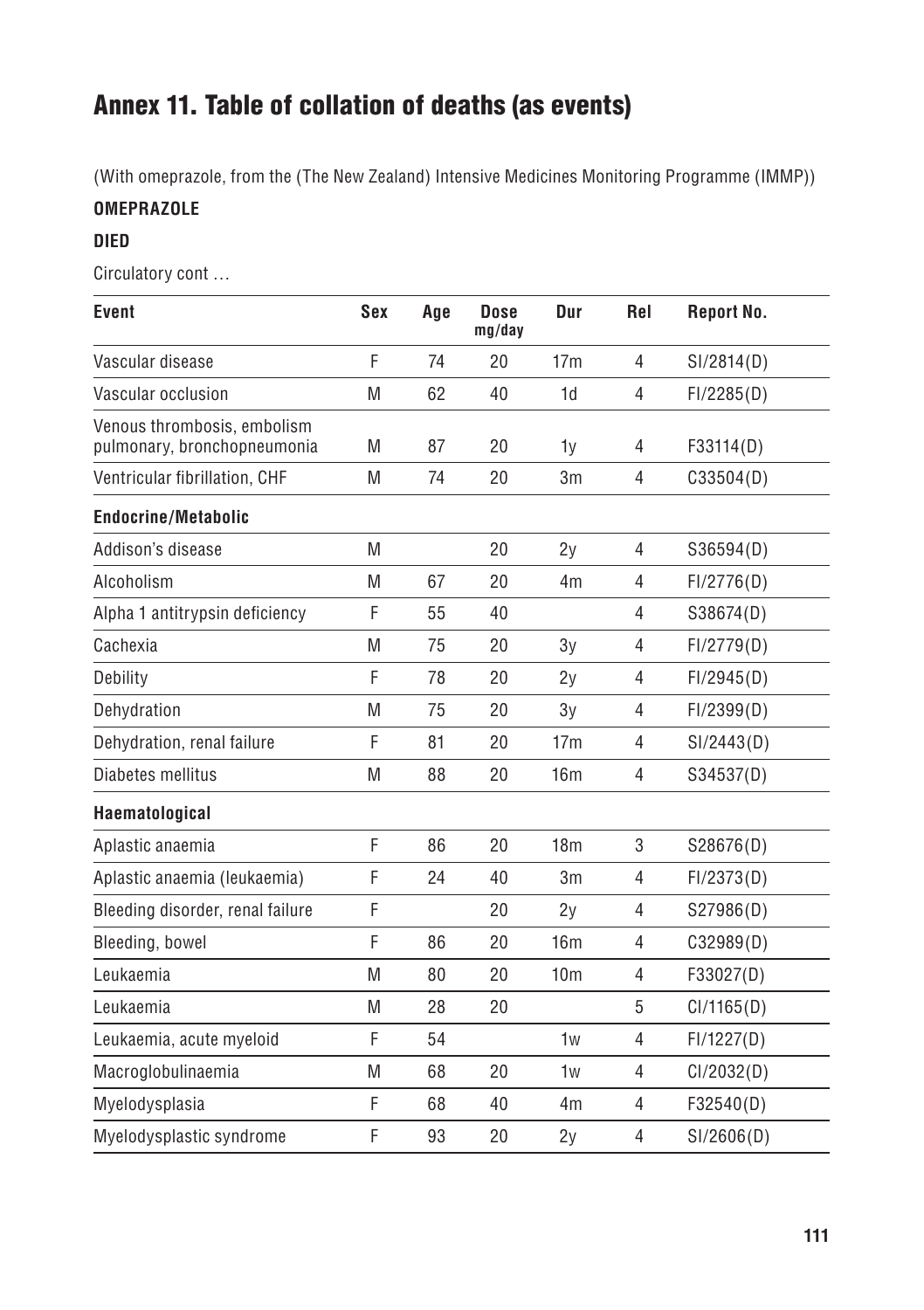## Annex 11. Table of collation of deaths (as events)

(With omeprazole, from the (The New Zealand) Intensive Medicines Monitoring Programme (IMMP))

#### **Omeprazole**

#### **DIED**

Circulatory cont …

| Event                                                      | Sex | Age | <b>Dose</b><br>mg/day | Dur             | Rel            | <b>Report No.</b> |
|------------------------------------------------------------|-----|-----|-----------------------|-----------------|----------------|-------------------|
| Vascular disease                                           | F   | 74  | 20                    | 17 <sub>m</sub> | 4              | SI/2814(D)        |
| Vascular occlusion                                         | M   | 62  | 40                    | 1d              | $\overline{4}$ | FI/2285(D)        |
| Venous thrombosis, embolism<br>pulmonary, bronchopneumonia | M   | 87  | 20                    | 1v              | 4              | F33114(D)         |
| Ventricular fibrillation, CHF                              | M   | 74  | 20                    | 3m              | $\overline{4}$ | C33504(D)         |
| <b>Endocrine/Metabolic</b>                                 |     |     |                       |                 |                |                   |
| Addison's disease                                          | M   |     | 20                    | 2y              | 4              | S36594(D)         |
| Alcoholism                                                 | M   | 67  | 20                    | 4 <sub>m</sub>  | 4              | FI/2776(D)        |
| Alpha 1 antitrypsin deficiency                             | F   | 55  | 40                    |                 | $\overline{4}$ | S38674(D)         |
| Cachexia                                                   | M   | 75  | 20                    | 3v              | $\overline{4}$ | FI/2779(D)        |
| Debility                                                   | F   | 78  | 20                    | 2v              | $\overline{4}$ | FI/2945(D)        |
| Dehydration                                                | M   | 75  | 20                    | 3v              | $\overline{4}$ | FI/2399(D)        |
| Dehydration, renal failure                                 | F   | 81  | 20                    | 17 <sub>m</sub> | 4              | SI/2443(D)        |
| Diabetes mellitus                                          | M   | 88  | 20                    | 16m             | $\overline{4}$ | S34537(D)         |
| Haematological                                             |     |     |                       |                 |                |                   |
| Aplastic anaemia                                           | F   | 86  | 20                    | 18 <sub>m</sub> | 3              | S28676(D)         |
| Aplastic anaemia (leukaemia)                               | F   | 24  | 40                    | 3m              | 4              | FI/2373(D)        |
| Bleeding disorder, renal failure                           | F   |     | 20                    | 2v              | $\overline{4}$ | S27986(D)         |
| Bleeding, bowel                                            | F   | 86  | 20                    | 16 <sub>m</sub> | 4              | C32989(D)         |
| Leukaemia                                                  | M   | 80  | 20                    | 10 <sub>m</sub> | 4              | F33027(D)         |
| Leukaemia                                                  | M   | 28  | 20                    |                 | 5              | Cl/1165(D)        |
| Leukaemia, acute myeloid                                   | F   | 54  |                       | 1w              | 4              | FI/1227(D)        |
| Macroglobulinaemia                                         | M   | 68  | 20                    | 1 <sub>w</sub>  | $\overline{4}$ | Cl/2032(D)        |
| Myelodysplasia                                             | F   | 68  | 40                    | 4 <sub>m</sub>  | $\overline{4}$ | F32540(D)         |
| Myelodysplastic syndrome                                   | F   | 93  | 20                    | 2v              | $\overline{4}$ | SI/2606(D)        |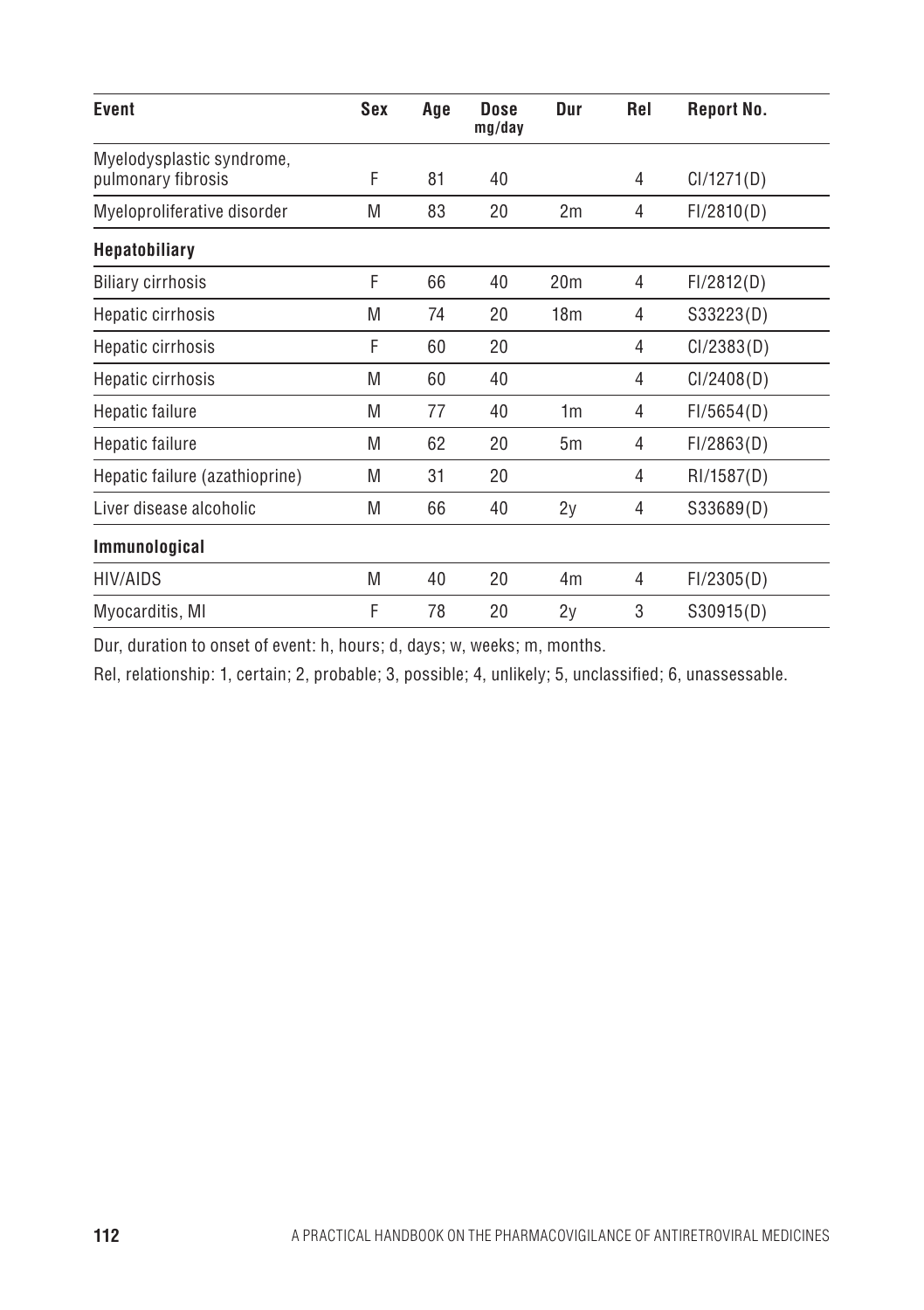| Event                                           | Sex | Age | Dose<br>mg/day | Dur             | Rel | <b>Report No.</b> |
|-------------------------------------------------|-----|-----|----------------|-----------------|-----|-------------------|
| Myelodysplastic syndrome,<br>pulmonary fibrosis | F   | 81  | 40             |                 | 4   | Cl/1271(D)        |
| Myeloproliferative disorder                     | M   | 83  | 20             | 2m              | 4   | FI/2810(D)        |
| <b>Hepatobiliary</b>                            |     |     |                |                 |     |                   |
| <b>Biliary cirrhosis</b>                        | F   | 66  | 40             | 20 <sub>m</sub> | 4   | FI/2812(D)        |
| Hepatic cirrhosis                               | M   | 74  | 20             | 18 <sub>m</sub> | 4   | S33223(D)         |
| Hepatic cirrhosis                               | F   | 60  | 20             |                 | 4   | Cl/2383(D)        |
| Hepatic cirrhosis                               | M   | 60  | 40             |                 | 4   | Cl/2408(D)        |
| Hepatic failure                                 | M   | 77  | 40             | 1 <sub>m</sub>  | 4   | FI/5654(D)        |
| Hepatic failure                                 | M   | 62  | 20             | 5m              | 4   | FI/2863(D)        |
| Hepatic failure (azathioprine)                  | M   | 31  | 20             |                 | 4   | RI/1587(D)        |
| Liver disease alcoholic                         | M   | 66  | 40             | 2y              | 4   | S33689(D)         |
| Immunological                                   |     |     |                |                 |     |                   |
| <b>HIV/AIDS</b>                                 | M   | 40  | 20             | 4m              | 4   | FI/2305(D)        |
| Myocarditis, MI                                 | F   | 78  | 20             | 2y              | 3   | S30915(D)         |

Dur, duration to onset of event: h, hours; d, days; w, weeks; m, months.

Rel, relationship: 1, certain; 2, probable; 3, possible; 4, unlikely; 5, unclassified; 6, unassessable.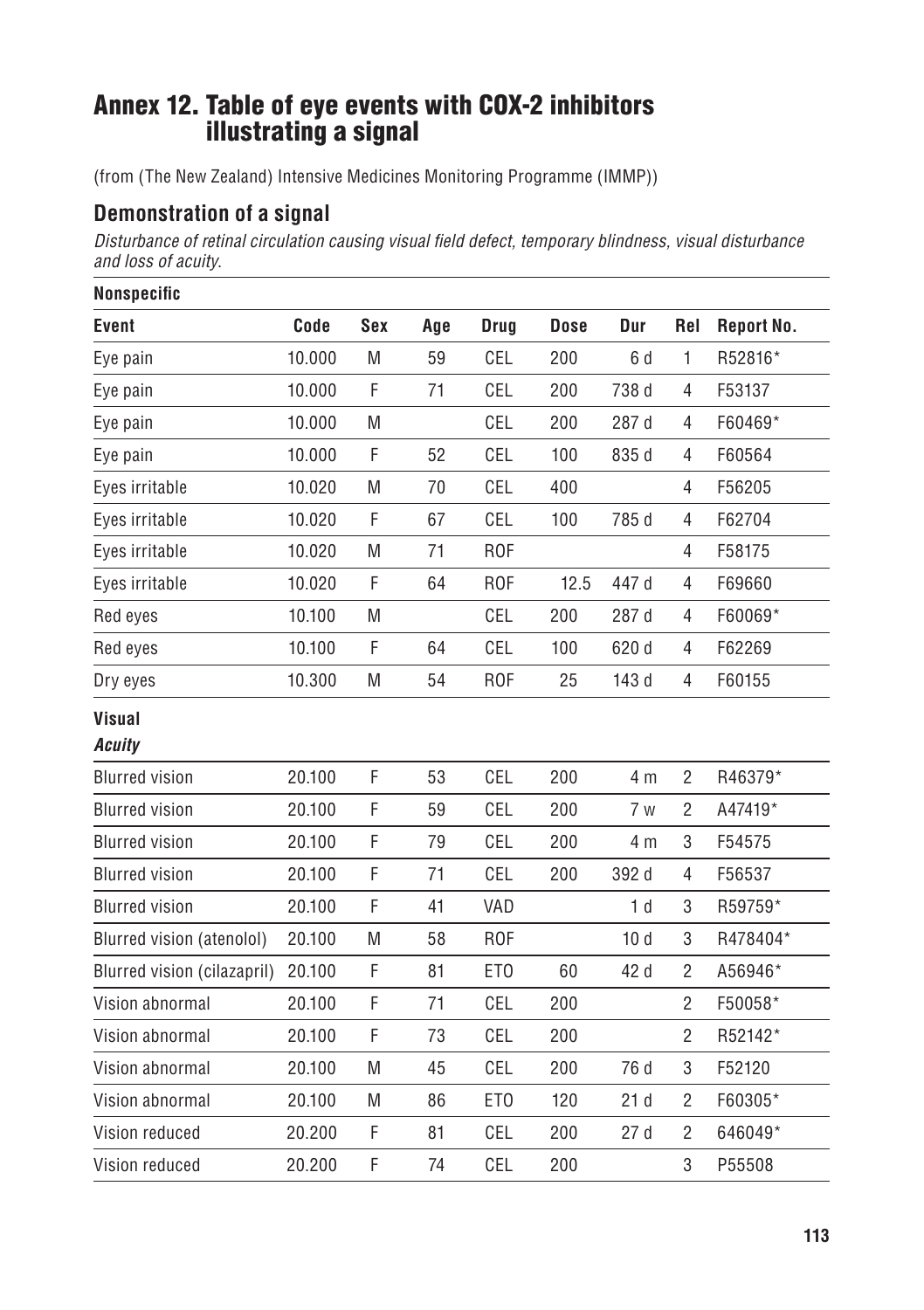## Annex 12. Table of eye events with COX-2 inhibitors illustrating a signal

(from (The New Zealand) Intensive Medicines Monitoring Programme (IMMP))

### **Demonstration of a signal**

*Disturbance of retinal circulation causing visual field defect, temporary blindness, visual disturbance and loss of acuity*.

| Nonspecific                 |        |     |     |                 |             |                |                |                   |
|-----------------------------|--------|-----|-----|-----------------|-------------|----------------|----------------|-------------------|
| <b>Event</b>                | Code   | Sex | Age | Drug            | <b>Dose</b> | Dur            | Rel            | <b>Report No.</b> |
| Eye pain                    | 10.000 | M   | 59  | CEL             | 200         | 6 d            | 1              | R52816*           |
| Eye pain                    | 10.000 | F   | 71  | CEL             | 200         | 738 d          | 4              | F53137            |
| Eye pain                    | 10.000 | M   |     | CEL             | 200         | 287 d          | 4              | F60469*           |
| Eye pain                    | 10.000 | F   | 52  | CEL             | 100         | 835 d          | 4              | F60564            |
| Eyes irritable              | 10.020 | M   | 70  | CEL             | 400         |                | 4              | F56205            |
| Eyes irritable              | 10.020 | F   | 67  | CEL             | 100         | 785 d          | 4              | F62704            |
| Eyes irritable              | 10.020 | M   | 71  | <b>ROF</b>      |             |                | 4              | F58175            |
| Eyes irritable              | 10.020 | F   | 64  | <b>ROF</b>      | 12.5        | 447 d          | 4              | F69660            |
| Red eyes                    | 10.100 | M   |     | CEL             | 200         | 287 d          | 4              | F60069*           |
| Red eyes                    | 10.100 | F   | 64  | CEL             | 100         | 620 d          | $\overline{4}$ | F62269            |
| Dry eyes                    | 10.300 | M   | 54  | <b>ROF</b>      | 25          | 143 d          | 4              | F60155            |
| <b>Visual</b>               |        |     |     |                 |             |                |                |                   |
| Acuity                      |        |     |     |                 |             |                |                |                   |
| <b>Blurred vision</b>       | 20.100 | F   | 53  | CEL             | 200         | 4 m            | $\overline{2}$ | R46379*           |
| <b>Blurred vision</b>       | 20.100 | F   | 59  | CEL             | 200         | 7 w            | $\overline{c}$ | A47419*           |
| <b>Blurred vision</b>       | 20.100 | F   | 79  | CEL             | 200         | 4 m            | 3              | F54575            |
| <b>Blurred vision</b>       | 20.100 | F   | 71  | CEL             | 200         | 392 d          | 4              | F56537            |
| <b>Blurred vision</b>       | 20.100 | F   | 41  | VAD             |             | 1 <sub>d</sub> | 3              | R59759*           |
| Blurred vision (atenolol)   | 20.100 | M   | 58  | <b>ROF</b>      |             | 10d            | 3              | R478404*          |
| Blurred vision (cilazapril) | 20.100 | F   | 81  | ET <sub>0</sub> | 60          | 42 d           | $\overline{2}$ | A56946*           |
| Vision abnormal             | 20.100 | F   | 71  | CEL             | 200         |                | $\overline{2}$ | F50058*           |
| Vision abnormal             | 20.100 | F   | 73  | CEL             | 200         |                | $\overline{2}$ | R52142*           |
| Vision abnormal             | 20.100 | M   | 45  | CEL             | 200         | 76 d           | 3              | F52120            |
| Vision abnormal             | 20.100 | M   | 86  | ET <sub>0</sub> | 120         | 21d            | $\overline{c}$ | F60305*           |
| Vision reduced              | 20.200 | F   | 81  | CEL             | 200         | 27d            | $\overline{2}$ | 646049*           |
| Vision reduced              | 20.200 | F   | 74  | CEL             | 200         |                | 3              | P55508            |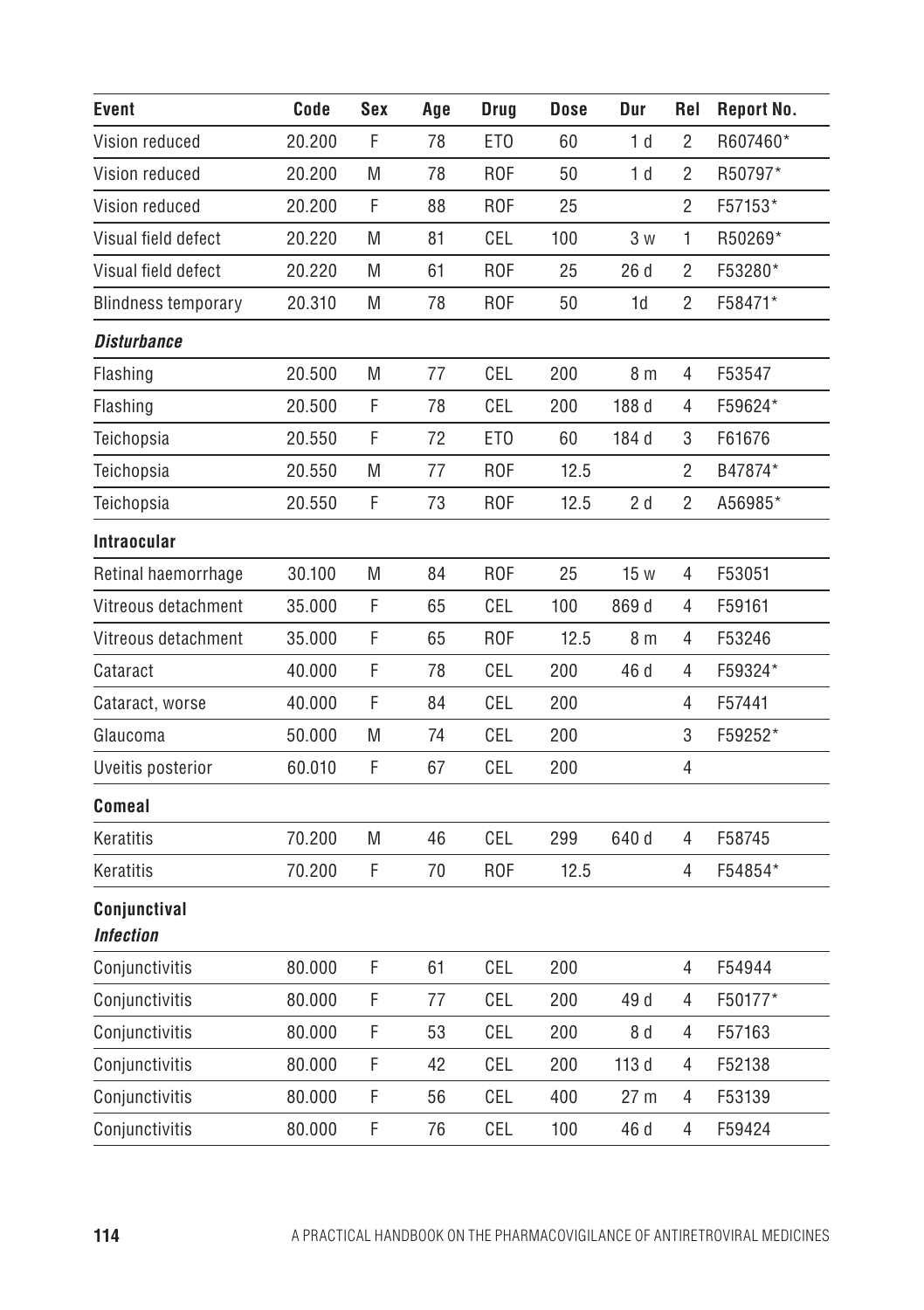| Event                     | Code   | Sex | Age | Drug            | <b>Dose</b> | Dur             | Rel            | <b>Report No.</b> |
|---------------------------|--------|-----|-----|-----------------|-------------|-----------------|----------------|-------------------|
| Vision reduced            | 20.200 | F   | 78  | ET <sub>0</sub> | 60          | 1 <sub>d</sub>  | $\overline{2}$ | R607460*          |
| Vision reduced            | 20.200 | M   | 78  | <b>ROF</b>      | 50          | 1 <sub>d</sub>  | $\overline{c}$ | R50797*           |
| Vision reduced            | 20.200 | F   | 88  | <b>ROF</b>      | 25          |                 | $\sqrt{2}$     | F57153*           |
| Visual field defect       | 20.220 | M   | 81  | CEL             | 100         | 3 w             | 1              | R50269*           |
| Visual field defect       | 20.220 | M   | 61  | R <sub>OF</sub> | 25          | 26d             | $\overline{2}$ | F53280*           |
| Blindness temporary       | 20.310 | M   | 78  | <b>ROF</b>      | 50          | 1d              | $\overline{c}$ | F58471*           |
| <b>Disturbance</b>        |        |     |     |                 |             |                 |                |                   |
| Flashing                  | 20.500 | M   | 77  | CEL             | 200         | 8 <sub>m</sub>  | 4              | F53547            |
| Flashing                  | 20.500 | F   | 78  | CEL             | 200         | 188 d           | 4              | F59624*           |
| Teichopsia                | 20.550 | F   | 72  | ET <sub>0</sub> | 60          | 184 d           | 3              | F61676            |
| Teichopsia                | 20.550 | M   | 77  | <b>ROF</b>      | 12.5        |                 | $\overline{2}$ | B47874*           |
| Teichopsia                | 20.550 | F   | 73  | <b>ROF</b>      | 12.5        | 2 d             | $\sqrt{2}$     | A56985*           |
| <b>Intraocular</b>        |        |     |     |                 |             |                 |                |                   |
| Retinal haemorrhage       | 30.100 | M   | 84  | <b>ROF</b>      | 25          | 15 w            | 4              | F53051            |
| Vitreous detachment       | 35.000 | F   | 65  | CEL             | 100         | 869 d           | 4              | F59161            |
| Vitreous detachment       | 35.000 | F   | 65  | <b>ROF</b>      | 12.5        | 8 m             | 4              | F53246            |
| Cataract                  | 40.000 | F   | 78  | CEL             | 200         | 46 d            | 4              | F59324*           |
| Cataract, worse           | 40.000 | F   | 84  | CEL             | 200         |                 | 4              | F57441            |
| Glaucoma                  | 50.000 | M   | 74  | CEL             | 200         |                 | 3              | F59252*           |
| Uveitis posterior         | 60.010 | F   | 67  | CEL             | 200         |                 | 4              |                   |
| Comeal                    |        |     |     |                 |             |                 |                |                   |
| Keratitis                 | 70.200 | M   | 46  | CEL             | 299         | 640 d           | 4              | F58745            |
| Keratitis                 | 70.200 | F   | 70  | <b>ROF</b>      | 12.5        |                 | 4              | F54854*           |
| Conjunctival<br>Infection |        |     |     |                 |             |                 |                |                   |
| Conjunctivitis            | 80.000 | F   | 61  | CEL             | 200         |                 | 4              | F54944            |
| Conjunctivitis            | 80.000 | F   | 77  | CEL             | 200         | 49 d            | 4              | F50177*           |
| Conjunctivitis            | 80.000 | F   | 53  | CEL             | 200         | 8 d             | 4              | F57163            |
| Conjunctivitis            | 80.000 | F   | 42  | CEL             | 200         | 113 d           | 4              | F52138            |
| Conjunctivitis            | 80.000 | F   | 56  | CEL             | 400         | 27 <sub>m</sub> | 4              | F53139            |
| Conjunctivitis            | 80.000 | F   | 76  | CEL             | 100         | 46 d            | 4              | F59424            |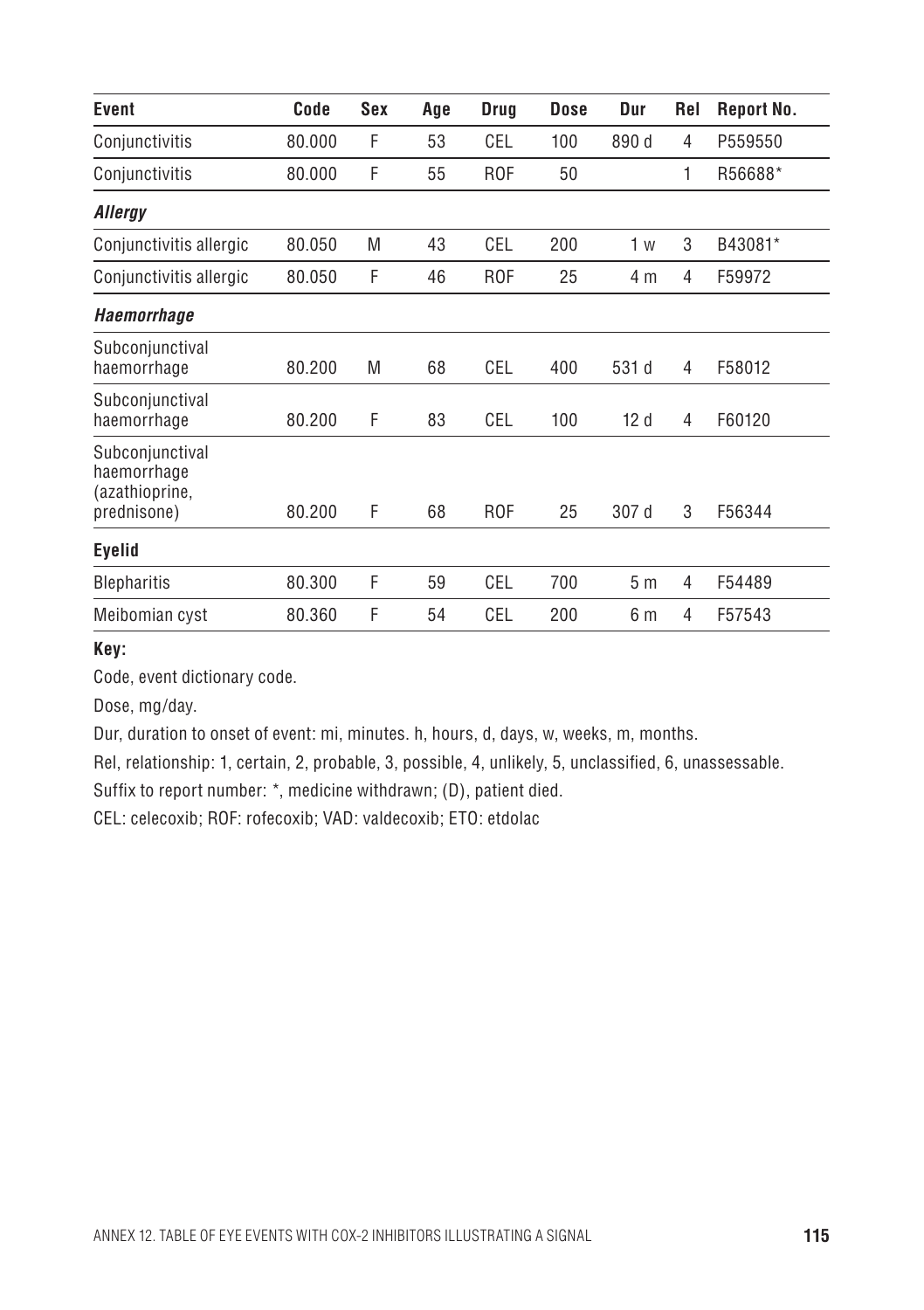| Event                                                           | Code   | Sex | Age | Drug            | <b>Dose</b> | Dur            | Rel | <b>Report No.</b> |
|-----------------------------------------------------------------|--------|-----|-----|-----------------|-------------|----------------|-----|-------------------|
| Conjunctivitis                                                  | 80.000 | F   | 53  | CEL             | 100         | 890 d          | 4   | P559550           |
| Conjunctivitis                                                  | 80.000 | F   | 55  | R <sub>OF</sub> | 50          |                | 1   | R56688*           |
| Allergy                                                         |        |     |     |                 |             |                |     |                   |
| Conjunctivitis allergic                                         | 80.050 | M   | 43  | CEL             | 200         | 1 w            | 3   | B43081*           |
| Conjunctivitis allergic                                         | 80.050 | F   | 46  | R <sub>OF</sub> | 25          | 4 m            | 4   | F59972            |
| <b>Haemorrhage</b>                                              |        |     |     |                 |             |                |     |                   |
| Subconjunctival<br>haemorrhage                                  | 80.200 | M   | 68  | CEL             | 400         | 531 d          | 4   | F58012            |
| Subconjunctival<br>haemorrhage                                  | 80.200 | F   | 83  | CEL             | 100         | 12d            | 4   | F60120            |
| Subconjunctival<br>haemorrhage<br>(azathioprine,<br>prednisone) | 80.200 | F   | 68  | R <sub>OF</sub> | 25          | 307 d          | 3   | F56344            |
| Eyelid                                                          |        |     |     |                 |             |                |     |                   |
| <b>Blepharitis</b>                                              | 80.300 | F   | 59  | CEL             | 700         | 5 <sub>m</sub> | 4   | F54489            |
| Meibomian cyst                                                  | 80.360 | F   | 54  | CEL             | 200         | 6 m            | 4   | F57543            |

**Key:** 

Code, event dictionary code.

Dose, mg/day.

Dur, duration to onset of event: mi, minutes. h, hours, d, days, w, weeks, m, months.

Rel, relationship: 1, certain, 2, probable, 3, possible, 4, unlikely, 5, unclassified, 6, unassessable.

Suffix to report number: \*, medicine withdrawn; (D), patient died.

CEL: celecoxib; ROF: rofecoxib; VAD: valdecoxib; ETO: etdolac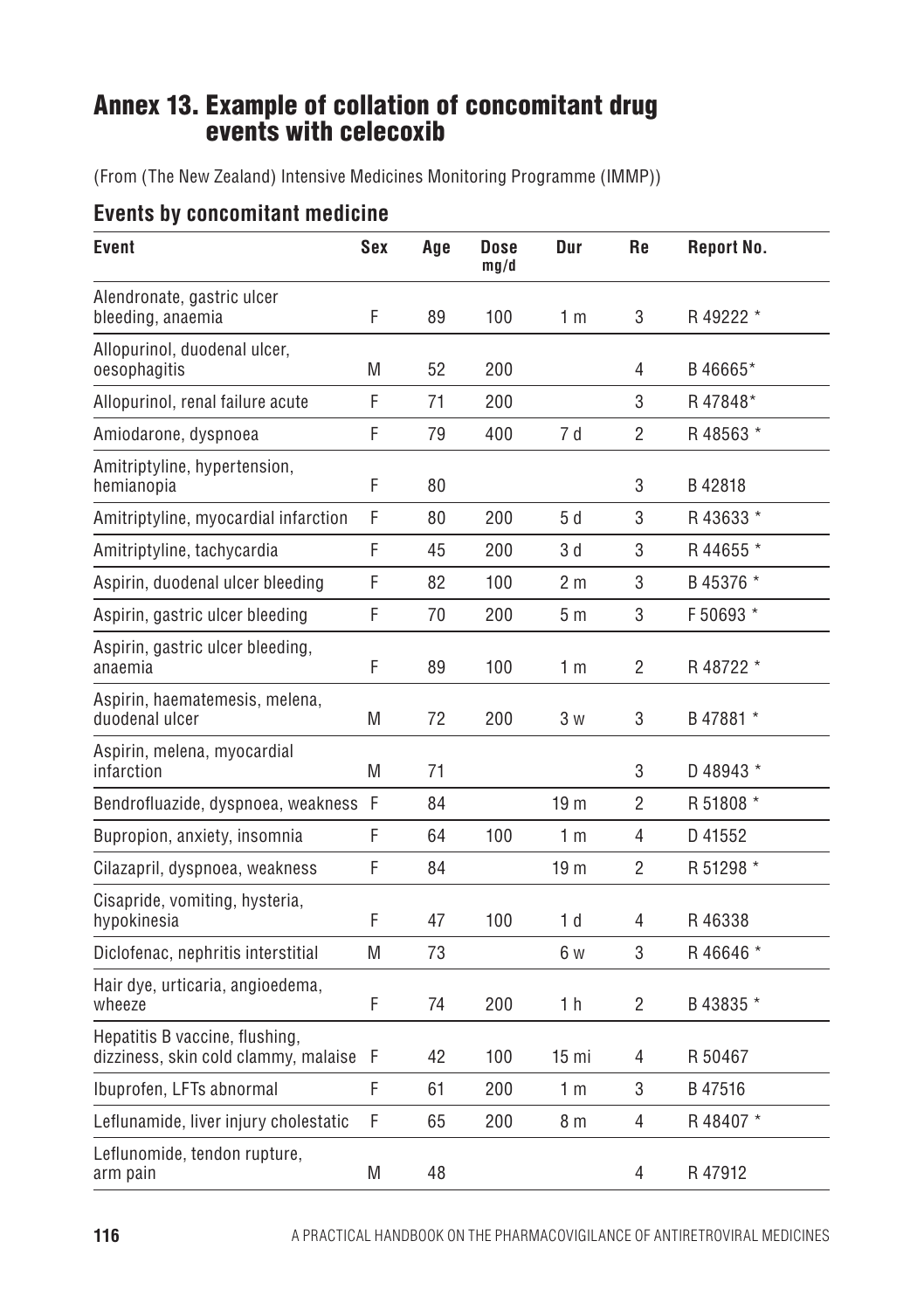## Annex 13. Example of collation of concomitant drug events with celecoxib

(From (The New Zealand) Intensive Medicines Monitoring Programme (IMMP))

#### **Events by concomitant medicine**

| Event                                                                  | Sex | Age | Dose<br>mg/d | Dur              | Re             | Report No. |
|------------------------------------------------------------------------|-----|-----|--------------|------------------|----------------|------------|
| Alendronate, gastric ulcer<br>bleeding, anaemia                        | F   | 89  | 100          | 1 <sub>m</sub>   | 3              | R 49222 *  |
| Allopurinol, duodenal ulcer,<br>oesophagitis                           | M   | 52  | 200          |                  | 4              | B46665*    |
| Allopurinol, renal failure acute                                       | F   | 71  | 200          |                  | 3              | R47848*    |
| Amiodarone, dyspnoea                                                   | F   | 79  | 400          | 7d               | $\overline{2}$ | R48563 *   |
| Amitriptyline, hypertension,<br>hemianopia                             | F   | 80  |              |                  | 3              | B42818     |
| Amitriptyline, myocardial infarction                                   | F   | 80  | 200          | 5d               | 3              | R43633*    |
| Amitriptyline, tachycardia                                             | F   | 45  | 200          | 3 d              | 3              | R 44655 *  |
| Aspirin, duodenal ulcer bleeding                                       | F   | 82  | 100          | 2 m              | 3              | B 45376 *  |
| Aspirin, gastric ulcer bleeding                                        | F   | 70  | 200          | 5m               | 3              | F 50693 *  |
| Aspirin, gastric ulcer bleeding,<br>anaemia                            | F   | 89  | 100          | 1 <sub>m</sub>   | 2              | R48722 *   |
| Aspirin, haematemesis, melena,<br>duodenal ulcer                       | M   | 72  | 200          | 3 w              | 3              | B 47881 *  |
| Aspirin, melena, myocardial<br>infarction                              | M   | 71  |              |                  | 3              | D 48943 *  |
| Bendrofluazide, dyspnoea, weakness                                     | F   | 84  |              | 19 <sub>m</sub>  | $\overline{2}$ | R 51808 *  |
| Bupropion, anxiety, insomnia                                           | F   | 64  | 100          | 1 <sub>m</sub>   | 4              | D 41552    |
| Cilazapril, dyspnoea, weakness                                         | F   | 84  |              | 19 <sub>m</sub>  | $\overline{2}$ | R 51298 *  |
| Cisapride, vomiting, hysteria,<br>hypokinesia                          | F   | 47  | 100          | 1 <sub>d</sub>   | 4              | R46338     |
| Diclofenac, nephritis interstitial                                     | M   | 73  |              | 6 w              | 3              | R46646 *   |
| Hair dye, urticaria, angioedema,<br>wheeze                             | F   | 74  | 200          | 1 h              | $\overline{2}$ | B 43835 *  |
| Hepatitis B vaccine, flushing,<br>dizziness, skin cold clammy, malaise | F   | 42  | 100          | 15 <sub>mi</sub> | 4              | R 50467    |
| Ibuprofen, LFTs abnormal                                               | F   | 61  | 200          | 1 m              | 3              | B47516     |
| Leflunamide, liver injury cholestatic                                  | F   | 65  | 200          | 8 m              | 4              | R48407 *   |
| Leflunomide, tendon rupture,<br>arm pain                               | M   | 48  |              |                  | 4              | R47912     |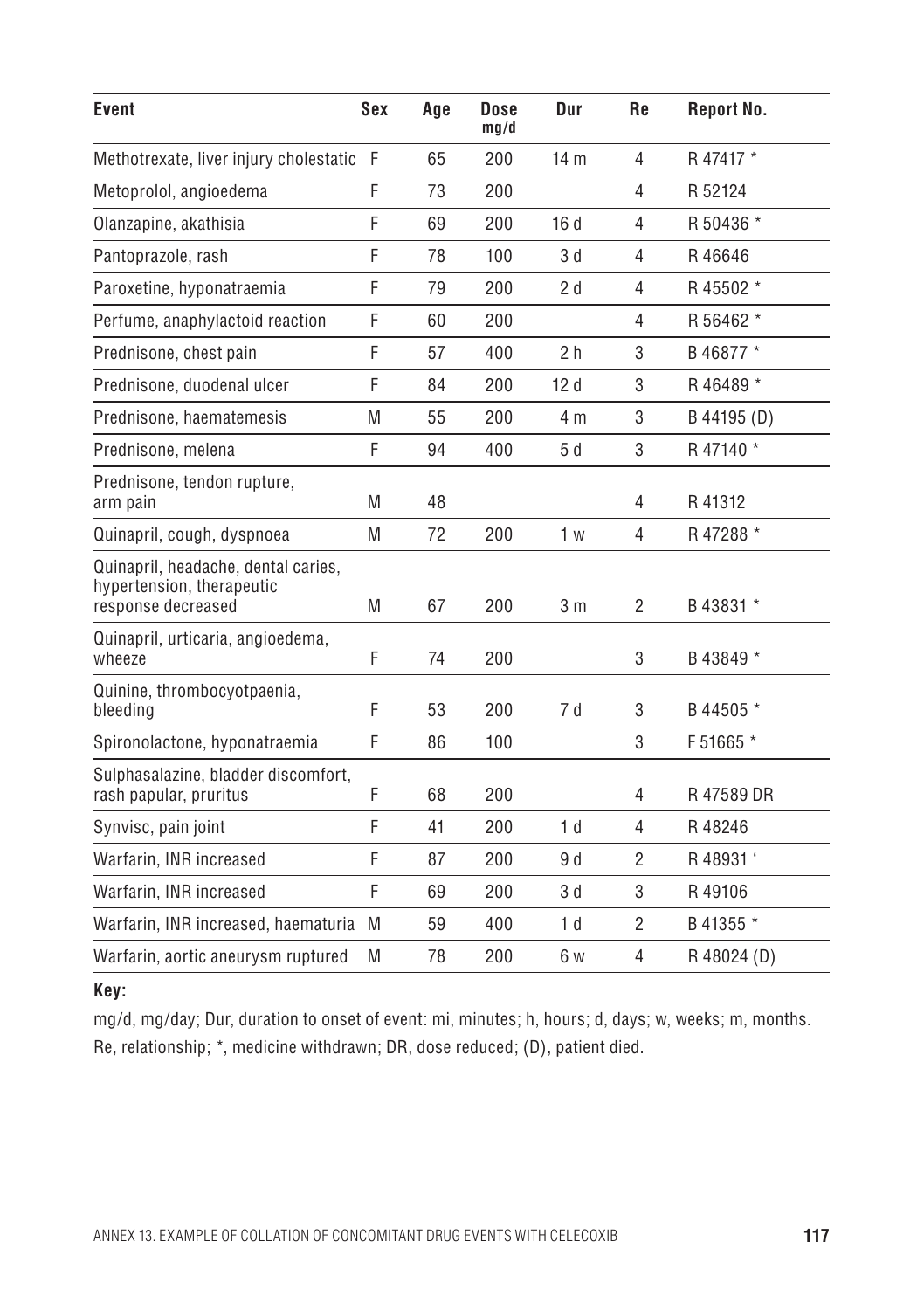| Event                                                                                  | Sex | Age | Dose<br>mq/d | Dur             | <b>Re</b>      | <b>Report No.</b> |
|----------------------------------------------------------------------------------------|-----|-----|--------------|-----------------|----------------|-------------------|
| Methotrexate, liver injury cholestatic F                                               |     | 65  | 200          | 14 <sub>m</sub> | $\overline{4}$ | R 47417 *         |
| Metoprolol, angioedema                                                                 | F   | 73  | 200          |                 | 4              | R 52124           |
| Olanzapine, akathisia                                                                  | F   | 69  | 200          | 16d             | 4              | R 50436 *         |
| Pantoprazole, rash                                                                     | F   | 78  | 100          | 3 d             | 4              | R46646            |
| Paroxetine, hyponatraemia                                                              | F   | 79  | 200          | 2d              | 4              | R 45502 *         |
| Perfume, anaphylactoid reaction                                                        | F   | 60  | 200          |                 | 4              | R 56462 *         |
| Prednisone, chest pain                                                                 | F   | 57  | 400          | 2 <sub>h</sub>  | 3              | B 46877 *         |
| Prednisone, duodenal ulcer                                                             | F   | 84  | 200          | 12d             | 3              | R 46489 *         |
| Prednisone, haematemesis                                                               | M   | 55  | 200          | 4 m             | 3              | B 44195 (D)       |
| Prednisone, melena                                                                     | F   | 94  | 400          | 5d              | 3              | R 47140 *         |
| Prednisone, tendon rupture,<br>arm pain                                                | M   | 48  |              |                 | 4              | R41312            |
| Quinapril, cough, dyspnoea                                                             | M   | 72  | 200          | 1 <sub>w</sub>  | $\overline{4}$ | R 47288 *         |
| Quinapril, headache, dental caries,<br>hypertension, therapeutic<br>response decreased | M   | 67  | 200          | 3 <sub>m</sub>  | $\overline{2}$ | B 43831 *         |
| Quinapril, urticaria, angioedema,<br>wheeze                                            | F   | 74  | 200          |                 | 3              | B 43849 *         |
| Quinine, thrombocyotpaenia,<br>bleeding                                                | F   | 53  | 200          | 7 d             | 3              | B 44505 *         |
| Spironolactone, hyponatraemia                                                          | F   | 86  | 100          |                 | 3              | F 51665 *         |
| Sulphasalazine, bladder discomfort,<br>rash papular, pruritus                          | F   | 68  | 200          |                 | 4              | R47589DR          |
| Synvisc, pain joint                                                                    | F   | 41  | 200          | 1 <sub>d</sub>  | $\overline{4}$ | R48246            |
| Warfarin, INR increased                                                                | F   | 87  | 200          | 9 d             | $\overline{2}$ | R 48931'          |
| Warfarin, INR increased                                                                | F   | 69  | 200          | 3d              | 3              | R49106            |
| Warfarin, INR increased, haematuria                                                    | M   | 59  | 400          | 1 <sub>d</sub>  | $\overline{2}$ | B 41355 *         |
| Warfarin, aortic aneurysm ruptured                                                     | M   | 78  | 200          | 6 w             | $\overline{4}$ | R 48024 (D)       |

#### **Key:**

mg/d, mg/day; Dur, duration to onset of event: mi, minutes; h, hours; d, days; w, weeks; m, months. Re, relationship; \*, medicine withdrawn; DR, dose reduced; (D), patient died.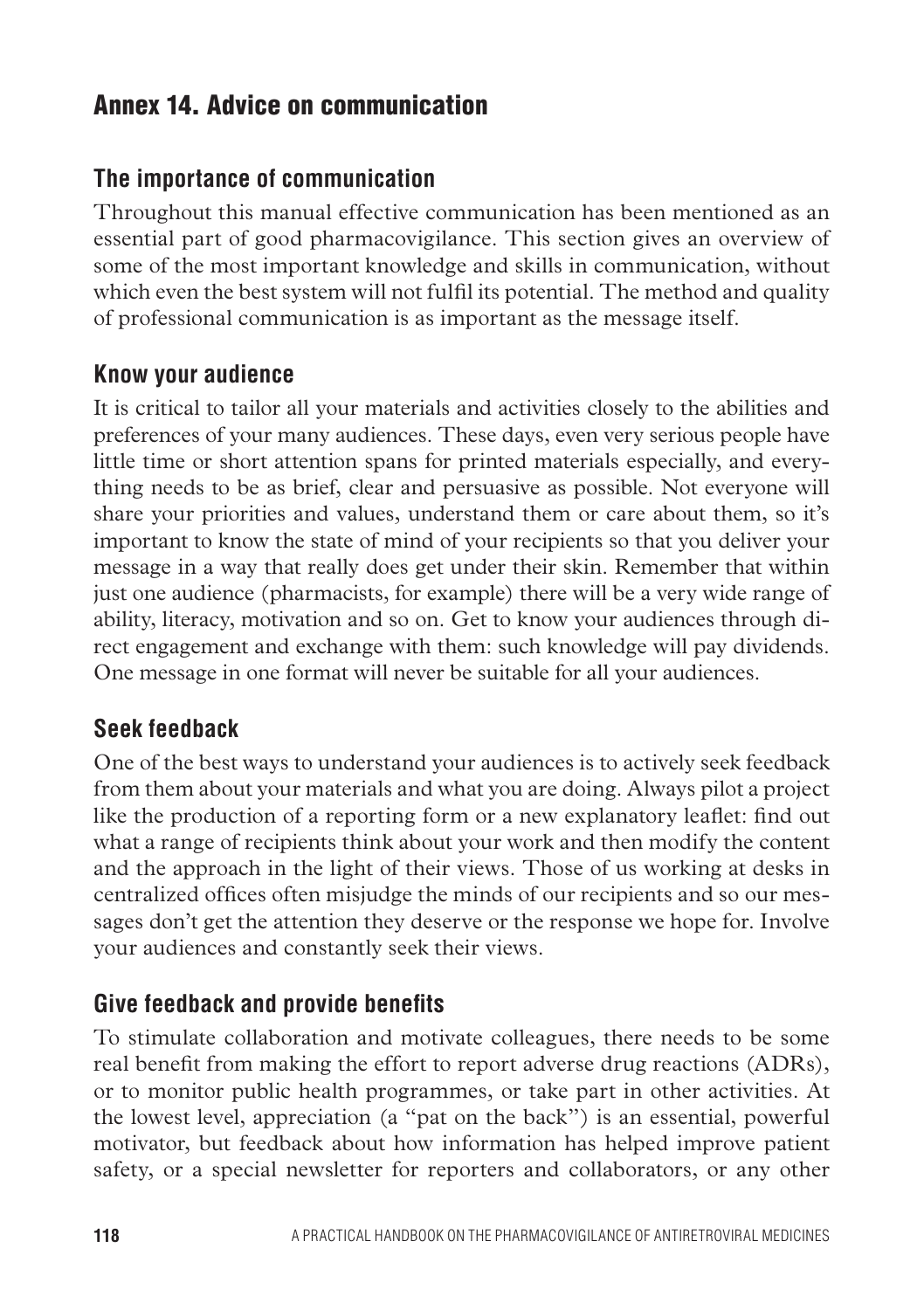## Annex 14. Advice on communication

## **The importance of communication**

Throughout this manual effective communication has been mentioned as an essential part of good pharmacovigilance. This section gives an overview of some of the most important knowledge and skills in communication, without which even the best system will not fulfil its potential. The method and quality of professional communication is as important as the message itself.

## **Know your audience**

It is critical to tailor all your materials and activities closely to the abilities and preferences of your many audiences. These days, even very serious people have little time or short attention spans for printed materials especially, and everything needs to be as brief, clear and persuasive as possible. Not everyone will share your priorities and values, understand them or care about them, so it's important to know the state of mind of your recipients so that you deliver your message in a way that really does get under their skin. Remember that within just one audience (pharmacists, for example) there will be a very wide range of ability, literacy, motivation and so on. Get to know your audiences through direct engagement and exchange with them: such knowledge will pay dividends. One message in one format will never be suitable for all your audiences.

## **Seek feedback**

One of the best ways to understand your audiences is to actively seek feedback from them about your materials and what you are doing. Always pilot a project like the production of a reporting form or a new explanatory leaflet: find out what a range of recipients think about your work and then modify the content and the approach in the light of their views. Those of us working at desks in centralized offices often misjudge the minds of our recipients and so our messages don't get the attention they deserve or the response we hope for. Involve your audiences and constantly seek their views.

## **Give feedback and provide benefits**

To stimulate collaboration and motivate colleagues, there needs to be some real benefit from making the effort to report adverse drug reactions (ADRs), or to monitor public health programmes, or take part in other activities. At the lowest level, appreciation (a "pat on the back") is an essential, powerful motivator, but feedback about how information has helped improve patient safety, or a special newsletter for reporters and collaborators, or any other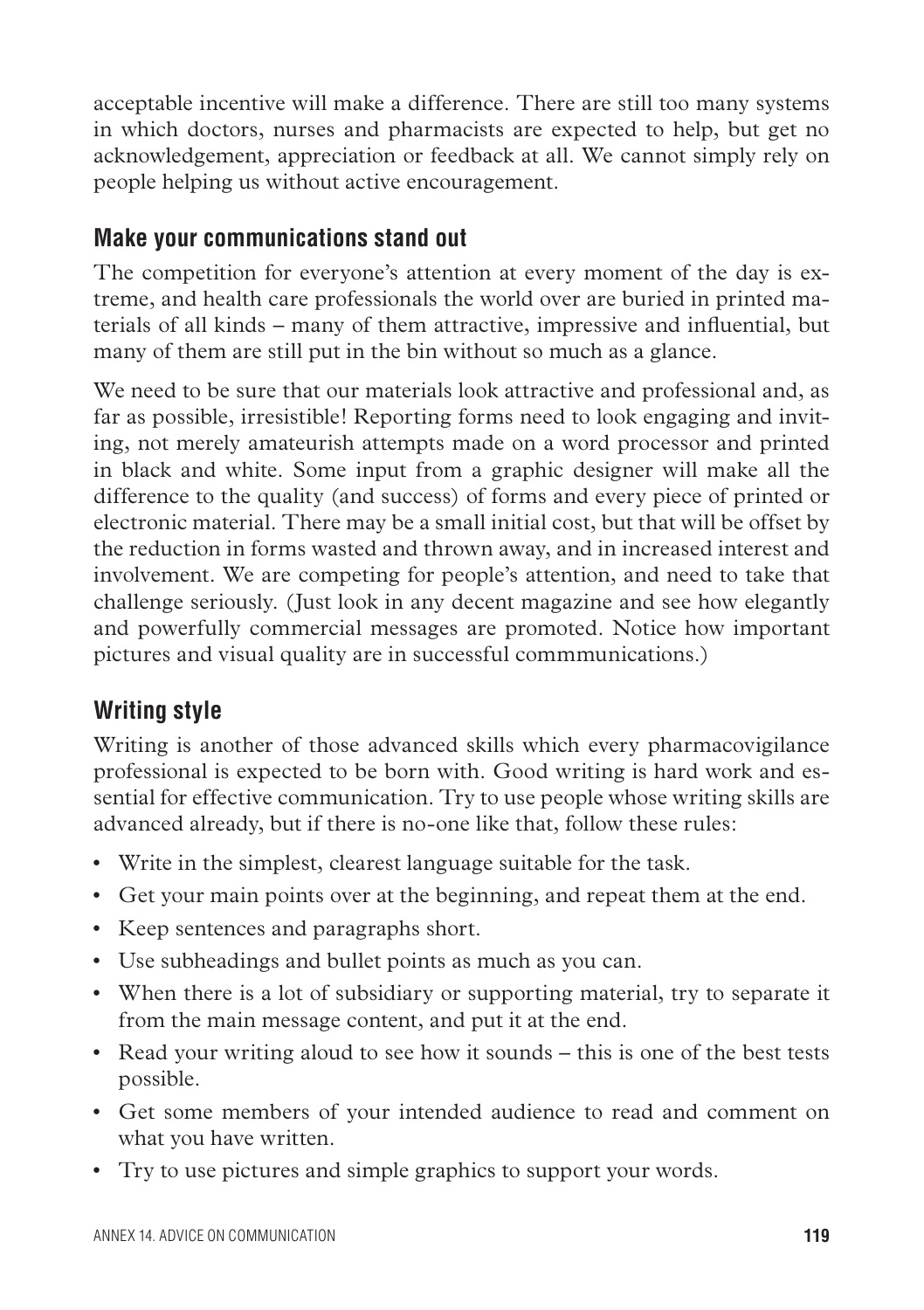acceptable incentive will make a difference. There are still too many systems in which doctors, nurses and pharmacists are expected to help, but get no acknowledgement, appreciation or feedback at all. We cannot simply rely on people helping us without active encouragement.

## **Make your communications stand out**

The competition for everyone's attention at every moment of the day is extreme, and health care professionals the world over are buried in printed materials of all kinds – many of them attractive, impressive and influential, but many of them are still put in the bin without so much as a glance.

We need to be sure that our materials look attractive and professional and, as far as possible, irresistible! Reporting forms need to look engaging and inviting, not merely amateurish attempts made on a word processor and printed in black and white. Some input from a graphic designer will make all the difference to the quality (and success) of forms and every piece of printed or electronic material. There may be a small initial cost, but that will be offset by the reduction in forms wasted and thrown away, and in increased interest and involvement. We are competing for people's attention, and need to take that challenge seriously. (Just look in any decent magazine and see how elegantly and powerfully commercial messages are promoted. Notice how important pictures and visual quality are in successful commmunications.)

## **Writing style**

Writing is another of those advanced skills which every pharmacovigilance professional is expected to be born with. Good writing is hard work and essential for effective communication. Try to use people whose writing skills are advanced already, but if there is no-one like that, follow these rules:

- Write in the simplest, clearest language suitable for the task.
- • Get your main points over at the beginning, and repeat them at the end.
- • Keep sentences and paragraphs short.
- Use subheadings and bullet points as much as you can.
- When there is a lot of subsidiary or supporting material, try to separate it from the main message content, and put it at the end.
- Read your writing aloud to see how it sounds this is one of the best tests possible.
- • Get some members of your intended audience to read and comment on what you have written.
- • Try to use pictures and simple graphics to support your words.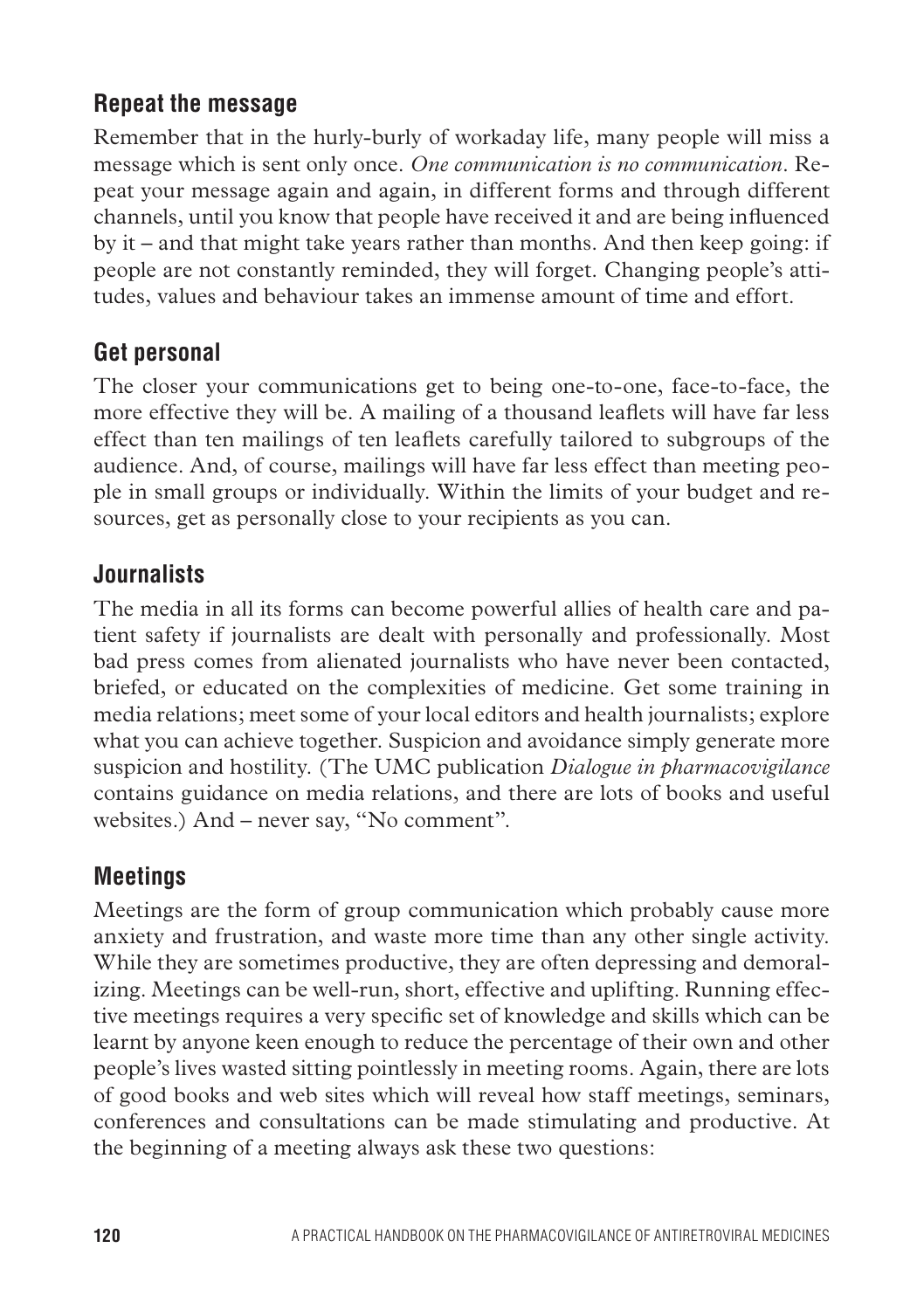## **Repeat the message**

Remember that in the hurly-burly of workaday life, many people will miss a message which is sent only once. *One communication is no communication*. Repeat your message again and again, in different forms and through different channels, until you know that people have received it and are being influenced by it – and that might take years rather than months. And then keep going: if people are not constantly reminded, they will forget. Changing people's attitudes, values and behaviour takes an immense amount of time and effort.

## **Get personal**

The closer your communications get to being one-to-one, face-to-face, the more effective they will be. A mailing of a thousand leaflets will have far less effect than ten mailings of ten leaflets carefully tailored to subgroups of the audience. And, of course, mailings will have far less effect than meeting people in small groups or individually. Within the limits of your budget and resources, get as personally close to your recipients as you can.

## **Journalists**

The media in all its forms can become powerful allies of health care and patient safety if journalists are dealt with personally and professionally. Most bad press comes from alienated journalists who have never been contacted, briefed, or educated on the complexities of medicine. Get some training in media relations; meet some of your local editors and health journalists; explore what you can achieve together. Suspicion and avoidance simply generate more suspicion and hostility. (The UMC publication *Dialogue in pharmacovigilance* contains guidance on media relations, and there are lots of books and useful websites.) And – never say, "No comment".

## **Meetings**

Meetings are the form of group communication which probably cause more anxiety and frustration, and waste more time than any other single activity. While they are sometimes productive, they are often depressing and demoralizing. Meetings can be well-run, short, effective and uplifting. Running effective meetings requires a very specific set of knowledge and skills which can be learnt by anyone keen enough to reduce the percentage of their own and other people's lives wasted sitting pointlessly in meeting rooms. Again, there are lots of good books and web sites which will reveal how staff meetings, seminars, conferences and consultations can be made stimulating and productive. At the beginning of a meeting always ask these two questions: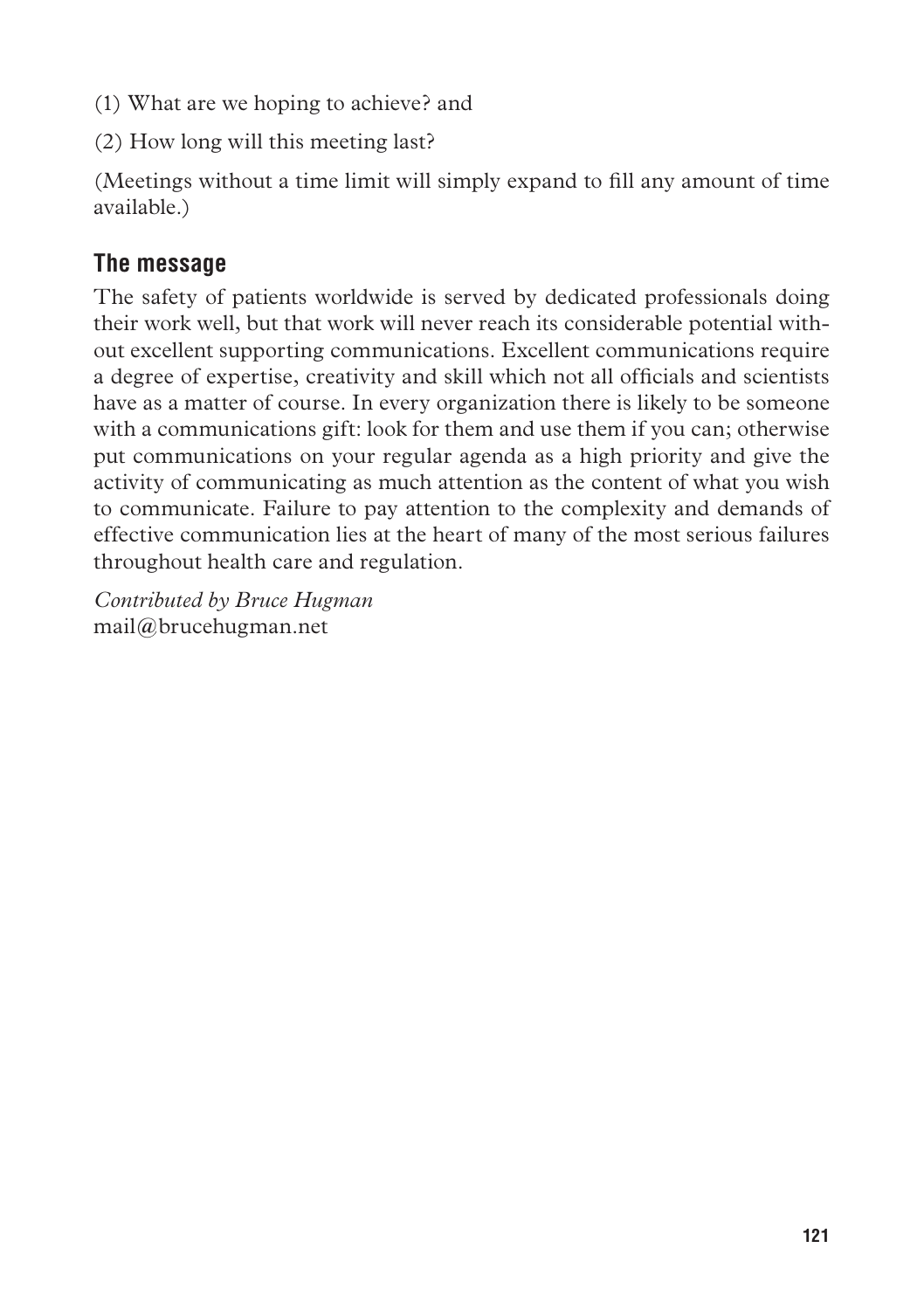- (1) What are we hoping to achieve? and
- (2) How long will this meeting last?

(Meetings without a time limit will simply expand to fill any amount of time available.)

## **The message**

The safety of patients worldwide is served by dedicated professionals doing their work well, but that work will never reach its considerable potential without excellent supporting communications. Excellent communications require a degree of expertise, creativity and skill which not all officials and scientists have as a matter of course. In every organization there is likely to be someone with a communications gift: look for them and use them if you can; otherwise put communications on your regular agenda as a high priority and give the activity of communicating as much attention as the content of what you wish to communicate. Failure to pay attention to the complexity and demands of effective communication lies at the heart of many of the most serious failures throughout health care and regulation.

*Contributed by Bruce Hugman* mail@brucehugman.net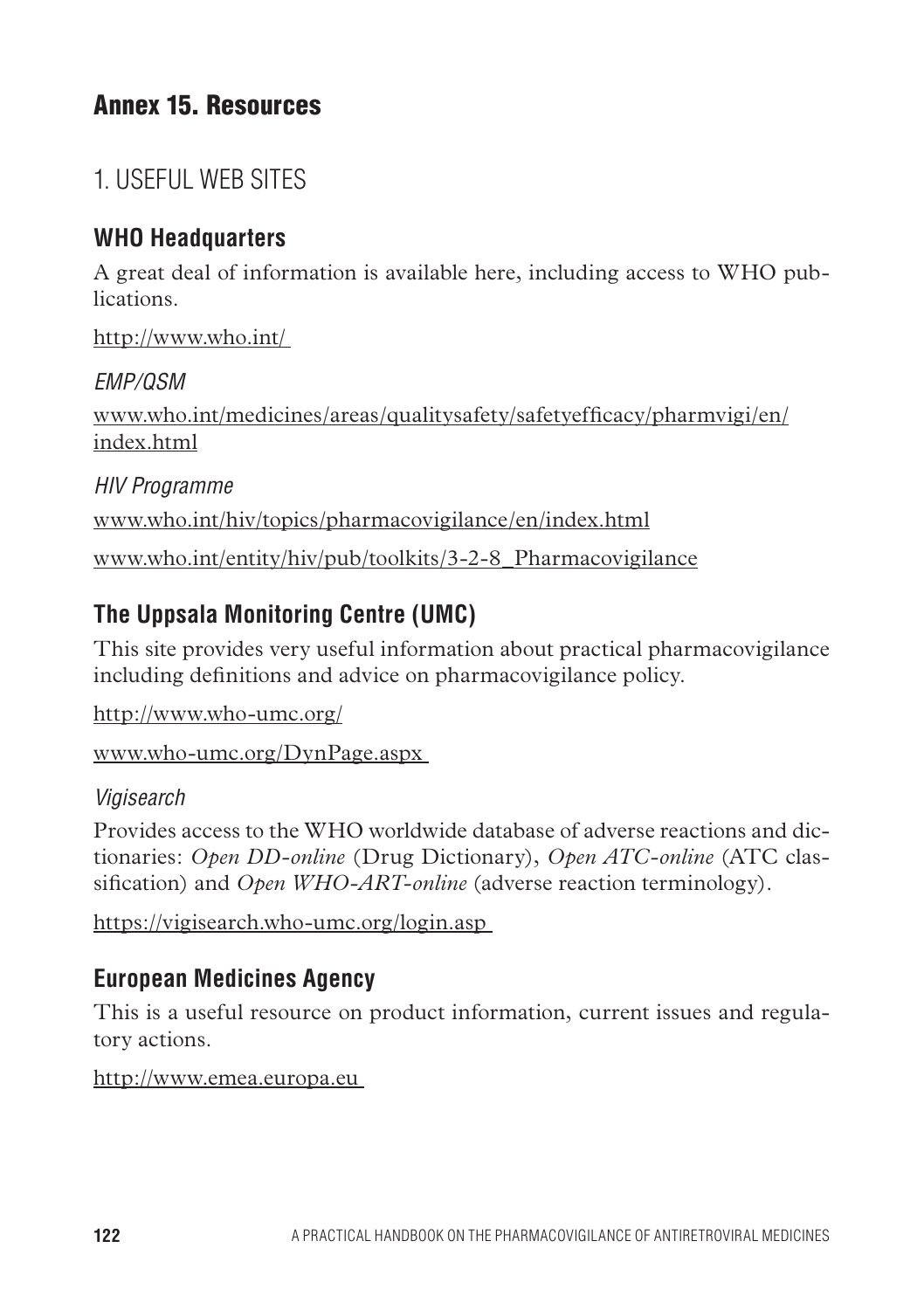## Annex 15. Resources

## 1. Useful web sites

## **WHO Headquarters**

A great deal of information is available here, including access to WHO publications.

http://www.who.int/

*EMP/QSM* www.who.int/medicines/areas/qualitysafety/safetyefficacy/pharmvigi/en/ index html

*HIV Programme*  www.who.int/hiv/topics/pharmacovigilance/en/index.html www.who.int/entity/hiv/pub/toolkits/3-2-8\_Pharmacovigilance

## **The Uppsala Monitoring Centre (UMC)**

This site provides very useful information about practical pharmacovigilance including definitions and advice on pharmacovigilance policy.

http://www.who-umc.org/

www.who-umc.org/DynPage.aspx

## *Vigisearch*

Provides access to the WHO worldwide database of adverse reactions and dictionaries: *Open DD-online* (Drug Dictionary), *Open ATC-online* (ATC classification) and *Open WHO-ART-online* (adverse reaction terminology).

https://vigisearch.who-umc.org/login.asp

## **European Medicines Agency**

This is a useful resource on product information, current issues and regulatory actions.

http://www.emea.europa.eu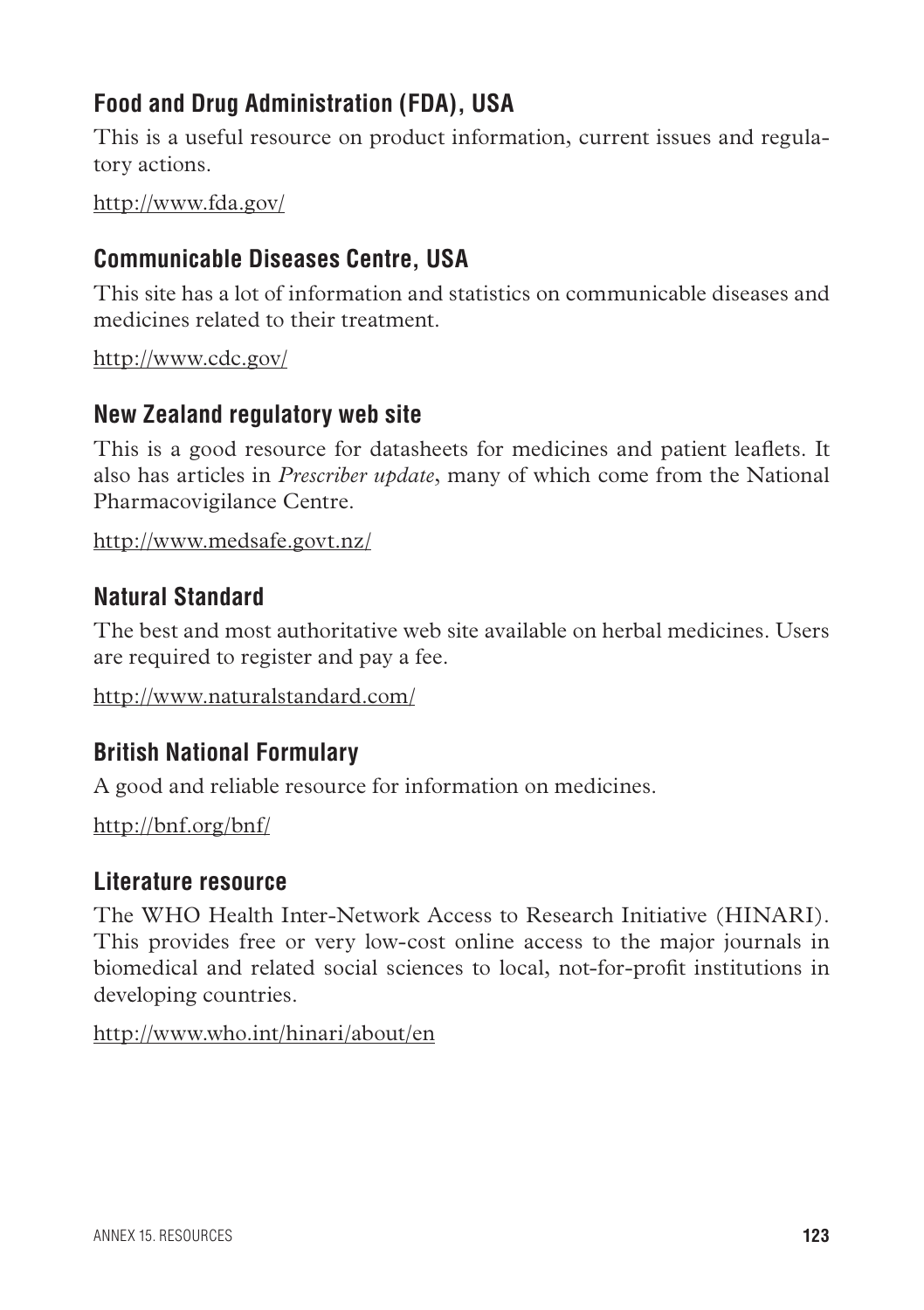## **Food and Drug Administration (FDA), USA**

This is a useful resource on product information, current issues and regulatory actions.

http://www.fda.gov/

## **Communicable Diseases Centre, USA**

This site has a lot of information and statistics on communicable diseases and medicines related to their treatment.

http://www.cdc.gov/

## **New Zealand regulatory web site**

This is a good resource for datasheets for medicines and patient leaflets. It also has articles in *Prescriber update*, many of which come from the National Pharmacovigilance Centre.

http://www.medsafe.govt.nz/

## **Natural Standard**

The best and most authoritative web site available on herbal medicines. Users are required to register and pay a fee.

http://www.naturalstandard.com/

## **British National Formulary**

A good and reliable resource for information on medicines.

http://bnf.org/bnf/

### **Literature resource**

The WHO Health Inter-Network Access to Research Initiative (HINARI). This provides free or very low-cost online access to the major journals in biomedical and related social sciences to local, not-for-profit institutions in developing countries.

http://www.who.int/hinari/about/en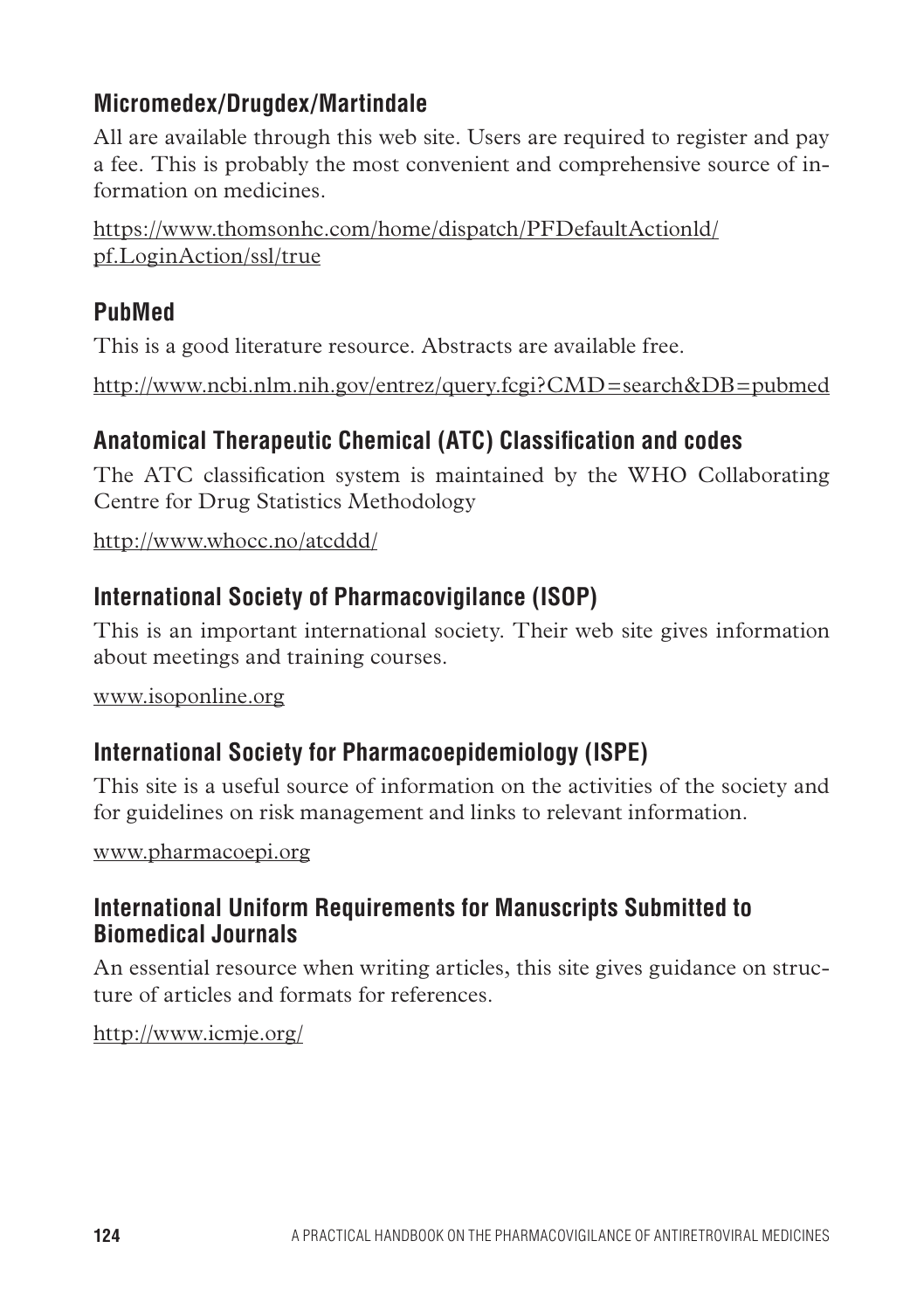## **Micromedex/Drugdex/Martindale**

All are available through this web site. Users are required to register and pay a fee. This is probably the most convenient and comprehensive source of information on medicines.

https://www.thomsonhc.com/home/dispatch/PFDefaultActionld/ pf.LoginAction/ssl/true

## **PubMed**

This is a good literature resource. Abstracts are available free.

http://www.ncbi.nlm.nih.gov/entrez/query.fcgi?CMD=search&DB=pubmed

## **Anatomical Therapeutic Chemical (ATC) Classification and codes**

The ATC classification system is maintained by the WHO Collaborating Centre for Drug Statistics Methodology

http://www.whocc.no/atcddd/

## **International Society of Pharmacovigilance (ISOP)**

This is an important international society. Their web site gives information about meetings and training courses.

www.isoponline.org

## **International Society for Pharmacoepidemiology (ISPE)**

This site is a useful source of information on the activities of the society and for guidelines on risk management and links to relevant information.

www.pharmacoepi.org

## **International Uniform Requirements for Manuscripts Submitted to Biomedical Journals**

An essential resource when writing articles, this site gives guidance on structure of articles and formats for references.

http://www.icmje.org/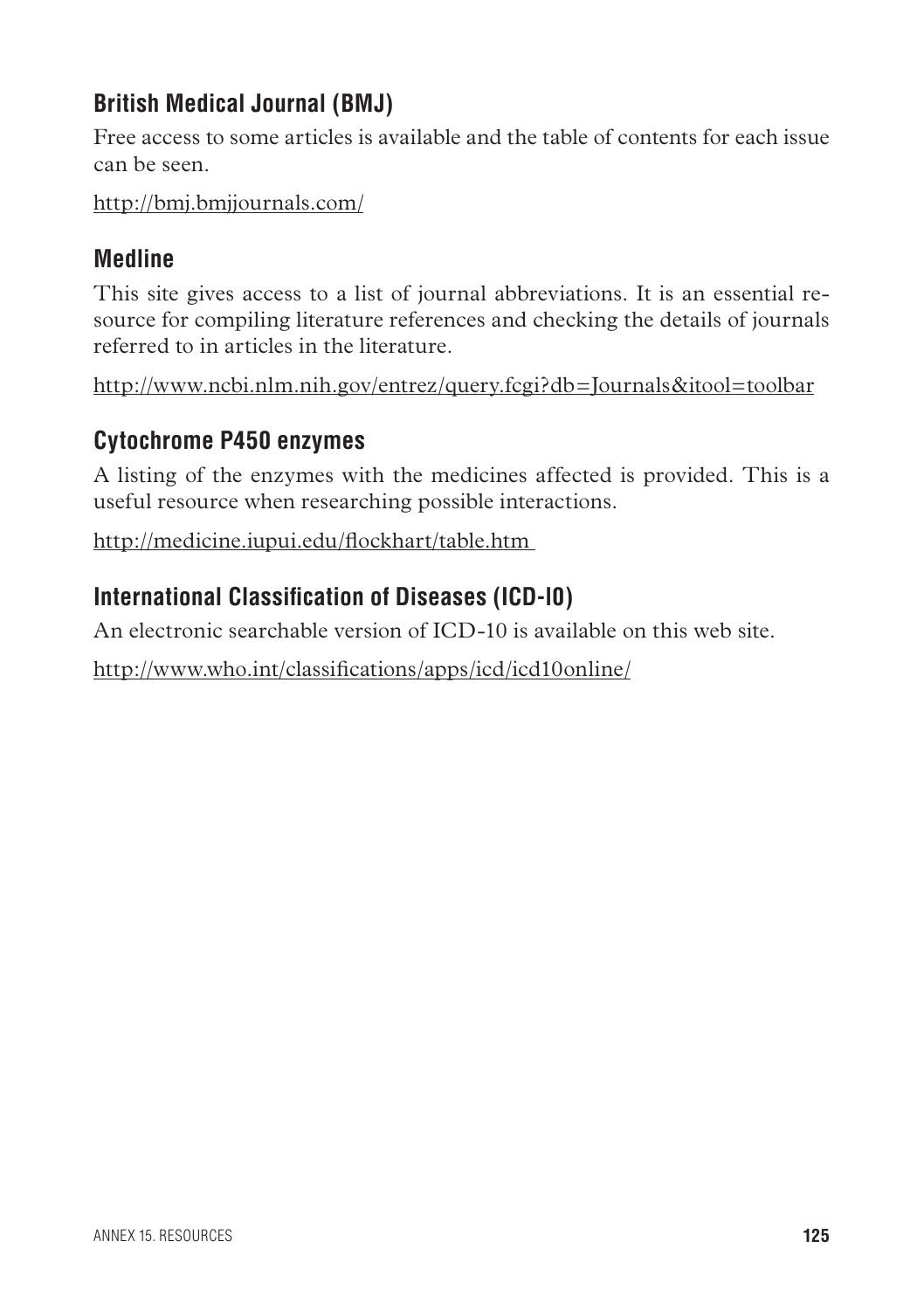## **British Medical Journal (BMJ)**

Free access to some articles is available and the table of contents for each issue can be seen.

http://bmj.bmjjournals.com/

## **Medline**

This site gives access to a list of journal abbreviations. It is an essential resource for compiling literature references and checking the details of journals referred to in articles in the literature.

http://www.ncbi.nlm.nih.gov/entrez/query.fcgi?db=Journals&itool=toolbar

## **Cytochrome P450 enzymes**

A listing of the enzymes with the medicines affected is provided. This is a useful resource when researching possible interactions.

http://medicine.iupui.edu/flockhart/table.htm

## **International Classification of Diseases (ICD-l0)**

An electronic searchable version of ICD-10 is available on this web site.

http://www.who.int/classifications/apps/icd/icd10online/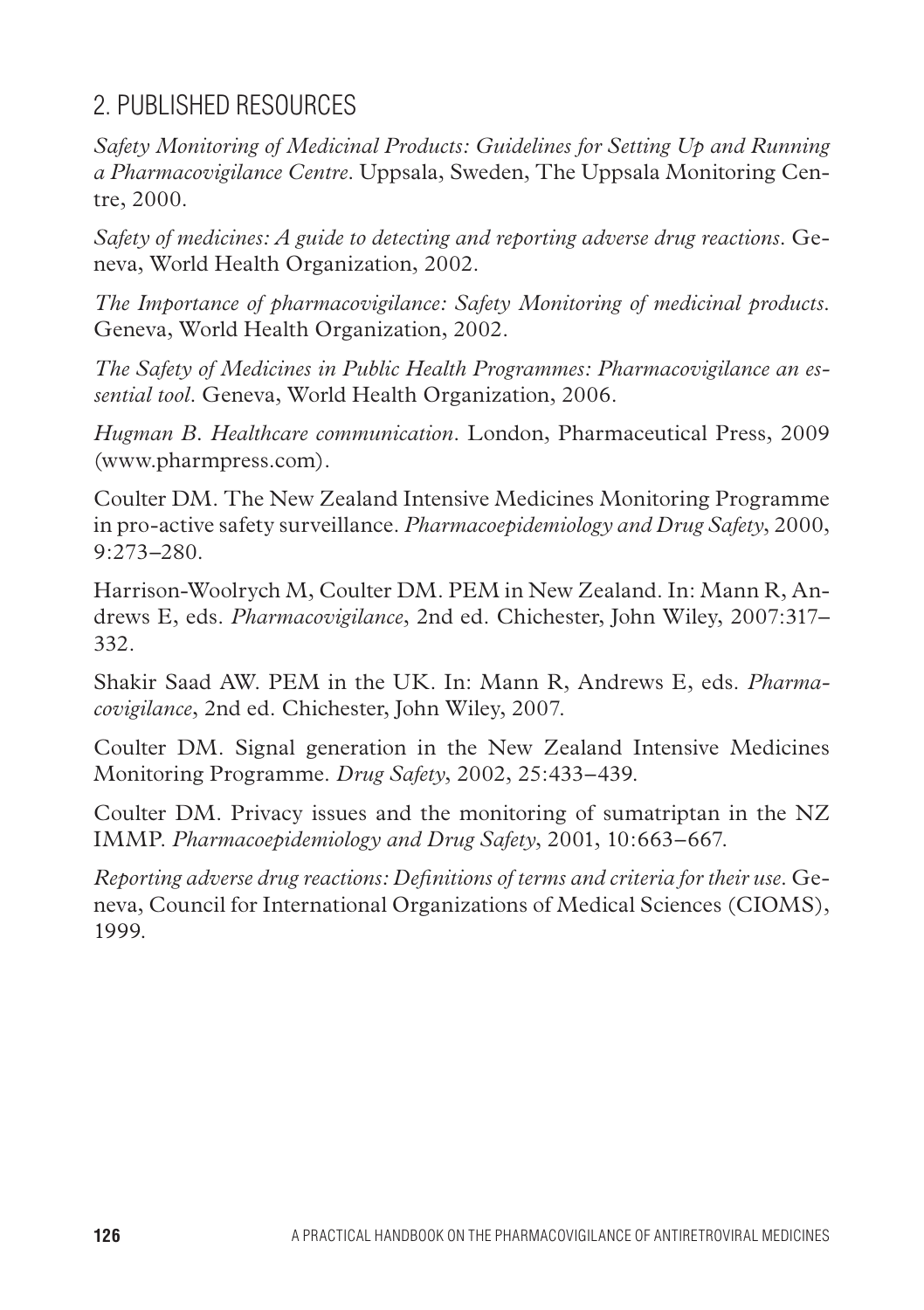## 2. Published resources

*Safety Monitoring of Medicinal Products: Guidelines for Setting Up and Running a Pharmacovigilance Centre*. Uppsala, Sweden, The Uppsala Monitoring Centre, 2000.

*Safety of medicines: A guide to detecting and reporting adverse drug reactions*. Geneva, World Health Organization, 2002.

*The Importance of pharmacovigilance: Safety Monitoring of medicinal products*. Geneva, World Health Organization, 2002.

*The Safety of Medicines in Public Health Programmes: Pharmacovigilance an essential tool*. Geneva, World Health Organization, 2006.

*Hugman B. Healthcare communication*. London, Pharmaceutical Press, 2009 (www.pharmpress.com).

Coulter DM. The New Zealand Intensive Medicines Monitoring Programme in pro-active safety surveillance. *Pharmacoepidemiology and Drug Safety*, 2000, 9:273–280.

Harrison-Woolrych M, Coulter DM. PEM in New Zealand. In: Mann R, Andrews E, eds. *Pharmacovigilance*, 2nd ed. Chichester, John Wiley, 2007:317– 332.

Shakir Saad AW. PEM in the UK. In: Mann R, Andrews E, eds. *Pharmacovigilance*, 2nd ed. Chichester, John Wiley, 2007.

Coulter DM. Signal generation in the New Zealand Intensive Medicines Monitoring Programme. *Drug Safety*, 2002, 25:433–439.

Coulter DM. Privacy issues and the monitoring of sumatriptan in the NZ IMMP. *Pharmacoepidemiology and Drug Safety*, 2001, 10:663–667.

*Reporting adverse drug reactions: Definitions of terms and criteria for their use*. Geneva, Council for International Organizations of Medical Sciences (CIOMS), 1999.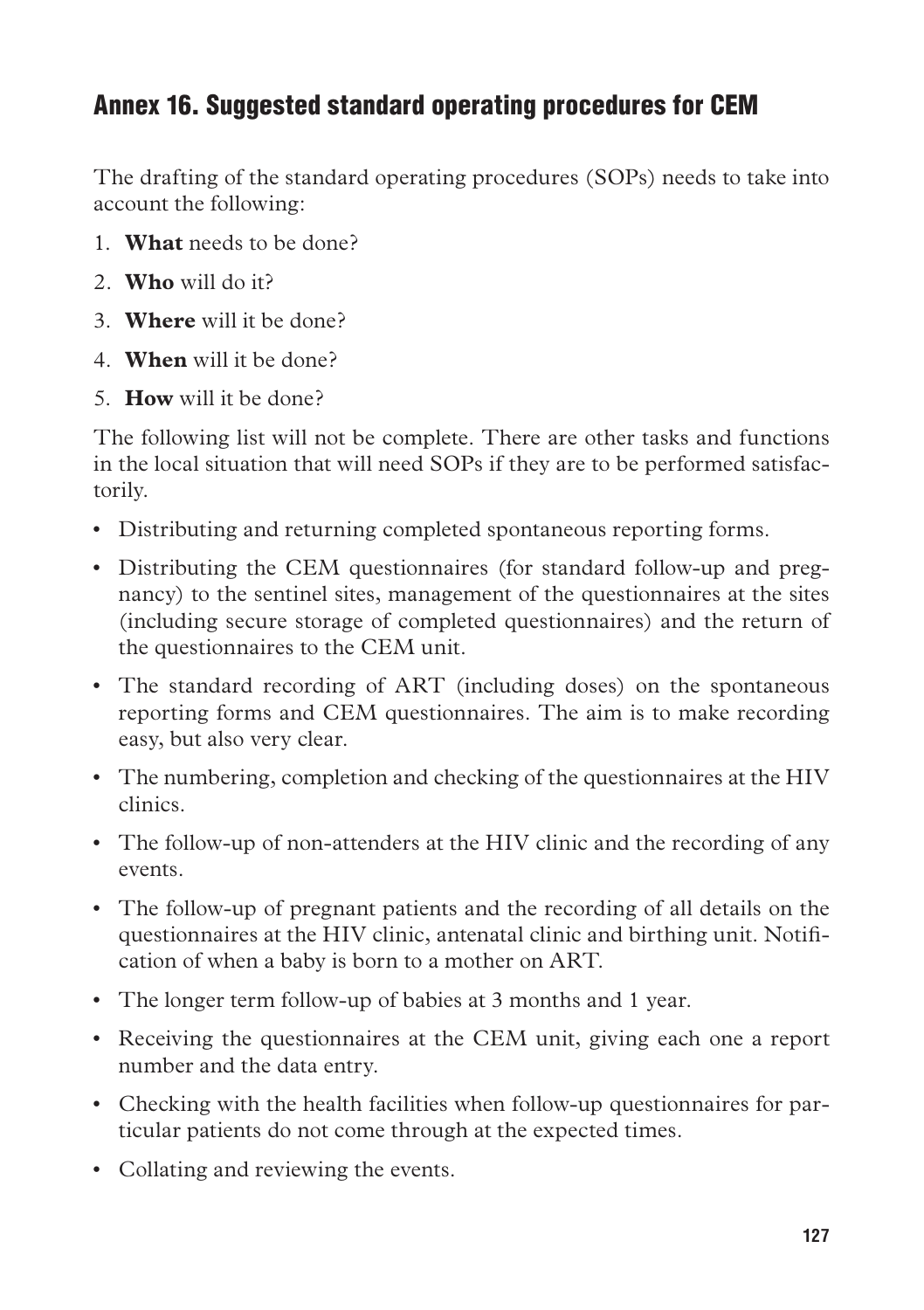## Annex 16. Suggested standard operating procedures for CEM

The drafting of the standard operating procedures (SOPs) needs to take into account the following:

- 1. **What** needs to be done?
- 2. **Who** will do it?
- 3. **Where** will it be done?
- 4. **When** will it be done?
- 5. **How** will it be done?

The following list will not be complete. There are other tasks and functions in the local situation that will need SOPs if they are to be performed satisfactorily.

- Distributing and returning completed spontaneous reporting forms.
- • Distributing the CEM questionnaires (for standard follow-up and pregnancy) to the sentinel sites, management of the questionnaires at the sites (including secure storage of completed questionnaires) and the return of the questionnaires to the CEM unit.
- The standard recording of ART (including doses) on the spontaneous reporting forms and CEM questionnaires. The aim is to make recording easy, but also very clear.
- • The numbering, completion and checking of the questionnaires at the HIV clinics.
- The follow-up of non-attenders at the HIV clinic and the recording of any events.
- • The follow-up of pregnant patients and the recording of all details on the questionnaires at the HIV clinic, antenatal clinic and birthing unit. Notification of when a baby is born to a mother on ART.
- The longer term follow-up of babies at 3 months and 1 year.
- Receiving the questionnaires at the CEM unit, giving each one a report number and the data entry.
- Checking with the health facilities when follow-up questionnaires for particular patients do not come through at the expected times.
- Collating and reviewing the events.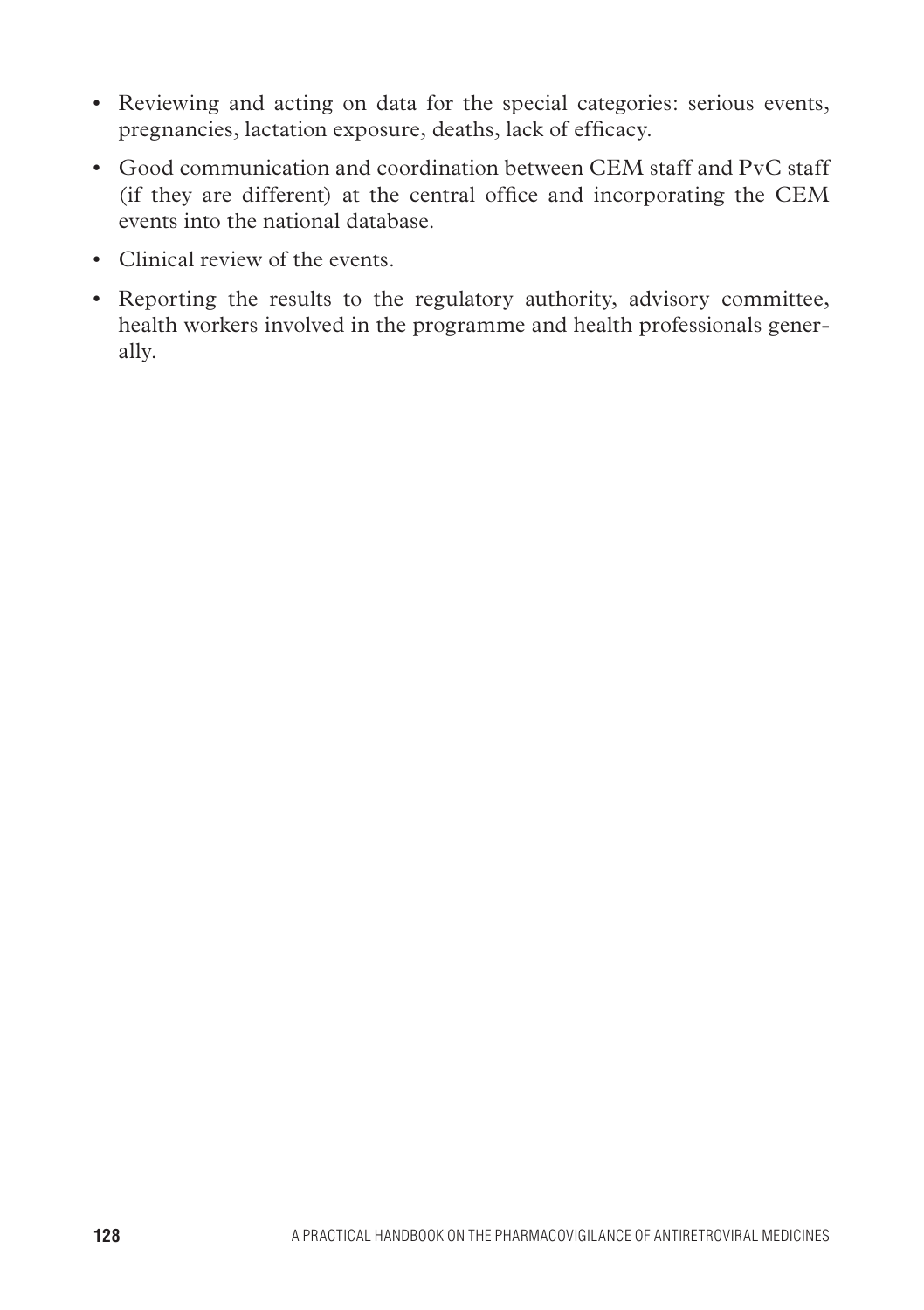- Reviewing and acting on data for the special categories: serious events, pregnancies, lactation exposure, deaths, lack of efficacy.
- Good communication and coordination between CEM staff and PvC staff (if they are different) at the central office and incorporating the CEM events into the national database.
- • Clinical review of the events.
- Reporting the results to the regulatory authority, advisory committee, health workers involved in the programme and health professionals generally.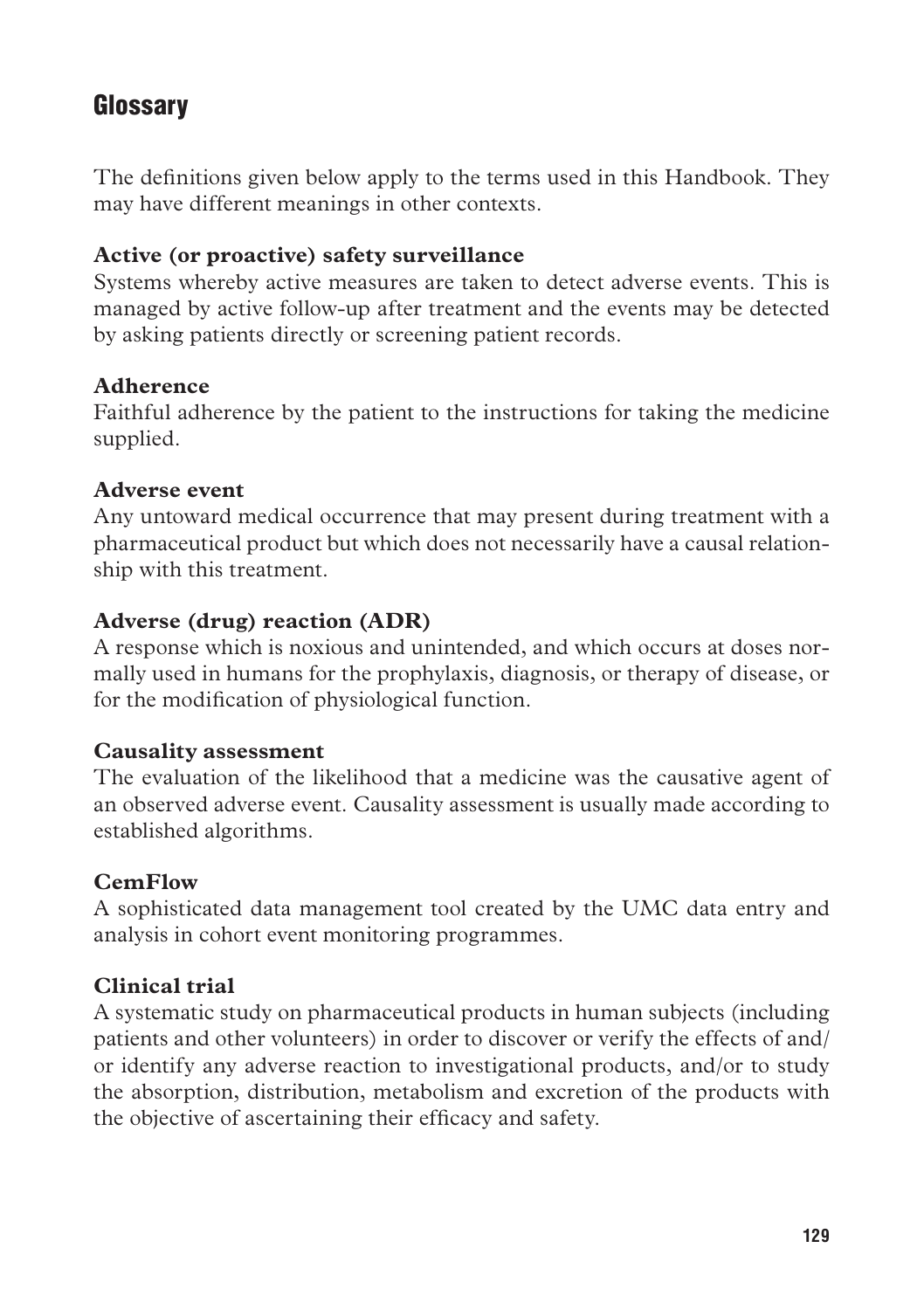## **Glossary**

The definitions given below apply to the terms used in this Handbook. They may have different meanings in other contexts.

### **Active (or proactive) safety surveillance**

Systems whereby active measures are taken to detect adverse events. This is managed by active follow-up after treatment and the events may be detected by asking patients directly or screening patient records.

### **Adherence**

Faithful adherence by the patient to the instructions for taking the medicine supplied.

### **Adverse event**

Any untoward medical occurrence that may present during treatment with a pharmaceutical product but which does not necessarily have a causal relationship with this treatment.

### **Adverse (drug) reaction (ADR)**

A response which is noxious and unintended, and which occurs at doses normally used in humans for the prophylaxis, diagnosis, or therapy of disease, or for the modification of physiological function.

### **Causality assessment**

The evaluation of the likelihood that a medicine was the causative agent of an observed adverse event. Causality assessment is usually made according to established algorithms.

### **CemFlow**

A sophisticated data management tool created by the UMC data entry and analysis in cohort event monitoring programmes.

### **Clinical trial**

A systematic study on pharmaceutical products in human subjects (including patients and other volunteers) in order to discover or verify the effects of and/ or identify any adverse reaction to investigational products, and/or to study the absorption, distribution, metabolism and excretion of the products with the objective of ascertaining their efficacy and safety.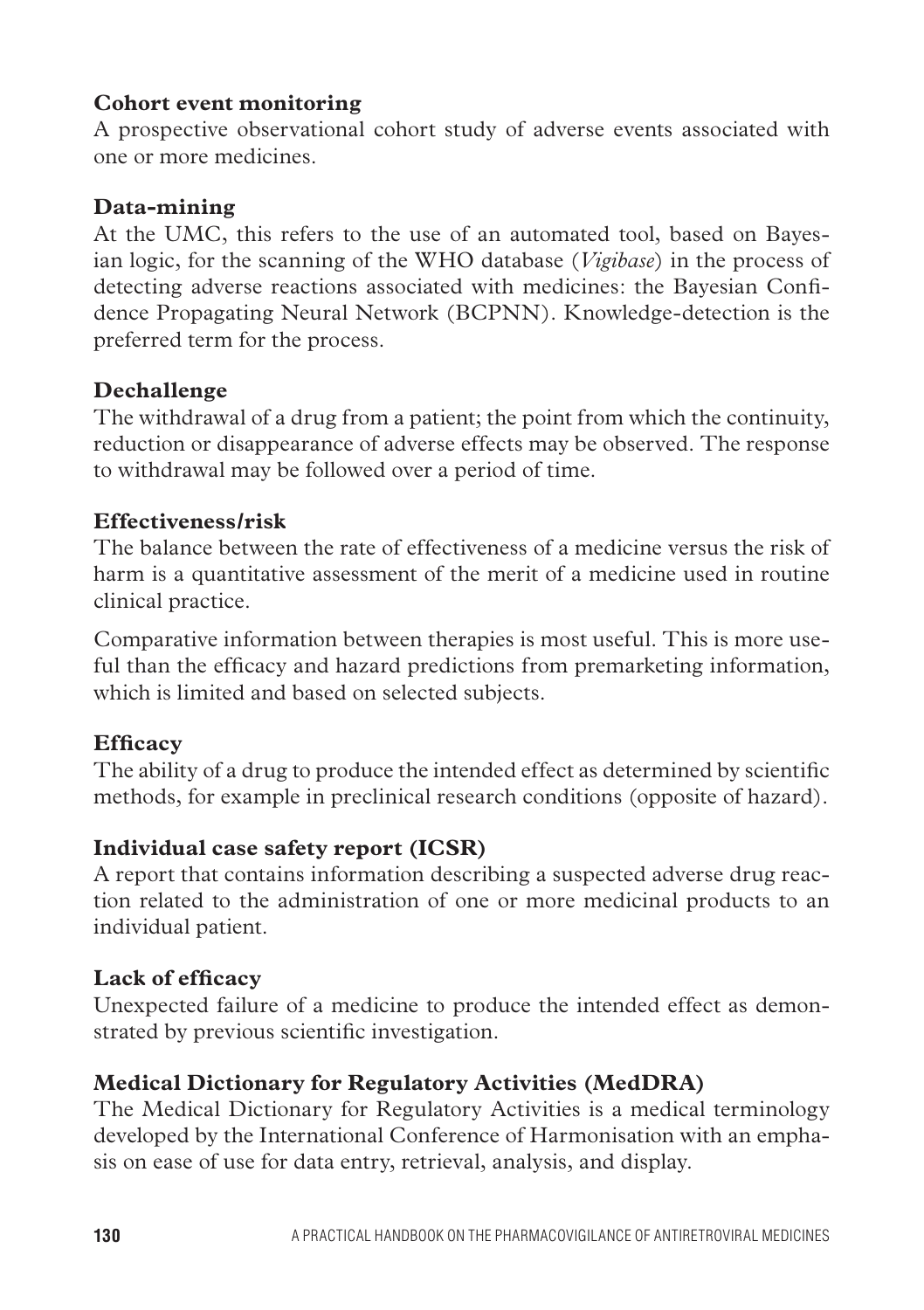### **Cohort event monitoring**

A prospective observational cohort study of adverse events associated with one or more medicines.

### **Data-mining**

At the UMC, this refers to the use of an automated tool, based on Bayesian logic, for the scanning of the WHO database (*Vigibase*) in the process of detecting adverse reactions associated with medicines: the Bayesian Confidence Propagating Neural Network (BCPNN). Knowledge-detection is the preferred term for the process.

### **Dechallenge**

The withdrawal of a drug from a patient; the point from which the continuity, reduction or disappearance of adverse effects may be observed. The response to withdrawal may be followed over a period of time.

### **Effectiveness/risk**

The balance between the rate of effectiveness of a medicine versus the risk of harm is a quantitative assessment of the merit of a medicine used in routine clinical practice.

Comparative information between therapies is most useful. This is more useful than the efficacy and hazard predictions from premarketing information, which is limited and based on selected subjects.

### **Efficacy**

The ability of a drug to produce the intended effect as determined by scientific methods, for example in preclinical research conditions (opposite of hazard).

### **Individual case safety report (ICSR)**

A report that contains information describing a suspected adverse drug reaction related to the administration of one or more medicinal products to an individual patient.

### **Lack of efficacy**

Unexpected failure of a medicine to produce the intended effect as demonstrated by previous scientific investigation.

### **Medical Dictionary for Regulatory Activities (MedDRA)**

The Medical Dictionary for Regulatory Activities is a medical terminology developed by the International Conference of Harmonisation with an emphasis on ease of use for data entry, retrieval, analysis, and display.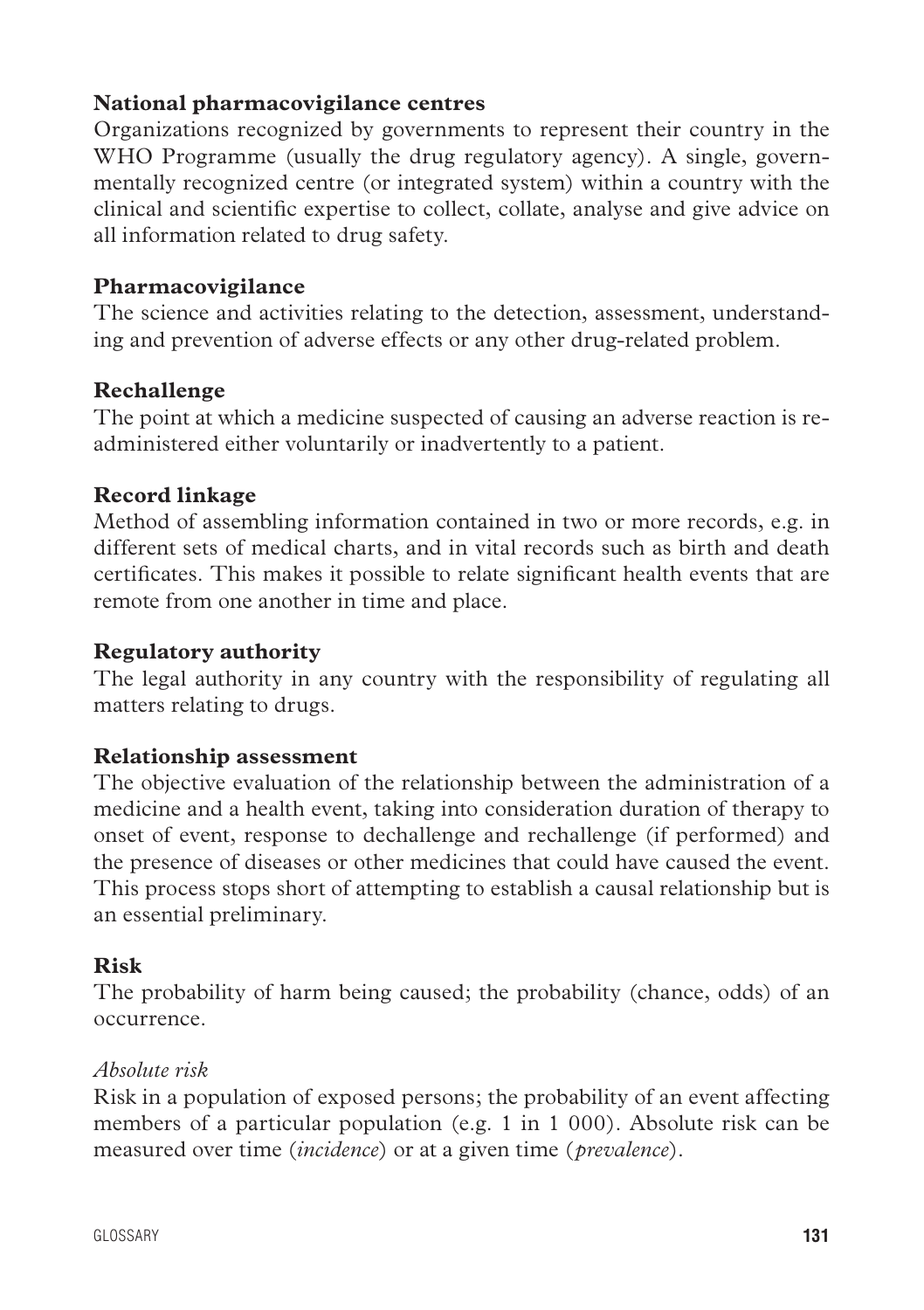### **National pharmacovigilance centres**

Organizations recognized by governments to represent their country in the WHO Programme (usually the drug regulatory agency). A single, governmentally recognized centre (or integrated system) within a country with the clinical and scientific expertise to collect, collate, analyse and give advice on all information related to drug safety.

#### **Pharmacovigilance**

The science and activities relating to the detection, assessment, understanding and prevention of adverse effects or any other drug-related problem.

#### **Rechallenge**

The point at which a medicine suspected of causing an adverse reaction is readministered either voluntarily or inadvertently to a patient.

### **Record linkage**

Method of assembling information contained in two or more records, e.g. in different sets of medical charts, and in vital records such as birth and death certificates. This makes it possible to relate significant health events that are remote from one another in time and place.

#### **Regulatory authority**

The legal authority in any country with the responsibility of regulating all matters relating to drugs.

### **Relationship assessment**

The objective evaluation of the relationship between the administration of a medicine and a health event, taking into consideration duration of therapy to onset of event, response to dechallenge and rechallenge (if performed) and the presence of diseases or other medicines that could have caused the event. This process stops short of attempting to establish a causal relationship but is an essential preliminary.

### **Risk**

The probability of harm being caused; the probability (chance, odds) of an occurrence.

#### *Absolute risk*

Risk in a population of exposed persons; the probability of an event affecting members of a particular population (e.g. 1 in 1 000). Absolute risk can be measured over time (*incidence*) or at a given time (*prevalence*).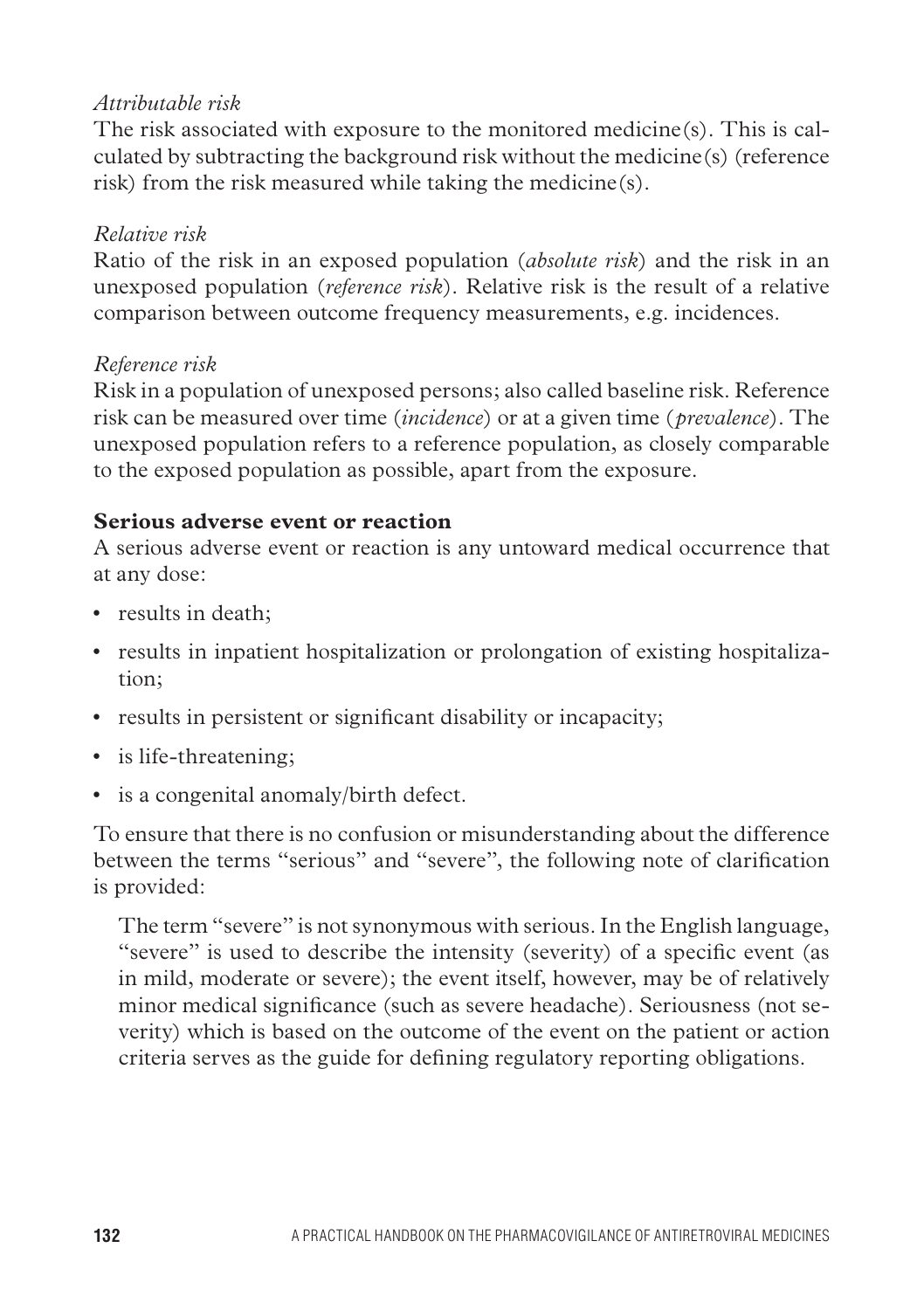#### *Attributable risk*

The risk associated with exposure to the monitored medicine(s). This is calculated by subtracting the background risk without the medicine(s) (reference risk) from the risk measured while taking the medicine(s).

#### *Relative risk*

Ratio of the risk in an exposed population (*absolute risk*) and the risk in an unexposed population (*reference risk*). Relative risk is the result of a relative comparison between outcome frequency measurements, e.g. incidences.

#### *Reference risk*

Risk in a population of unexposed persons; also called baseline risk. Reference risk can be measured over time (*incidence*) or at a given time (*prevalence*). The unexposed population refers to a reference population, as closely comparable to the exposed population as possible, apart from the exposure.

#### **Serious adverse event or reaction**

A serious adverse event or reaction is any untoward medical occurrence that at any dose:

- results in death;
- results in inpatient hospitalization or prolongation of existing hospitalization;
- results in persistent or significant disability or incapacity;
- is life-threatening;
- is a congenital anomaly/birth defect.

To ensure that there is no confusion or misunderstanding about the difference between the terms "serious" and "severe", the following note of clarification is provided:

The term "severe" is not synonymous with serious. In the English language, "severe" is used to describe the intensity (severity) of a specific event (as in mild, moderate or severe); the event itself, however, may be of relatively minor medical significance (such as severe headache). Seriousness (not severity) which is based on the outcome of the event on the patient or action criteria serves as the guide for defining regulatory reporting obligations.